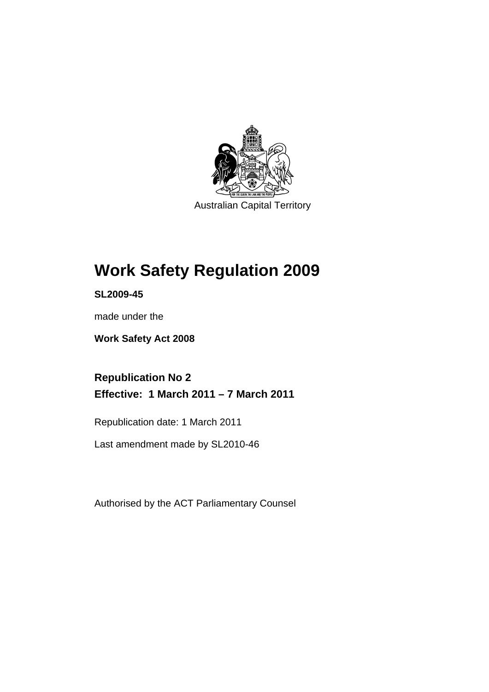

Australian Capital Territory

# **[Work Safety Regulation 2009](#page-14-0)**

**SL2009-45** 

made under the

**[Work Safety Act 2008](#page-14-0)** 

**Republication No 2 Effective: 1 March 2011 – 7 March 2011** 

Republication date: 1 March 2011

Last amendment made by SL2010-46

Authorised by the ACT Parliamentary Counsel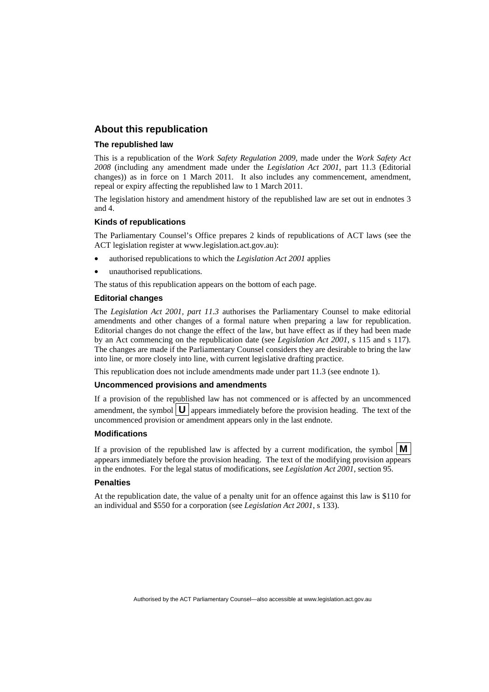# **About this republication**

#### **The republished law**

This is a republication of the *Work Safety Regulation 2009*, made under the *[Work Safety Act](#page-14-0)  [2008](#page-14-0)* (including any amendment made under the *Legislation Act 2001*, part 11.3 (Editorial changes)) as in force on 1 March 2011*.* It also includes any commencement, amendment, repeal or expiry affecting the republished law to 1 March 2011.

The legislation history and amendment history of the republished law are set out in endnotes 3 and 4.

### **Kinds of republications**

The Parliamentary Counsel's Office prepares 2 kinds of republications of ACT laws (see the ACT legislation register at www.legislation.act.gov.au):

- authorised republications to which the *Legislation Act 2001* applies
- unauthorised republications.

The status of this republication appears on the bottom of each page.

### **Editorial changes**

The *Legislation Act 2001, part 11.3* authorises the Parliamentary Counsel to make editorial amendments and other changes of a formal nature when preparing a law for republication. Editorial changes do not change the effect of the law, but have effect as if they had been made by an Act commencing on the republication date (see *Legislation Act 2001*, s 115 and s 117). The changes are made if the Parliamentary Counsel considers they are desirable to bring the law into line, or more closely into line, with current legislative drafting practice.

This republication does not include amendments made under part 11.3 (see endnote 1).

#### **Uncommenced provisions and amendments**

If a provision of the republished law has not commenced or is affected by an uncommenced amendment, the symbol  $\mathbf{U}$  appears immediately before the provision heading. The text of the uncommenced provision  $\overline{or}$  amendment appears only in the last endnote.

#### **Modifications**

If a provision of the republished law is affected by a current modification, the symbol  $\mathbf{M}$ appears immediately before the provision heading. The text of the modifying provision appears in the endnotes. For the legal status of modifications, see *Legislation Act 2001*, section 95.

#### **Penalties**

At the republication date, the value of a penalty unit for an offence against this law is \$110 for an individual and \$550 for a corporation (see *Legislation Act 2001*, s 133).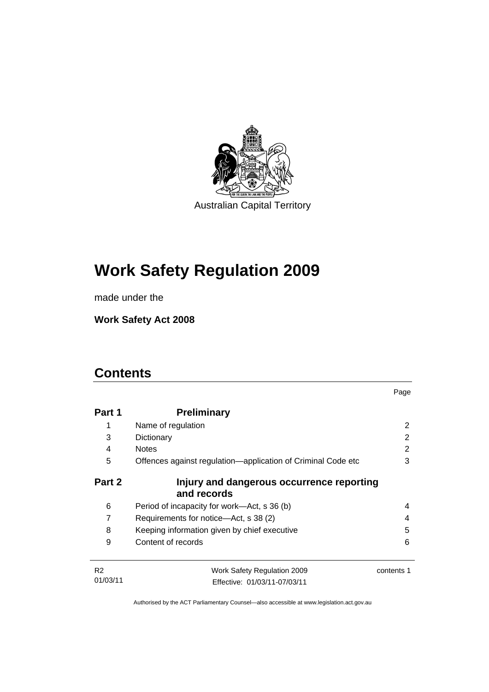

# **[Work Safety Regulation 2009](#page-14-0)**

made under the

**[Work Safety Act 2008](#page-14-0)** 

# **Contents**

| Part 1         | <b>Preliminary</b>                                           |            |
|----------------|--------------------------------------------------------------|------------|
| 1              | Name of regulation                                           | 2          |
| 3              | Dictionary                                                   | 2          |
| 4              | <b>Notes</b>                                                 | 2          |
| 5              | Offences against regulation—application of Criminal Code etc | 3          |
| Part 2         | Injury and dangerous occurrence reporting<br>and records     |            |
| 6              | Period of incapacity for work—Act, s 36 (b)                  | 4          |
| 7              | Requirements for notice—Act, s 38 (2)                        | 4          |
| 8              | Keeping information given by chief executive                 | 5          |
| 9              | Content of records                                           | 6          |
| R <sub>2</sub> | Work Safety Regulation 2009                                  | contents 1 |
| 01/03/11       | Effective: 01/03/11-07/03/11                                 |            |

Page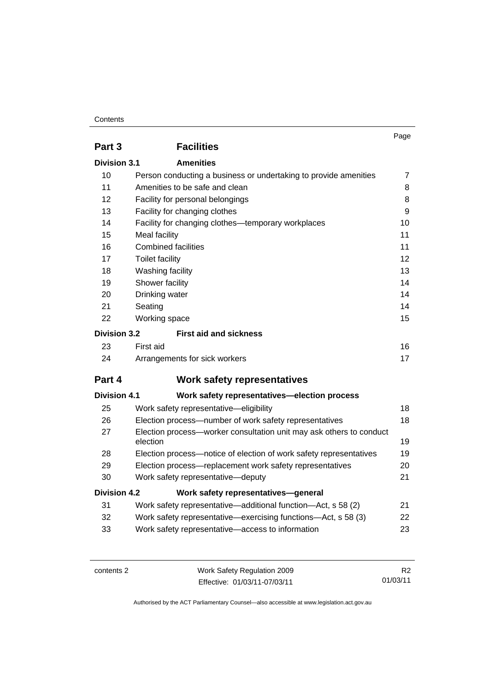# **Contents**

|                     |                                                                                 | Page           |
|---------------------|---------------------------------------------------------------------------------|----------------|
| Part 3              | <b>Facilities</b>                                                               |                |
| Division 3.1        | <b>Amenities</b>                                                                |                |
| 10                  | Person conducting a business or undertaking to provide amenities                | $\overline{7}$ |
| 11                  | Amenities to be safe and clean                                                  | 8              |
| 12                  | Facility for personal belongings                                                | 8              |
| 13                  | Facility for changing clothes                                                   | 9              |
| 14                  | Facility for changing clothes-temporary workplaces                              | 10             |
| 15                  | Meal facility                                                                   | 11             |
| 16                  | <b>Combined facilities</b>                                                      | 11             |
| 17                  | <b>Toilet facility</b>                                                          | 12             |
| 18                  | Washing facility                                                                | 13             |
| 19                  | Shower facility                                                                 |                |
| 20                  | Drinking water                                                                  |                |
| 21                  | Seating<br>14                                                                   |                |
| 22                  | Working space                                                                   | 15             |
| <b>Division 3.2</b> | <b>First aid and sickness</b>                                                   |                |
| 23                  | First aid                                                                       | 16             |
| 24                  | Arrangements for sick workers                                                   | 17             |
| Part 4              | <b>Work safety representatives</b>                                              |                |
| <b>Division 4.1</b> | Work safety representatives-election process                                    |                |
| 25                  | Work safety representative-eligibility                                          | 18             |
| 26                  | Election process—number of work safety representatives                          | 18             |
| 27                  | Election process-worker consultation unit may ask others to conduct<br>election | 19             |
| 28                  | Election process-notice of election of work safety representatives              | 19             |
| 29                  | Election process-replacement work safety representatives                        | 20             |
| 30                  | Work safety representative-deputy                                               | 21             |
| <b>Division 4.2</b> | Work safety representatives-general                                             |                |
| 31                  | Work safety representative—additional function—Act, s 58 (2)                    | 21             |
| 32                  | Work safety representative—exercising functions—Act, s 58 (3)                   | 22             |
| 33                  | Work safety representative-access to information                                | 23             |

contents 2 Work Safety Regulation 2009 Effective: 01/03/11-07/03/11

R2 01/03/11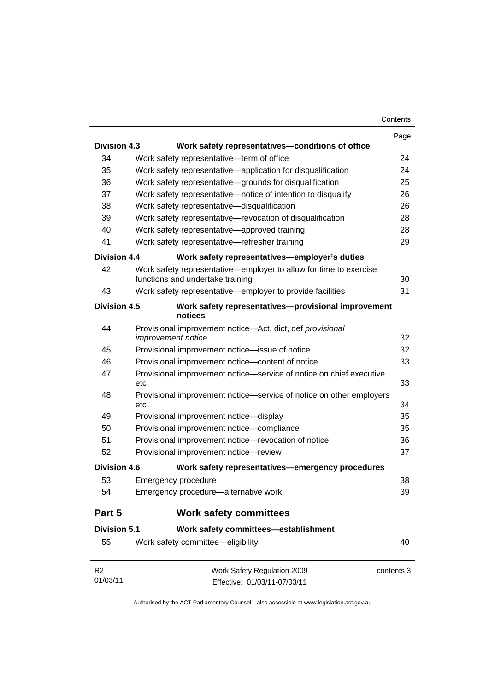|                     |                                                                                                       | Page       |
|---------------------|-------------------------------------------------------------------------------------------------------|------------|
| <b>Division 4.3</b> | Work safety representatives-conditions of office                                                      |            |
| 34                  | Work safety representative-term of office                                                             | 24         |
| 35                  | Work safety representative—application for disqualification                                           | 24         |
| 36                  | Work safety representative-grounds for disqualification                                               | 25         |
| 37                  | Work safety representative-notice of intention to disqualify                                          | 26         |
| 38                  | Work safety representative-disqualification                                                           | 26         |
| 39                  | Work safety representative-revocation of disqualification                                             | 28         |
| 40                  | Work safety representative-approved training                                                          | 28         |
| 41                  | Work safety representative-refresher training                                                         | 29         |
| Division 4.4        | Work safety representatives—employer's duties                                                         |            |
| 42                  | Work safety representative—employer to allow for time to exercise<br>functions and undertake training | 30         |
| 43                  | Work safety representative-employer to provide facilities                                             | 31         |
| <b>Division 4.5</b> | Work safety representatives-provisional improvement<br>notices                                        |            |
| 44                  | Provisional improvement notice-Act, dict, def provisional<br>improvement notice                       | 32         |
| 45                  | Provisional improvement notice-issue of notice                                                        | 32         |
| 46                  | Provisional improvement notice-content of notice                                                      | 33         |
| 47                  | Provisional improvement notice-service of notice on chief executive<br>etc                            | 33         |
| 48                  | Provisional improvement notice—service of notice on other employers<br>etc                            | 34         |
| 49                  | Provisional improvement notice-display                                                                | 35         |
| 50                  | Provisional improvement notice-compliance                                                             | 35         |
| 51                  | Provisional improvement notice-revocation of notice                                                   | 36         |
| 52                  | Provisional improvement notice-review                                                                 | 37         |
| <b>Division 4.6</b> | Work safety representatives-emergency procedures                                                      |            |
| 53                  | Emergency procedure                                                                                   | 38         |
| 54                  | Emergency procedure-alternative work                                                                  | 39         |
| Part 5              | <b>Work safety committees</b>                                                                         |            |
| <b>Division 5.1</b> | Work safety committees-establishment                                                                  |            |
| 55                  | Work safety committee-eligibility                                                                     | 40         |
| R <sub>2</sub>      | Work Safety Regulation 2009                                                                           | contents 3 |

01/03/11 Effective: 01/03/11-07/03/11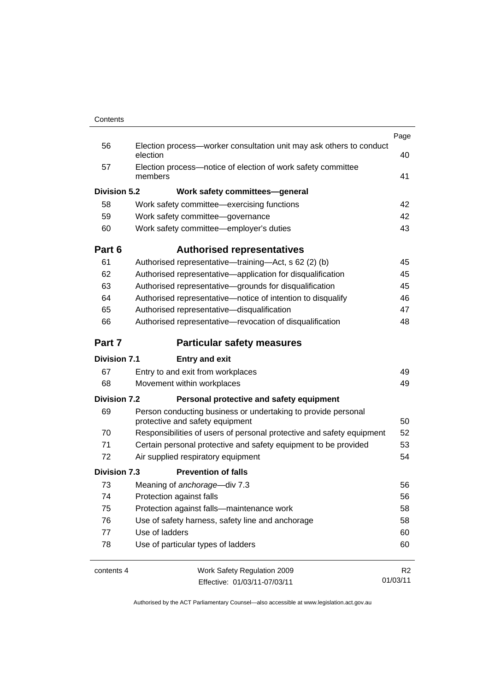|                     |                                                                                                  | Page           |
|---------------------|--------------------------------------------------------------------------------------------------|----------------|
| 56                  | Election process-worker consultation unit may ask others to conduct<br>election                  | 40             |
| 57                  | Election process-notice of election of work safety committee<br>members                          | 41             |
| <b>Division 5.2</b> | Work safety committees-general                                                                   |                |
| 58                  | Work safety committee—exercising functions                                                       | 42             |
| 59                  | Work safety committee-governance                                                                 | 42             |
| 60                  | Work safety committee-employer's duties                                                          | 43             |
| Part 6              | <b>Authorised representatives</b>                                                                |                |
| 61                  | Authorised representative—training—Act, s 62 (2) (b)                                             | 45             |
| 62                  | Authorised representative-application for disqualification                                       | 45             |
| 63                  | Authorised representative-grounds for disqualification                                           | 45             |
| 64                  | Authorised representative-notice of intention to disqualify                                      | 46             |
| 65                  | Authorised representative-disqualification                                                       | 47             |
| 66                  | Authorised representative-revocation of disqualification                                         | 48             |
| Part 7              | <b>Particular safety measures</b>                                                                |                |
| <b>Division 7.1</b> | <b>Entry and exit</b>                                                                            |                |
| 67                  | Entry to and exit from workplaces                                                                | 49             |
| 68                  | Movement within workplaces                                                                       | 49             |
| <b>Division 7.2</b> | Personal protective and safety equipment                                                         |                |
| 69                  | Person conducting business or undertaking to provide personal<br>protective and safety equipment | 50             |
| 70                  | Responsibilities of users of personal protective and safety equipment                            | 52             |
| 71                  | Certain personal protective and safety equipment to be provided                                  | 53             |
| 72                  | Air supplied respiratory equipment                                                               | 54             |
| Division 7.3        | <b>Prevention of falls</b>                                                                       |                |
| 73                  | Meaning of anchorage-div 7.3                                                                     | 56             |
| 74                  | Protection against falls                                                                         | 56             |
| 75                  | Protection against falls-maintenance work                                                        | 58             |
| 76                  | Use of safety harness, safety line and anchorage                                                 | 58             |
| 77                  | Use of ladders                                                                                   | 60             |
| 78                  | Use of particular types of ladders                                                               | 60             |
| contents 4          | Work Safety Regulation 2009                                                                      | R <sub>2</sub> |
|                     | Effective: 01/03/11-07/03/11                                                                     | 01/03/11       |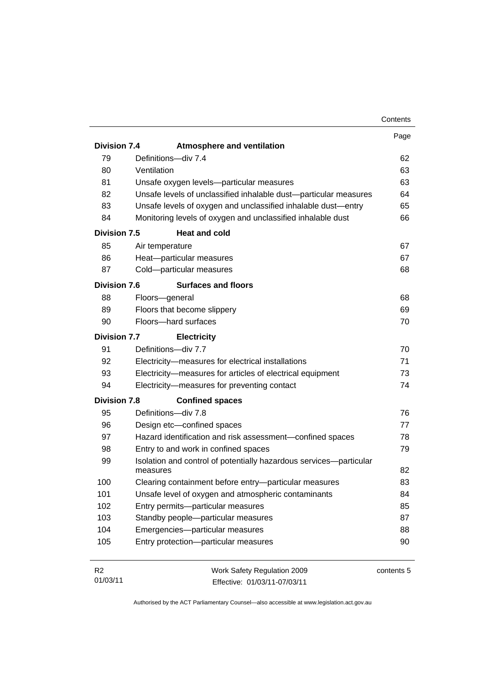|                     |                                                                                | Contents   |
|---------------------|--------------------------------------------------------------------------------|------------|
|                     |                                                                                | Page       |
| <b>Division 7.4</b> | <b>Atmosphere and ventilation</b>                                              |            |
| 79                  | Definitions-div 7.4                                                            | 62         |
| 80                  | Ventilation                                                                    | 63         |
| 81                  | Unsafe oxygen levels-particular measures                                       | 63         |
| 82                  | Unsafe levels of unclassified inhalable dust-particular measures               | 64         |
| 83                  | Unsafe levels of oxygen and unclassified inhalable dust-entry                  | 65         |
| 84                  | Monitoring levels of oxygen and unclassified inhalable dust                    | 66         |
| <b>Division 7.5</b> | <b>Heat and cold</b>                                                           |            |
| 85                  | Air temperature                                                                | 67         |
| 86                  | Heat-particular measures                                                       | 67         |
| 87                  | Cold-particular measures                                                       | 68         |
| Division 7.6        | <b>Surfaces and floors</b>                                                     |            |
| 88                  | Floors-general                                                                 | 68         |
| 89                  | Floors that become slippery                                                    | 69         |
| 90                  | Floors-hard surfaces                                                           | 70         |
| <b>Division 7.7</b> | <b>Electricity</b>                                                             |            |
| 91                  | Definitions-div 7.7                                                            | 70         |
| 92                  | Electricity-measures for electrical installations                              | 71         |
| 93                  | Electricity-measures for articles of electrical equipment                      | 73         |
| 94                  | Electricity-measures for preventing contact                                    | 74         |
| <b>Division 7.8</b> | <b>Confined spaces</b>                                                         |            |
| 95                  | Definitions-div 7.8                                                            | 76         |
| 96                  | Design etc-confined spaces                                                     | 77         |
| 97                  | Hazard identification and risk assessment-confined spaces                      | 78         |
| 98                  | Entry to and work in confined spaces                                           | 79         |
| 99                  | Isolation and control of potentially hazardous services-particular<br>measures | 82         |
| 100                 | Clearing containment before entry-particular measures                          | 83         |
| 101                 | Unsafe level of oxygen and atmospheric contaminants                            | 84         |
| 102                 | Entry permits-particular measures                                              | 85         |
| 103                 | Standby people-particular measures                                             | 87         |
| 104                 | Emergencies-particular measures                                                | 88         |
| 105                 | Entry protection-particular measures                                           | 90         |
|                     |                                                                                |            |
| R <sub>2</sub>      | Work Safety Regulation 2009                                                    | contents 5 |

01/03/11

Authorised by the ACT Parliamentary Counsel—also accessible at www.legislation.act.gov.au

Effective: 01/03/11-07/03/11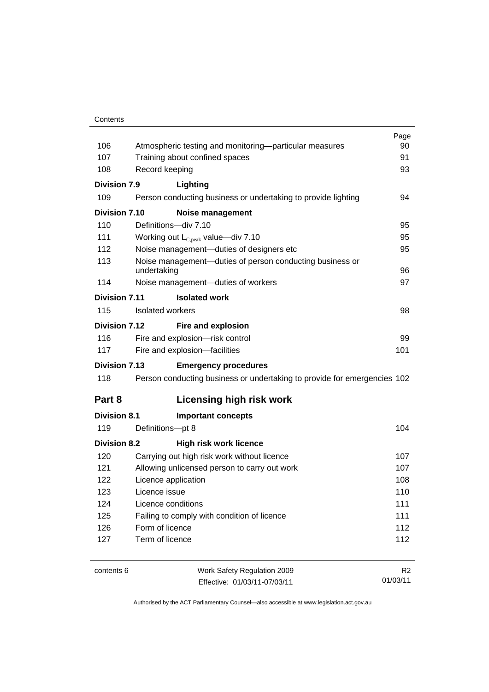#### **Contents**

|                      |                                                                          | Page           |
|----------------------|--------------------------------------------------------------------------|----------------|
| 106                  | Atmospheric testing and monitoring—particular measures                   | 90             |
| 107                  | Training about confined spaces                                           | 91             |
| 108                  | Record keeping                                                           | 93             |
| Division 7.9         | Lighting                                                                 |                |
| 109                  | Person conducting business or undertaking to provide lighting            | 94             |
| <b>Division 7.10</b> | <b>Noise management</b>                                                  |                |
| 110                  | Definitions-div 7.10                                                     | 95             |
| 111                  | Working out $L_{C,peak}$ value—div 7.10                                  | 95             |
| 112                  | Noise management-duties of designers etc                                 | 95             |
| 113                  | Noise management-duties of person conducting business or<br>undertaking  | 96             |
| 114                  | Noise management-duties of workers                                       | 97             |
| Division 7.11        | <b>Isolated work</b>                                                     |                |
| 115                  | Isolated workers                                                         | 98             |
| Division 7.12        | Fire and explosion                                                       |                |
| 116                  | Fire and explosion-risk control                                          | 99             |
| 117                  | Fire and explosion-facilities                                            | 101            |
| <b>Division 7.13</b> | <b>Emergency procedures</b>                                              |                |
| 118                  | Person conducting business or undertaking to provide for emergencies 102 |                |
| Part 8               | <b>Licensing high risk work</b>                                          |                |
| <b>Division 8.1</b>  | <b>Important concepts</b>                                                |                |
| 119                  | Definitions-pt 8                                                         | 104            |
| <b>Division 8.2</b>  | <b>High risk work licence</b>                                            |                |
| 120                  | Carrying out high risk work without licence                              | 107            |
| 121                  | Allowing unlicensed person to carry out work                             | 107            |
| 122                  | Licence application                                                      | 108            |
| 123                  | Licence issue<br>110                                                     |                |
| 124                  | Licence conditions                                                       | 111            |
| 125                  | Failing to comply with condition of licence                              | 111            |
| 126                  | Form of licence                                                          | 112            |
| 127                  | Term of licence                                                          | 112            |
|                      |                                                                          |                |
| contents 6           | Work Safety Regulation 2009                                              | R <sub>2</sub> |

Effective: 01/03/11-07/03/11

01/03/11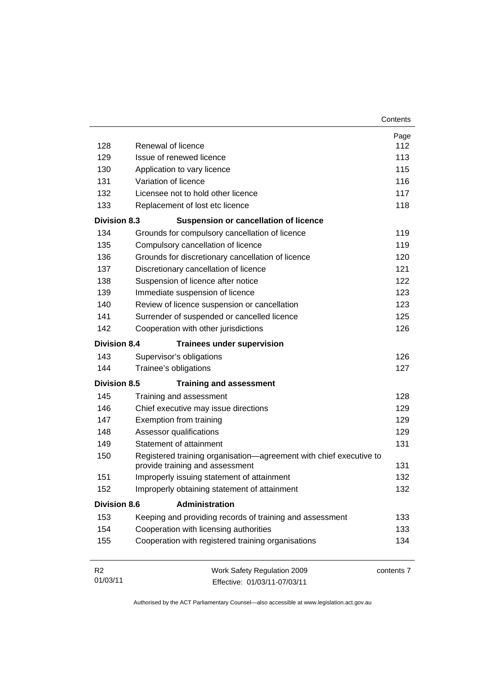| 128                 | Renewal of licence                                                                                    | Page<br>112 |
|---------------------|-------------------------------------------------------------------------------------------------------|-------------|
| 129                 | Issue of renewed licence                                                                              | 113         |
| 130                 | Application to vary licence                                                                           | 115         |
| 131                 | Variation of licence                                                                                  | 116         |
| 132                 | Licensee not to hold other licence                                                                    | 117         |
| 133                 | Replacement of lost etc licence                                                                       | 118         |
| <b>Division 8.3</b> | <b>Suspension or cancellation of licence</b>                                                          |             |
| 134                 | Grounds for compulsory cancellation of licence                                                        | 119         |
| 135                 | Compulsory cancellation of licence                                                                    | 119         |
| 136                 | Grounds for discretionary cancellation of licence                                                     | 120         |
| 137                 | Discretionary cancellation of licence                                                                 | 121         |
| 138                 | Suspension of licence after notice                                                                    | 122         |
| 139                 | Immediate suspension of licence                                                                       | 123         |
| 140                 | Review of licence suspension or cancellation                                                          | 123         |
| 141                 | Surrender of suspended or cancelled licence                                                           | 125         |
| 142                 | Cooperation with other jurisdictions                                                                  | 126         |
|                     |                                                                                                       |             |
| <b>Division 8.4</b> | <b>Trainees under supervision</b>                                                                     |             |
| 143                 | Supervisor's obligations                                                                              | 126         |
| 144                 | Trainee's obligations                                                                                 | 127         |
| <b>Division 8.5</b> | <b>Training and assessment</b>                                                                        |             |
| 145                 | Training and assessment                                                                               | 128         |
| 146                 | Chief executive may issue directions                                                                  | 129         |
| 147                 | Exemption from training                                                                               | 129         |
| 148                 | Assessor qualifications                                                                               | 129         |
| 149                 | Statement of attainment                                                                               | 131         |
| 150                 | Registered training organisation-agreement with chief executive to<br>provide training and assessment | 131         |
| 151                 | Improperly issuing statement of attainment                                                            | 132         |
| 152                 | Improperly obtaining statement of attainment                                                          | 132         |
| <b>Division 8.6</b> | <b>Administration</b>                                                                                 |             |
| 153                 | Keeping and providing records of training and assessment                                              | 133         |
| 154                 | Cooperation with licensing authorities                                                                | 133         |
| 155                 | Cooperation with registered training organisations                                                    | 134         |
| R2                  | Work Safety Regulation 2009                                                                           | contents 7  |
| 01/03/11            | Effective: 01/03/11-07/03/11                                                                          |             |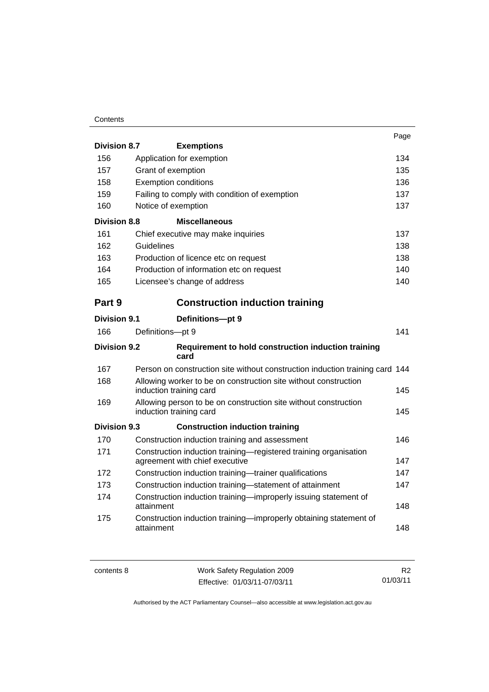# **Contents**

|                     |                                                                                                    | Page |
|---------------------|----------------------------------------------------------------------------------------------------|------|
| <b>Division 8.7</b> | <b>Exemptions</b>                                                                                  |      |
| 156                 | Application for exemption                                                                          | 134  |
| 157                 | Grant of exemption                                                                                 | 135  |
| 158                 | <b>Exemption conditions</b>                                                                        | 136  |
| 159                 | Failing to comply with condition of exemption                                                      | 137  |
| 160                 | Notice of exemption                                                                                | 137  |
| <b>Division 8.8</b> | <b>Miscellaneous</b>                                                                               |      |
| 161                 | Chief executive may make inquiries                                                                 | 137  |
| 162                 | Guidelines                                                                                         | 138  |
| 163                 | Production of licence etc on request                                                               | 138  |
| 164                 | Production of information etc on request                                                           | 140  |
| 165                 | Licensee's change of address                                                                       | 140  |
| Part 9              | <b>Construction induction training</b>                                                             |      |
| <b>Division 9.1</b> | Definitions-pt 9                                                                                   |      |
| 166                 | Definitions-pt 9                                                                                   | 141  |
| <b>Division 9.2</b> | Requirement to hold construction induction training<br>card                                        |      |
| 167                 | Person on construction site without construction induction training card 144                       |      |
| 168                 | Allowing worker to be on construction site without construction<br>induction training card         | 145  |
| 169                 | Allowing person to be on construction site without construction<br>induction training card         | 145  |
| Division 9.3        | <b>Construction induction training</b>                                                             |      |
| 170                 | Construction induction training and assessment                                                     | 146  |
| 171                 | Construction induction training-registered training organisation<br>agreement with chief executive | 147  |
| 172                 | Construction induction training-trainer qualifications                                             | 147  |
| 173                 | Construction induction training-statement of attainment                                            | 147  |
| 174                 | Construction induction training-improperly issuing statement of<br>attainment                      | 148  |
| 175                 | Construction induction training—improperly obtaining statement of<br>attainment                    | 148  |

| contents 8 | Work Safety Regulation 2009  | R <sub>2</sub> |
|------------|------------------------------|----------------|
|            | Effective: 01/03/11-07/03/11 | 01/03/11       |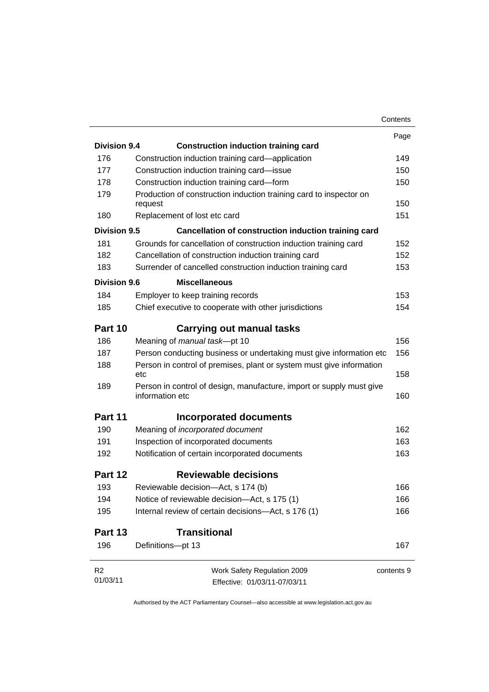|                            |                                                                                         | Contents   |  |
|----------------------------|-----------------------------------------------------------------------------------------|------------|--|
|                            |                                                                                         | Page       |  |
| <b>Division 9.4</b>        | <b>Construction induction training card</b>                                             |            |  |
| 176                        | Construction induction training card—application                                        | 149        |  |
| 177                        | Construction induction training card-issue                                              | 150        |  |
| 178                        | Construction induction training card-form                                               | 150        |  |
| 179                        | Production of construction induction training card to inspector on<br>request           | 150        |  |
| 180                        | Replacement of lost etc card                                                            | 151        |  |
| Division 9.5               | Cancellation of construction induction training card                                    |            |  |
| 181                        | Grounds for cancellation of construction induction training card                        | 152        |  |
| 182                        | Cancellation of construction induction training card                                    | 152        |  |
| 183                        | Surrender of cancelled construction induction training card                             | 153        |  |
| Division 9.6               | <b>Miscellaneous</b>                                                                    |            |  |
|                            |                                                                                         |            |  |
| 184                        | Employer to keep training records                                                       | 153        |  |
| 185                        | Chief executive to cooperate with other jurisdictions                                   | 154        |  |
| Part 10                    | Carrying out manual tasks                                                               |            |  |
| 186                        | Meaning of manual task-pt 10                                                            | 156        |  |
| 187                        | Person conducting business or undertaking must give information etc                     | 156        |  |
| 188                        | Person in control of premises, plant or system must give information<br>etc             | 158        |  |
| 189                        | Person in control of design, manufacture, import or supply must give<br>information etc | 160        |  |
| Part 11                    | Incorporated documents                                                                  |            |  |
| 190                        | Meaning of incorporated document                                                        | 162        |  |
| 191                        | Inspection of incorporated documents                                                    | 163        |  |
| 192                        | Notification of certain incorporated documents                                          | 163        |  |
| Part 12                    | <b>Reviewable decisions</b>                                                             |            |  |
| 193                        | Reviewable decision-Act, s 174 (b)                                                      | 166        |  |
| 194                        | Notice of reviewable decision-Act, s 175 (1)                                            | 166        |  |
| 195                        | Internal review of certain decisions-Act, s 176 (1)                                     | 166        |  |
| Part 13                    | <b>Transitional</b>                                                                     |            |  |
| 196                        | Definitions-pt 13                                                                       | 167        |  |
| R <sub>2</sub><br>01/03/11 | Work Safety Regulation 2009<br>Effective: 01/03/11-07/03/11                             | contents 9 |  |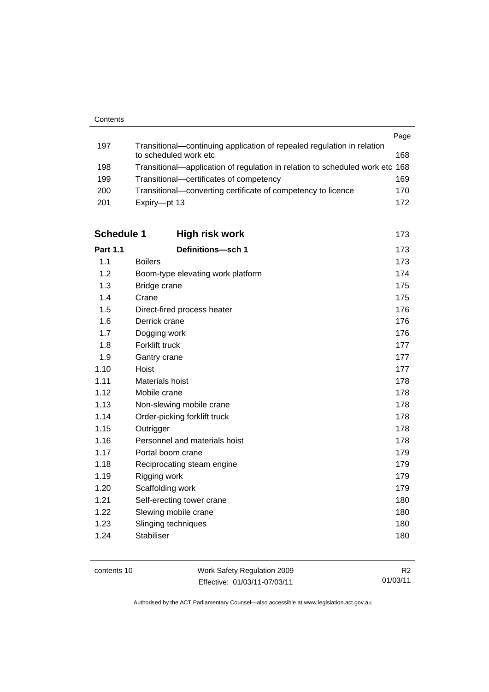|      |                                                                              | Page |
|------|------------------------------------------------------------------------------|------|
| 197  | Transitional—continuing application of repealed regulation in relation       |      |
|      | to scheduled work etc                                                        | 168  |
| 198  | Transitional—application of regulation in relation to scheduled work etc 168 |      |
| 199  | Transitional—certificates of competency                                      | 169  |
| 200  | Transitional—converting certificate of competency to licence                 | 170  |
| -201 | Expiry-pt 13                                                                 | 172  |

| <b>Schedule 1</b> | <b>High risk work</b>             | 173 |
|-------------------|-----------------------------------|-----|
| <b>Part 1.1</b>   | Definitions-sch 1                 | 173 |
| 1.1               | <b>Boilers</b>                    | 173 |
| 1.2               | Boom-type elevating work platform | 174 |
| 1.3               | Bridge crane                      | 175 |
| 1.4               | Crane                             | 175 |
| 1.5               | Direct-fired process heater       | 176 |
| 1.6               | Derrick crane                     | 176 |
| 1.7               | Dogging work                      | 176 |
| 1.8               | Forklift truck                    | 177 |
| 1.9               | Gantry crane                      | 177 |
| 1.10              | Hoist                             | 177 |
| 1.11              | Materials hoist                   | 178 |
| 1.12              | Mobile crane                      | 178 |
| 1.13              | Non-slewing mobile crane          | 178 |
| 1.14              | Order-picking forklift truck      | 178 |
| 1.15              | Outrigger                         | 178 |
| 1.16              | Personnel and materials hoist     | 178 |
| 1.17              | Portal boom crane                 | 179 |
| 1.18              | Reciprocating steam engine        | 179 |
| 1.19              | Rigging work                      | 179 |
| 1.20              | Scaffolding work                  | 179 |
| 1.21              | Self-erecting tower crane         | 180 |
| 1.22              | Slewing mobile crane              | 180 |
| 1.23              | Slinging techniques               | 180 |
| 1.24              | <b>Stabiliser</b>                 | 180 |

| contents 10 |  |
|-------------|--|
|-------------|--|

Work Safety Regulation 2009 Effective: 01/03/11-07/03/11

R2 01/03/11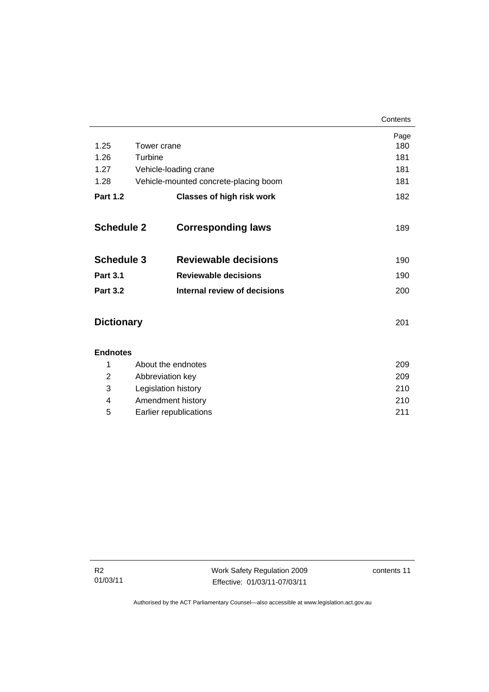|                   |                       |                                       | Contents |
|-------------------|-----------------------|---------------------------------------|----------|
|                   |                       |                                       | Page     |
| 1.25              | Tower crane           |                                       | 180      |
| 1.26              | Turbine               |                                       | 181      |
| 1.27              | Vehicle-loading crane |                                       | 181      |
| 1.28              |                       | Vehicle-mounted concrete-placing boom | 181      |
| <b>Part 1.2</b>   |                       | <b>Classes of high risk work</b>      | 182      |
|                   |                       |                                       |          |
| <b>Schedule 2</b> |                       | <b>Corresponding laws</b>             | 189      |
|                   |                       |                                       |          |
| <b>Schedule 3</b> |                       | <b>Reviewable decisions</b>           | 190      |
| <b>Part 3.1</b>   |                       | <b>Reviewable decisions</b>           | 190      |
| <b>Part 3.2</b>   |                       | Internal review of decisions          | 200      |
|                   |                       |                                       |          |
| <b>Dictionary</b> |                       |                                       | 201      |
|                   |                       |                                       |          |
| <b>Endnotes</b>   |                       |                                       |          |
|                   |                       |                                       |          |

|   | About the endnotes     | 209 |
|---|------------------------|-----|
| 2 | Abbreviation key       | 209 |
| 3 | Legislation history    | 210 |
| 4 | Amendment history      | 210 |
| 5 | Earlier republications | 211 |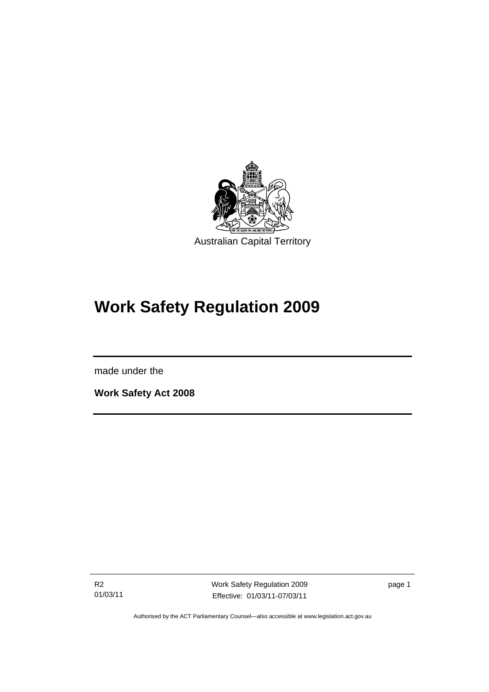<span id="page-14-0"></span>

# **Work Safety Regulation 2009**

made under the

l

**Work Safety Act 2008** 

R2 01/03/11 Work Safety Regulation 2009 Effective: 01/03/11-07/03/11

page 1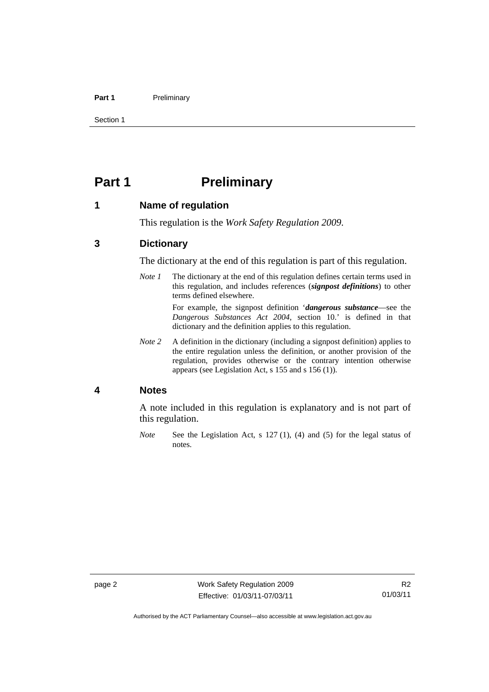#### <span id="page-15-0"></span>Part 1 **Preliminary**

Section 1

# **Part 1** Preliminary

# **1 Name of regulation**

This regulation is the *Work Safety Regulation 2009*.

# **3 Dictionary**

The dictionary at the end of this regulation is part of this regulation.

*Note 1* The dictionary at the end of this regulation defines certain terms used in this regulation, and includes references (*signpost definitions*) to other terms defined elsewhere.

> For example, the signpost definition '*dangerous substance*—see the *Dangerous Substances Act 2004*, section 10.' is defined in that dictionary and the definition applies to this regulation.

*Note 2* A definition in the dictionary (including a signpost definition) applies to the entire regulation unless the definition, or another provision of the regulation, provides otherwise or the contrary intention otherwise appears (see Legislation Act, s 155 and s 156 (1)).

## **4 Notes**

A note included in this regulation is explanatory and is not part of this regulation.

*Note* See the Legislation Act, s 127 (1), (4) and (5) for the legal status of notes.

Authorised by the ACT Parliamentary Counsel—also accessible at www.legislation.act.gov.au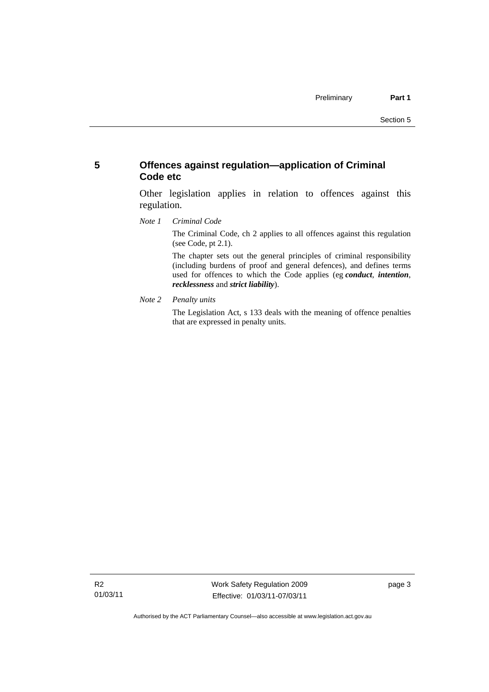# <span id="page-16-0"></span>**5 Offences against regulation—application of Criminal Code etc**

Other legislation applies in relation to offences against this regulation.

*Note 1 Criminal Code*

The Criminal Code, ch 2 applies to all offences against this regulation (see Code, pt 2.1).

The chapter sets out the general principles of criminal responsibility (including burdens of proof and general defences), and defines terms used for offences to which the Code applies (eg *conduct*, *intention*, *recklessness* and *strict liability*).

*Note 2 Penalty units* 

The Legislation Act, s 133 deals with the meaning of offence penalties that are expressed in penalty units.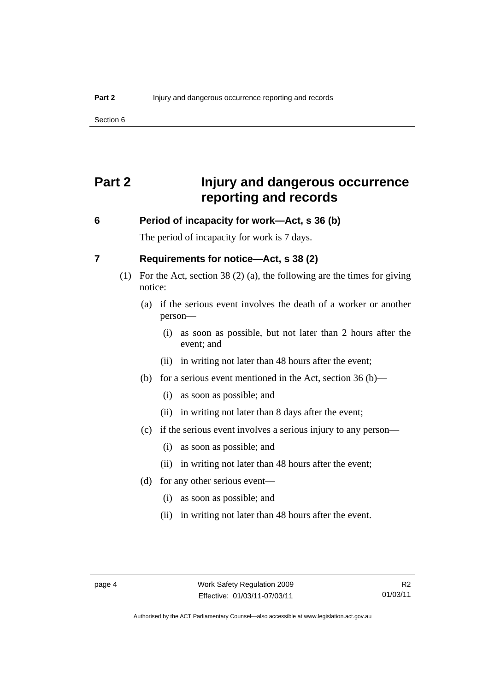# <span id="page-17-0"></span>**Part 2 Injury and dangerous occurrence reporting and records**

# **6 Period of incapacity for work—Act, s 36 (b)**

The period of incapacity for work is 7 days.

# **7 Requirements for notice—Act, s 38 (2)**

- (1) For the Act, section 38 (2) (a), the following are the times for giving notice:
	- (a) if the serious event involves the death of a worker or another person—
		- (i) as soon as possible, but not later than 2 hours after the event; and
		- (ii) in writing not later than 48 hours after the event;
	- (b) for a serious event mentioned in the Act, section 36 (b)—
		- (i) as soon as possible; and
		- (ii) in writing not later than 8 days after the event;
	- (c) if the serious event involves a serious injury to any person—
		- (i) as soon as possible; and
		- (ii) in writing not later than 48 hours after the event;
	- (d) for any other serious event—
		- (i) as soon as possible; and
		- (ii) in writing not later than 48 hours after the event.

Authorised by the ACT Parliamentary Counsel—also accessible at www.legislation.act.gov.au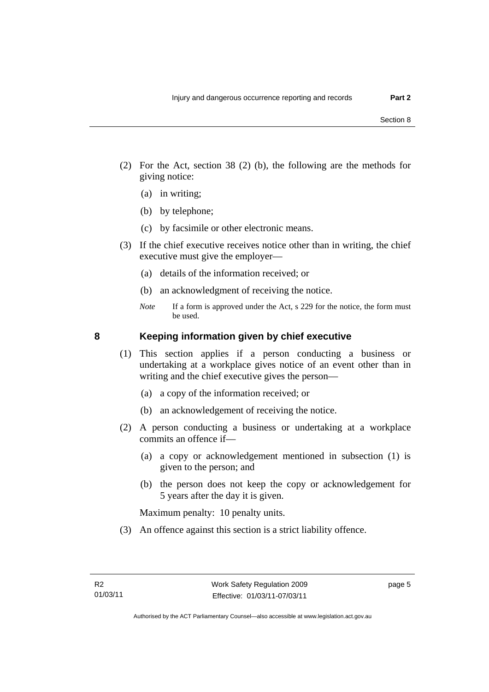- <span id="page-18-0"></span> (2) For the Act, section 38 (2) (b), the following are the methods for giving notice:
	- (a) in writing;
	- (b) by telephone;
	- (c) by facsimile or other electronic means.
- (3) If the chief executive receives notice other than in writing, the chief executive must give the employer—
	- (a) details of the information received; or
	- (b) an acknowledgment of receiving the notice.
	- *Note* If a form is approved under the Act, s 229 for the notice, the form must be used.

### **8 Keeping information given by chief executive**

- (1) This section applies if a person conducting a business or undertaking at a workplace gives notice of an event other than in writing and the chief executive gives the person—
	- (a) a copy of the information received; or
	- (b) an acknowledgement of receiving the notice.
- (2) A person conducting a business or undertaking at a workplace commits an offence if—
	- (a) a copy or acknowledgement mentioned in subsection (1) is given to the person; and
	- (b) the person does not keep the copy or acknowledgement for 5 years after the day it is given.

Maximum penalty: 10 penalty units.

(3) An offence against this section is a strict liability offence.

page 5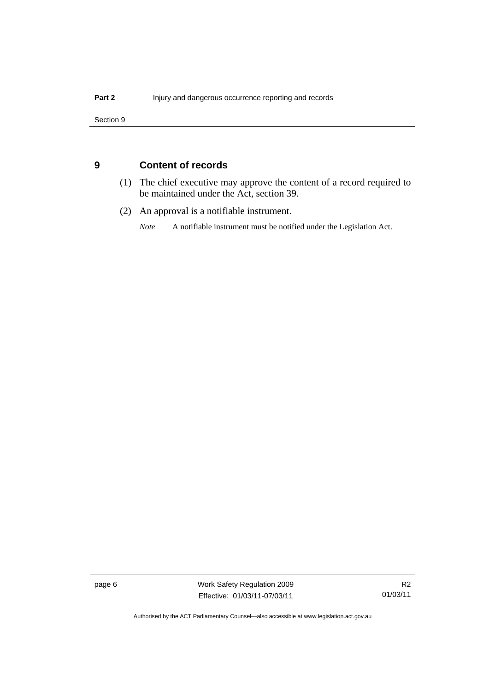<span id="page-19-0"></span>Section 9

# **9 Content of records**

- (1) The chief executive may approve the content of a record required to be maintained under the Act, section 39.
- (2) An approval is a notifiable instrument.

*Note* A notifiable instrument must be notified under the Legislation Act.

page 6 Work Safety Regulation 2009 Effective: 01/03/11-07/03/11

R2 01/03/11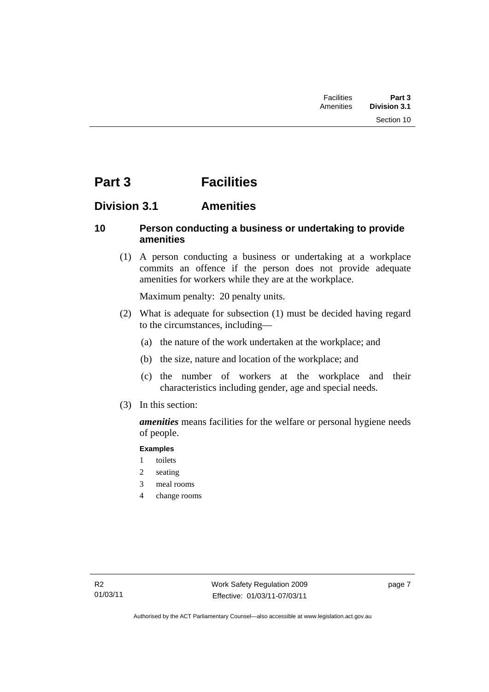# <span id="page-20-0"></span>**Part 3 Facilities**

# **Division 3.1 Amenities**

# **10 Person conducting a business or undertaking to provide amenities**

 (1) A person conducting a business or undertaking at a workplace commits an offence if the person does not provide adequate amenities for workers while they are at the workplace.

Maximum penalty: 20 penalty units.

- (2) What is adequate for subsection (1) must be decided having regard to the circumstances, including—
	- (a) the nature of the work undertaken at the workplace; and
	- (b) the size, nature and location of the workplace; and
	- (c) the number of workers at the workplace and their characteristics including gender, age and special needs.
- (3) In this section:

*amenities* means facilities for the welfare or personal hygiene needs of people.

# **Examples**

- 1 toilets
- 2 seating
- 3 meal rooms
- 4 change rooms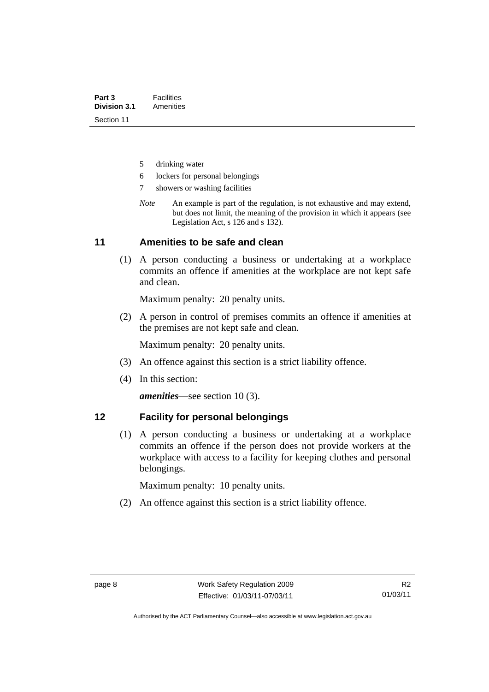- <span id="page-21-0"></span>5 drinking water
- 6 lockers for personal belongings
- 7 showers or washing facilities
- *Note* An example is part of the regulation, is not exhaustive and may extend, but does not limit, the meaning of the provision in which it appears (see Legislation Act, s 126 and s 132).

# **11 Amenities to be safe and clean**

 (1) A person conducting a business or undertaking at a workplace commits an offence if amenities at the workplace are not kept safe and clean.

Maximum penalty: 20 penalty units.

 (2) A person in control of premises commits an offence if amenities at the premises are not kept safe and clean.

Maximum penalty: 20 penalty units.

- (3) An offence against this section is a strict liability offence.
- (4) In this section:

*amenities*—see section 10 (3).

# **12 Facility for personal belongings**

 (1) A person conducting a business or undertaking at a workplace commits an offence if the person does not provide workers at the workplace with access to a facility for keeping clothes and personal belongings.

Maximum penalty: 10 penalty units.

(2) An offence against this section is a strict liability offence.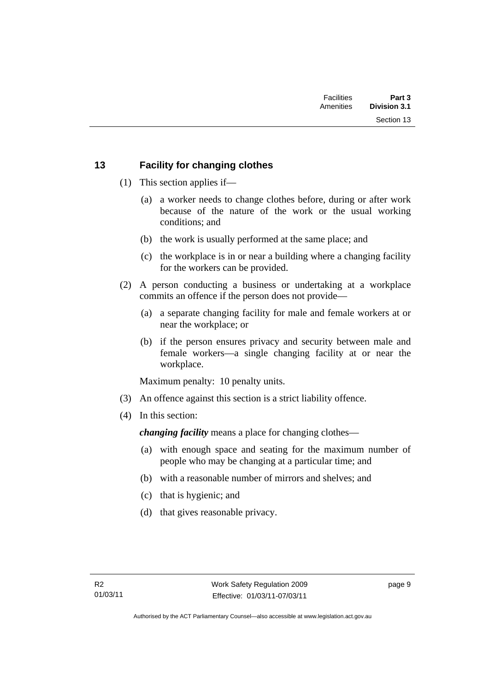Section 13

# <span id="page-22-0"></span>**13 Facility for changing clothes**

- (1) This section applies if—
	- (a) a worker needs to change clothes before, during or after work because of the nature of the work or the usual working conditions; and
	- (b) the work is usually performed at the same place; and
	- (c) the workplace is in or near a building where a changing facility for the workers can be provided.
- (2) A person conducting a business or undertaking at a workplace commits an offence if the person does not provide—
	- (a) a separate changing facility for male and female workers at or near the workplace; or
	- (b) if the person ensures privacy and security between male and female workers—a single changing facility at or near the workplace.

Maximum penalty: 10 penalty units.

- (3) An offence against this section is a strict liability offence.
- (4) In this section:

*changing facility* means a place for changing clothes—

- (a) with enough space and seating for the maximum number of people who may be changing at a particular time; and
- (b) with a reasonable number of mirrors and shelves; and
- (c) that is hygienic; and
- (d) that gives reasonable privacy.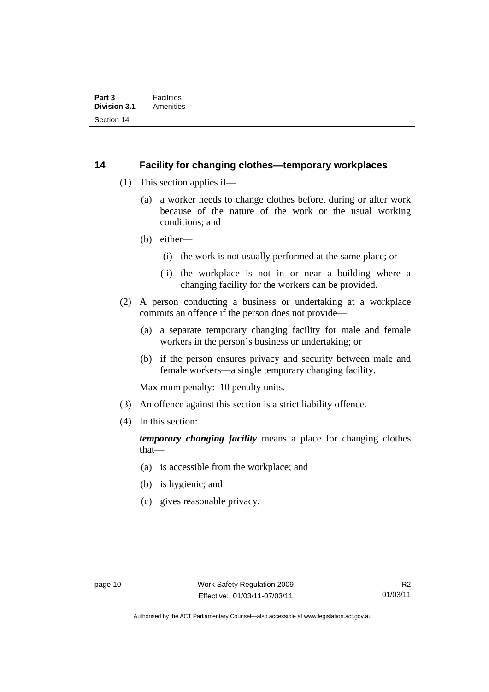# <span id="page-23-0"></span>**14 Facility for changing clothes—temporary workplaces**

- (1) This section applies if—
	- (a) a worker needs to change clothes before, during or after work because of the nature of the work or the usual working conditions; and
	- (b) either—
		- (i) the work is not usually performed at the same place; or
		- (ii) the workplace is not in or near a building where a changing facility for the workers can be provided.
- (2) A person conducting a business or undertaking at a workplace commits an offence if the person does not provide—
	- (a) a separate temporary changing facility for male and female workers in the person's business or undertaking; or
	- (b) if the person ensures privacy and security between male and female workers—a single temporary changing facility.

Maximum penalty: 10 penalty units.

- (3) An offence against this section is a strict liability offence.
- (4) In this section:

*temporary changing facility* means a place for changing clothes that—

- (a) is accessible from the workplace; and
- (b) is hygienic; and
- (c) gives reasonable privacy.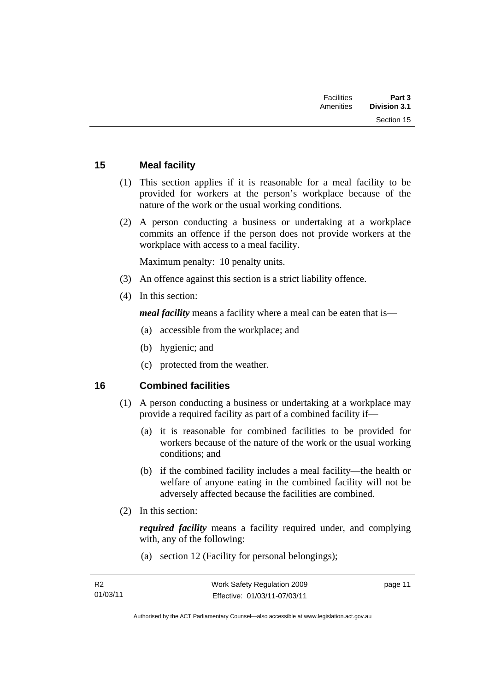<span id="page-24-0"></span>

| Part 3<br><b>Division 3.1</b> | <b>Facilities</b><br>Amenities |  |
|-------------------------------|--------------------------------|--|
| Section 15                    |                                |  |
|                               |                                |  |

# **15 Meal facility**

- (1) This section applies if it is reasonable for a meal facility to be provided for workers at the person's workplace because of the nature of the work or the usual working conditions.
- (2) A person conducting a business or undertaking at a workplace commits an offence if the person does not provide workers at the workplace with access to a meal facility.

Maximum penalty: 10 penalty units.

- (3) An offence against this section is a strict liability offence.
- (4) In this section:

*meal facility* means a facility where a meal can be eaten that is—

- (a) accessible from the workplace; and
- (b) hygienic; and
- (c) protected from the weather.

# **16 Combined facilities**

- (1) A person conducting a business or undertaking at a workplace may provide a required facility as part of a combined facility if—
	- (a) it is reasonable for combined facilities to be provided for workers because of the nature of the work or the usual working conditions; and
	- (b) if the combined facility includes a meal facility—the health or welfare of anyone eating in the combined facility will not be adversely affected because the facilities are combined.
- (2) In this section:

*required facility* means a facility required under, and complying with, any of the following:

(a) section 12 (Facility for personal belongings);

page 11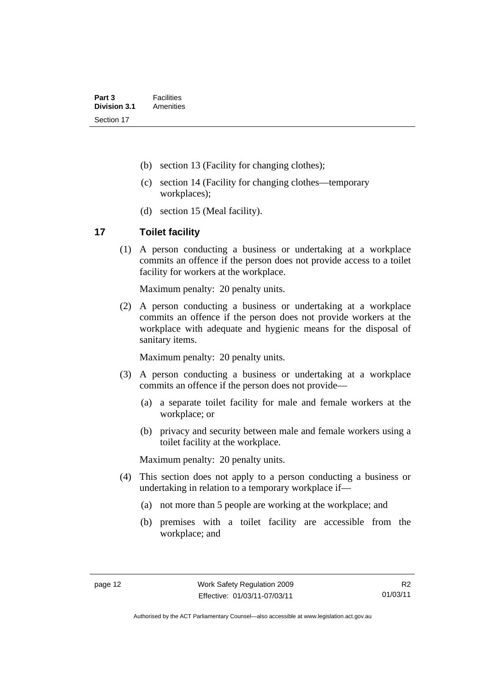- <span id="page-25-0"></span>(b) section 13 (Facility for changing clothes);
- (c) section 14 (Facility for changing clothes—temporary workplaces);
- (d) section 15 (Meal facility).

# **17 Toilet facility**

 (1) A person conducting a business or undertaking at a workplace commits an offence if the person does not provide access to a toilet facility for workers at the workplace.

Maximum penalty: 20 penalty units.

 (2) A person conducting a business or undertaking at a workplace commits an offence if the person does not provide workers at the workplace with adequate and hygienic means for the disposal of sanitary items.

Maximum penalty: 20 penalty units.

- (3) A person conducting a business or undertaking at a workplace commits an offence if the person does not provide—
	- (a) a separate toilet facility for male and female workers at the workplace; or
	- (b) privacy and security between male and female workers using a toilet facility at the workplace.

Maximum penalty: 20 penalty units.

- (4) This section does not apply to a person conducting a business or undertaking in relation to a temporary workplace if—
	- (a) not more than 5 people are working at the workplace; and
	- (b) premises with a toilet facility are accessible from the workplace; and

Authorised by the ACT Parliamentary Counsel—also accessible at www.legislation.act.gov.au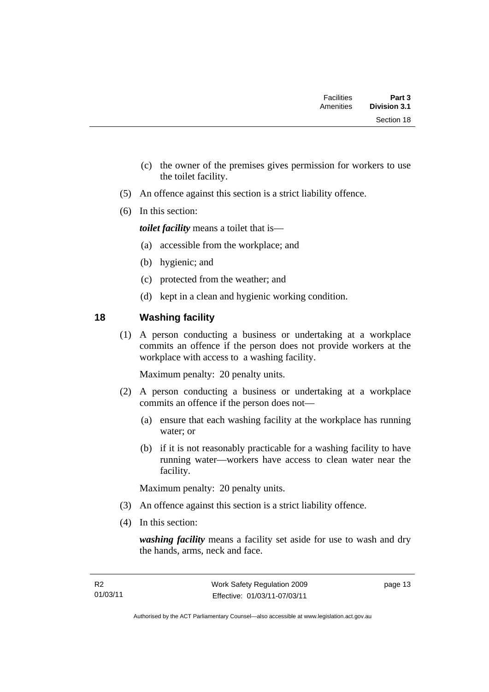<span id="page-26-0"></span>

| Part 3<br><b>Division 3.1</b> | <b>Facilities</b><br>Amenities |  |
|-------------------------------|--------------------------------|--|
| Section 18                    |                                |  |

- (c) the owner of the premises gives permission for workers to use the toilet facility.
- (5) An offence against this section is a strict liability offence.
- (6) In this section:

*toilet facility* means a toilet that is—

- (a) accessible from the workplace; and
- (b) hygienic; and
- (c) protected from the weather; and
- (d) kept in a clean and hygienic working condition.

# **18 Washing facility**

 (1) A person conducting a business or undertaking at a workplace commits an offence if the person does not provide workers at the workplace with access to a washing facility.

Maximum penalty: 20 penalty units.

- (2) A person conducting a business or undertaking at a workplace commits an offence if the person does not—
	- (a) ensure that each washing facility at the workplace has running water; or
	- (b) if it is not reasonably practicable for a washing facility to have running water—workers have access to clean water near the facility.

Maximum penalty: 20 penalty units.

- (3) An offence against this section is a strict liability offence.
- (4) In this section:

*washing facility* means a facility set aside for use to wash and dry the hands, arms, neck and face.

page 13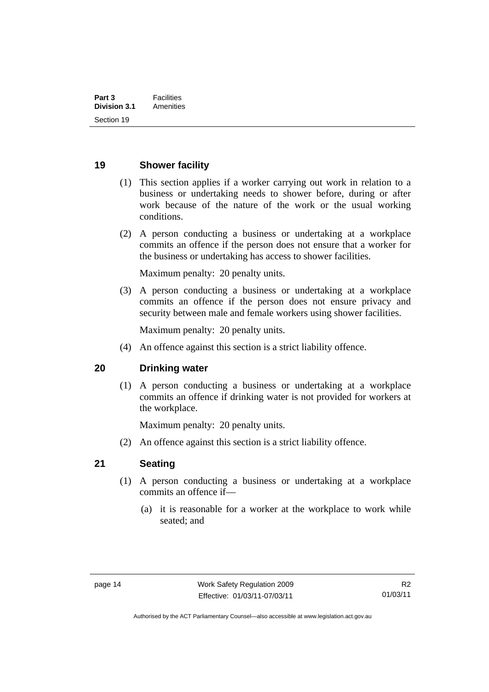# <span id="page-27-0"></span>**19 Shower facility**

- (1) This section applies if a worker carrying out work in relation to a business or undertaking needs to shower before, during or after work because of the nature of the work or the usual working conditions.
- (2) A person conducting a business or undertaking at a workplace commits an offence if the person does not ensure that a worker for the business or undertaking has access to shower facilities.

Maximum penalty: 20 penalty units.

 (3) A person conducting a business or undertaking at a workplace commits an offence if the person does not ensure privacy and security between male and female workers using shower facilities.

Maximum penalty: 20 penalty units.

(4) An offence against this section is a strict liability offence.

# **20 Drinking water**

 (1) A person conducting a business or undertaking at a workplace commits an offence if drinking water is not provided for workers at the workplace.

Maximum penalty: 20 penalty units.

(2) An offence against this section is a strict liability offence.

# **21 Seating**

- (1) A person conducting a business or undertaking at a workplace commits an offence if—
	- (a) it is reasonable for a worker at the workplace to work while seated; and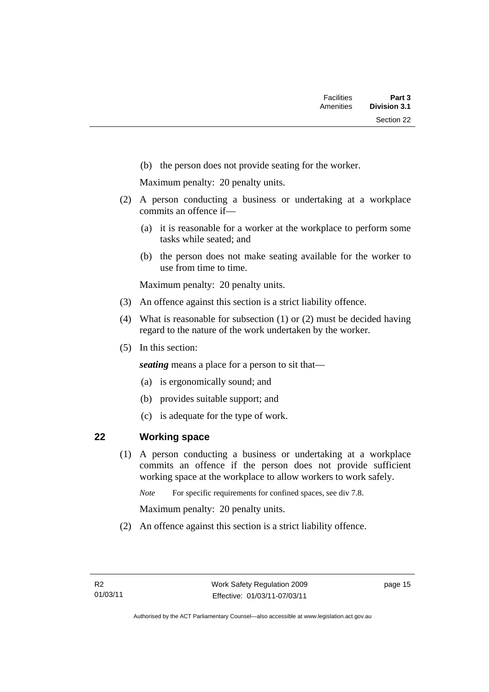<span id="page-28-0"></span>(b) the person does not provide seating for the worker.

Maximum penalty: 20 penalty units.

- (2) A person conducting a business or undertaking at a workplace commits an offence if—
	- (a) it is reasonable for a worker at the workplace to perform some tasks while seated; and
	- (b) the person does not make seating available for the worker to use from time to time.

Maximum penalty: 20 penalty units.

- (3) An offence against this section is a strict liability offence.
- (4) What is reasonable for subsection (1) or (2) must be decided having regard to the nature of the work undertaken by the worker.
- (5) In this section:

*seating* means a place for a person to sit that—

- (a) is ergonomically sound; and
- (b) provides suitable support; and
- (c) is adequate for the type of work.

# **22 Working space**

 (1) A person conducting a business or undertaking at a workplace commits an offence if the person does not provide sufficient working space at the workplace to allow workers to work safely.

*Note* For specific requirements for confined spaces, see div 7.8.

Maximum penalty: 20 penalty units.

(2) An offence against this section is a strict liability offence.

page 15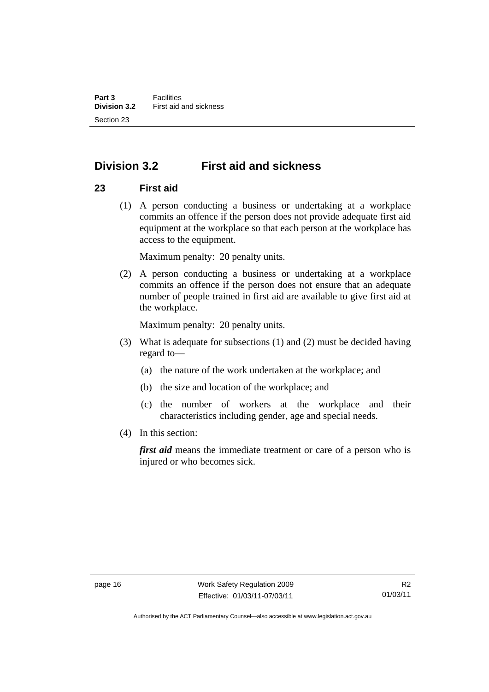# <span id="page-29-0"></span>**Division 3.2 First aid and sickness**

# **23 First aid**

 (1) A person conducting a business or undertaking at a workplace commits an offence if the person does not provide adequate first aid equipment at the workplace so that each person at the workplace has access to the equipment.

Maximum penalty: 20 penalty units.

 (2) A person conducting a business or undertaking at a workplace commits an offence if the person does not ensure that an adequate number of people trained in first aid are available to give first aid at the workplace.

Maximum penalty: 20 penalty units.

- (3) What is adequate for subsections (1) and (2) must be decided having regard to—
	- (a) the nature of the work undertaken at the workplace; and
	- (b) the size and location of the workplace; and
	- (c) the number of workers at the workplace and their characteristics including gender, age and special needs.
- (4) In this section:

*first aid* means the immediate treatment or care of a person who is injured or who becomes sick.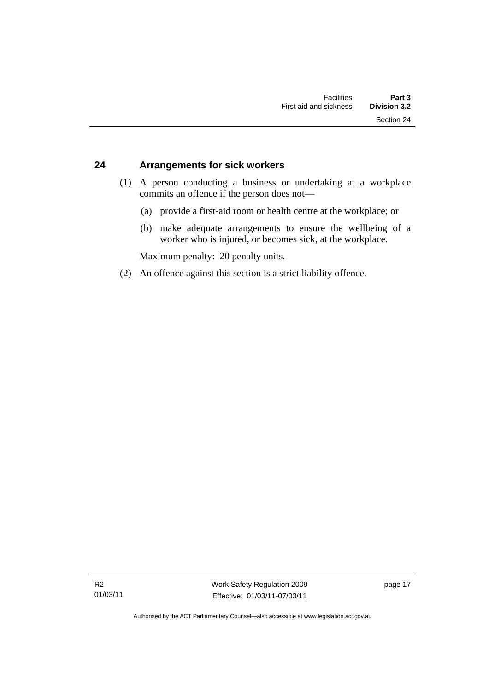# <span id="page-30-0"></span>**24 Arrangements for sick workers**

- (1) A person conducting a business or undertaking at a workplace commits an offence if the person does not—
	- (a) provide a first-aid room or health centre at the workplace; or
	- (b) make adequate arrangements to ensure the wellbeing of a worker who is injured, or becomes sick, at the workplace.

Maximum penalty: 20 penalty units.

(2) An offence against this section is a strict liability offence.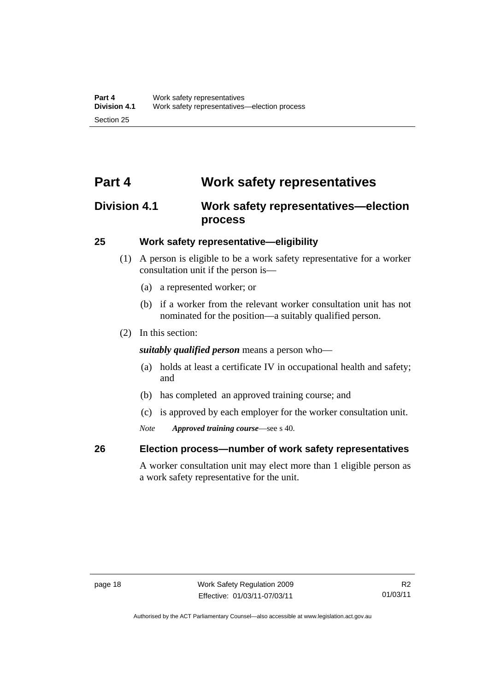# <span id="page-31-0"></span>**Part 4 Work safety representatives**

# **Division 4.1 Work safety representatives—election process**

# **25 Work safety representative—eligibility**

- (1) A person is eligible to be a work safety representative for a worker consultation unit if the person is—
	- (a) a represented worker; or
	- (b) if a worker from the relevant worker consultation unit has not nominated for the position—a suitably qualified person.
- (2) In this section:

*suitably qualified person* means a person who—

- (a) holds at least a certificate IV in occupational health and safety; and
- (b) has completed an approved training course; and
- (c) is approved by each employer for the worker consultation unit.
- *Note Approved training course*—see s 40.

# **26 Election process—number of work safety representatives**

A worker consultation unit may elect more than 1 eligible person as a work safety representative for the unit.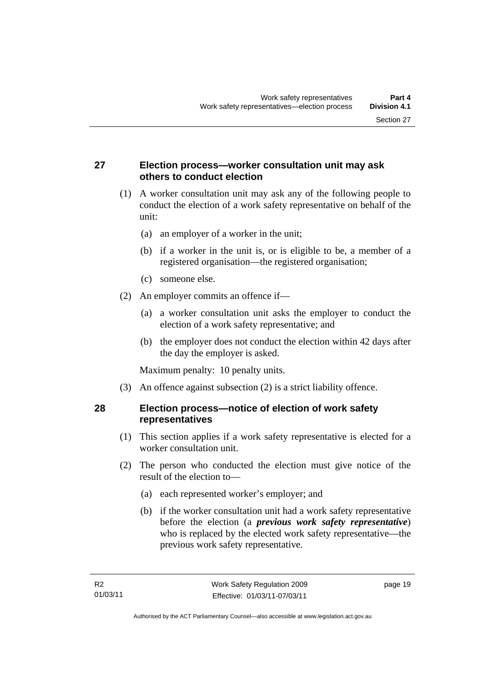# <span id="page-32-0"></span>**27 Election process—worker consultation unit may ask others to conduct election**

- (1) A worker consultation unit may ask any of the following people to conduct the election of a work safety representative on behalf of the unit:
	- (a) an employer of a worker in the unit;
	- (b) if a worker in the unit is, or is eligible to be, a member of a registered organisation—the registered organisation;
	- (c) someone else.
- (2) An employer commits an offence if—
	- (a) a worker consultation unit asks the employer to conduct the election of a work safety representative; and
	- (b) the employer does not conduct the election within 42 days after the day the employer is asked.

Maximum penalty: 10 penalty units.

(3) An offence against subsection (2) is a strict liability offence.

# **28 Election process—notice of election of work safety representatives**

- (1) This section applies if a work safety representative is elected for a worker consultation unit.
- (2) The person who conducted the election must give notice of the result of the election to—
	- (a) each represented worker's employer; and
	- (b) if the worker consultation unit had a work safety representative before the election (a *previous work safety representative*) who is replaced by the elected work safety representative—the previous work safety representative.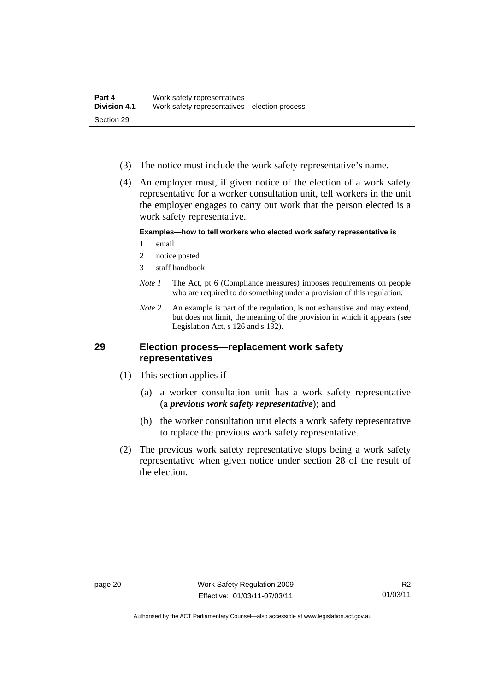- <span id="page-33-0"></span>(3) The notice must include the work safety representative's name.
- (4) An employer must, if given notice of the election of a work safety representative for a worker consultation unit, tell workers in the unit the employer engages to carry out work that the person elected is a work safety representative.

### **Examples—how to tell workers who elected work safety representative is**

- 1 email
- 2 notice posted
- 3 staff handbook
- *Note 1* The Act, pt 6 (Compliance measures) imposes requirements on people who are required to do something under a provision of this regulation.
- *Note 2* An example is part of the regulation, is not exhaustive and may extend, but does not limit, the meaning of the provision in which it appears (see Legislation Act, s 126 and s 132).

# **29 Election process—replacement work safety representatives**

- (1) This section applies if—
	- (a) a worker consultation unit has a work safety representative (a *previous work safety representative*); and
	- (b) the worker consultation unit elects a work safety representative to replace the previous work safety representative.
- (2) The previous work safety representative stops being a work safety representative when given notice under section 28 of the result of the election.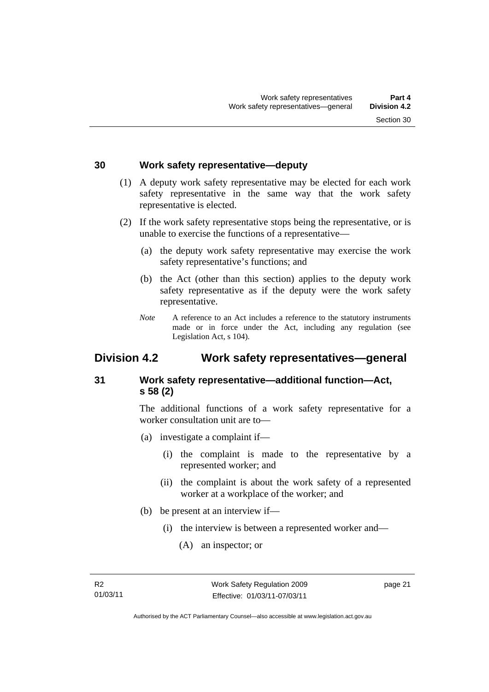# <span id="page-34-0"></span>**30 Work safety representative—deputy**

- (1) A deputy work safety representative may be elected for each work safety representative in the same way that the work safety representative is elected.
- (2) If the work safety representative stops being the representative, or is unable to exercise the functions of a representative—
	- (a) the deputy work safety representative may exercise the work safety representative's functions; and
	- (b) the Act (other than this section) applies to the deputy work safety representative as if the deputy were the work safety representative.
	- *Note* A reference to an Act includes a reference to the statutory instruments made or in force under the Act, including any regulation (see Legislation Act, s 104).

# **Division 4.2 Work safety representatives—general**

# **31 Work safety representative—additional function—Act, s 58 (2)**

The additional functions of a work safety representative for a worker consultation unit are to—

- (a) investigate a complaint if—
	- (i) the complaint is made to the representative by a represented worker; and
	- (ii) the complaint is about the work safety of a represented worker at a workplace of the worker; and
- (b) be present at an interview if—
	- (i) the interview is between a represented worker and—
		- (A) an inspector; or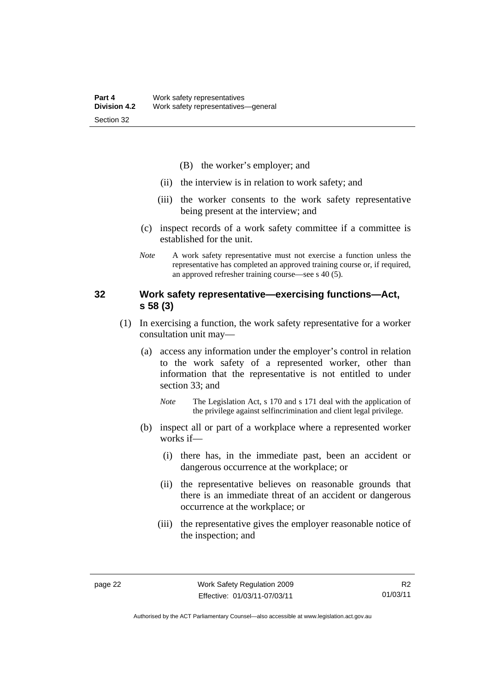- (B) the worker's employer; and
- <span id="page-35-0"></span>(ii) the interview is in relation to work safety; and
- (iii) the worker consents to the work safety representative being present at the interview; and
- (c) inspect records of a work safety committee if a committee is established for the unit.
- *Note* A work safety representative must not exercise a function unless the representative has completed an approved training course or, if required, an approved refresher training course—see s 40 (5).

# **32 Work safety representative—exercising functions—Act, s 58 (3)**

- (1) In exercising a function, the work safety representative for a worker consultation unit may—
	- (a) access any information under the employer's control in relation to the work safety of a represented worker, other than information that the representative is not entitled to under section 33; and
		- *Note* The Legislation Act, s 170 and s 171 deal with the application of the privilege against selfincrimination and client legal privilege.
	- (b) inspect all or part of a workplace where a represented worker works if—
		- (i) there has, in the immediate past, been an accident or dangerous occurrence at the workplace; or
		- (ii) the representative believes on reasonable grounds that there is an immediate threat of an accident or dangerous occurrence at the workplace; or
		- (iii) the representative gives the employer reasonable notice of the inspection; and

Authorised by the ACT Parliamentary Counsel—also accessible at www.legislation.act.gov.au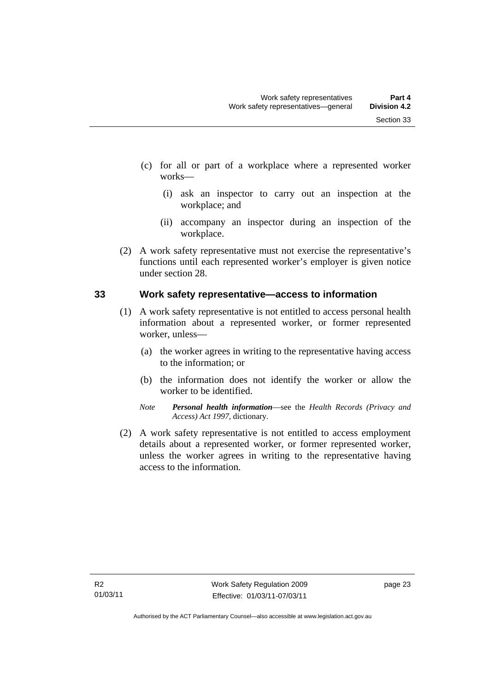- (c) for all or part of a workplace where a represented worker works—
	- (i) ask an inspector to carry out an inspection at the workplace; and
	- (ii) accompany an inspector during an inspection of the workplace.
- (2) A work safety representative must not exercise the representative's functions until each represented worker's employer is given notice under section 28.

## **33 Work safety representative—access to information**

- (1) A work safety representative is not entitled to access personal health information about a represented worker, or former represented worker, unless—
	- (a) the worker agrees in writing to the representative having access to the information; or
	- (b) the information does not identify the worker or allow the worker to be identified.
	- *Note Personal health information*—see the *Health Records (Privacy and Access) Act 1997*, dictionary.
- (2) A work safety representative is not entitled to access employment details about a represented worker, or former represented worker, unless the worker agrees in writing to the representative having access to the information.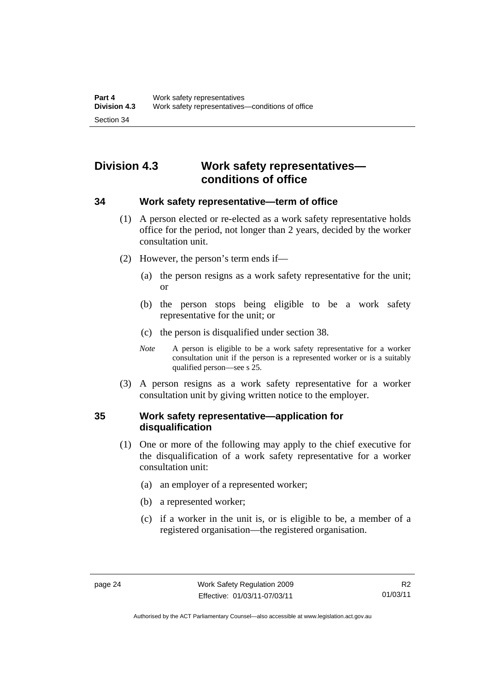# **Division 4.3 Work safety representatives conditions of office**

## **34 Work safety representative—term of office**

- (1) A person elected or re-elected as a work safety representative holds office for the period, not longer than 2 years, decided by the worker consultation unit.
- (2) However, the person's term ends if—
	- (a) the person resigns as a work safety representative for the unit; or
	- (b) the person stops being eligible to be a work safety representative for the unit; or
	- (c) the person is disqualified under section 38.
	- *Note* A person is eligible to be a work safety representative for a worker consultation unit if the person is a represented worker or is a suitably qualified person—see s 25.
- (3) A person resigns as a work safety representative for a worker consultation unit by giving written notice to the employer.

## **35 Work safety representative—application for disqualification**

- (1) One or more of the following may apply to the chief executive for the disqualification of a work safety representative for a worker consultation unit:
	- (a) an employer of a represented worker;
	- (b) a represented worker;
	- (c) if a worker in the unit is, or is eligible to be, a member of a registered organisation—the registered organisation.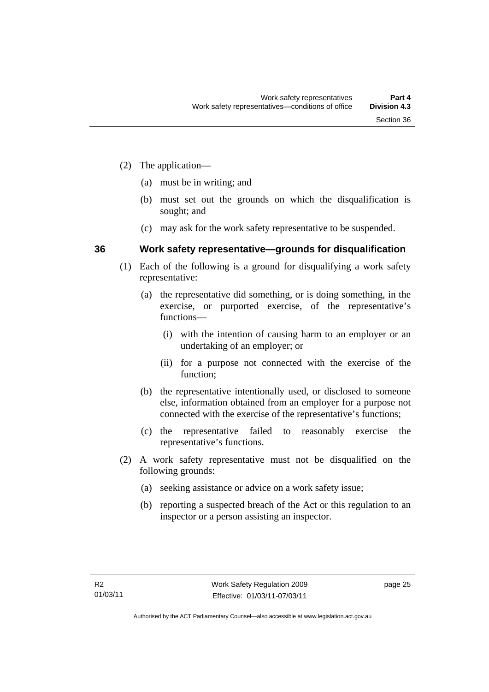- (2) The application—
	- (a) must be in writing; and
	- (b) must set out the grounds on which the disqualification is sought; and
	- (c) may ask for the work safety representative to be suspended.

## **36 Work safety representative—grounds for disqualification**

- (1) Each of the following is a ground for disqualifying a work safety representative:
	- (a) the representative did something, or is doing something, in the exercise, or purported exercise, of the representative's functions—
		- (i) with the intention of causing harm to an employer or an undertaking of an employer; or
		- (ii) for a purpose not connected with the exercise of the function;
	- (b) the representative intentionally used, or disclosed to someone else, information obtained from an employer for a purpose not connected with the exercise of the representative's functions;
	- (c) the representative failed to reasonably exercise the representative's functions.
- (2) A work safety representative must not be disqualified on the following grounds:
	- (a) seeking assistance or advice on a work safety issue;
	- (b) reporting a suspected breach of the Act or this regulation to an inspector or a person assisting an inspector.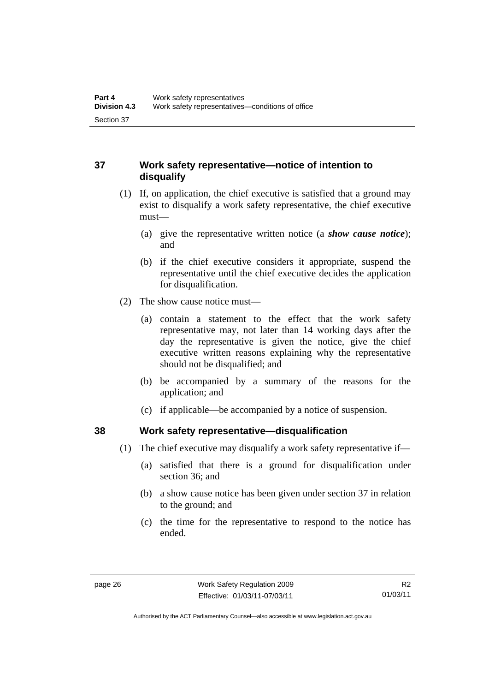# **37 Work safety representative—notice of intention to disqualify**

- (1) If, on application, the chief executive is satisfied that a ground may exist to disqualify a work safety representative, the chief executive must—
	- (a) give the representative written notice (a *show cause notice*); and
	- (b) if the chief executive considers it appropriate, suspend the representative until the chief executive decides the application for disqualification.
- (2) The show cause notice must—
	- (a) contain a statement to the effect that the work safety representative may, not later than 14 working days after the day the representative is given the notice, give the chief executive written reasons explaining why the representative should not be disqualified; and
	- (b) be accompanied by a summary of the reasons for the application; and
	- (c) if applicable—be accompanied by a notice of suspension.

## **38 Work safety representative—disqualification**

- (1) The chief executive may disqualify a work safety representative if—
	- (a) satisfied that there is a ground for disqualification under section 36; and
	- (b) a show cause notice has been given under section 37 in relation to the ground; and
	- (c) the time for the representative to respond to the notice has ended.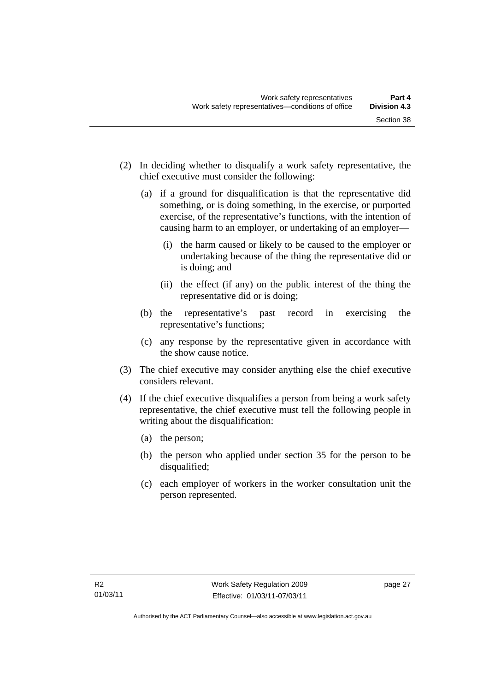- (2) In deciding whether to disqualify a work safety representative, the chief executive must consider the following:
	- (a) if a ground for disqualification is that the representative did something, or is doing something, in the exercise, or purported exercise, of the representative's functions, with the intention of causing harm to an employer, or undertaking of an employer—
		- (i) the harm caused or likely to be caused to the employer or undertaking because of the thing the representative did or is doing; and
		- (ii) the effect (if any) on the public interest of the thing the representative did or is doing;
	- (b) the representative's past record in exercising the representative's functions;
	- (c) any response by the representative given in accordance with the show cause notice.
- (3) The chief executive may consider anything else the chief executive considers relevant.
- (4) If the chief executive disqualifies a person from being a work safety representative, the chief executive must tell the following people in writing about the disqualification:
	- (a) the person;
	- (b) the person who applied under section 35 for the person to be disqualified;
	- (c) each employer of workers in the worker consultation unit the person represented.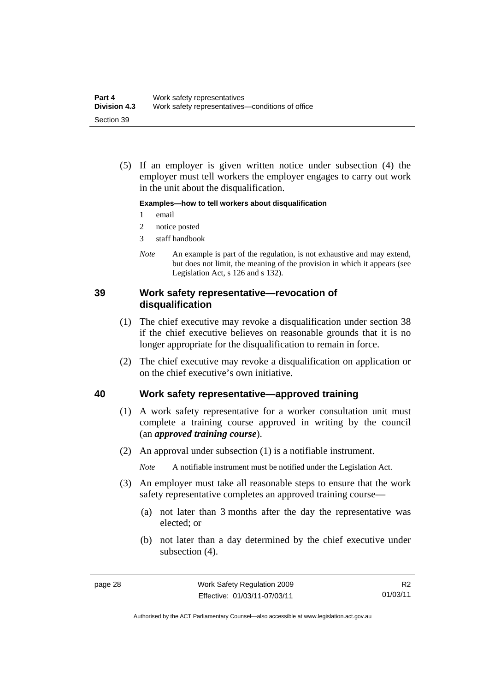(5) If an employer is given written notice under subsection (4) the employer must tell workers the employer engages to carry out work in the unit about the disqualification.

#### **Examples—how to tell workers about disqualification**

- 1 email
- 2 notice posted
- 3 staff handbook
- *Note* An example is part of the regulation, is not exhaustive and may extend, but does not limit, the meaning of the provision in which it appears (see Legislation Act, s 126 and s 132).

## **39 Work safety representative—revocation of disqualification**

- (1) The chief executive may revoke a disqualification under section 38 if the chief executive believes on reasonable grounds that it is no longer appropriate for the disqualification to remain in force.
- (2) The chief executive may revoke a disqualification on application or on the chief executive's own initiative.

#### **40 Work safety representative—approved training**

- (1) A work safety representative for a worker consultation unit must complete a training course approved in writing by the council (an *approved training course*).
- (2) An approval under subsection (1) is a notifiable instrument.

*Note* A notifiable instrument must be notified under the Legislation Act.

- (3) An employer must take all reasonable steps to ensure that the work safety representative completes an approved training course—
	- (a) not later than 3 months after the day the representative was elected; or
	- (b) not later than a day determined by the chief executive under subsection (4).

Authorised by the ACT Parliamentary Counsel—also accessible at www.legislation.act.gov.au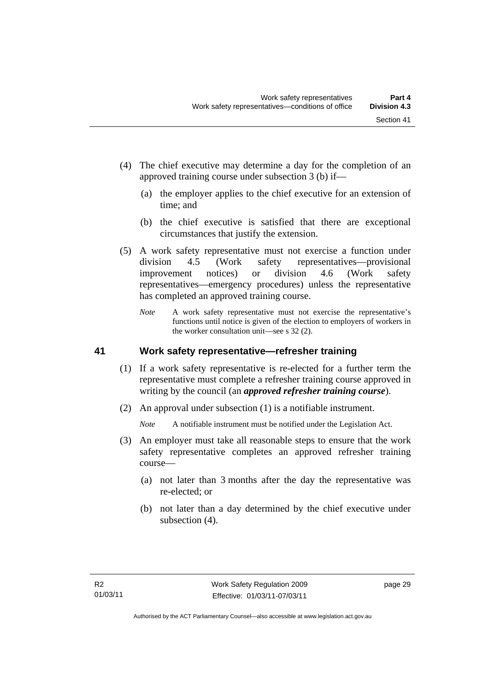- (4) The chief executive may determine a day for the completion of an approved training course under subsection 3 (b) if—
	- (a) the employer applies to the chief executive for an extension of time; and
	- (b) the chief executive is satisfied that there are exceptional circumstances that justify the extension.
- (5) A work safety representative must not exercise a function under division 4.5 (Work safety representatives—provisional improvement notices) or division 4.6 (Work safety representatives—emergency procedures) unless the representative has completed an approved training course.
	- *Note* A work safety representative must not exercise the representative's functions until notice is given of the election to employers of workers in the worker consultation unit—see s 32 (2).

## **41 Work safety representative—refresher training**

- (1) If a work safety representative is re-elected for a further term the representative must complete a refresher training course approved in writing by the council (an *approved refresher training course*).
- (2) An approval under subsection (1) is a notifiable instrument.

*Note* A notifiable instrument must be notified under the Legislation Act.

- (3) An employer must take all reasonable steps to ensure that the work safety representative completes an approved refresher training course—
	- (a) not later than 3 months after the day the representative was re-elected; or
	- (b) not later than a day determined by the chief executive under subsection (4).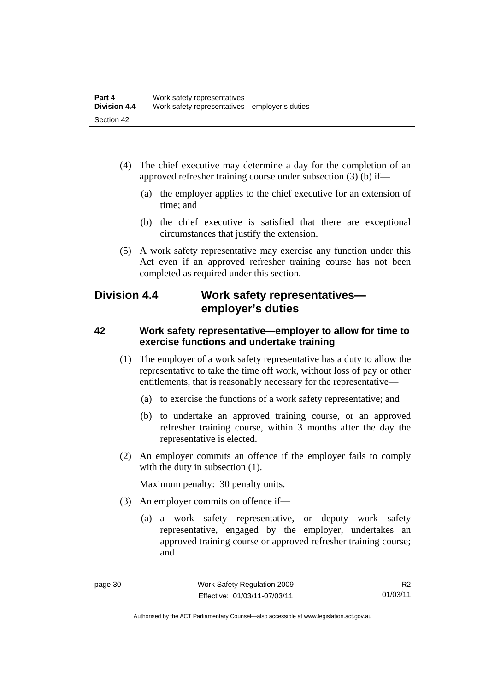- (4) The chief executive may determine a day for the completion of an approved refresher training course under subsection (3) (b) if—
	- (a) the employer applies to the chief executive for an extension of time; and
	- (b) the chief executive is satisfied that there are exceptional circumstances that justify the extension.
- (5) A work safety representative may exercise any function under this Act even if an approved refresher training course has not been completed as required under this section.

# **Division 4.4 Work safety representatives employer's duties**

## **42 Work safety representative—employer to allow for time to exercise functions and undertake training**

- (1) The employer of a work safety representative has a duty to allow the representative to take the time off work, without loss of pay or other entitlements, that is reasonably necessary for the representative—
	- (a) to exercise the functions of a work safety representative; and
	- (b) to undertake an approved training course, or an approved refresher training course, within 3 months after the day the representative is elected.
- (2) An employer commits an offence if the employer fails to comply with the duty in subsection  $(1)$ .

Maximum penalty: 30 penalty units.

- (3) An employer commits on offence if—
	- (a) a work safety representative, or deputy work safety representative, engaged by the employer, undertakes an approved training course or approved refresher training course; and

Authorised by the ACT Parliamentary Counsel—also accessible at www.legislation.act.gov.au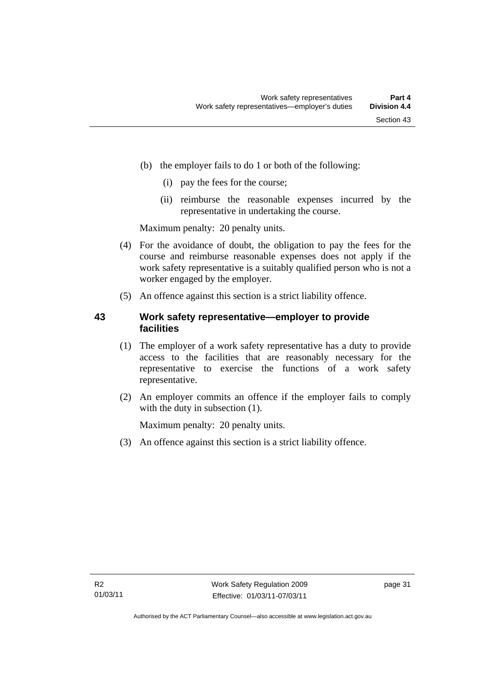- (b) the employer fails to do 1 or both of the following:
	- (i) pay the fees for the course;
	- (ii) reimburse the reasonable expenses incurred by the representative in undertaking the course.

Maximum penalty: 20 penalty units.

- (4) For the avoidance of doubt, the obligation to pay the fees for the course and reimburse reasonable expenses does not apply if the work safety representative is a suitably qualified person who is not a worker engaged by the employer.
- (5) An offence against this section is a strict liability offence.

## **43 Work safety representative—employer to provide facilities**

- (1) The employer of a work safety representative has a duty to provide access to the facilities that are reasonably necessary for the representative to exercise the functions of a work safety representative.
- (2) An employer commits an offence if the employer fails to comply with the duty in subsection  $(1)$ .

Maximum penalty: 20 penalty units.

(3) An offence against this section is a strict liability offence.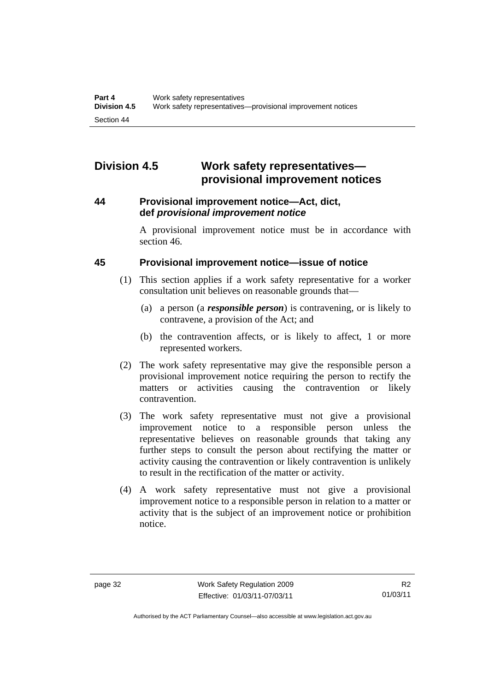# **Division 4.5 Work safety representatives provisional improvement notices**

## **44 Provisional improvement notice—Act, dict, def** *provisional improvement notice*

A provisional improvement notice must be in accordance with section 46.

## **45 Provisional improvement notice—issue of notice**

- (1) This section applies if a work safety representative for a worker consultation unit believes on reasonable grounds that—
	- (a) a person (a *responsible person*) is contravening, or is likely to contravene, a provision of the Act; and
	- (b) the contravention affects, or is likely to affect, 1 or more represented workers.
- (2) The work safety representative may give the responsible person a provisional improvement notice requiring the person to rectify the matters or activities causing the contravention or likely contravention.
- (3) The work safety representative must not give a provisional improvement notice to a responsible person unless the representative believes on reasonable grounds that taking any further steps to consult the person about rectifying the matter or activity causing the contravention or likely contravention is unlikely to result in the rectification of the matter or activity.
- (4) A work safety representative must not give a provisional improvement notice to a responsible person in relation to a matter or activity that is the subject of an improvement notice or prohibition notice.

Authorised by the ACT Parliamentary Counsel—also accessible at www.legislation.act.gov.au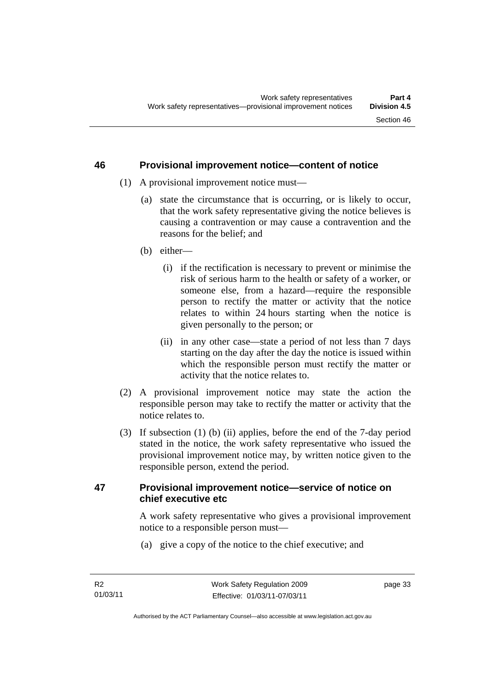#### **46 Provisional improvement notice—content of notice**

- (1) A provisional improvement notice must—
	- (a) state the circumstance that is occurring, or is likely to occur, that the work safety representative giving the notice believes is causing a contravention or may cause a contravention and the reasons for the belief; and
	- (b) either—
		- (i) if the rectification is necessary to prevent or minimise the risk of serious harm to the health or safety of a worker, or someone else, from a hazard—require the responsible person to rectify the matter or activity that the notice relates to within 24 hours starting when the notice is given personally to the person; or
		- (ii) in any other case—state a period of not less than 7 days starting on the day after the day the notice is issued within which the responsible person must rectify the matter or activity that the notice relates to.
- (2) A provisional improvement notice may state the action the responsible person may take to rectify the matter or activity that the notice relates to.
- (3) If subsection (1) (b) (ii) applies, before the end of the 7-day period stated in the notice, the work safety representative who issued the provisional improvement notice may, by written notice given to the responsible person, extend the period.

## **47 Provisional improvement notice—service of notice on chief executive etc**

A work safety representative who gives a provisional improvement notice to a responsible person must—

(a) give a copy of the notice to the chief executive; and

page 33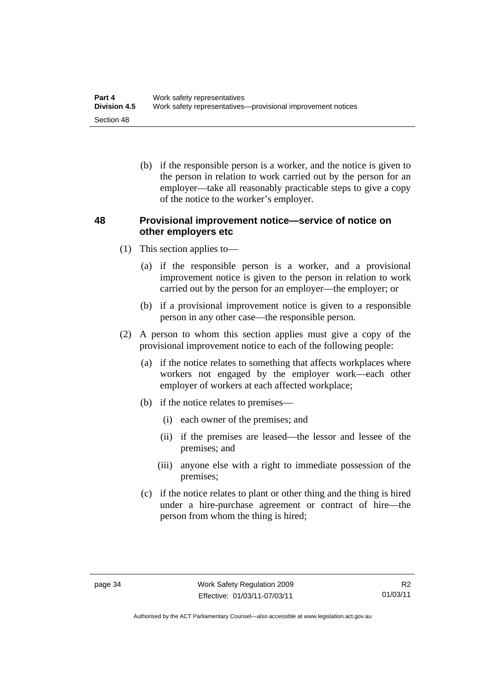(b) if the responsible person is a worker, and the notice is given to the person in relation to work carried out by the person for an employer—take all reasonably practicable steps to give a copy of the notice to the worker's employer.

## **48 Provisional improvement notice—service of notice on other employers etc**

- (1) This section applies to—
	- (a) if the responsible person is a worker, and a provisional improvement notice is given to the person in relation to work carried out by the person for an employer—the employer; or
	- (b) if a provisional improvement notice is given to a responsible person in any other case—the responsible person.
- (2) A person to whom this section applies must give a copy of the provisional improvement notice to each of the following people:
	- (a) if the notice relates to something that affects workplaces where workers not engaged by the employer work—each other employer of workers at each affected workplace;
	- (b) if the notice relates to premises—
		- (i) each owner of the premises; and
		- (ii) if the premises are leased—the lessor and lessee of the premises; and
		- (iii) anyone else with a right to immediate possession of the premises;
	- (c) if the notice relates to plant or other thing and the thing is hired under a hire-purchase agreement or contract of hire—the person from whom the thing is hired;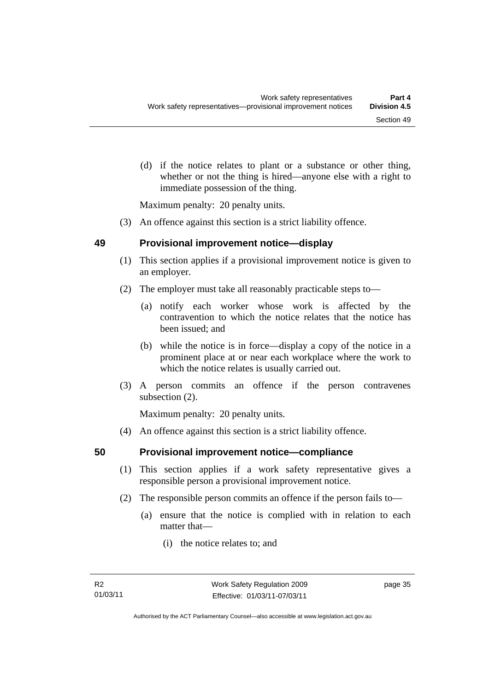(d) if the notice relates to plant or a substance or other thing, whether or not the thing is hired—anyone else with a right to immediate possession of the thing.

Maximum penalty: 20 penalty units.

(3) An offence against this section is a strict liability offence.

## **49 Provisional improvement notice—display**

- (1) This section applies if a provisional improvement notice is given to an employer.
- (2) The employer must take all reasonably practicable steps to—
	- (a) notify each worker whose work is affected by the contravention to which the notice relates that the notice has been issued; and
	- (b) while the notice is in force—display a copy of the notice in a prominent place at or near each workplace where the work to which the notice relates is usually carried out.
- (3) A person commits an offence if the person contravenes subsection (2).

Maximum penalty: 20 penalty units.

(4) An offence against this section is a strict liability offence.

## **50 Provisional improvement notice—compliance**

- (1) This section applies if a work safety representative gives a responsible person a provisional improvement notice.
- (2) The responsible person commits an offence if the person fails to—
	- (a) ensure that the notice is complied with in relation to each matter that—
		- (i) the notice relates to; and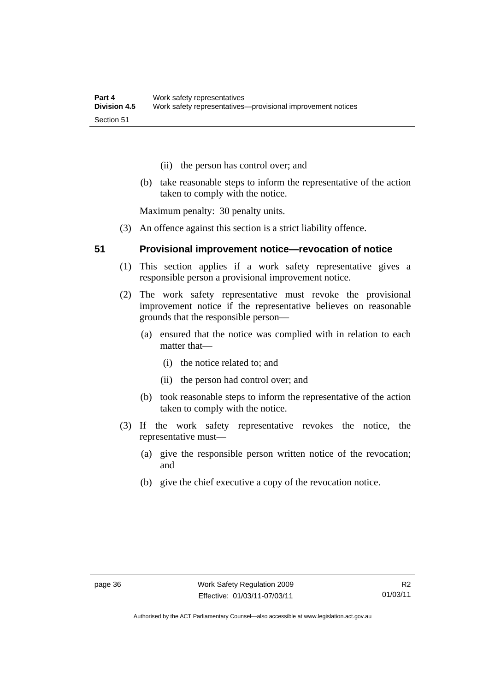- (ii) the person has control over; and
- (b) take reasonable steps to inform the representative of the action taken to comply with the notice.

Maximum penalty: 30 penalty units.

(3) An offence against this section is a strict liability offence.

#### **51 Provisional improvement notice—revocation of notice**

- (1) This section applies if a work safety representative gives a responsible person a provisional improvement notice.
- (2) The work safety representative must revoke the provisional improvement notice if the representative believes on reasonable grounds that the responsible person—
	- (a) ensured that the notice was complied with in relation to each matter that—
		- (i) the notice related to; and
		- (ii) the person had control over; and
	- (b) took reasonable steps to inform the representative of the action taken to comply with the notice.
- (3) If the work safety representative revokes the notice, the representative must—
	- (a) give the responsible person written notice of the revocation; and
	- (b) give the chief executive a copy of the revocation notice.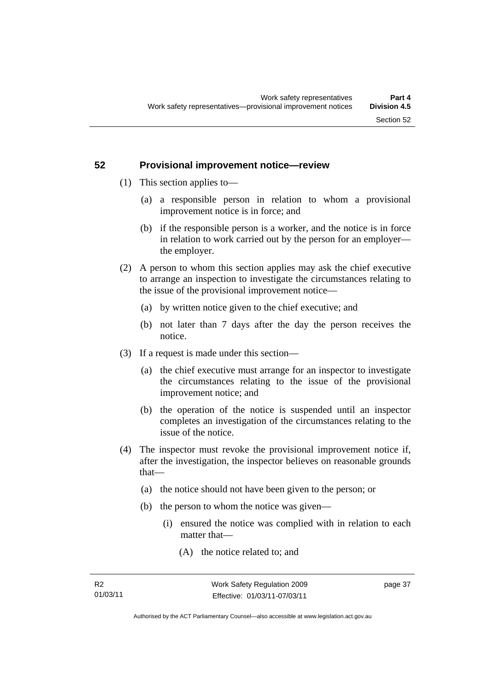# **52 Provisional improvement notice—review**

- (1) This section applies to—
	- (a) a responsible person in relation to whom a provisional improvement notice is in force; and
	- (b) if the responsible person is a worker, and the notice is in force in relation to work carried out by the person for an employer the employer.
- (2) A person to whom this section applies may ask the chief executive to arrange an inspection to investigate the circumstances relating to the issue of the provisional improvement notice—
	- (a) by written notice given to the chief executive; and
	- (b) not later than 7 days after the day the person receives the notice.
- (3) If a request is made under this section—
	- (a) the chief executive must arrange for an inspector to investigate the circumstances relating to the issue of the provisional improvement notice; and
	- (b) the operation of the notice is suspended until an inspector completes an investigation of the circumstances relating to the issue of the notice.
- (4) The inspector must revoke the provisional improvement notice if, after the investigation, the inspector believes on reasonable grounds that—
	- (a) the notice should not have been given to the person; or
	- (b) the person to whom the notice was given—
		- (i) ensured the notice was complied with in relation to each matter that—
			- (A) the notice related to; and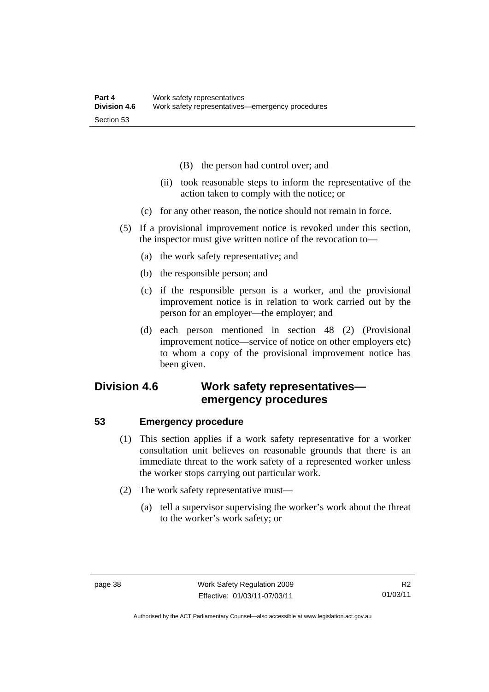- (B) the person had control over; and
- (ii) took reasonable steps to inform the representative of the action taken to comply with the notice; or
- (c) for any other reason, the notice should not remain in force.
- (5) If a provisional improvement notice is revoked under this section, the inspector must give written notice of the revocation to—
	- (a) the work safety representative; and
	- (b) the responsible person; and
	- (c) if the responsible person is a worker, and the provisional improvement notice is in relation to work carried out by the person for an employer—the employer; and
	- (d) each person mentioned in section 48 (2) (Provisional improvement notice—service of notice on other employers etc) to whom a copy of the provisional improvement notice has been given.

# **Division 4.6 Work safety representatives emergency procedures**

## **53 Emergency procedure**

- (1) This section applies if a work safety representative for a worker consultation unit believes on reasonable grounds that there is an immediate threat to the work safety of a represented worker unless the worker stops carrying out particular work.
- (2) The work safety representative must—
	- (a) tell a supervisor supervising the worker's work about the threat to the worker's work safety; or

R2 01/03/11

Authorised by the ACT Parliamentary Counsel—also accessible at www.legislation.act.gov.au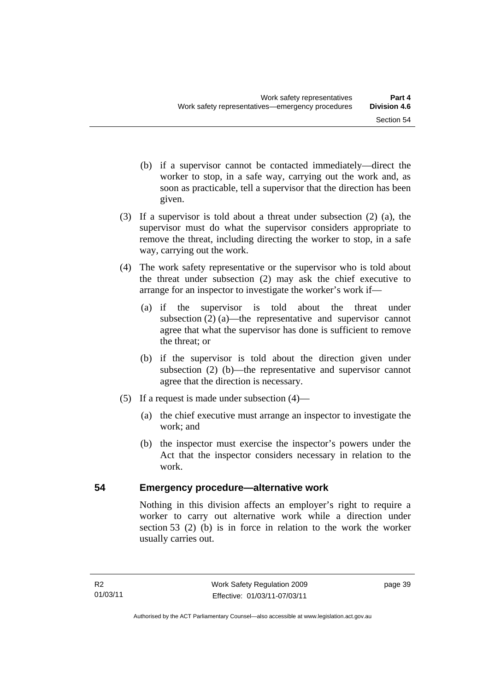- (b) if a supervisor cannot be contacted immediately—direct the worker to stop, in a safe way, carrying out the work and, as soon as practicable, tell a supervisor that the direction has been given.
- (3) If a supervisor is told about a threat under subsection (2) (a), the supervisor must do what the supervisor considers appropriate to remove the threat, including directing the worker to stop, in a safe way, carrying out the work.
- (4) The work safety representative or the supervisor who is told about the threat under subsection (2) may ask the chief executive to arrange for an inspector to investigate the worker's work if—
	- (a) if the supervisor is told about the threat under subsection (2) (a)—the representative and supervisor cannot agree that what the supervisor has done is sufficient to remove the threat; or
	- (b) if the supervisor is told about the direction given under subsection (2) (b)—the representative and supervisor cannot agree that the direction is necessary.
- (5) If a request is made under subsection (4)—
	- (a) the chief executive must arrange an inspector to investigate the work; and
	- (b) the inspector must exercise the inspector's powers under the Act that the inspector considers necessary in relation to the work.

## **54 Emergency procedure—alternative work**

Nothing in this division affects an employer's right to require a worker to carry out alternative work while a direction under section 53 (2) (b) is in force in relation to the work the worker usually carries out.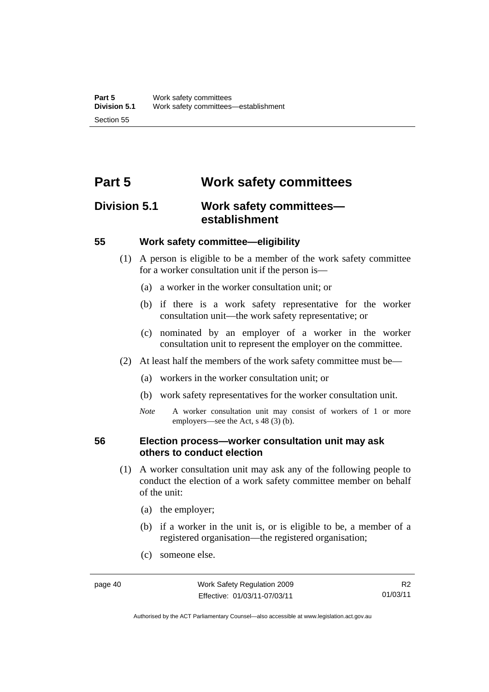# **Part 5 Work safety committees**

# **Division 5.1 Work safety committees establishment**

## **55 Work safety committee—eligibility**

- (1) A person is eligible to be a member of the work safety committee for a worker consultation unit if the person is—
	- (a) a worker in the worker consultation unit; or
	- (b) if there is a work safety representative for the worker consultation unit—the work safety representative; or
	- (c) nominated by an employer of a worker in the worker consultation unit to represent the employer on the committee.
- (2) At least half the members of the work safety committee must be—
	- (a) workers in the worker consultation unit; or
	- (b) work safety representatives for the worker consultation unit.
	- *Note* A worker consultation unit may consist of workers of 1 or more employers—see the Act, s 48 (3) (b).

## **56 Election process—worker consultation unit may ask others to conduct election**

- (1) A worker consultation unit may ask any of the following people to conduct the election of a work safety committee member on behalf of the unit:
	- (a) the employer;
	- (b) if a worker in the unit is, or is eligible to be, a member of a registered organisation—the registered organisation;
	- (c) someone else.

R2 01/03/11

Authorised by the ACT Parliamentary Counsel—also accessible at www.legislation.act.gov.au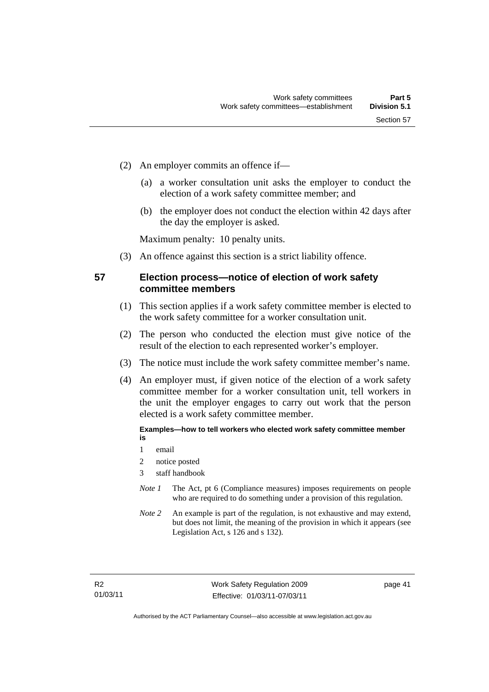- (2) An employer commits an offence if—
	- (a) a worker consultation unit asks the employer to conduct the election of a work safety committee member; and
	- (b) the employer does not conduct the election within 42 days after the day the employer is asked.

Maximum penalty: 10 penalty units.

(3) An offence against this section is a strict liability offence.

## **57 Election process—notice of election of work safety committee members**

- (1) This section applies if a work safety committee member is elected to the work safety committee for a worker consultation unit.
- (2) The person who conducted the election must give notice of the result of the election to each represented worker's employer.
- (3) The notice must include the work safety committee member's name.
- (4) An employer must, if given notice of the election of a work safety committee member for a worker consultation unit, tell workers in the unit the employer engages to carry out work that the person elected is a work safety committee member.

#### **Examples—how to tell workers who elected work safety committee member is**

- 1 email
- 2 notice posted
- 3 staff handbook
- *Note 1* The Act, pt 6 (Compliance measures) imposes requirements on people who are required to do something under a provision of this regulation.
- *Note 2* An example is part of the regulation, is not exhaustive and may extend, but does not limit, the meaning of the provision in which it appears (see Legislation Act, s 126 and s 132).

page 41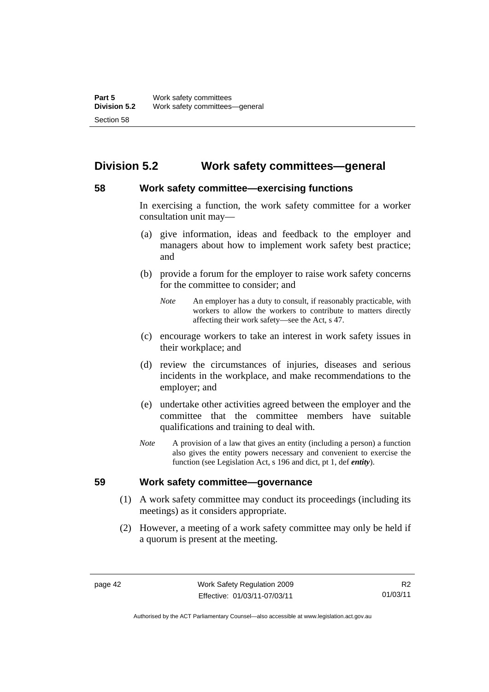# **Division 5.2 Work safety committees—general**

# **58 Work safety committee—exercising functions**

In exercising a function, the work safety committee for a worker consultation unit may—

- (a) give information, ideas and feedback to the employer and managers about how to implement work safety best practice; and
- (b) provide a forum for the employer to raise work safety concerns for the committee to consider; and
	- *Note* An employer has a duty to consult, if reasonably practicable, with workers to allow the workers to contribute to matters directly affecting their work safety—see the Act, s 47.
- (c) encourage workers to take an interest in work safety issues in their workplace; and
- (d) review the circumstances of injuries, diseases and serious incidents in the workplace, and make recommendations to the employer; and
- (e) undertake other activities agreed between the employer and the committee that the committee members have suitable qualifications and training to deal with.
- *Note* A provision of a law that gives an entity (including a person) a function also gives the entity powers necessary and convenient to exercise the function (see Legislation Act, s 196 and dict, pt 1, def *entity*).

## **59 Work safety committee—governance**

- (1) A work safety committee may conduct its proceedings (including its meetings) as it considers appropriate.
- (2) However, a meeting of a work safety committee may only be held if a quorum is present at the meeting.

R2 01/03/11

Authorised by the ACT Parliamentary Counsel—also accessible at www.legislation.act.gov.au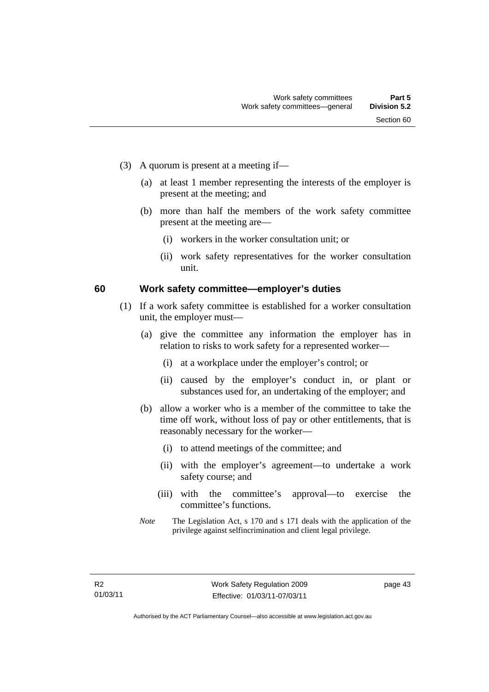- (3) A quorum is present at a meeting if—
	- (a) at least 1 member representing the interests of the employer is present at the meeting; and
	- (b) more than half the members of the work safety committee present at the meeting are—
		- (i) workers in the worker consultation unit; or
		- (ii) work safety representatives for the worker consultation unit.

#### **60 Work safety committee—employer's duties**

- (1) If a work safety committee is established for a worker consultation unit, the employer must—
	- (a) give the committee any information the employer has in relation to risks to work safety for a represented worker—
		- (i) at a workplace under the employer's control; or
		- (ii) caused by the employer's conduct in, or plant or substances used for, an undertaking of the employer; and
	- (b) allow a worker who is a member of the committee to take the time off work, without loss of pay or other entitlements, that is reasonably necessary for the worker—
		- (i) to attend meetings of the committee; and
		- (ii) with the employer's agreement—to undertake a work safety course; and
		- (iii) with the committee's approval—to exercise the committee's functions.
	- *Note* The Legislation Act, s 170 and s 171 deals with the application of the privilege against selfincrimination and client legal privilege.

page 43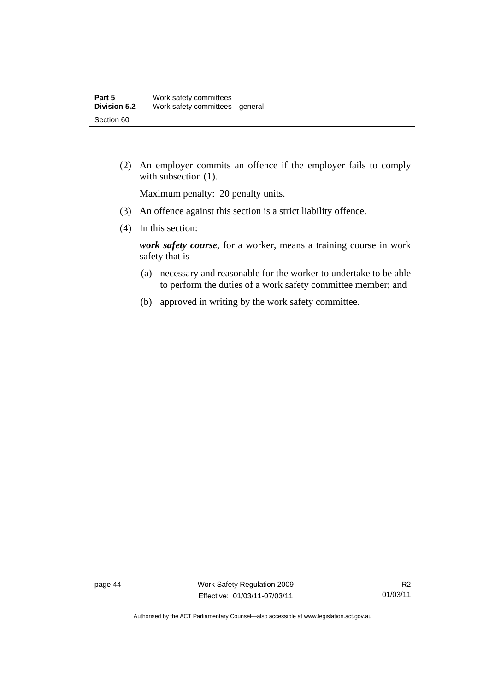(2) An employer commits an offence if the employer fails to comply with subsection  $(1)$ .

Maximum penalty: 20 penalty units.

- (3) An offence against this section is a strict liability offence.
- (4) In this section:

*work safety course*, for a worker, means a training course in work safety that is—

- (a) necessary and reasonable for the worker to undertake to be able to perform the duties of a work safety committee member; and
- (b) approved in writing by the work safety committee.

page 44 Work Safety Regulation 2009 Effective: 01/03/11-07/03/11

Authorised by the ACT Parliamentary Counsel—also accessible at www.legislation.act.gov.au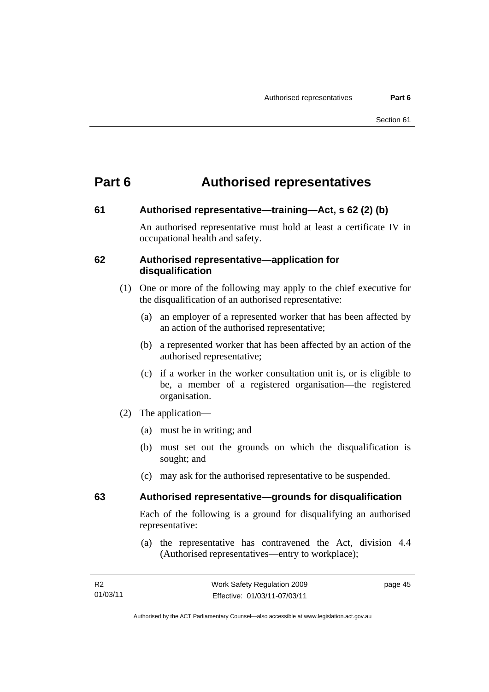# **Part 6 Authorised representatives**

#### **61 Authorised representative—training—Act, s 62 (2) (b)**

An authorised representative must hold at least a certificate IV in occupational health and safety.

#### **62 Authorised representative—application for disqualification**

- (1) One or more of the following may apply to the chief executive for the disqualification of an authorised representative:
	- (a) an employer of a represented worker that has been affected by an action of the authorised representative;
	- (b) a represented worker that has been affected by an action of the authorised representative;
	- (c) if a worker in the worker consultation unit is, or is eligible to be, a member of a registered organisation—the registered organisation.
- (2) The application—
	- (a) must be in writing; and
	- (b) must set out the grounds on which the disqualification is sought; and
	- (c) may ask for the authorised representative to be suspended.

## **63 Authorised representative—grounds for disqualification**

Each of the following is a ground for disqualifying an authorised representative:

 (a) the representative has contravened the Act, division 4.4 (Authorised representatives—entry to workplace);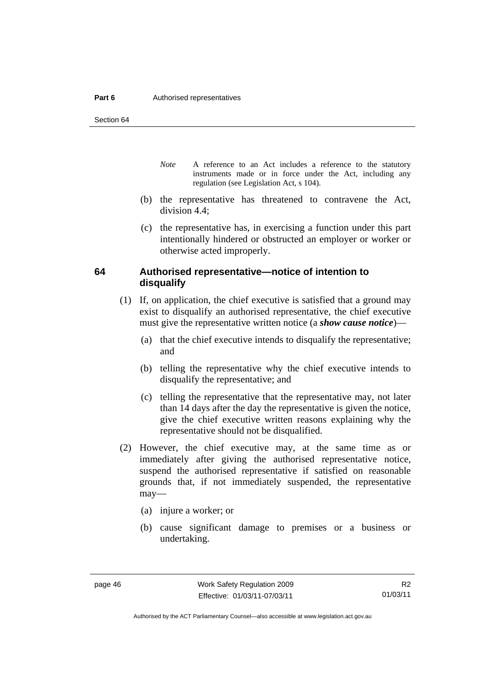#### **Part 6 Authorised representatives**

Section 64

- *Note* A reference to an Act includes a reference to the statutory instruments made or in force under the Act, including any regulation (see Legislation Act, s 104).
- (b) the representative has threatened to contravene the Act, division 4.4;
- (c) the representative has, in exercising a function under this part intentionally hindered or obstructed an employer or worker or otherwise acted improperly.

## **64 Authorised representative—notice of intention to disqualify**

- (1) If, on application, the chief executive is satisfied that a ground may exist to disqualify an authorised representative, the chief executive must give the representative written notice (a *show cause notice*)—
	- (a) that the chief executive intends to disqualify the representative; and
	- (b) telling the representative why the chief executive intends to disqualify the representative; and
	- (c) telling the representative that the representative may, not later than 14 days after the day the representative is given the notice, give the chief executive written reasons explaining why the representative should not be disqualified.
- (2) However, the chief executive may, at the same time as or immediately after giving the authorised representative notice, suspend the authorised representative if satisfied on reasonable grounds that, if not immediately suspended, the representative may—
	- (a) injure a worker; or
	- (b) cause significant damage to premises or a business or undertaking.

Authorised by the ACT Parliamentary Counsel—also accessible at www.legislation.act.gov.au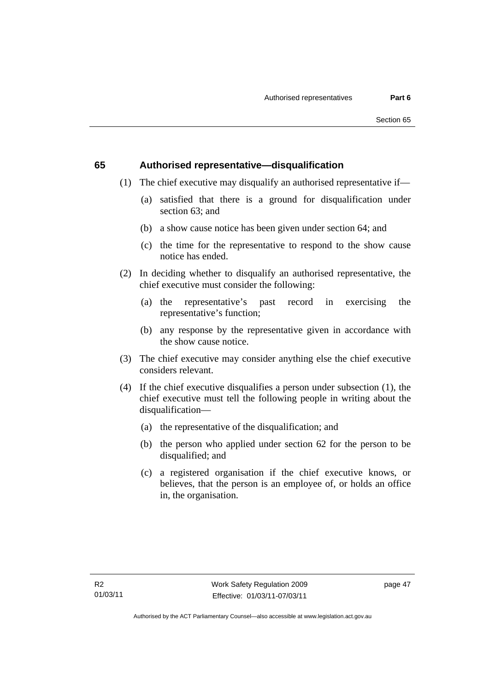## **65 Authorised representative—disqualification**

- (1) The chief executive may disqualify an authorised representative if—
	- (a) satisfied that there is a ground for disqualification under section 63; and
	- (b) a show cause notice has been given under section 64; and
	- (c) the time for the representative to respond to the show cause notice has ended.
- (2) In deciding whether to disqualify an authorised representative, the chief executive must consider the following:
	- (a) the representative's past record in exercising the representative's function;
	- (b) any response by the representative given in accordance with the show cause notice.
- (3) The chief executive may consider anything else the chief executive considers relevant.
- (4) If the chief executive disqualifies a person under subsection (1), the chief executive must tell the following people in writing about the disqualification—
	- (a) the representative of the disqualification; and
	- (b) the person who applied under section 62 for the person to be disqualified; and
	- (c) a registered organisation if the chief executive knows, or believes, that the person is an employee of, or holds an office in, the organisation.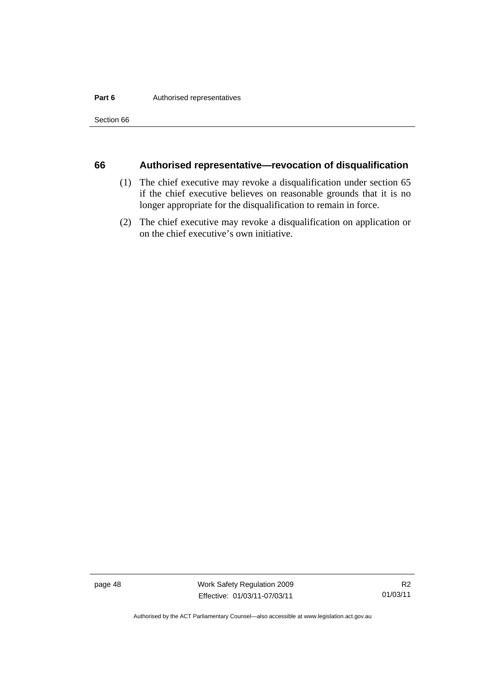#### **Part 6 Authorised representatives**

Section 66

## **66 Authorised representative—revocation of disqualification**

- (1) The chief executive may revoke a disqualification under section 65 if the chief executive believes on reasonable grounds that it is no longer appropriate for the disqualification to remain in force.
- (2) The chief executive may revoke a disqualification on application or on the chief executive's own initiative.

page 48 Work Safety Regulation 2009 Effective: 01/03/11-07/03/11

Authorised by the ACT Parliamentary Counsel—also accessible at www.legislation.act.gov.au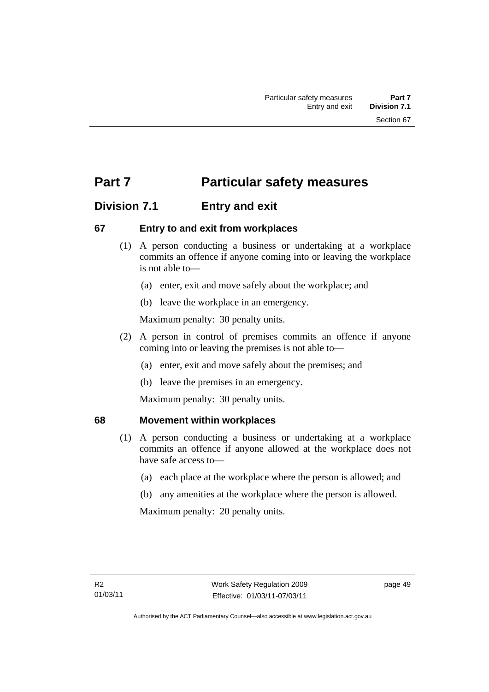# **Part 7** Particular safety measures

# **Division 7.1 Entry and exit**

## **67 Entry to and exit from workplaces**

- (1) A person conducting a business or undertaking at a workplace commits an offence if anyone coming into or leaving the workplace is not able to—
	- (a) enter, exit and move safely about the workplace; and
	- (b) leave the workplace in an emergency.

Maximum penalty: 30 penalty units.

- (2) A person in control of premises commits an offence if anyone coming into or leaving the premises is not able to—
	- (a) enter, exit and move safely about the premises; and
	- (b) leave the premises in an emergency.

Maximum penalty: 30 penalty units.

## **68 Movement within workplaces**

- (1) A person conducting a business or undertaking at a workplace commits an offence if anyone allowed at the workplace does not have safe access to—
	- (a) each place at the workplace where the person is allowed; and
	- (b) any amenities at the workplace where the person is allowed.

Maximum penalty: 20 penalty units.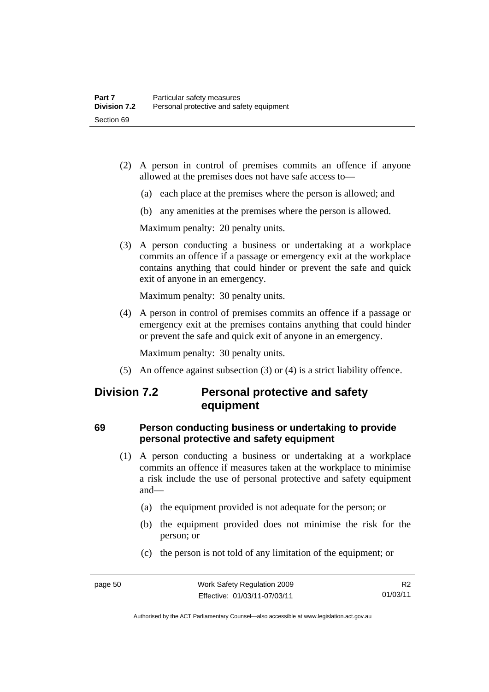- (2) A person in control of premises commits an offence if anyone allowed at the premises does not have safe access to—
	- (a) each place at the premises where the person is allowed; and
	- (b) any amenities at the premises where the person is allowed.

Maximum penalty: 20 penalty units.

 (3) A person conducting a business or undertaking at a workplace commits an offence if a passage or emergency exit at the workplace contains anything that could hinder or prevent the safe and quick exit of anyone in an emergency.

Maximum penalty: 30 penalty units.

 (4) A person in control of premises commits an offence if a passage or emergency exit at the premises contains anything that could hinder or prevent the safe and quick exit of anyone in an emergency.

Maximum penalty: 30 penalty units.

(5) An offence against subsection (3) or (4) is a strict liability offence.

# **Division 7.2 Personal protective and safety equipment**

# **69 Person conducting business or undertaking to provide personal protective and safety equipment**

- (1) A person conducting a business or undertaking at a workplace commits an offence if measures taken at the workplace to minimise a risk include the use of personal protective and safety equipment and—
	- (a) the equipment provided is not adequate for the person; or
	- (b) the equipment provided does not minimise the risk for the person; or
	- (c) the person is not told of any limitation of the equipment; or

Authorised by the ACT Parliamentary Counsel—also accessible at www.legislation.act.gov.au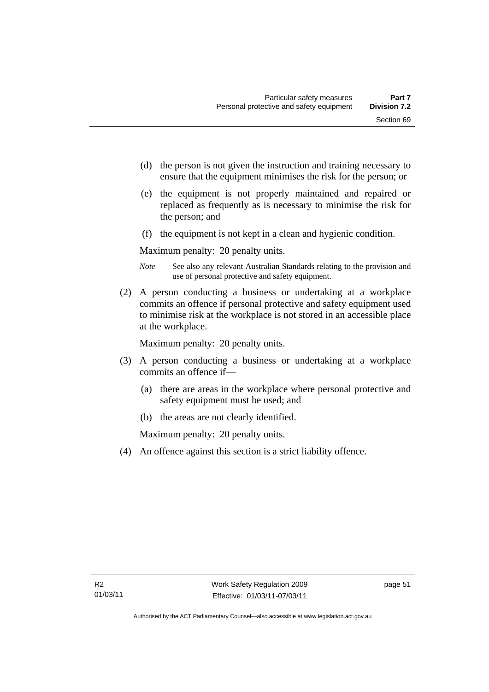- (d) the person is not given the instruction and training necessary to ensure that the equipment minimises the risk for the person; or
- (e) the equipment is not properly maintained and repaired or replaced as frequently as is necessary to minimise the risk for the person; and
- (f) the equipment is not kept in a clean and hygienic condition.

Maximum penalty: 20 penalty units.

- *Note* See also any relevant Australian Standards relating to the provision and use of personal protective and safety equipment.
- (2) A person conducting a business or undertaking at a workplace commits an offence if personal protective and safety equipment used to minimise risk at the workplace is not stored in an accessible place at the workplace.

Maximum penalty: 20 penalty units.

- (3) A person conducting a business or undertaking at a workplace commits an offence if—
	- (a) there are areas in the workplace where personal protective and safety equipment must be used; and
	- (b) the areas are not clearly identified.

Maximum penalty: 20 penalty units.

(4) An offence against this section is a strict liability offence.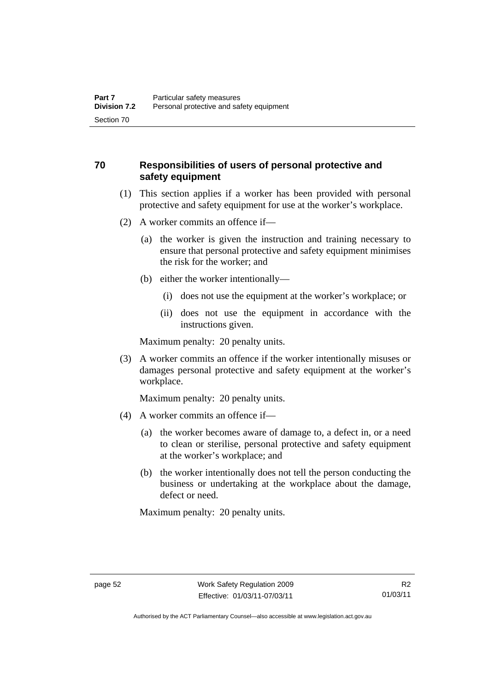# **70 Responsibilities of users of personal protective and safety equipment**

- (1) This section applies if a worker has been provided with personal protective and safety equipment for use at the worker's workplace.
- (2) A worker commits an offence if—
	- (a) the worker is given the instruction and training necessary to ensure that personal protective and safety equipment minimises the risk for the worker; and
	- (b) either the worker intentionally—
		- (i) does not use the equipment at the worker's workplace; or
		- (ii) does not use the equipment in accordance with the instructions given.

Maximum penalty: 20 penalty units.

 (3) A worker commits an offence if the worker intentionally misuses or damages personal protective and safety equipment at the worker's workplace.

Maximum penalty: 20 penalty units.

- (4) A worker commits an offence if—
	- (a) the worker becomes aware of damage to, a defect in, or a need to clean or sterilise, personal protective and safety equipment at the worker's workplace; and
	- (b) the worker intentionally does not tell the person conducting the business or undertaking at the workplace about the damage, defect or need.

Maximum penalty: 20 penalty units.

Authorised by the ACT Parliamentary Counsel—also accessible at www.legislation.act.gov.au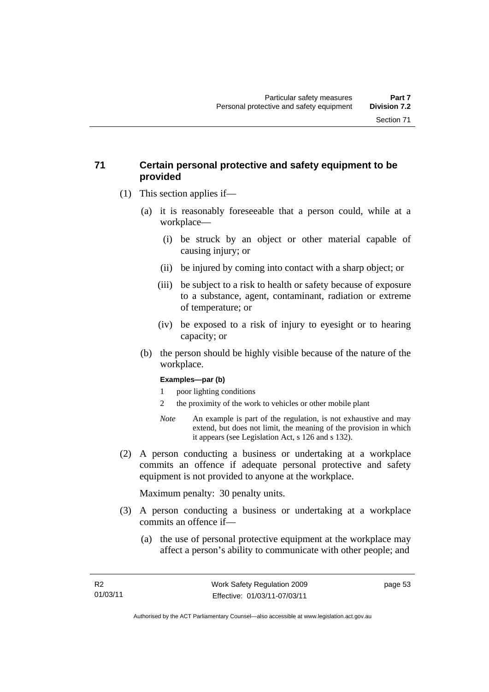# **71 Certain personal protective and safety equipment to be provided**

- (1) This section applies if—
	- (a) it is reasonably foreseeable that a person could, while at a workplace—
		- (i) be struck by an object or other material capable of causing injury; or
		- (ii) be injured by coming into contact with a sharp object; or
		- (iii) be subject to a risk to health or safety because of exposure to a substance, agent, contaminant, radiation or extreme of temperature; or
		- (iv) be exposed to a risk of injury to eyesight or to hearing capacity; or
	- (b) the person should be highly visible because of the nature of the workplace.

#### **Examples—par (b)**

- 1 poor lighting conditions
- 2 the proximity of the work to vehicles or other mobile plant
- *Note* An example is part of the regulation, is not exhaustive and may extend, but does not limit, the meaning of the provision in which it appears (see Legislation Act, s 126 and s 132).
- (2) A person conducting a business or undertaking at a workplace commits an offence if adequate personal protective and safety equipment is not provided to anyone at the workplace.

Maximum penalty: 30 penalty units.

- (3) A person conducting a business or undertaking at a workplace commits an offence if—
	- (a) the use of personal protective equipment at the workplace may affect a person's ability to communicate with other people; and

page 53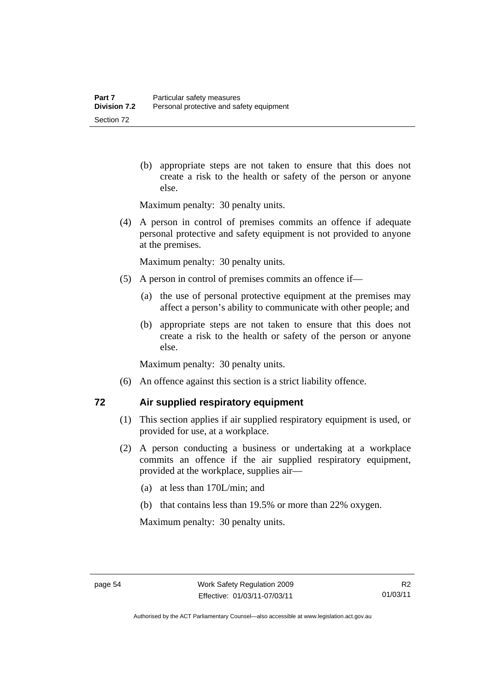(b) appropriate steps are not taken to ensure that this does not create a risk to the health or safety of the person or anyone else.

Maximum penalty: 30 penalty units.

 (4) A person in control of premises commits an offence if adequate personal protective and safety equipment is not provided to anyone at the premises.

Maximum penalty: 30 penalty units.

- (5) A person in control of premises commits an offence if—
	- (a) the use of personal protective equipment at the premises may affect a person's ability to communicate with other people; and
	- (b) appropriate steps are not taken to ensure that this does not create a risk to the health or safety of the person or anyone else.

Maximum penalty: 30 penalty units.

(6) An offence against this section is a strict liability offence.

## **72 Air supplied respiratory equipment**

- (1) This section applies if air supplied respiratory equipment is used, or provided for use, at a workplace.
- (2) A person conducting a business or undertaking at a workplace commits an offence if the air supplied respiratory equipment, provided at the workplace, supplies air—
	- (a) at less than 170L/min; and
	- (b) that contains less than 19.5% or more than 22% oxygen.

Maximum penalty: 30 penalty units.

Authorised by the ACT Parliamentary Counsel—also accessible at www.legislation.act.gov.au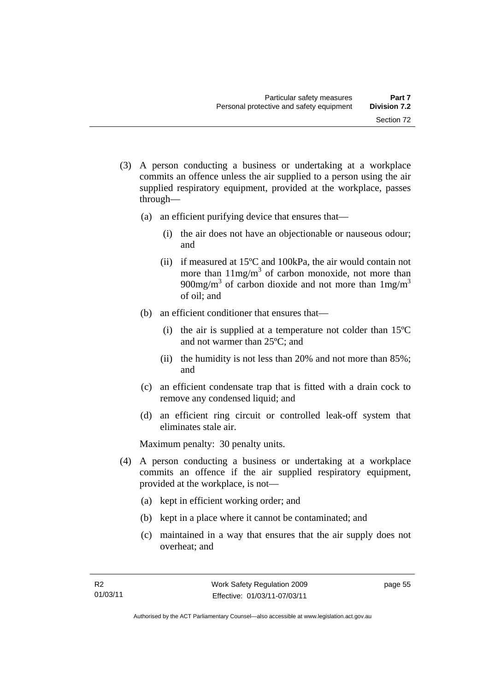- (3) A person conducting a business or undertaking at a workplace commits an offence unless the air supplied to a person using the air supplied respiratory equipment, provided at the workplace, passes through—
	- (a) an efficient purifying device that ensures that—
		- (i) the air does not have an objectionable or nauseous odour; and
		- (ii) if measured at 15ºC and 100kPa, the air would contain not more than  $11mg/m<sup>3</sup>$  of carbon monoxide, not more than 900mg/m<sup>3</sup> of carbon dioxide and not more than  $1 \text{mg/m}^3$ of oil; and
	- (b) an efficient conditioner that ensures that—
		- (i) the air is supplied at a temperature not colder than 15ºC and not warmer than 25ºC; and
		- (ii) the humidity is not less than 20% and not more than 85%; and
	- (c) an efficient condensate trap that is fitted with a drain cock to remove any condensed liquid; and
	- (d) an efficient ring circuit or controlled leak-off system that eliminates stale air.

Maximum penalty: 30 penalty units.

- (4) A person conducting a business or undertaking at a workplace commits an offence if the air supplied respiratory equipment, provided at the workplace, is not—
	- (a) kept in efficient working order; and
	- (b) kept in a place where it cannot be contaminated; and
	- (c) maintained in a way that ensures that the air supply does not overheat; and

page 55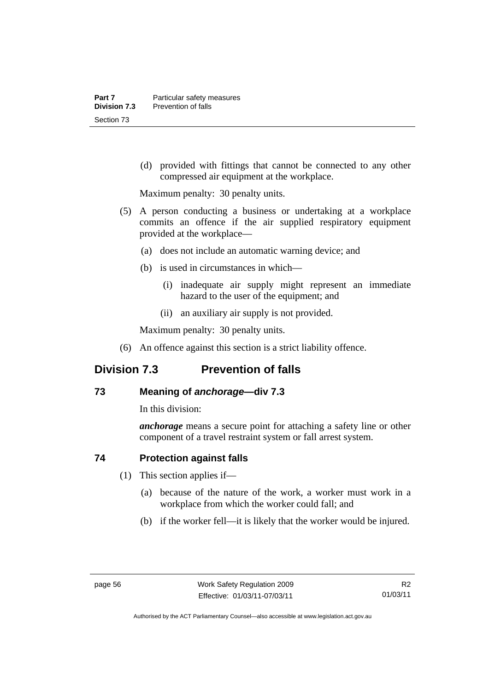(d) provided with fittings that cannot be connected to any other compressed air equipment at the workplace.

Maximum penalty: 30 penalty units.

- (5) A person conducting a business or undertaking at a workplace commits an offence if the air supplied respiratory equipment provided at the workplace—
	- (a) does not include an automatic warning device; and
	- (b) is used in circumstances in which—
		- (i) inadequate air supply might represent an immediate hazard to the user of the equipment; and
		- (ii) an auxiliary air supply is not provided.

Maximum penalty: 30 penalty units.

(6) An offence against this section is a strict liability offence.

# **Division 7.3 Prevention of falls**

# **73 Meaning of** *anchorage—***div 7.3**

In this division:

*anchorage* means a secure point for attaching a safety line or other component of a travel restraint system or fall arrest system.

## **74 Protection against falls**

- (1) This section applies if—
	- (a) because of the nature of the work, a worker must work in a workplace from which the worker could fall; and
	- (b) if the worker fell—it is likely that the worker would be injured.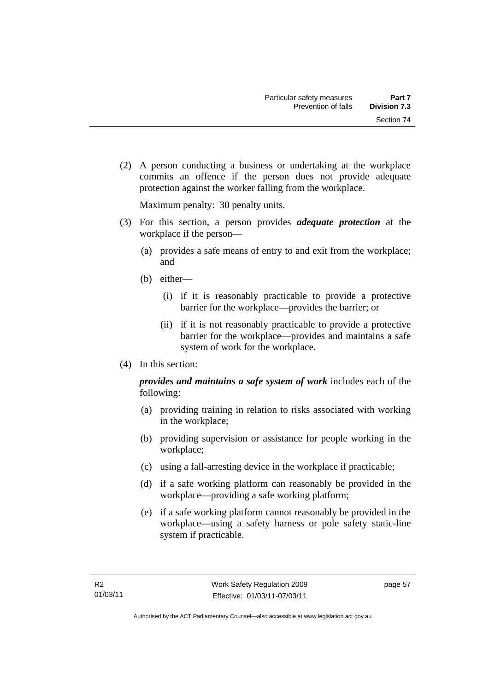Section 74

 (2) A person conducting a business or undertaking at the workplace commits an offence if the person does not provide adequate protection against the worker falling from the workplace.

Maximum penalty: 30 penalty units.

- (3) For this section, a person provides *adequate protection* at the workplace if the person—
	- (a) provides a safe means of entry to and exit from the workplace; and
	- (b) either—
		- (i) if it is reasonably practicable to provide a protective barrier for the workplace—provides the barrier; or
		- (ii) if it is not reasonably practicable to provide a protective barrier for the workplace—provides and maintains a safe system of work for the workplace.
- (4) In this section:

*provides and maintains a safe system of work* includes each of the following:

- (a) providing training in relation to risks associated with working in the workplace;
- (b) providing supervision or assistance for people working in the workplace;
- (c) using a fall-arresting device in the workplace if practicable;
- (d) if a safe working platform can reasonably be provided in the workplace—providing a safe working platform;
- (e) if a safe working platform cannot reasonably be provided in the workplace—using a safety harness or pole safety static-line system if practicable.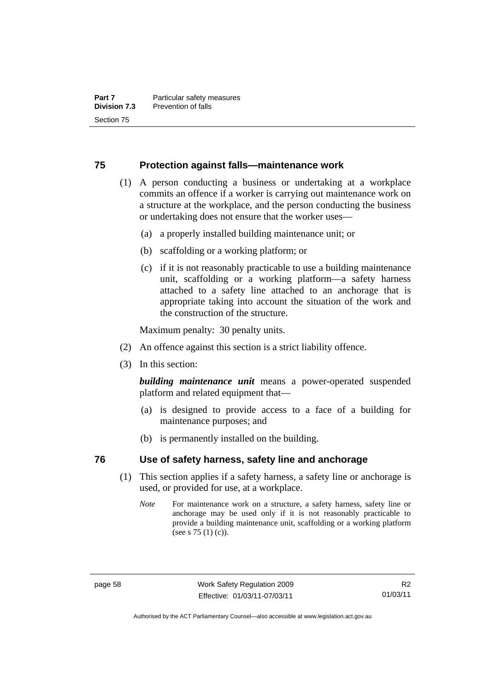## **75 Protection against falls—maintenance work**

- (1) A person conducting a business or undertaking at a workplace commits an offence if a worker is carrying out maintenance work on a structure at the workplace, and the person conducting the business or undertaking does not ensure that the worker uses—
	- (a) a properly installed building maintenance unit; or
	- (b) scaffolding or a working platform; or
	- (c) if it is not reasonably practicable to use a building maintenance unit, scaffolding or a working platform—a safety harness attached to a safety line attached to an anchorage that is appropriate taking into account the situation of the work and the construction of the structure.

Maximum penalty: 30 penalty units.

- (2) An offence against this section is a strict liability offence.
- (3) In this section:

*building maintenance unit* means a power-operated suspended platform and related equipment that—

- (a) is designed to provide access to a face of a building for maintenance purposes; and
- (b) is permanently installed on the building.

## **76 Use of safety harness, safety line and anchorage**

- (1) This section applies if a safety harness, a safety line or anchorage is used, or provided for use, at a workplace.
	- *Note* For maintenance work on a structure, a safety harness, safety line or anchorage may be used only if it is not reasonably practicable to provide a building maintenance unit, scaffolding or a working platform (see s 75 (1) (c)).

Authorised by the ACT Parliamentary Counsel—also accessible at www.legislation.act.gov.au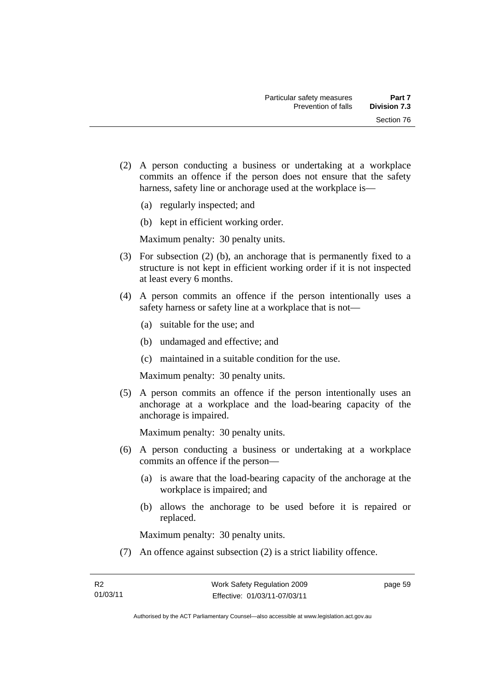- (2) A person conducting a business or undertaking at a workplace commits an offence if the person does not ensure that the safety harness, safety line or anchorage used at the workplace is—
	- (a) regularly inspected; and
	- (b) kept in efficient working order.

- (3) For subsection (2) (b), an anchorage that is permanently fixed to a structure is not kept in efficient working order if it is not inspected at least every 6 months.
- (4) A person commits an offence if the person intentionally uses a safety harness or safety line at a workplace that is not—
	- (a) suitable for the use; and
	- (b) undamaged and effective; and
	- (c) maintained in a suitable condition for the use.

Maximum penalty: 30 penalty units.

 (5) A person commits an offence if the person intentionally uses an anchorage at a workplace and the load-bearing capacity of the anchorage is impaired.

Maximum penalty: 30 penalty units.

- (6) A person conducting a business or undertaking at a workplace commits an offence if the person—
	- (a) is aware that the load-bearing capacity of the anchorage at the workplace is impaired; and
	- (b) allows the anchorage to be used before it is repaired or replaced.

Maximum penalty: 30 penalty units.

(7) An offence against subsection (2) is a strict liability offence.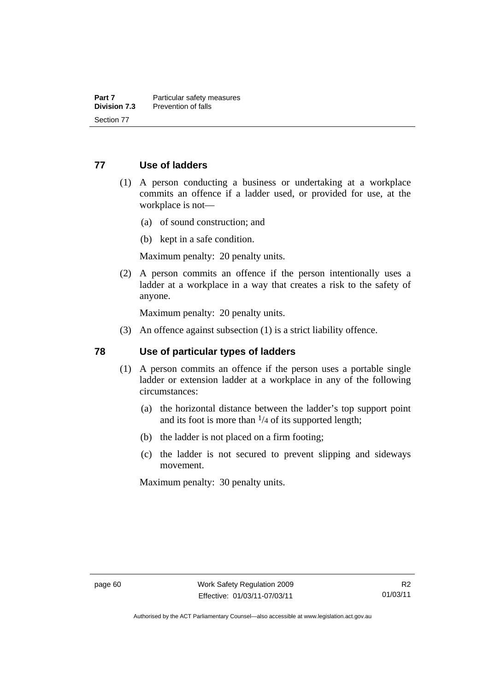#### **77 Use of ladders**

- (1) A person conducting a business or undertaking at a workplace commits an offence if a ladder used, or provided for use, at the workplace is not—
	- (a) of sound construction; and
	- (b) kept in a safe condition.

Maximum penalty: 20 penalty units.

 (2) A person commits an offence if the person intentionally uses a ladder at a workplace in a way that creates a risk to the safety of anyone.

Maximum penalty: 20 penalty units.

(3) An offence against subsection (1) is a strict liability offence.

#### **78 Use of particular types of ladders**

- (1) A person commits an offence if the person uses a portable single ladder or extension ladder at a workplace in any of the following circumstances:
	- (a) the horizontal distance between the ladder's top support point and its foot is more than  $\frac{1}{4}$  of its supported length;
	- (b) the ladder is not placed on a firm footing;
	- (c) the ladder is not secured to prevent slipping and sideways movement.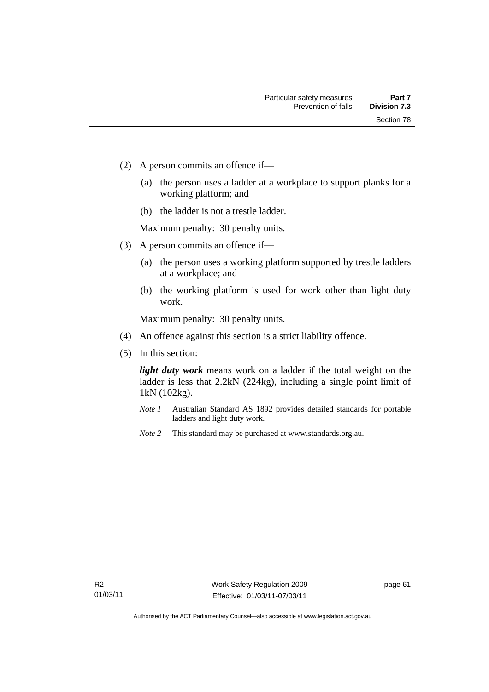- (2) A person commits an offence if—
	- (a) the person uses a ladder at a workplace to support planks for a working platform; and
	- (b) the ladder is not a trestle ladder.

- (3) A person commits an offence if—
	- (a) the person uses a working platform supported by trestle ladders at a workplace; and
	- (b) the working platform is used for work other than light duty work.

Maximum penalty: 30 penalty units.

- (4) An offence against this section is a strict liability offence.
- (5) In this section:

*light duty work* means work on a ladder if the total weight on the ladder is less that 2.2kN (224kg), including a single point limit of 1kN (102kg).

- *Note 1* Australian Standard AS 1892 provides detailed standards for portable ladders and light duty work.
- *Note 2* This standard may be purchased at www.standards.org.au.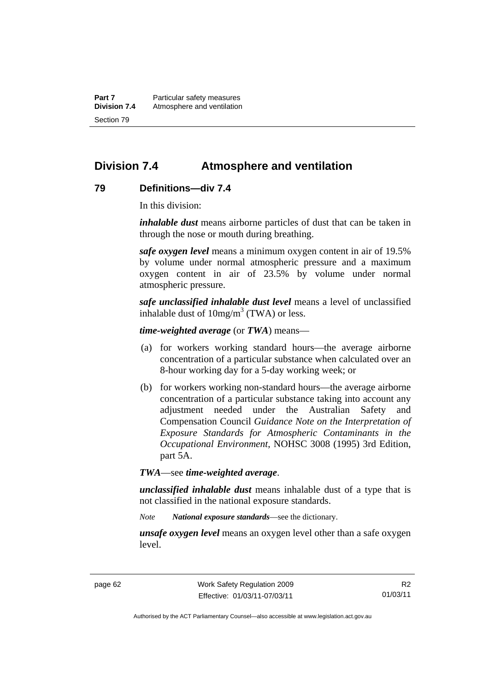**Part 7** Particular safety measures **Division 7.4** Atmosphere and ventilation Section 79

## **Division 7.4 Atmosphere and ventilation**

#### **79 Definitions—div 7.4**

In this division:

*inhalable dust* means airborne particles of dust that can be taken in through the nose or mouth during breathing.

*safe oxygen level* means a minimum oxygen content in air of 19.5% by volume under normal atmospheric pressure and a maximum oxygen content in air of 23.5% by volume under normal atmospheric pressure.

*safe unclassified inhalable dust level* means a level of unclassified inhalable dust of  $10mg/m<sup>3</sup>$  (TWA) or less.

*time-weighted average* (or *TWA*) means—

- (a) for workers working standard hours—the average airborne concentration of a particular substance when calculated over an 8-hour working day for a 5-day working week; or
- (b) for workers working non-standard hours—the average airborne concentration of a particular substance taking into account any adjustment needed under the Australian Safety and Compensation Council *Guidance Note on the Interpretation of Exposure Standards for Atmospheric Contaminants in the Occupational Environment*, NOHSC 3008 (1995) 3rd Edition, part 5A.

*TWA*—see *time-weighted average*.

*unclassified inhalable dust* means inhalable dust of a type that is not classified in the national exposure standards.

*Note National exposure standards*—see the dictionary.

*unsafe oxygen level* means an oxygen level other than a safe oxygen level.

R2 01/03/11

Authorised by the ACT Parliamentary Counsel—also accessible at www.legislation.act.gov.au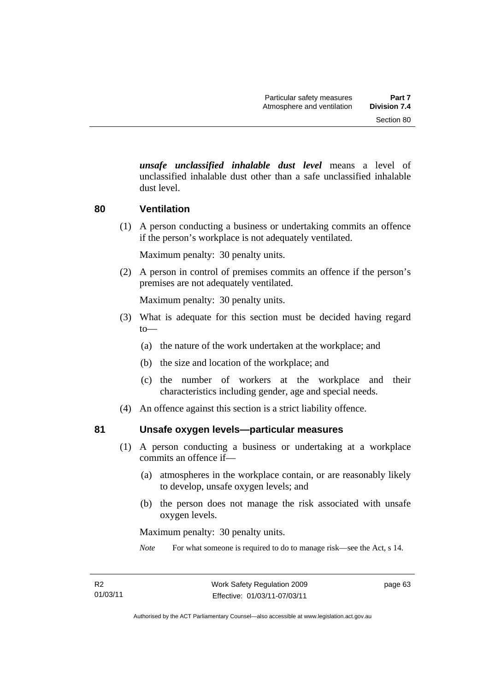*unsafe unclassified inhalable dust level* means a level of unclassified inhalable dust other than a safe unclassified inhalable dust level.

#### **80 Ventilation**

 (1) A person conducting a business or undertaking commits an offence if the person's workplace is not adequately ventilated.

Maximum penalty: 30 penalty units.

 (2) A person in control of premises commits an offence if the person's premises are not adequately ventilated.

Maximum penalty: 30 penalty units.

- (3) What is adequate for this section must be decided having regard to—
	- (a) the nature of the work undertaken at the workplace; and
	- (b) the size and location of the workplace; and
	- (c) the number of workers at the workplace and their characteristics including gender, age and special needs.
- (4) An offence against this section is a strict liability offence.

#### **81 Unsafe oxygen levels—particular measures**

- (1) A person conducting a business or undertaking at a workplace commits an offence if—
	- (a) atmospheres in the workplace contain, or are reasonably likely to develop, unsafe oxygen levels; and
	- (b) the person does not manage the risk associated with unsafe oxygen levels.

Maximum penalty: 30 penalty units.

*Note* For what someone is required to do to manage risk—see the Act, s 14.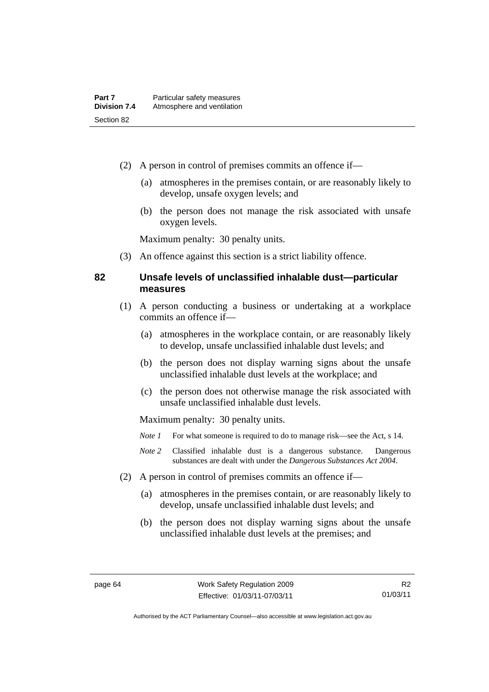- (2) A person in control of premises commits an offence if—
	- (a) atmospheres in the premises contain, or are reasonably likely to develop, unsafe oxygen levels; and
	- (b) the person does not manage the risk associated with unsafe oxygen levels.

(3) An offence against this section is a strict liability offence.

#### **82 Unsafe levels of unclassified inhalable dust—particular measures**

- (1) A person conducting a business or undertaking at a workplace commits an offence if—
	- (a) atmospheres in the workplace contain, or are reasonably likely to develop, unsafe unclassified inhalable dust levels; and
	- (b) the person does not display warning signs about the unsafe unclassified inhalable dust levels at the workplace; and
	- (c) the person does not otherwise manage the risk associated with unsafe unclassified inhalable dust levels.

- *Note 1* For what someone is required to do to manage risk—see the Act, s 14.
- *Note 2* Classified inhalable dust is a dangerous substance. Dangerous substances are dealt with under the *Dangerous Substances Act 2004*.
- (2) A person in control of premises commits an offence if—
	- (a) atmospheres in the premises contain, or are reasonably likely to develop, unsafe unclassified inhalable dust levels; and
	- (b) the person does not display warning signs about the unsafe unclassified inhalable dust levels at the premises; and

Authorised by the ACT Parliamentary Counsel—also accessible at www.legislation.act.gov.au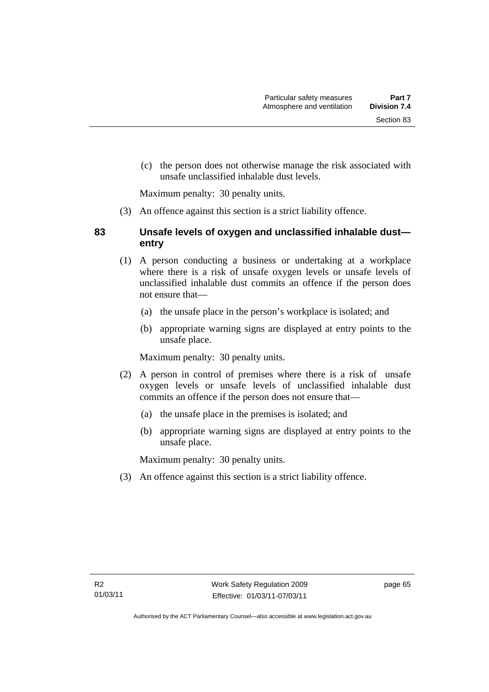(c) the person does not otherwise manage the risk associated with

Maximum penalty: 30 penalty units.

(3) An offence against this section is a strict liability offence.

unsafe unclassified inhalable dust levels.

### **83 Unsafe levels of oxygen and unclassified inhalable dust entry**

- (1) A person conducting a business or undertaking at a workplace where there is a risk of unsafe oxygen levels or unsafe levels of unclassified inhalable dust commits an offence if the person does not ensure that—
	- (a) the unsafe place in the person's workplace is isolated; and
	- (b) appropriate warning signs are displayed at entry points to the unsafe place.

Maximum penalty: 30 penalty units.

- (2) A person in control of premises where there is a risk of unsafe oxygen levels or unsafe levels of unclassified inhalable dust commits an offence if the person does not ensure that—
	- (a) the unsafe place in the premises is isolated; and
	- (b) appropriate warning signs are displayed at entry points to the unsafe place.

Maximum penalty: 30 penalty units.

(3) An offence against this section is a strict liability offence.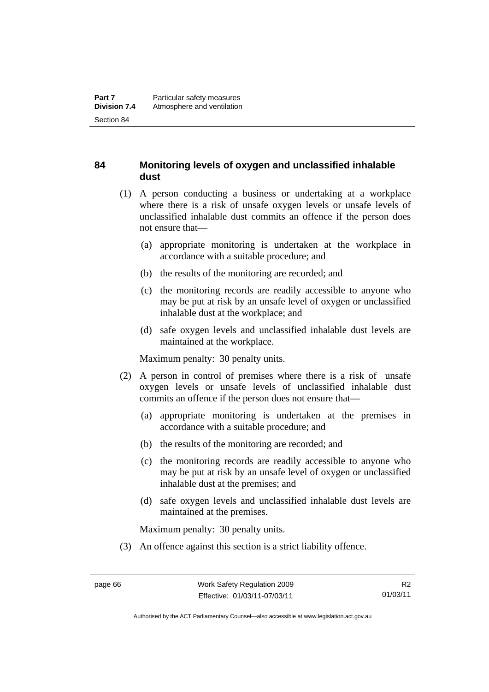### **84 Monitoring levels of oxygen and unclassified inhalable dust**

- (1) A person conducting a business or undertaking at a workplace where there is a risk of unsafe oxygen levels or unsafe levels of unclassified inhalable dust commits an offence if the person does not ensure that—
	- (a) appropriate monitoring is undertaken at the workplace in accordance with a suitable procedure; and
	- (b) the results of the monitoring are recorded; and
	- (c) the monitoring records are readily accessible to anyone who may be put at risk by an unsafe level of oxygen or unclassified inhalable dust at the workplace; and
	- (d) safe oxygen levels and unclassified inhalable dust levels are maintained at the workplace.

Maximum penalty: 30 penalty units.

- (2) A person in control of premises where there is a risk of unsafe oxygen levels or unsafe levels of unclassified inhalable dust commits an offence if the person does not ensure that—
	- (a) appropriate monitoring is undertaken at the premises in accordance with a suitable procedure; and
	- (b) the results of the monitoring are recorded; and
	- (c) the monitoring records are readily accessible to anyone who may be put at risk by an unsafe level of oxygen or unclassified inhalable dust at the premises; and
	- (d) safe oxygen levels and unclassified inhalable dust levels are maintained at the premises.

Maximum penalty: 30 penalty units.

(3) An offence against this section is a strict liability offence.

Authorised by the ACT Parliamentary Counsel—also accessible at www.legislation.act.gov.au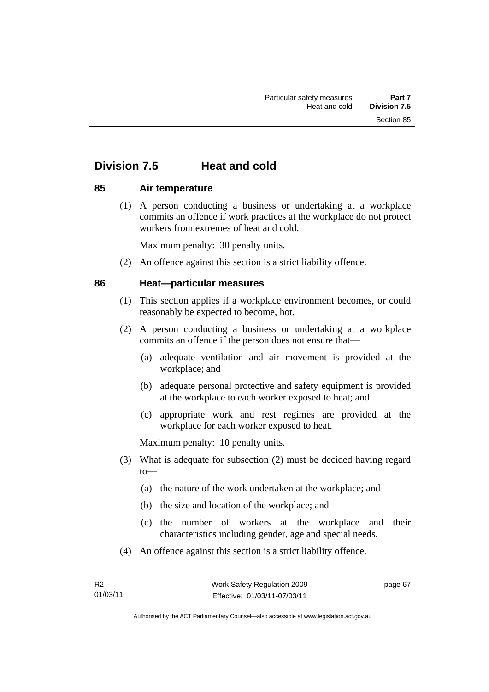# **Division 7.5 Heat and cold**

#### **85 Air temperature**

 (1) A person conducting a business or undertaking at a workplace commits an offence if work practices at the workplace do not protect workers from extremes of heat and cold.

Maximum penalty: 30 penalty units.

(2) An offence against this section is a strict liability offence.

#### **86 Heat—particular measures**

- (1) This section applies if a workplace environment becomes, or could reasonably be expected to become, hot.
- (2) A person conducting a business or undertaking at a workplace commits an offence if the person does not ensure that—
	- (a) adequate ventilation and air movement is provided at the workplace; and
	- (b) adequate personal protective and safety equipment is provided at the workplace to each worker exposed to heat; and
	- (c) appropriate work and rest regimes are provided at the workplace for each worker exposed to heat.

Maximum penalty: 10 penalty units.

- (3) What is adequate for subsection (2) must be decided having regard to—
	- (a) the nature of the work undertaken at the workplace; and
	- (b) the size and location of the workplace; and
	- (c) the number of workers at the workplace and their characteristics including gender, age and special needs.
- (4) An offence against this section is a strict liability offence.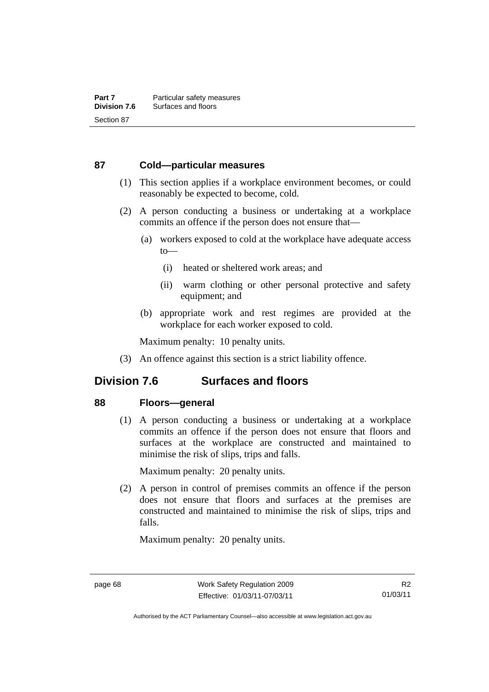#### **87 Cold—particular measures**

- (1) This section applies if a workplace environment becomes, or could reasonably be expected to become, cold.
- (2) A person conducting a business or undertaking at a workplace commits an offence if the person does not ensure that—
	- (a) workers exposed to cold at the workplace have adequate access to—
		- (i) heated or sheltered work areas; and
		- (ii) warm clothing or other personal protective and safety equipment; and
	- (b) appropriate work and rest regimes are provided at the workplace for each worker exposed to cold.

Maximum penalty: 10 penalty units.

(3) An offence against this section is a strict liability offence.

## **Division 7.6 Surfaces and floors**

#### **88 Floors—general**

 (1) A person conducting a business or undertaking at a workplace commits an offence if the person does not ensure that floors and surfaces at the workplace are constructed and maintained to minimise the risk of slips, trips and falls.

Maximum penalty: 20 penalty units.

 (2) A person in control of premises commits an offence if the person does not ensure that floors and surfaces at the premises are constructed and maintained to minimise the risk of slips, trips and falls.

Authorised by the ACT Parliamentary Counsel—also accessible at www.legislation.act.gov.au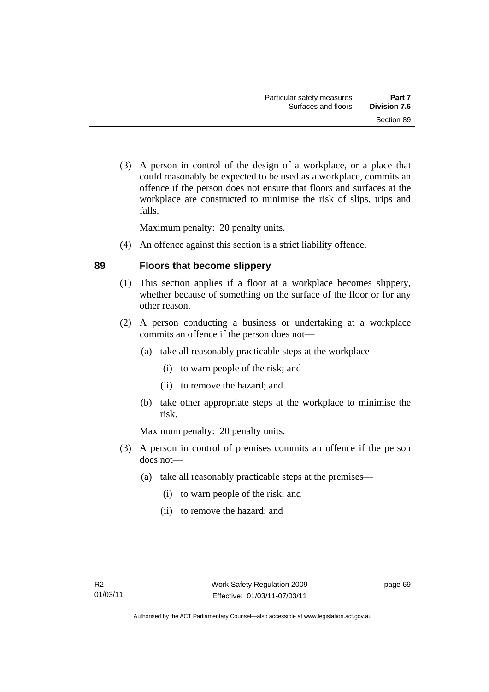(3) A person in control of the design of a workplace, or a place that could reasonably be expected to be used as a workplace, commits an offence if the person does not ensure that floors and surfaces at the workplace are constructed to minimise the risk of slips, trips and falls.

Maximum penalty: 20 penalty units.

(4) An offence against this section is a strict liability offence.

#### **89 Floors that become slippery**

- (1) This section applies if a floor at a workplace becomes slippery, whether because of something on the surface of the floor or for any other reason.
- (2) A person conducting a business or undertaking at a workplace commits an offence if the person does not—
	- (a) take all reasonably practicable steps at the workplace—
		- (i) to warn people of the risk; and
		- (ii) to remove the hazard; and
	- (b) take other appropriate steps at the workplace to minimise the risk.

Maximum penalty: 20 penalty units.

- (3) A person in control of premises commits an offence if the person does not—
	- (a) take all reasonably practicable steps at the premises—
		- (i) to warn people of the risk; and
		- (ii) to remove the hazard; and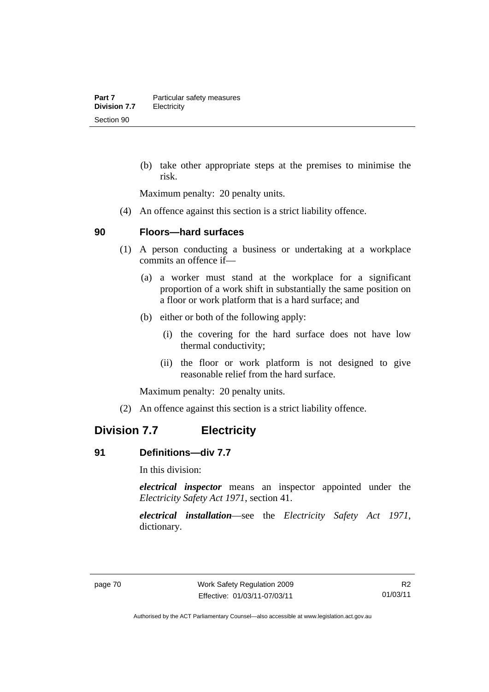(b) take other appropriate steps at the premises to minimise the risk.

Maximum penalty: 20 penalty units.

(4) An offence against this section is a strict liability offence.

#### **90 Floors—hard surfaces**

- (1) A person conducting a business or undertaking at a workplace commits an offence if—
	- (a) a worker must stand at the workplace for a significant proportion of a work shift in substantially the same position on a floor or work platform that is a hard surface; and
	- (b) either or both of the following apply:
		- (i) the covering for the hard surface does not have low thermal conductivity;
		- (ii) the floor or work platform is not designed to give reasonable relief from the hard surface.

Maximum penalty: 20 penalty units.

(2) An offence against this section is a strict liability offence.

# **Division 7.7 Electricity**

#### **91 Definitions—div 7.7**

In this division:

*electrical inspector* means an inspector appointed under the *Electricity Safety Act 1971*, section 41.

*electrical installation*—see the *Electricity Safety Act 1971*, dictionary.

Authorised by the ACT Parliamentary Counsel—also accessible at www.legislation.act.gov.au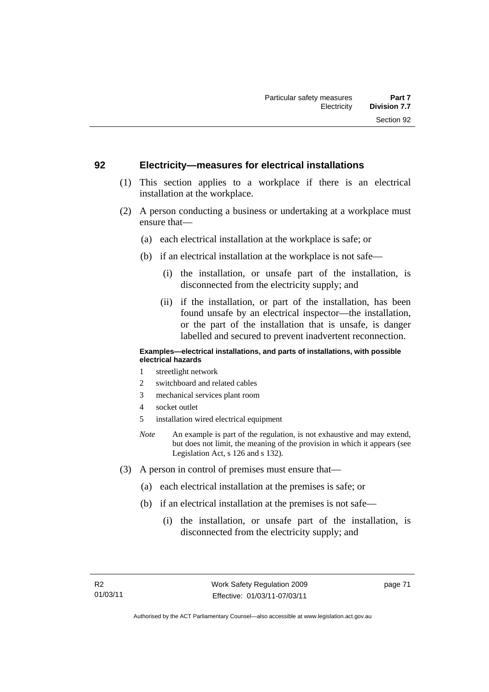#### **92 Electricity—measures for electrical installations**

- (1) This section applies to a workplace if there is an electrical installation at the workplace.
- (2) A person conducting a business or undertaking at a workplace must ensure that—
	- (a) each electrical installation at the workplace is safe; or
	- (b) if an electrical installation at the workplace is not safe—
		- (i) the installation, or unsafe part of the installation, is disconnected from the electricity supply; and
		- (ii) if the installation, or part of the installation, has been found unsafe by an electrical inspector—the installation, or the part of the installation that is unsafe, is danger labelled and secured to prevent inadvertent reconnection.

#### **Examples—electrical installations, and parts of installations, with possible electrical hazards**

- 1 streetlight network
- 2 switchboard and related cables
- 3 mechanical services plant room
- 4 socket outlet
- 5 installation wired electrical equipment
- *Note* An example is part of the regulation, is not exhaustive and may extend, but does not limit, the meaning of the provision in which it appears (see Legislation Act, s 126 and s 132).
- (3) A person in control of premises must ensure that—
	- (a) each electrical installation at the premises is safe; or
	- (b) if an electrical installation at the premises is not safe—
		- (i) the installation, or unsafe part of the installation, is disconnected from the electricity supply; and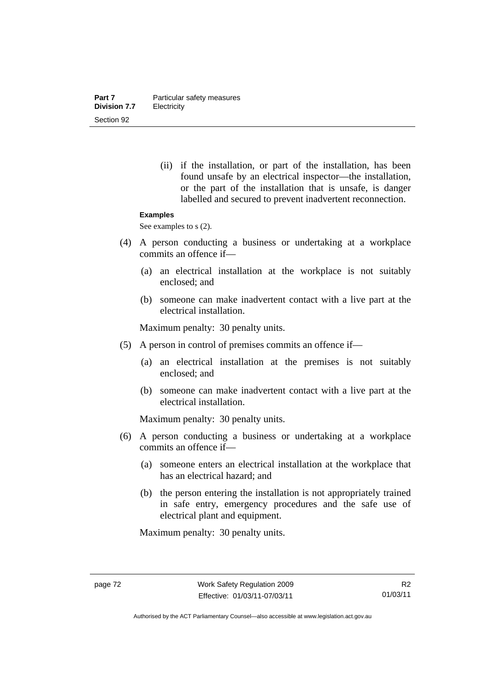(ii) if the installation, or part of the installation, has been found unsafe by an electrical inspector—the installation, or the part of the installation that is unsafe, is danger labelled and secured to prevent inadvertent reconnection.

#### **Examples**

See examples to s  $(2)$ .

- (4) A person conducting a business or undertaking at a workplace commits an offence if—
	- (a) an electrical installation at the workplace is not suitably enclosed; and
	- (b) someone can make inadvertent contact with a live part at the electrical installation.

Maximum penalty: 30 penalty units.

- (5) A person in control of premises commits an offence if—
	- (a) an electrical installation at the premises is not suitably enclosed; and
	- (b) someone can make inadvertent contact with a live part at the electrical installation.

Maximum penalty: 30 penalty units.

- (6) A person conducting a business or undertaking at a workplace commits an offence if—
	- (a) someone enters an electrical installation at the workplace that has an electrical hazard; and
	- (b) the person entering the installation is not appropriately trained in safe entry, emergency procedures and the safe use of electrical plant and equipment.

Authorised by the ACT Parliamentary Counsel—also accessible at www.legislation.act.gov.au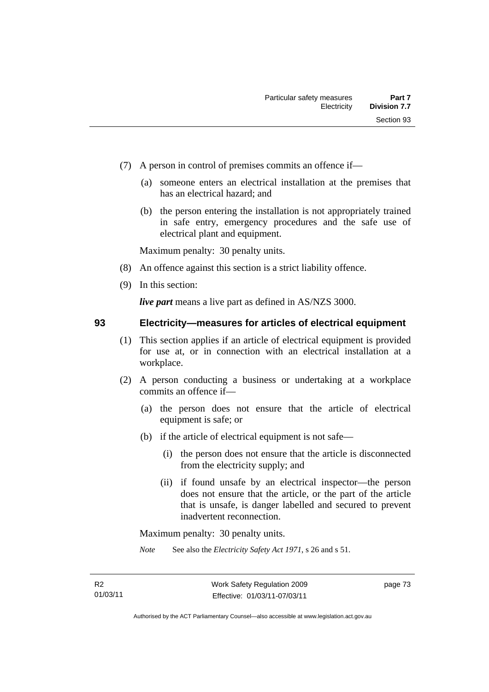- (7) A person in control of premises commits an offence if—
	- (a) someone enters an electrical installation at the premises that has an electrical hazard; and
	- (b) the person entering the installation is not appropriately trained in safe entry, emergency procedures and the safe use of electrical plant and equipment.

- (8) An offence against this section is a strict liability offence.
- (9) In this section:

*live part* means a live part as defined in AS/NZS 3000.

#### **93 Electricity—measures for articles of electrical equipment**

- (1) This section applies if an article of electrical equipment is provided for use at, or in connection with an electrical installation at a workplace.
- (2) A person conducting a business or undertaking at a workplace commits an offence if—
	- (a) the person does not ensure that the article of electrical equipment is safe; or
	- (b) if the article of electrical equipment is not safe—
		- (i) the person does not ensure that the article is disconnected from the electricity supply; and
		- (ii) if found unsafe by an electrical inspector—the person does not ensure that the article, or the part of the article that is unsafe, is danger labelled and secured to prevent inadvertent reconnection.

Maximum penalty: 30 penalty units.

*Note* See also the *Electricity Safety Act 1971*, s 26 and s 51.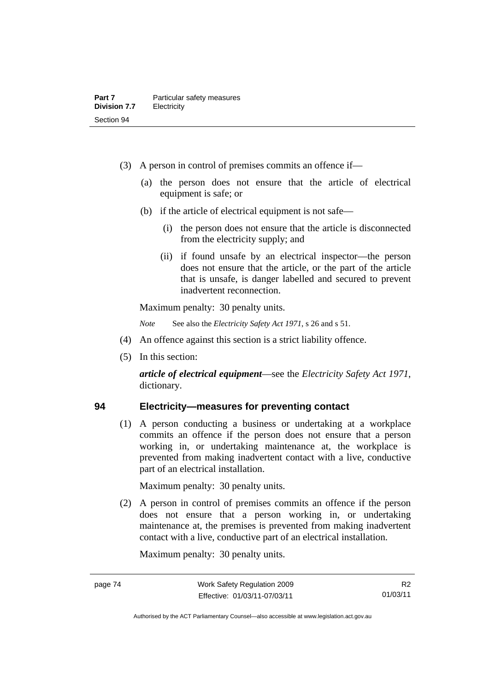- (3) A person in control of premises commits an offence if—
	- (a) the person does not ensure that the article of electrical equipment is safe; or
	- (b) if the article of electrical equipment is not safe—
		- (i) the person does not ensure that the article is disconnected from the electricity supply; and
		- (ii) if found unsafe by an electrical inspector—the person does not ensure that the article, or the part of the article that is unsafe, is danger labelled and secured to prevent inadvertent reconnection.

*Note* See also the *Electricity Safety Act 1971*, s 26 and s 51.

- (4) An offence against this section is a strict liability offence.
- (5) In this section:

*article of electrical equipment*—see the *Electricity Safety Act 1971*, dictionary.

### **94 Electricity—measures for preventing contact**

 (1) A person conducting a business or undertaking at a workplace commits an offence if the person does not ensure that a person working in, or undertaking maintenance at, the workplace is prevented from making inadvertent contact with a live, conductive part of an electrical installation.

Maximum penalty: 30 penalty units.

 (2) A person in control of premises commits an offence if the person does not ensure that a person working in, or undertaking maintenance at, the premises is prevented from making inadvertent contact with a live, conductive part of an electrical installation.

R2 01/03/11

Authorised by the ACT Parliamentary Counsel—also accessible at www.legislation.act.gov.au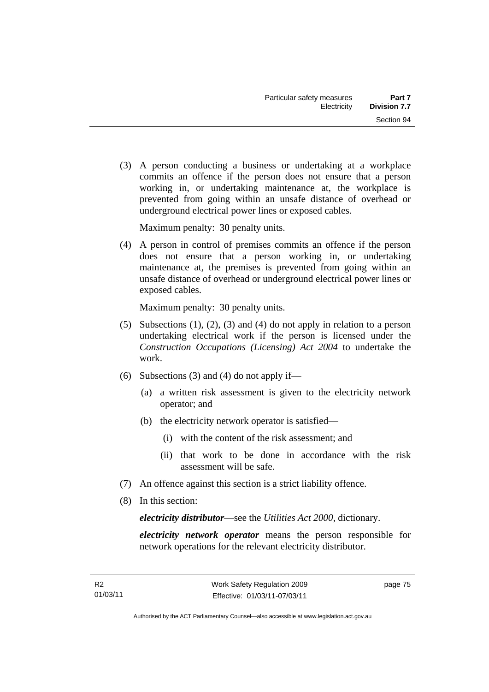(3) A person conducting a business or undertaking at a workplace commits an offence if the person does not ensure that a person working in, or undertaking maintenance at, the workplace is prevented from going within an unsafe distance of overhead or underground electrical power lines or exposed cables.

Maximum penalty: 30 penalty units.

 (4) A person in control of premises commits an offence if the person does not ensure that a person working in, or undertaking maintenance at, the premises is prevented from going within an unsafe distance of overhead or underground electrical power lines or exposed cables.

Maximum penalty: 30 penalty units.

- (5) Subsections (1), (2), (3) and (4) do not apply in relation to a person undertaking electrical work if the person is licensed under the *Construction Occupations (Licensing) Act 2004* to undertake the work.
- (6) Subsections (3) and (4) do not apply if—
	- (a) a written risk assessment is given to the electricity network operator; and
	- (b) the electricity network operator is satisfied—
		- (i) with the content of the risk assessment; and
		- (ii) that work to be done in accordance with the risk assessment will be safe.
- (7) An offence against this section is a strict liability offence.
- (8) In this section:

*electricity distributor*—see the *Utilities Act 2000*, dictionary.

*electricity network operator* means the person responsible for network operations for the relevant electricity distributor.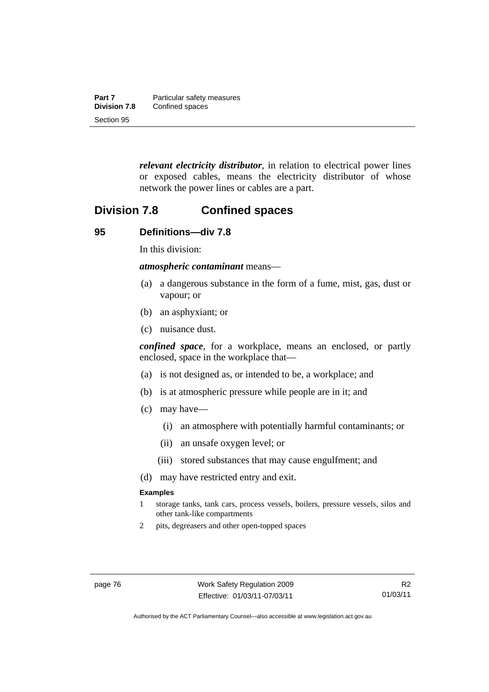| Part 7              | Particular safety measures |
|---------------------|----------------------------|
| <b>Division 7.8</b> | Confined spaces            |
| Section 95          |                            |

*relevant electricity distributor*, in relation to electrical power lines or exposed cables, means the electricity distributor of whose network the power lines or cables are a part.

## **Division 7.8 Confined spaces**

#### **95 Definitions—div 7.8**

In this division:

*atmospheric contaminant* means—

- (a) a dangerous substance in the form of a fume, mist, gas, dust or vapour; or
- (b) an asphyxiant; or
- (c) nuisance dust.

*confined space*, for a workplace, means an enclosed, or partly enclosed, space in the workplace that—

- (a) is not designed as, or intended to be, a workplace; and
- (b) is at atmospheric pressure while people are in it; and
- (c) may have—
	- (i) an atmosphere with potentially harmful contaminants; or
	- (ii) an unsafe oxygen level; or
	- (iii) stored substances that may cause engulfment; and
- (d) may have restricted entry and exit.

#### **Examples**

- 1 storage tanks, tank cars, process vessels, boilers, pressure vessels, silos and other tank-like compartments
- 2 pits, degreasers and other open-topped spaces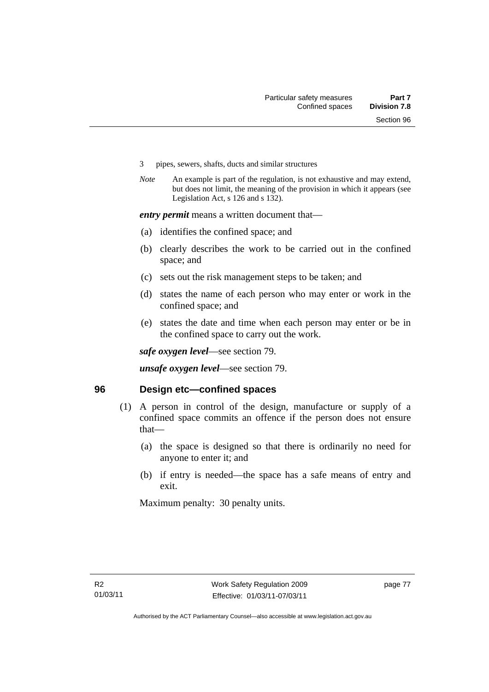- 3 pipes, sewers, shafts, ducts and similar structures
- *Note* An example is part of the regulation, is not exhaustive and may extend, but does not limit, the meaning of the provision in which it appears (see Legislation Act, s 126 and s 132).

*entry permit* means a written document that—

- (a) identifies the confined space; and
- (b) clearly describes the work to be carried out in the confined space; and
- (c) sets out the risk management steps to be taken; and
- (d) states the name of each person who may enter or work in the confined space; and
- (e) states the date and time when each person may enter or be in the confined space to carry out the work.

*safe oxygen level*—see section 79.

*unsafe oxygen level*—see section 79.

#### **96 Design etc—confined spaces**

- (1) A person in control of the design, manufacture or supply of a confined space commits an offence if the person does not ensure that—
	- (a) the space is designed so that there is ordinarily no need for anyone to enter it; and
	- (b) if entry is needed—the space has a safe means of entry and exit.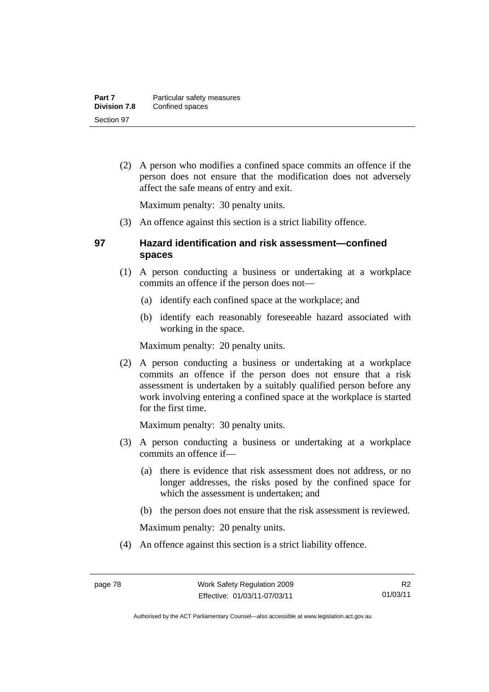(2) A person who modifies a confined space commits an offence if the person does not ensure that the modification does not adversely affect the safe means of entry and exit.

Maximum penalty: 30 penalty units.

(3) An offence against this section is a strict liability offence.

### **97 Hazard identification and risk assessment—confined spaces**

- (1) A person conducting a business or undertaking at a workplace commits an offence if the person does not—
	- (a) identify each confined space at the workplace; and
	- (b) identify each reasonably foreseeable hazard associated with working in the space.

Maximum penalty: 20 penalty units.

 (2) A person conducting a business or undertaking at a workplace commits an offence if the person does not ensure that a risk assessment is undertaken by a suitably qualified person before any work involving entering a confined space at the workplace is started for the first time.

Maximum penalty: 30 penalty units.

- (3) A person conducting a business or undertaking at a workplace commits an offence if—
	- (a) there is evidence that risk assessment does not address, or no longer addresses, the risks posed by the confined space for which the assessment is undertaken; and
	- (b) the person does not ensure that the risk assessment is reviewed.

Maximum penalty: 20 penalty units.

(4) An offence against this section is a strict liability offence.

Authorised by the ACT Parliamentary Counsel—also accessible at www.legislation.act.gov.au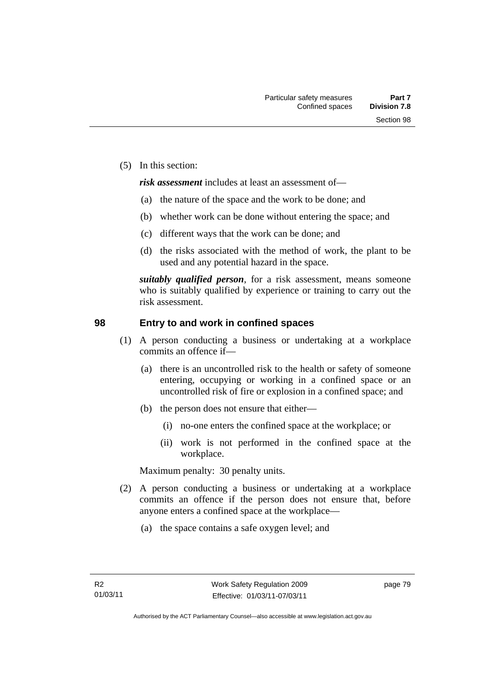(5) In this section:

*risk assessment* includes at least an assessment of—

- (a) the nature of the space and the work to be done; and
- (b) whether work can be done without entering the space; and
- (c) different ways that the work can be done; and
- (d) the risks associated with the method of work, the plant to be used and any potential hazard in the space.

*suitably qualified person*, for a risk assessment, means someone who is suitably qualified by experience or training to carry out the risk assessment.

#### **98 Entry to and work in confined spaces**

- (1) A person conducting a business or undertaking at a workplace commits an offence if—
	- (a) there is an uncontrolled risk to the health or safety of someone entering, occupying or working in a confined space or an uncontrolled risk of fire or explosion in a confined space; and
	- (b) the person does not ensure that either—
		- (i) no-one enters the confined space at the workplace; or
		- (ii) work is not performed in the confined space at the workplace.

- (2) A person conducting a business or undertaking at a workplace commits an offence if the person does not ensure that, before anyone enters a confined space at the workplace—
	- (a) the space contains a safe oxygen level; and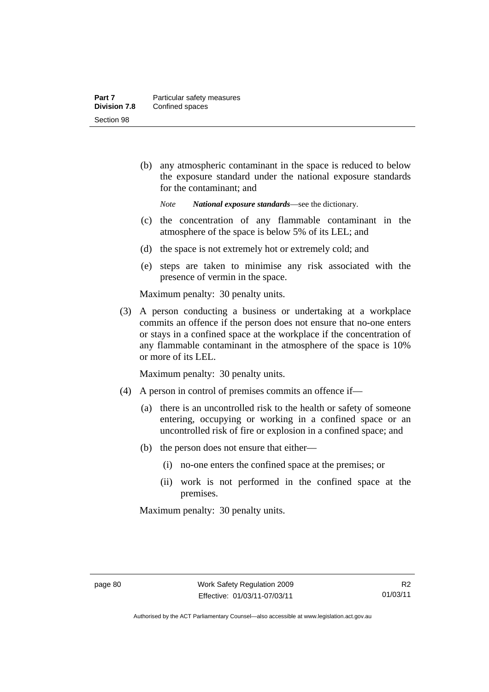(b) any atmospheric contaminant in the space is reduced to below the exposure standard under the national exposure standards for the contaminant; and

*Note National exposure standards*—see the dictionary.

- (c) the concentration of any flammable contaminant in the atmosphere of the space is below 5% of its LEL; and
- (d) the space is not extremely hot or extremely cold; and
- (e) steps are taken to minimise any risk associated with the presence of vermin in the space.

Maximum penalty: 30 penalty units.

 (3) A person conducting a business or undertaking at a workplace commits an offence if the person does not ensure that no-one enters or stays in a confined space at the workplace if the concentration of any flammable contaminant in the atmosphere of the space is 10% or more of its LEL.

Maximum penalty: 30 penalty units.

- (4) A person in control of premises commits an offence if—
	- (a) there is an uncontrolled risk to the health or safety of someone entering, occupying or working in a confined space or an uncontrolled risk of fire or explosion in a confined space; and
	- (b) the person does not ensure that either—
		- (i) no-one enters the confined space at the premises; or
		- (ii) work is not performed in the confined space at the premises.

Authorised by the ACT Parliamentary Counsel—also accessible at www.legislation.act.gov.au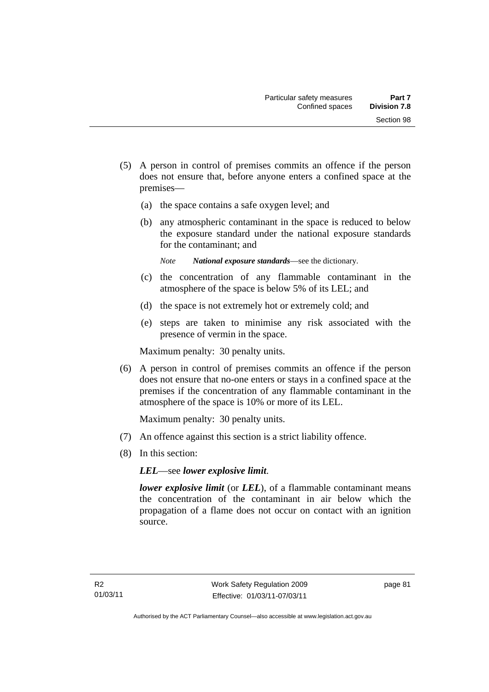- (5) A person in control of premises commits an offence if the person does not ensure that, before anyone enters a confined space at the premises—
	- (a) the space contains a safe oxygen level; and
	- (b) any atmospheric contaminant in the space is reduced to below the exposure standard under the national exposure standards for the contaminant; and
		- *Note National exposure standards*—see the dictionary.
	- (c) the concentration of any flammable contaminant in the atmosphere of the space is below 5% of its LEL; and
	- (d) the space is not extremely hot or extremely cold; and
	- (e) steps are taken to minimise any risk associated with the presence of vermin in the space.

 (6) A person in control of premises commits an offence if the person does not ensure that no-one enters or stays in a confined space at the premises if the concentration of any flammable contaminant in the atmosphere of the space is 10% or more of its LEL.

Maximum penalty: 30 penalty units.

- (7) An offence against this section is a strict liability offence.
- (8) In this section:

*LEL*—see *lower explosive limit*.

*lower explosive limit* (or *LEL*), of a flammable contaminant means the concentration of the contaminant in air below which the propagation of a flame does not occur on contact with an ignition source.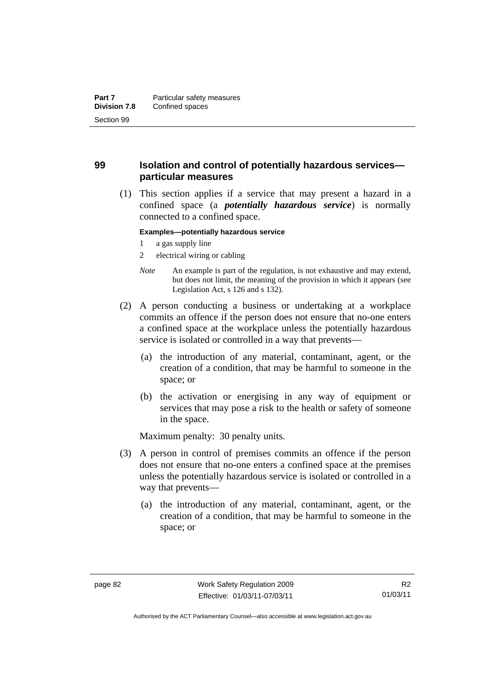### **99 Isolation and control of potentially hazardous services particular measures**

 (1) This section applies if a service that may present a hazard in a confined space (a *potentially hazardous service*) is normally connected to a confined space.

#### **Examples—potentially hazardous service**

- 1 a gas supply line
- 2 electrical wiring or cabling
- *Note* An example is part of the regulation, is not exhaustive and may extend, but does not limit, the meaning of the provision in which it appears (see Legislation Act, s 126 and s 132).
- (2) A person conducting a business or undertaking at a workplace commits an offence if the person does not ensure that no-one enters a confined space at the workplace unless the potentially hazardous service is isolated or controlled in a way that prevents—
	- (a) the introduction of any material, contaminant, agent, or the creation of a condition, that may be harmful to someone in the space; or
	- (b) the activation or energising in any way of equipment or services that may pose a risk to the health or safety of someone in the space.

- (3) A person in control of premises commits an offence if the person does not ensure that no-one enters a confined space at the premises unless the potentially hazardous service is isolated or controlled in a way that prevents—
	- (a) the introduction of any material, contaminant, agent, or the creation of a condition, that may be harmful to someone in the space; or

Authorised by the ACT Parliamentary Counsel—also accessible at www.legislation.act.gov.au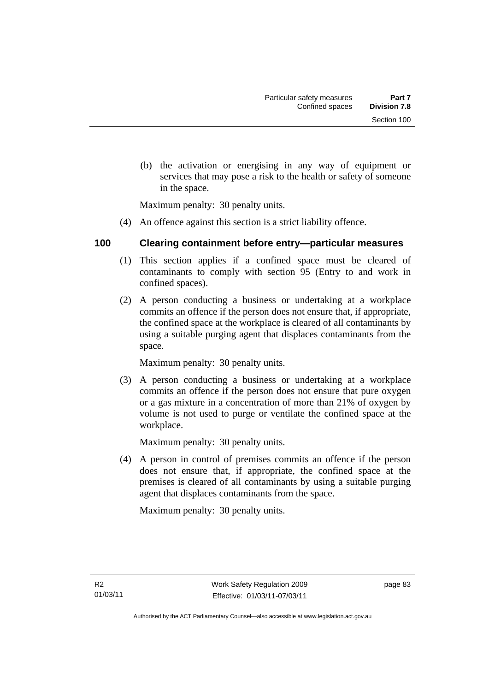(b) the activation or energising in any way of equipment or services that may pose a risk to the health or safety of someone in the space.

Maximum penalty: 30 penalty units.

(4) An offence against this section is a strict liability offence.

### **100 Clearing containment before entry—particular measures**

- (1) This section applies if a confined space must be cleared of contaminants to comply with section 95 (Entry to and work in confined spaces).
- (2) A person conducting a business or undertaking at a workplace commits an offence if the person does not ensure that, if appropriate, the confined space at the workplace is cleared of all contaminants by using a suitable purging agent that displaces contaminants from the space.

Maximum penalty: 30 penalty units.

 (3) A person conducting a business or undertaking at a workplace commits an offence if the person does not ensure that pure oxygen or a gas mixture in a concentration of more than 21% of oxygen by volume is not used to purge or ventilate the confined space at the workplace.

Maximum penalty: 30 penalty units.

 (4) A person in control of premises commits an offence if the person does not ensure that, if appropriate, the confined space at the premises is cleared of all contaminants by using a suitable purging agent that displaces contaminants from the space.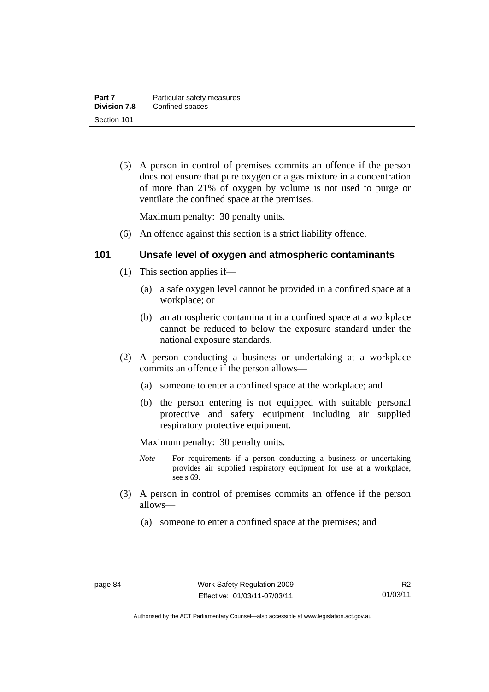(5) A person in control of premises commits an offence if the person does not ensure that pure oxygen or a gas mixture in a concentration of more than 21% of oxygen by volume is not used to purge or ventilate the confined space at the premises.

Maximum penalty: 30 penalty units.

(6) An offence against this section is a strict liability offence.

### **101 Unsafe level of oxygen and atmospheric contaminants**

- (1) This section applies if—
	- (a) a safe oxygen level cannot be provided in a confined space at a workplace; or
	- (b) an atmospheric contaminant in a confined space at a workplace cannot be reduced to below the exposure standard under the national exposure standards.
- (2) A person conducting a business or undertaking at a workplace commits an offence if the person allows—
	- (a) someone to enter a confined space at the workplace; and
	- (b) the person entering is not equipped with suitable personal protective and safety equipment including air supplied respiratory protective equipment.

- *Note* For requirements if a person conducting a business or undertaking provides air supplied respiratory equipment for use at a workplace, see s 69.
- (3) A person in control of premises commits an offence if the person allows—
	- (a) someone to enter a confined space at the premises; and

Authorised by the ACT Parliamentary Counsel—also accessible at www.legislation.act.gov.au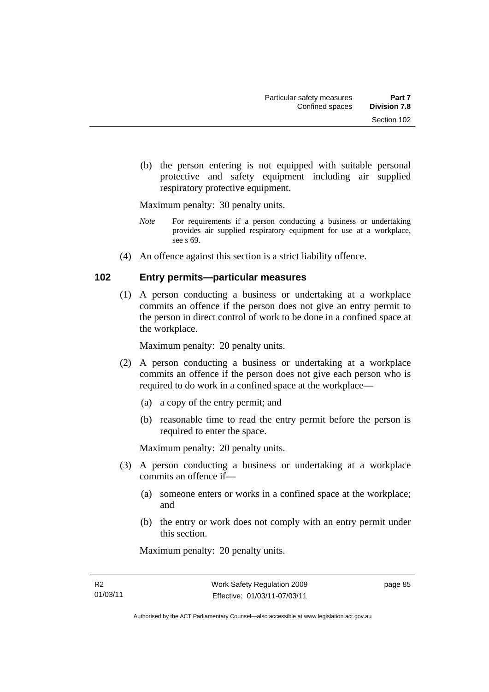(b) the person entering is not equipped with suitable personal protective and safety equipment including air supplied respiratory protective equipment.

Maximum penalty: 30 penalty units.

- *Note* For requirements if a person conducting a business or undertaking provides air supplied respiratory equipment for use at a workplace, see s 69.
- (4) An offence against this section is a strict liability offence.

#### **102 Entry permits—particular measures**

 (1) A person conducting a business or undertaking at a workplace commits an offence if the person does not give an entry permit to the person in direct control of work to be done in a confined space at the workplace.

Maximum penalty: 20 penalty units.

- (2) A person conducting a business or undertaking at a workplace commits an offence if the person does not give each person who is required to do work in a confined space at the workplace—
	- (a) a copy of the entry permit; and
	- (b) reasonable time to read the entry permit before the person is required to enter the space.

Maximum penalty: 20 penalty units.

- (3) A person conducting a business or undertaking at a workplace commits an offence if—
	- (a) someone enters or works in a confined space at the workplace; and
	- (b) the entry or work does not comply with an entry permit under this section.

Maximum penalty: 20 penalty units.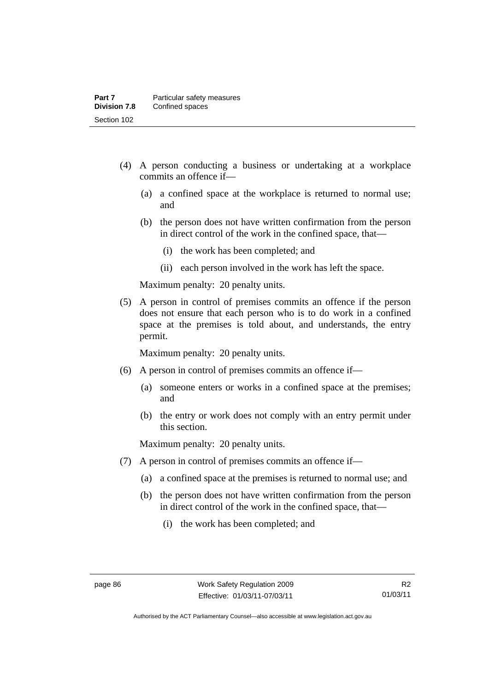- (4) A person conducting a business or undertaking at a workplace commits an offence if—
	- (a) a confined space at the workplace is returned to normal use; and
	- (b) the person does not have written confirmation from the person in direct control of the work in the confined space, that—
		- (i) the work has been completed; and
		- (ii) each person involved in the work has left the space.

 (5) A person in control of premises commits an offence if the person does not ensure that each person who is to do work in a confined space at the premises is told about, and understands, the entry permit.

Maximum penalty: 20 penalty units.

- (6) A person in control of premises commits an offence if—
	- (a) someone enters or works in a confined space at the premises; and
	- (b) the entry or work does not comply with an entry permit under this section.

- (7) A person in control of premises commits an offence if—
	- (a) a confined space at the premises is returned to normal use; and
	- (b) the person does not have written confirmation from the person in direct control of the work in the confined space, that—
		- (i) the work has been completed; and

R2 01/03/11

Authorised by the ACT Parliamentary Counsel—also accessible at www.legislation.act.gov.au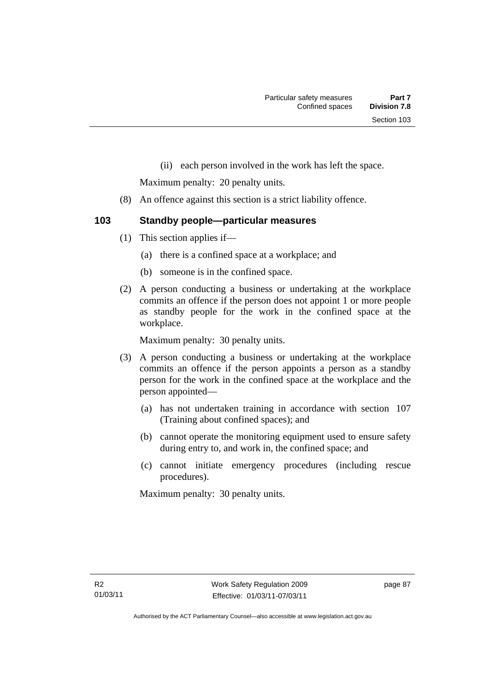(ii) each person involved in the work has left the space.

Maximum penalty: 20 penalty units.

- (8) An offence against this section is a strict liability offence.
- **103 Standby people—particular measures** 
	- (1) This section applies if—
		- (a) there is a confined space at a workplace; and
		- (b) someone is in the confined space.
	- (2) A person conducting a business or undertaking at the workplace commits an offence if the person does not appoint 1 or more people as standby people for the work in the confined space at the workplace.

Maximum penalty: 30 penalty units.

- (3) A person conducting a business or undertaking at the workplace commits an offence if the person appoints a person as a standby person for the work in the confined space at the workplace and the person appointed—
	- (a) has not undertaken training in accordance with section 107 (Training about confined spaces); and
	- (b) cannot operate the monitoring equipment used to ensure safety during entry to, and work in, the confined space; and
	- (c) cannot initiate emergency procedures (including rescue procedures).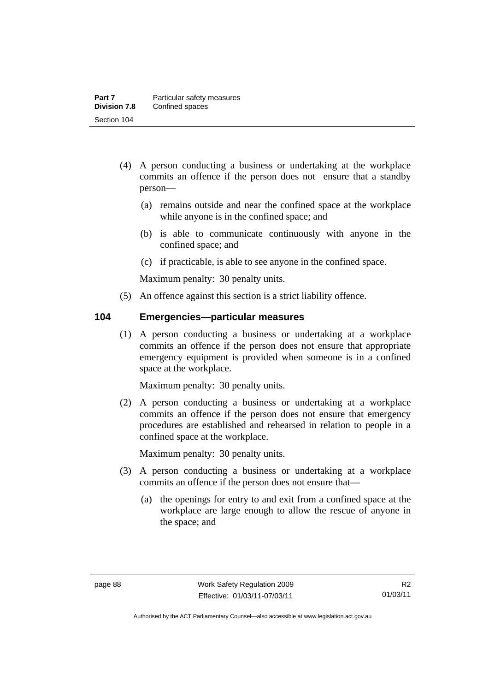- (4) A person conducting a business or undertaking at the workplace commits an offence if the person does not ensure that a standby person—
	- (a) remains outside and near the confined space at the workplace while anyone is in the confined space; and
	- (b) is able to communicate continuously with anyone in the confined space; and
	- (c) if practicable, is able to see anyone in the confined space.

(5) An offence against this section is a strict liability offence.

#### **104 Emergencies—particular measures**

 (1) A person conducting a business or undertaking at a workplace commits an offence if the person does not ensure that appropriate emergency equipment is provided when someone is in a confined space at the workplace.

Maximum penalty: 30 penalty units.

 (2) A person conducting a business or undertaking at a workplace commits an offence if the person does not ensure that emergency procedures are established and rehearsed in relation to people in a confined space at the workplace.

- (3) A person conducting a business or undertaking at a workplace commits an offence if the person does not ensure that—
	- (a) the openings for entry to and exit from a confined space at the workplace are large enough to allow the rescue of anyone in the space; and

Authorised by the ACT Parliamentary Counsel—also accessible at www.legislation.act.gov.au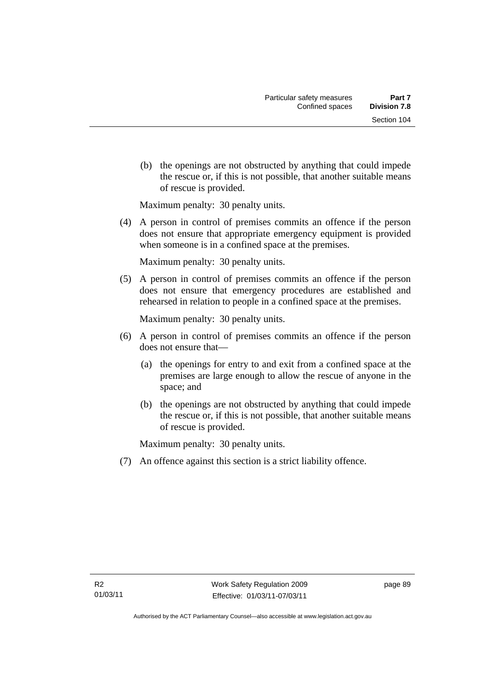(b) the openings are not obstructed by anything that could impede the rescue or, if this is not possible, that another suitable means of rescue is provided.

Maximum penalty: 30 penalty units.

 (4) A person in control of premises commits an offence if the person does not ensure that appropriate emergency equipment is provided when someone is in a confined space at the premises.

Maximum penalty: 30 penalty units.

 (5) A person in control of premises commits an offence if the person does not ensure that emergency procedures are established and rehearsed in relation to people in a confined space at the premises.

Maximum penalty: 30 penalty units.

- (6) A person in control of premises commits an offence if the person does not ensure that—
	- (a) the openings for entry to and exit from a confined space at the premises are large enough to allow the rescue of anyone in the space; and
	- (b) the openings are not obstructed by anything that could impede the rescue or, if this is not possible, that another suitable means of rescue is provided.

Maximum penalty: 30 penalty units.

(7) An offence against this section is a strict liability offence.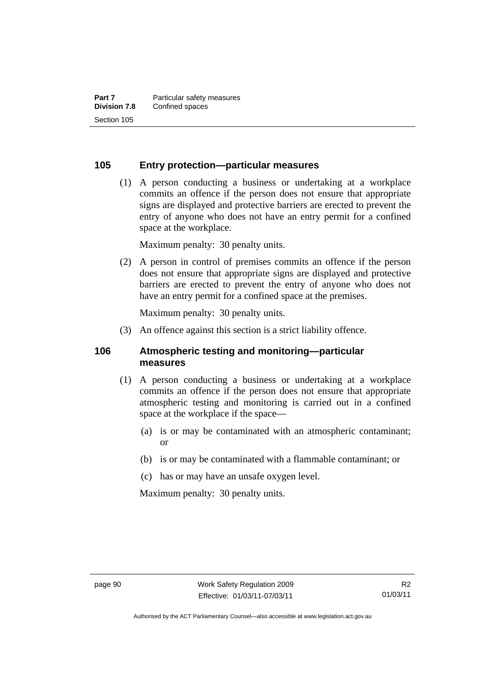### **105 Entry protection—particular measures**

 (1) A person conducting a business or undertaking at a workplace commits an offence if the person does not ensure that appropriate signs are displayed and protective barriers are erected to prevent the entry of anyone who does not have an entry permit for a confined space at the workplace.

Maximum penalty: 30 penalty units.

 (2) A person in control of premises commits an offence if the person does not ensure that appropriate signs are displayed and protective barriers are erected to prevent the entry of anyone who does not have an entry permit for a confined space at the premises.

Maximum penalty: 30 penalty units.

(3) An offence against this section is a strict liability offence.

#### **106 Atmospheric testing and monitoring—particular measures**

- (1) A person conducting a business or undertaking at a workplace commits an offence if the person does not ensure that appropriate atmospheric testing and monitoring is carried out in a confined space at the workplace if the space—
	- (a) is or may be contaminated with an atmospheric contaminant; or
	- (b) is or may be contaminated with a flammable contaminant; or
	- (c) has or may have an unsafe oxygen level.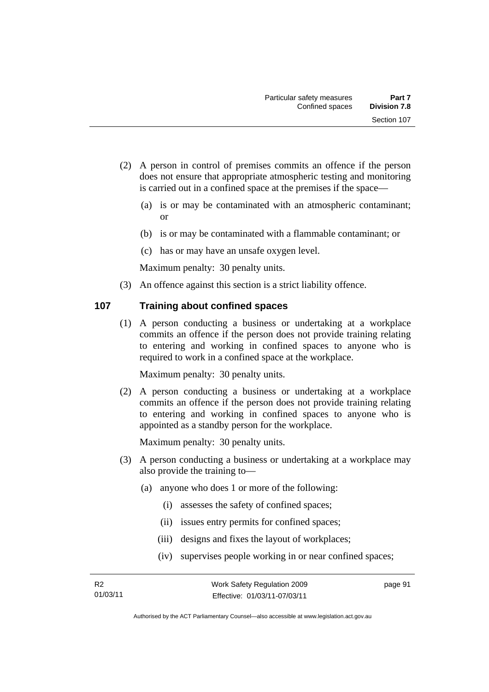- (2) A person in control of premises commits an offence if the person does not ensure that appropriate atmospheric testing and monitoring is carried out in a confined space at the premises if the space—
	- (a) is or may be contaminated with an atmospheric contaminant; or
	- (b) is or may be contaminated with a flammable contaminant; or
	- (c) has or may have an unsafe oxygen level.

(3) An offence against this section is a strict liability offence.

#### **107 Training about confined spaces**

 (1) A person conducting a business or undertaking at a workplace commits an offence if the person does not provide training relating to entering and working in confined spaces to anyone who is required to work in a confined space at the workplace.

Maximum penalty: 30 penalty units.

 (2) A person conducting a business or undertaking at a workplace commits an offence if the person does not provide training relating to entering and working in confined spaces to anyone who is appointed as a standby person for the workplace.

Maximum penalty: 30 penalty units.

- (3) A person conducting a business or undertaking at a workplace may also provide the training to—
	- (a) anyone who does 1 or more of the following:
		- (i) assesses the safety of confined spaces;
		- (ii) issues entry permits for confined spaces;
		- (iii) designs and fixes the layout of workplaces;
		- (iv) supervises people working in or near confined spaces;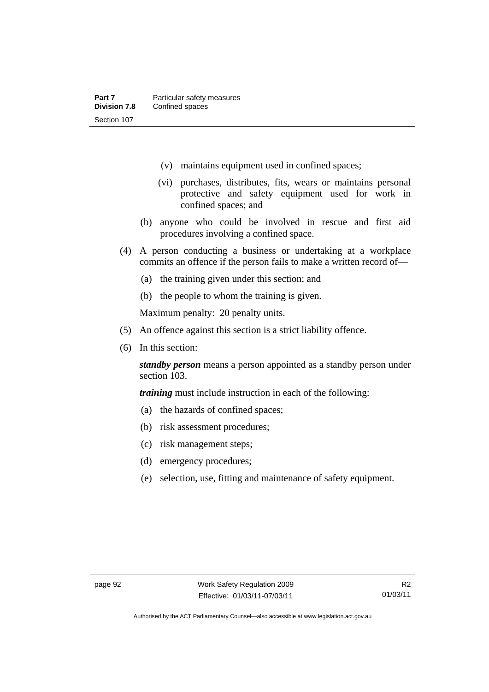- (v) maintains equipment used in confined spaces;
- (vi) purchases, distributes, fits, wears or maintains personal protective and safety equipment used for work in confined spaces; and
- (b) anyone who could be involved in rescue and first aid procedures involving a confined space.
- (4) A person conducting a business or undertaking at a workplace commits an offence if the person fails to make a written record of—
	- (a) the training given under this section; and
	- (b) the people to whom the training is given.

- (5) An offence against this section is a strict liability offence.
- (6) In this section:

*standby person* means a person appointed as a standby person under section 103.

*training* must include instruction in each of the following:

- (a) the hazards of confined spaces;
- (b) risk assessment procedures;
- (c) risk management steps;
- (d) emergency procedures;
- (e) selection, use, fitting and maintenance of safety equipment.

Authorised by the ACT Parliamentary Counsel—also accessible at www.legislation.act.gov.au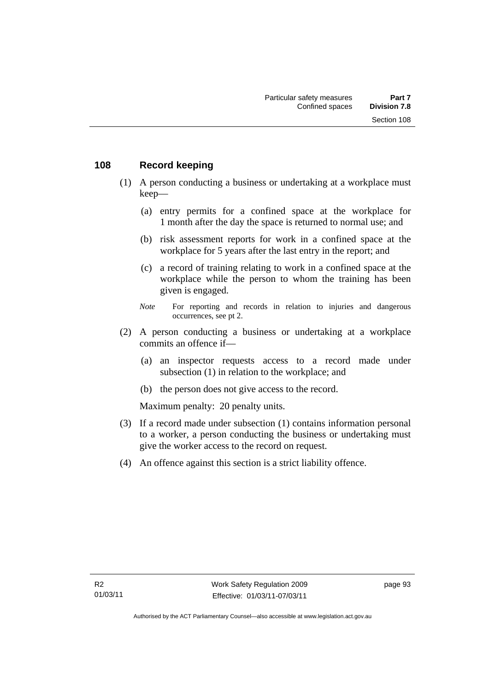#### **108 Record keeping**

- (1) A person conducting a business or undertaking at a workplace must keep—
	- (a) entry permits for a confined space at the workplace for 1 month after the day the space is returned to normal use; and
	- (b) risk assessment reports for work in a confined space at the workplace for 5 years after the last entry in the report; and
	- (c) a record of training relating to work in a confined space at the workplace while the person to whom the training has been given is engaged.
	- *Note* For reporting and records in relation to injuries and dangerous occurrences, see pt 2.
- (2) A person conducting a business or undertaking at a workplace commits an offence if—
	- (a) an inspector requests access to a record made under subsection (1) in relation to the workplace; and
	- (b) the person does not give access to the record.

- (3) If a record made under subsection (1) contains information personal to a worker, a person conducting the business or undertaking must give the worker access to the record on request.
- (4) An offence against this section is a strict liability offence.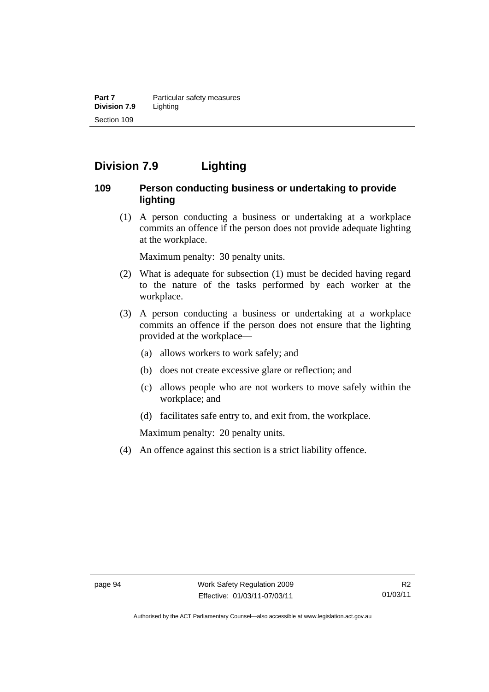**Part 7 Particular safety measures Division 7.9** Lighting Section 109

# **Division 7.9 Lighting**

#### **109 Person conducting business or undertaking to provide lighting**

 (1) A person conducting a business or undertaking at a workplace commits an offence if the person does not provide adequate lighting at the workplace.

Maximum penalty: 30 penalty units.

- (2) What is adequate for subsection (1) must be decided having regard to the nature of the tasks performed by each worker at the workplace.
- (3) A person conducting a business or undertaking at a workplace commits an offence if the person does not ensure that the lighting provided at the workplace—
	- (a) allows workers to work safely; and
	- (b) does not create excessive glare or reflection; and
	- (c) allows people who are not workers to move safely within the workplace; and
	- (d) facilitates safe entry to, and exit from, the workplace.

Maximum penalty: 20 penalty units.

(4) An offence against this section is a strict liability offence.

Authorised by the ACT Parliamentary Counsel—also accessible at www.legislation.act.gov.au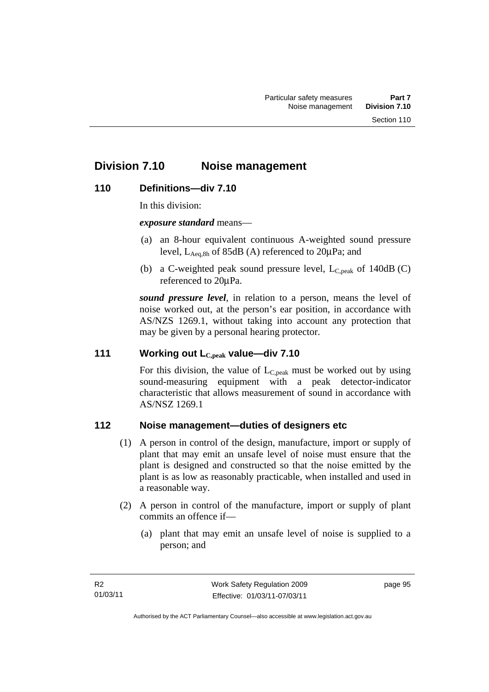# **Division 7.10 Noise management**

## **110 Definitions—div 7.10**

In this division:

*exposure standard* means—

- (a) an 8-hour equivalent continuous A-weighted sound pressure level,  $L_{\text{Aea,8h}}$  of 85dB (A) referenced to  $20\mu\text{Pa}$ ; and
- (b) a C-weighted peak sound pressure level,  $L_{C,peak}$  of 140dB (C) referenced to 20μPa.

*sound pressure level*, in relation to a person, means the level of noise worked out, at the person's ear position, in accordance with AS/NZS 1269.1, without taking into account any protection that may be given by a personal hearing protector.

#### **111 Working out LC,peak value—div 7.10**

For this division, the value of  $L_{C,peak}$  must be worked out by using sound-measuring equipment with a peak detector-indicator characteristic that allows measurement of sound in accordance with AS/NSZ 1269.1

## **112 Noise management—duties of designers etc**

- (1) A person in control of the design, manufacture, import or supply of plant that may emit an unsafe level of noise must ensure that the plant is designed and constructed so that the noise emitted by the plant is as low as reasonably practicable, when installed and used in a reasonable way.
- (2) A person in control of the manufacture, import or supply of plant commits an offence if—
	- (a) plant that may emit an unsafe level of noise is supplied to a person; and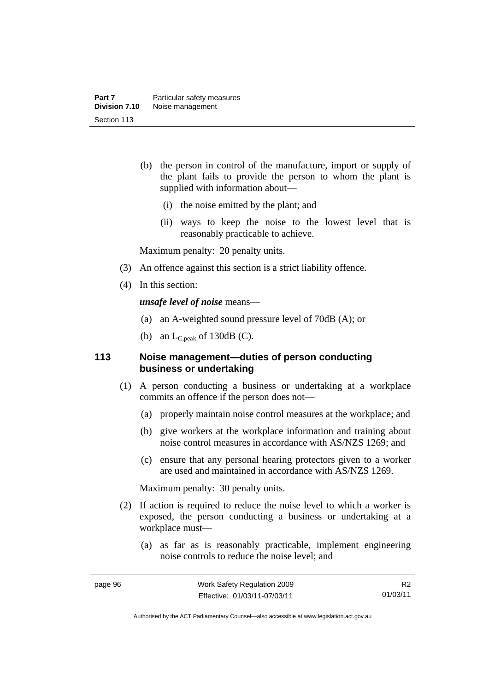- (b) the person in control of the manufacture, import or supply of the plant fails to provide the person to whom the plant is supplied with information about—
	- (i) the noise emitted by the plant; and
	- (ii) ways to keep the noise to the lowest level that is reasonably practicable to achieve.

Maximum penalty: 20 penalty units.

- (3) An offence against this section is a strict liability offence.
- (4) In this section:

*unsafe level of noise* means—

- (a) an A-weighted sound pressure level of 70dB (A); or
- (b) an  $L_{C,peak}$  of 130dB (C).

## **113 Noise management—duties of person conducting business or undertaking**

- (1) A person conducting a business or undertaking at a workplace commits an offence if the person does not—
	- (a) properly maintain noise control measures at the workplace; and
	- (b) give workers at the workplace information and training about noise control measures in accordance with AS/NZS 1269; and
	- (c) ensure that any personal hearing protectors given to a worker are used and maintained in accordance with AS/NZS 1269.

Maximum penalty: 30 penalty units.

- (2) If action is required to reduce the noise level to which a worker is exposed, the person conducting a business or undertaking at a workplace must—
	- (a) as far as is reasonably practicable, implement engineering noise controls to reduce the noise level; and

R2 01/03/11

Authorised by the ACT Parliamentary Counsel—also accessible at www.legislation.act.gov.au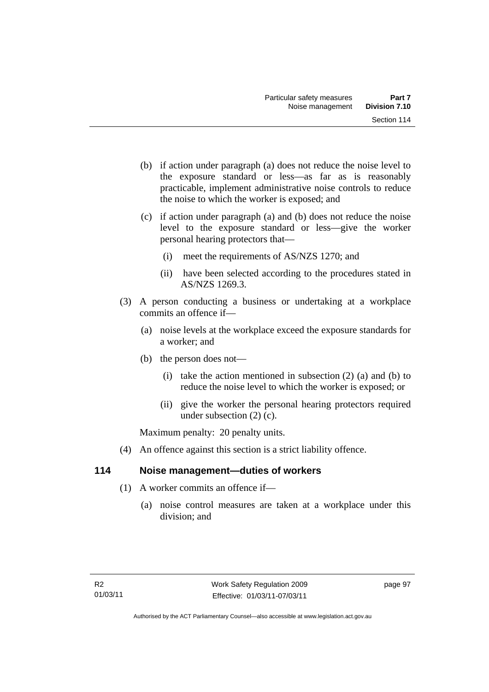- (b) if action under paragraph (a) does not reduce the noise level to the exposure standard or less—as far as is reasonably practicable, implement administrative noise controls to reduce the noise to which the worker is exposed; and
- (c) if action under paragraph (a) and (b) does not reduce the noise level to the exposure standard or less—give the worker personal hearing protectors that—
	- (i) meet the requirements of AS/NZS 1270; and
	- (ii) have been selected according to the procedures stated in AS/NZS 1269.3.
- (3) A person conducting a business or undertaking at a workplace commits an offence if—
	- (a) noise levels at the workplace exceed the exposure standards for a worker; and
	- (b) the person does not—
		- (i) take the action mentioned in subsection  $(2)$  (a) and (b) to reduce the noise level to which the worker is exposed; or
		- (ii) give the worker the personal hearing protectors required under subsection (2) (c).

Maximum penalty: 20 penalty units.

(4) An offence against this section is a strict liability offence.

## **114 Noise management—duties of workers**

- (1) A worker commits an offence if—
	- (a) noise control measures are taken at a workplace under this division; and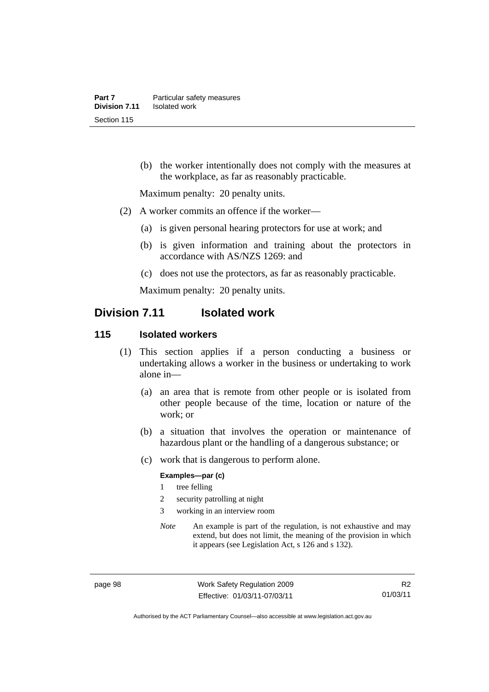(b) the worker intentionally does not comply with the measures at the workplace, as far as reasonably practicable.

Maximum penalty: 20 penalty units.

- (2) A worker commits an offence if the worker—
	- (a) is given personal hearing protectors for use at work; and
	- (b) is given information and training about the protectors in accordance with AS/NZS 1269: and
	- (c) does not use the protectors, as far as reasonably practicable.

Maximum penalty: 20 penalty units.

# **Division 7.11 Isolated work**

#### **115 Isolated workers**

- (1) This section applies if a person conducting a business or undertaking allows a worker in the business or undertaking to work alone in—
	- (a) an area that is remote from other people or is isolated from other people because of the time, location or nature of the work; or
	- (b) a situation that involves the operation or maintenance of hazardous plant or the handling of a dangerous substance; or
	- (c) work that is dangerous to perform alone.

#### **Examples—par (c)**

- 1 tree felling
- 2 security patrolling at night
- 3 working in an interview room
- *Note* An example is part of the regulation, is not exhaustive and may extend, but does not limit, the meaning of the provision in which it appears (see Legislation Act, s 126 and s 132).

page 98 Work Safety Regulation 2009 Effective: 01/03/11-07/03/11

Authorised by the ACT Parliamentary Counsel—also accessible at www.legislation.act.gov.au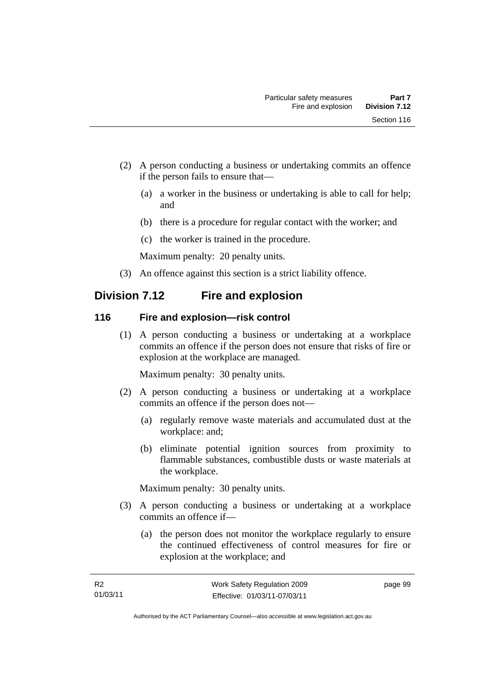- (2) A person conducting a business or undertaking commits an offence if the person fails to ensure that—
	- (a) a worker in the business or undertaking is able to call for help; and
	- (b) there is a procedure for regular contact with the worker; and
	- (c) the worker is trained in the procedure.

Maximum penalty: 20 penalty units.

(3) An offence against this section is a strict liability offence.

# **Division 7.12 Fire and explosion**

## **116 Fire and explosion—risk control**

 (1) A person conducting a business or undertaking at a workplace commits an offence if the person does not ensure that risks of fire or explosion at the workplace are managed.

Maximum penalty: 30 penalty units.

- (2) A person conducting a business or undertaking at a workplace commits an offence if the person does not—
	- (a) regularly remove waste materials and accumulated dust at the workplace: and;
	- (b) eliminate potential ignition sources from proximity to flammable substances, combustible dusts or waste materials at the workplace.

Maximum penalty: 30 penalty units.

- (3) A person conducting a business or undertaking at a workplace commits an offence if—
	- (a) the person does not monitor the workplace regularly to ensure the continued effectiveness of control measures for fire or explosion at the workplace; and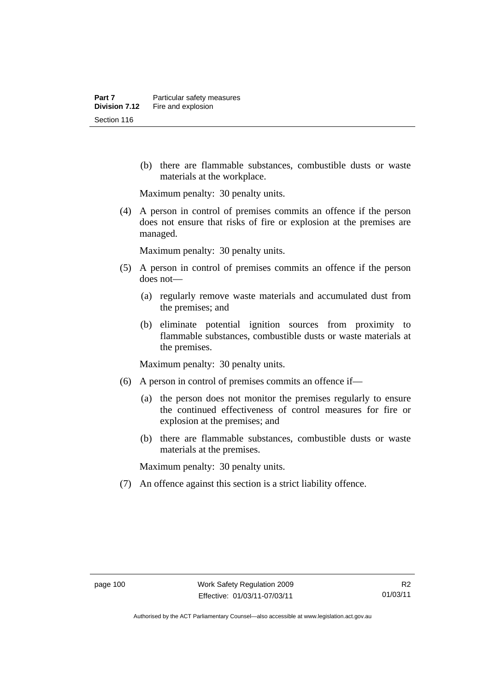(b) there are flammable substances, combustible dusts or waste materials at the workplace.

Maximum penalty: 30 penalty units.

 (4) A person in control of premises commits an offence if the person does not ensure that risks of fire or explosion at the premises are managed.

Maximum penalty: 30 penalty units.

- (5) A person in control of premises commits an offence if the person does not—
	- (a) regularly remove waste materials and accumulated dust from the premises; and
	- (b) eliminate potential ignition sources from proximity to flammable substances, combustible dusts or waste materials at the premises.

Maximum penalty: 30 penalty units.

- (6) A person in control of premises commits an offence if—
	- (a) the person does not monitor the premises regularly to ensure the continued effectiveness of control measures for fire or explosion at the premises; and
	- (b) there are flammable substances, combustible dusts or waste materials at the premises.

Maximum penalty: 30 penalty units.

(7) An offence against this section is a strict liability offence.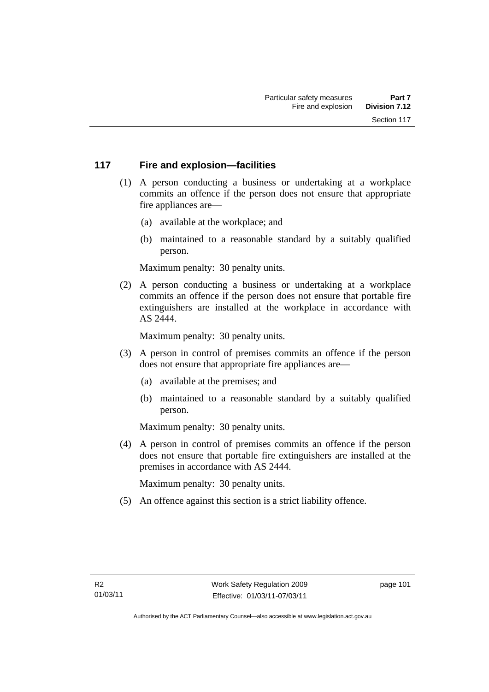## **117 Fire and explosion—facilities**

- (1) A person conducting a business or undertaking at a workplace commits an offence if the person does not ensure that appropriate fire appliances are—
	- (a) available at the workplace; and
	- (b) maintained to a reasonable standard by a suitably qualified person.

Maximum penalty: 30 penalty units.

 (2) A person conducting a business or undertaking at a workplace commits an offence if the person does not ensure that portable fire extinguishers are installed at the workplace in accordance with AS 2444.

Maximum penalty: 30 penalty units.

- (3) A person in control of premises commits an offence if the person does not ensure that appropriate fire appliances are—
	- (a) available at the premises; and
	- (b) maintained to a reasonable standard by a suitably qualified person.

Maximum penalty: 30 penalty units.

 (4) A person in control of premises commits an offence if the person does not ensure that portable fire extinguishers are installed at the premises in accordance with AS 2444.

Maximum penalty: 30 penalty units.

(5) An offence against this section is a strict liability offence.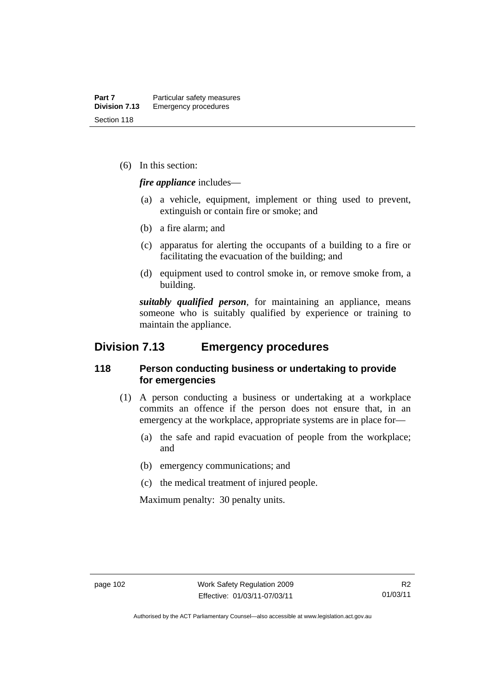(6) In this section:

*fire appliance* includes—

- (a) a vehicle, equipment, implement or thing used to prevent, extinguish or contain fire or smoke; and
- (b) a fire alarm; and
- (c) apparatus for alerting the occupants of a building to a fire or facilitating the evacuation of the building; and
- (d) equipment used to control smoke in, or remove smoke from, a building.

*suitably qualified person*, for maintaining an appliance, means someone who is suitably qualified by experience or training to maintain the appliance.

# **Division 7.13 Emergency procedures**

## **118 Person conducting business or undertaking to provide for emergencies**

- (1) A person conducting a business or undertaking at a workplace commits an offence if the person does not ensure that, in an emergency at the workplace, appropriate systems are in place for—
	- (a) the safe and rapid evacuation of people from the workplace; and
	- (b) emergency communications; and
	- (c) the medical treatment of injured people.

Maximum penalty: 30 penalty units.

Authorised by the ACT Parliamentary Counsel—also accessible at www.legislation.act.gov.au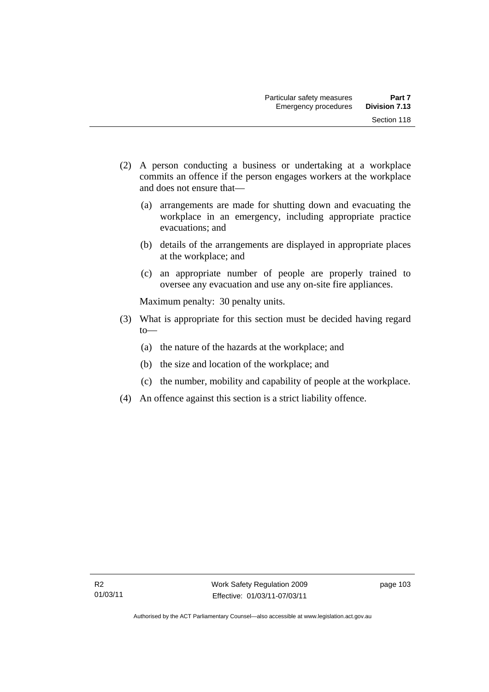- (2) A person conducting a business or undertaking at a workplace commits an offence if the person engages workers at the workplace and does not ensure that—
	- (a) arrangements are made for shutting down and evacuating the workplace in an emergency, including appropriate practice evacuations; and
	- (b) details of the arrangements are displayed in appropriate places at the workplace; and
	- (c) an appropriate number of people are properly trained to oversee any evacuation and use any on-site fire appliances.

Maximum penalty: 30 penalty units.

- (3) What is appropriate for this section must be decided having regard  $to$ —
	- (a) the nature of the hazards at the workplace; and
	- (b) the size and location of the workplace; and
	- (c) the number, mobility and capability of people at the workplace.
- (4) An offence against this section is a strict liability offence.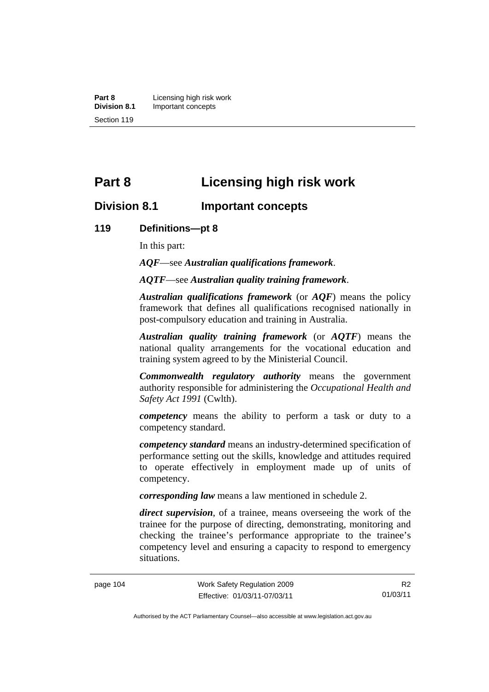**Part 8 Licensing high risk work**<br>**Division 8.1 Important concepts Division 8.1** Important concepts Section 119

# **Part 8 Licensing high risk work**

## **Division 8.1 Important concepts**

#### **119 Definitions—pt 8**

In this part:

*AQF*—see *Australian qualifications framework*.

*AQTF*—see *Australian quality training framework*.

*Australian qualifications framework* (or *AQF*) means the policy framework that defines all qualifications recognised nationally in post-compulsory education and training in Australia.

*Australian quality training framework* (or *AQTF*) means the national quality arrangements for the vocational education and training system agreed to by the Ministerial Council.

*Commonwealth regulatory authority* means the government authority responsible for administering the *Occupational Health and Safety Act 1991* (Cwlth).

*competency* means the ability to perform a task or duty to a competency standard.

*competency standard* means an industry-determined specification of performance setting out the skills, knowledge and attitudes required to operate effectively in employment made up of units of competency.

*corresponding law* means a law mentioned in schedule 2.

*direct supervision*, of a trainee, means overseeing the work of the trainee for the purpose of directing, demonstrating, monitoring and checking the trainee's performance appropriate to the trainee's competency level and ensuring a capacity to respond to emergency situations.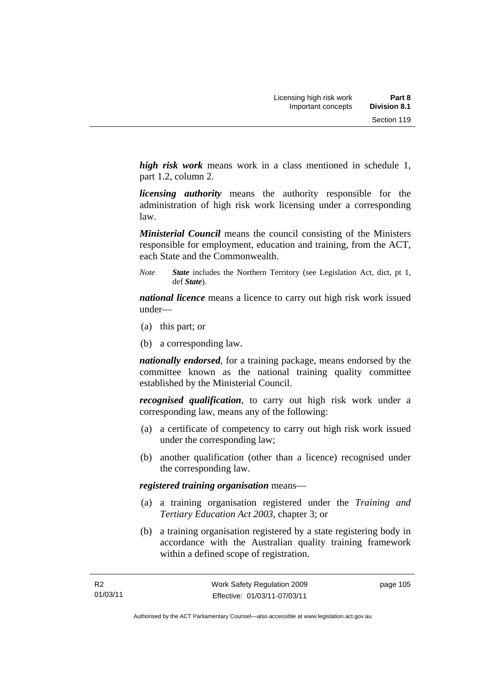*high risk work* means work in a class mentioned in schedule 1, part 1.2, column 2.

*licensing authority* means the authority responsible for the administration of high risk work licensing under a corresponding law.

*Ministerial Council* means the council consisting of the Ministers responsible for employment, education and training, from the ACT, each State and the Commonwealth.

*Note State* includes the Northern Territory (see Legislation Act, dict, pt 1, def *State*).

*national licence* means a licence to carry out high risk work issued under—

- (a) this part; or
- (b) a corresponding law.

*nationally endorsed*, for a training package, means endorsed by the committee known as the national training quality committee established by the Ministerial Council.

*recognised qualification*, to carry out high risk work under a corresponding law, means any of the following:

- (a) a certificate of competency to carry out high risk work issued under the corresponding law;
- (b) another qualification (other than a licence) recognised under the corresponding law.

*registered training organisation* means—

- (a) a training organisation registered under the *Training and Tertiary Education Act 2003*, chapter 3; or
- (b) a training organisation registered by a state registering body in accordance with the Australian quality training framework within a defined scope of registration.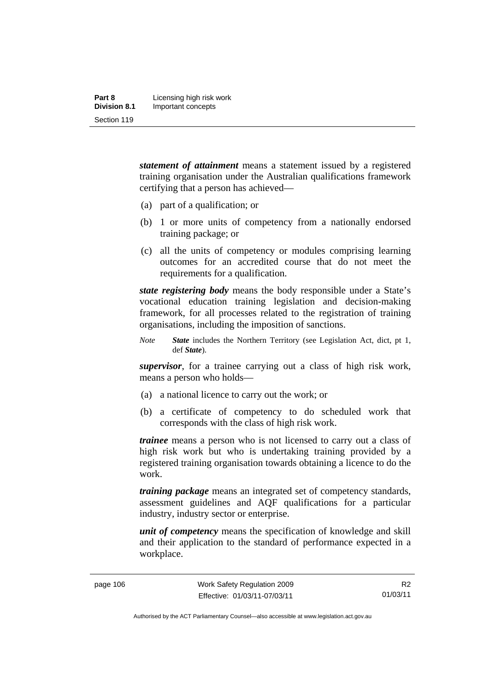| Part 8              | Licensing high risk work |
|---------------------|--------------------------|
| <b>Division 8.1</b> | Important concepts       |
| Section 119         |                          |

*statement of attainment* means a statement issued by a registered training organisation under the Australian qualifications framework certifying that a person has achieved—

- (a) part of a qualification; or
- (b) 1 or more units of competency from a nationally endorsed training package; or
- (c) all the units of competency or modules comprising learning outcomes for an accredited course that do not meet the requirements for a qualification.

*state registering body* means the body responsible under a State's vocational education training legislation and decision-making framework, for all processes related to the registration of training organisations, including the imposition of sanctions.

*Note State* includes the Northern Territory (see Legislation Act, dict, pt 1, def *State*).

*supervisor*, for a trainee carrying out a class of high risk work, means a person who holds—

- (a) a national licence to carry out the work; or
- (b) a certificate of competency to do scheduled work that corresponds with the class of high risk work.

*trainee* means a person who is not licensed to carry out a class of high risk work but who is undertaking training provided by a registered training organisation towards obtaining a licence to do the work.

*training package* means an integrated set of competency standards, assessment guidelines and AQF qualifications for a particular industry, industry sector or enterprise.

*unit of competency* means the specification of knowledge and skill and their application to the standard of performance expected in a workplace.

Authorised by the ACT Parliamentary Counsel—also accessible at www.legislation.act.gov.au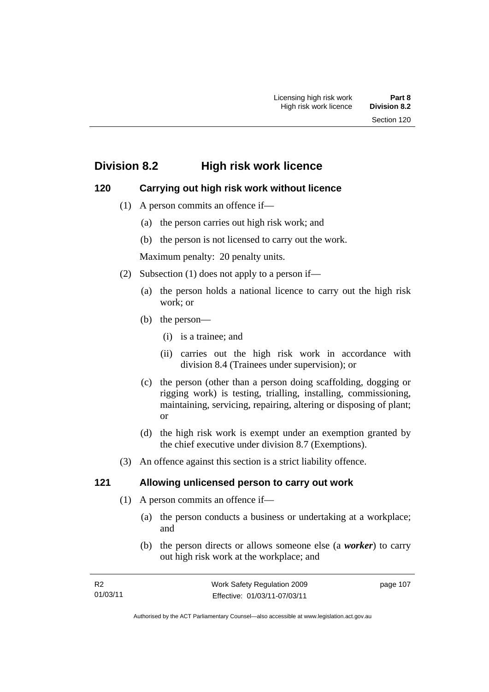# **Division 8.2 High risk work licence**

## **120 Carrying out high risk work without licence**

- (1) A person commits an offence if—
	- (a) the person carries out high risk work; and
	- (b) the person is not licensed to carry out the work.

Maximum penalty: 20 penalty units.

- (2) Subsection (1) does not apply to a person if—
	- (a) the person holds a national licence to carry out the high risk work; or
	- (b) the person—
		- (i) is a trainee; and
		- (ii) carries out the high risk work in accordance with division 8.4 (Trainees under supervision); or
	- (c) the person (other than a person doing scaffolding, dogging or rigging work) is testing, trialling, installing, commissioning, maintaining, servicing, repairing, altering or disposing of plant; or
	- (d) the high risk work is exempt under an exemption granted by the chief executive under division 8.7 (Exemptions).
- (3) An offence against this section is a strict liability offence.

## **121 Allowing unlicensed person to carry out work**

- (1) A person commits an offence if—
	- (a) the person conducts a business or undertaking at a workplace; and
	- (b) the person directs or allows someone else (a *worker*) to carry out high risk work at the workplace; and

page 107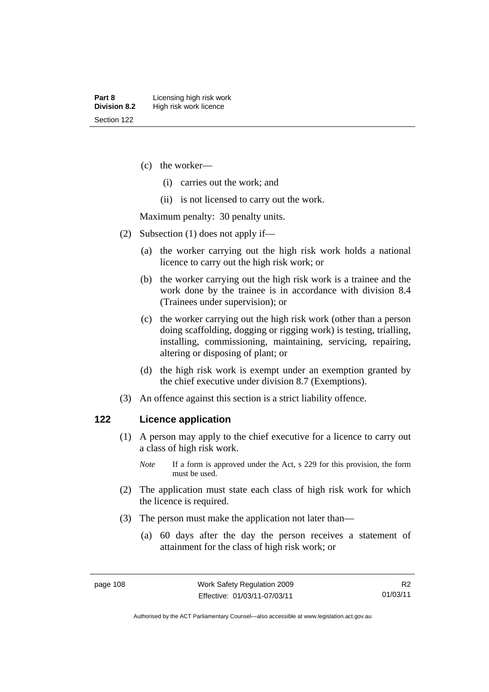- (c) the worker—
	- (i) carries out the work; and
	- (ii) is not licensed to carry out the work.

Maximum penalty: 30 penalty units.

- (2) Subsection (1) does not apply if—
	- (a) the worker carrying out the high risk work holds a national licence to carry out the high risk work; or
	- (b) the worker carrying out the high risk work is a trainee and the work done by the trainee is in accordance with division 8.4 (Trainees under supervision); or
	- (c) the worker carrying out the high risk work (other than a person doing scaffolding, dogging or rigging work) is testing, trialling, installing, commissioning, maintaining, servicing, repairing, altering or disposing of plant; or
	- (d) the high risk work is exempt under an exemption granted by the chief executive under division 8.7 (Exemptions).
- (3) An offence against this section is a strict liability offence.

#### **122 Licence application**

- (1) A person may apply to the chief executive for a licence to carry out a class of high risk work.
	- *Note* If a form is approved under the Act, s 229 for this provision, the form must be used.
- (2) The application must state each class of high risk work for which the licence is required.
- (3) The person must make the application not later than—
	- (a) 60 days after the day the person receives a statement of attainment for the class of high risk work; or

Authorised by the ACT Parliamentary Counsel—also accessible at www.legislation.act.gov.au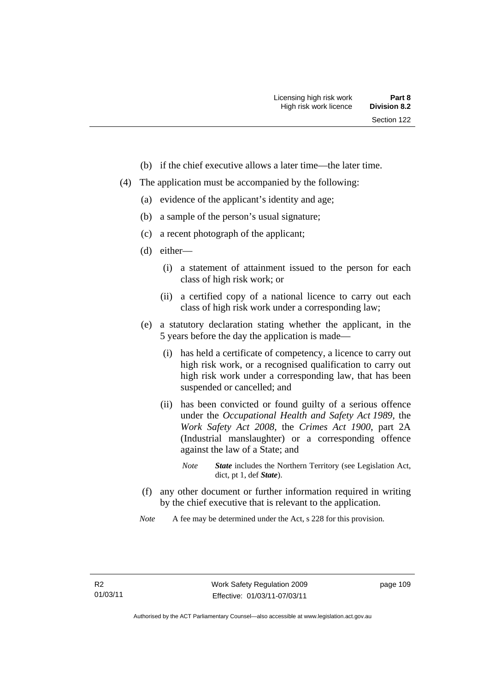- (b) if the chief executive allows a later time—the later time.
- (4) The application must be accompanied by the following:
	- (a) evidence of the applicant's identity and age;
	- (b) a sample of the person's usual signature;
	- (c) a recent photograph of the applicant;
	- (d) either—
		- (i) a statement of attainment issued to the person for each class of high risk work; or
		- (ii) a certified copy of a national licence to carry out each class of high risk work under a corresponding law;
	- (e) a statutory declaration stating whether the applicant, in the 5 years before the day the application is made—
		- (i) has held a certificate of competency, a licence to carry out high risk work, or a recognised qualification to carry out high risk work under a corresponding law, that has been suspended or cancelled; and
		- (ii) has been convicted or found guilty of a serious offence under the *Occupational Health and Safety Act 1989*, the *Work Safety Act 2008*, the *Crimes Act 1900*, part 2A (Industrial manslaughter) or a corresponding offence against the law of a State; and
			- *Note State* includes the Northern Territory (see Legislation Act, dict, pt 1, def *State*).
	- (f) any other document or further information required in writing by the chief executive that is relevant to the application.
	- *Note* A fee may be determined under the Act, s 228 for this provision.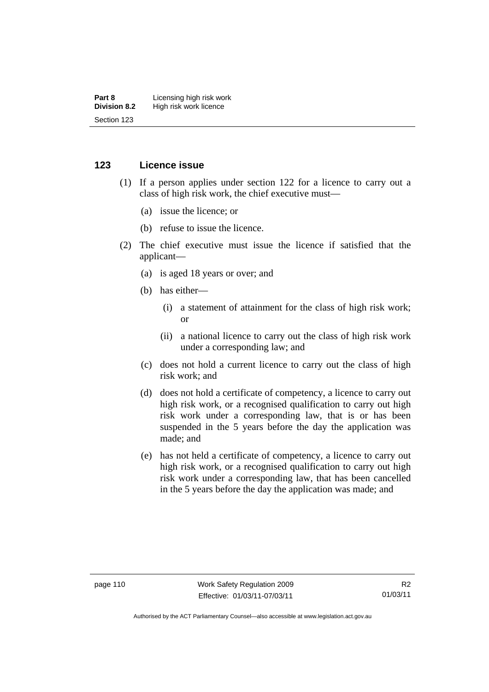#### **Part 8 Licensing high risk work**<br>**Division 8.2** High risk work licence **High risk work licence** Section 123

#### **123 Licence issue**

- (1) If a person applies under section 122 for a licence to carry out a class of high risk work, the chief executive must—
	- (a) issue the licence; or
	- (b) refuse to issue the licence.
- (2) The chief executive must issue the licence if satisfied that the applicant—
	- (a) is aged 18 years or over; and
	- (b) has either—
		- (i) a statement of attainment for the class of high risk work; or
		- (ii) a national licence to carry out the class of high risk work under a corresponding law; and
	- (c) does not hold a current licence to carry out the class of high risk work; and
	- (d) does not hold a certificate of competency, a licence to carry out high risk work, or a recognised qualification to carry out high risk work under a corresponding law, that is or has been suspended in the 5 years before the day the application was made; and
	- (e) has not held a certificate of competency, a licence to carry out high risk work, or a recognised qualification to carry out high risk work under a corresponding law, that has been cancelled in the 5 years before the day the application was made; and

Authorised by the ACT Parliamentary Counsel—also accessible at www.legislation.act.gov.au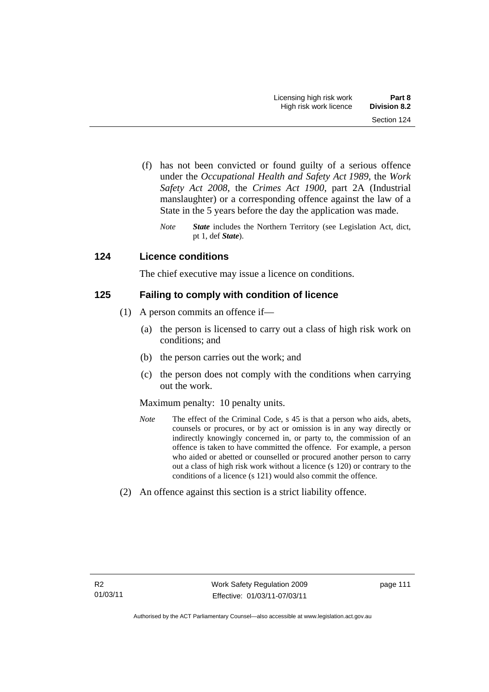- (f) has not been convicted or found guilty of a serious offence under the *Occupational Health and Safety Act 1989*, the *Work Safety Act 2008*, the *Crimes Act 1900*, part 2A (Industrial manslaughter) or a corresponding offence against the law of a State in the 5 years before the day the application was made.
	- *Note State* includes the Northern Territory (see Legislation Act, dict, pt 1, def *State*).

## **124 Licence conditions**

The chief executive may issue a licence on conditions.

## **125 Failing to comply with condition of licence**

- (1) A person commits an offence if—
	- (a) the person is licensed to carry out a class of high risk work on conditions; and
	- (b) the person carries out the work; and
	- (c) the person does not comply with the conditions when carrying out the work.

#### Maximum penalty: 10 penalty units.

- *Note* The effect of the Criminal Code, s 45 is that a person who aids, abets, counsels or procures, or by act or omission is in any way directly or indirectly knowingly concerned in, or party to, the commission of an offence is taken to have committed the offence. For example, a person who aided or abetted or counselled or procured another person to carry out a class of high risk work without a licence (s 120) or contrary to the conditions of a licence (s 121) would also commit the offence.
- (2) An offence against this section is a strict liability offence.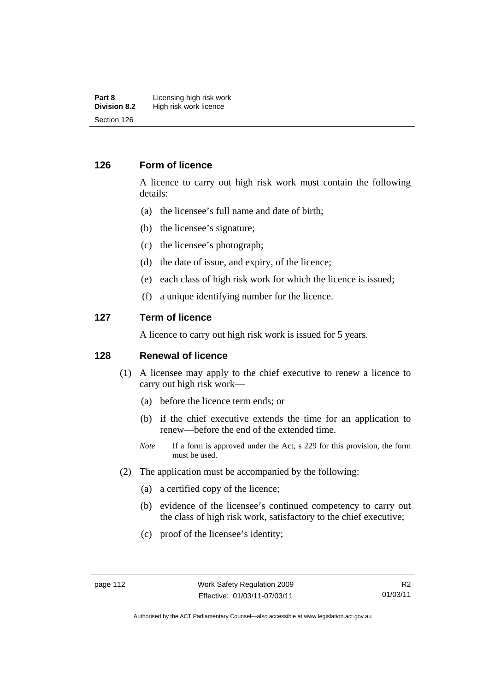#### **Part 8 Licensing high risk work**<br>**Division 8.2** High risk work licence **High risk work licence** Section 126

#### **126 Form of licence**

A licence to carry out high risk work must contain the following details:

- (a) the licensee's full name and date of birth;
- (b) the licensee's signature;
- (c) the licensee's photograph;
- (d) the date of issue, and expiry, of the licence;
- (e) each class of high risk work for which the licence is issued;
- (f) a unique identifying number for the licence.

#### **127 Term of licence**

A licence to carry out high risk work is issued for 5 years.

#### **128 Renewal of licence**

- (1) A licensee may apply to the chief executive to renew a licence to carry out high risk work—
	- (a) before the licence term ends; or
	- (b) if the chief executive extends the time for an application to renew—before the end of the extended time.
	- *Note* If a form is approved under the Act, s 229 for this provision, the form must be used.
- (2) The application must be accompanied by the following:
	- (a) a certified copy of the licence;
	- (b) evidence of the licensee's continued competency to carry out the class of high risk work, satisfactory to the chief executive;
	- (c) proof of the licensee's identity;

Authorised by the ACT Parliamentary Counsel—also accessible at www.legislation.act.gov.au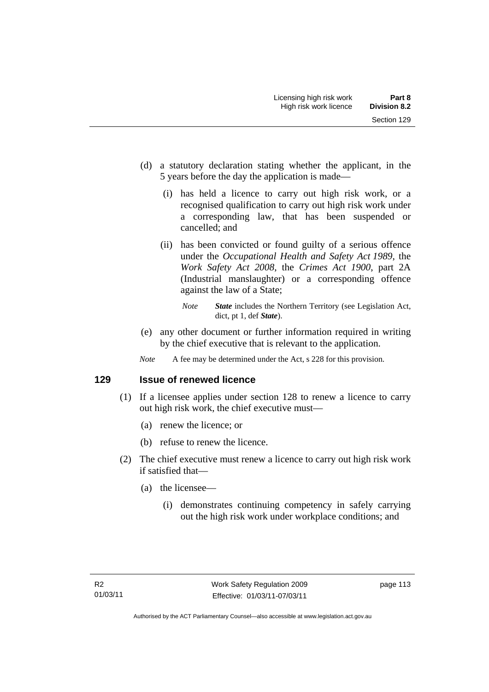- (d) a statutory declaration stating whether the applicant, in the 5 years before the day the application is made—
	- (i) has held a licence to carry out high risk work, or a recognised qualification to carry out high risk work under a corresponding law, that has been suspended or cancelled; and
	- (ii) has been convicted or found guilty of a serious offence under the *Occupational Health and Safety Act 1989*, the *Work Safety Act 2008*, the *Crimes Act 1900*, part 2A (Industrial manslaughter) or a corresponding offence against the law of a State;
		- *Note State* includes the Northern Territory (see Legislation Act, dict, pt 1, def *State*).
- (e) any other document or further information required in writing by the chief executive that is relevant to the application.
- *Note* A fee may be determined under the Act, s 228 for this provision.

#### **129 Issue of renewed licence**

- (1) If a licensee applies under section 128 to renew a licence to carry out high risk work, the chief executive must—
	- (a) renew the licence; or
	- (b) refuse to renew the licence.
- (2) The chief executive must renew a licence to carry out high risk work if satisfied that—
	- (a) the licensee—
		- (i) demonstrates continuing competency in safely carrying out the high risk work under workplace conditions; and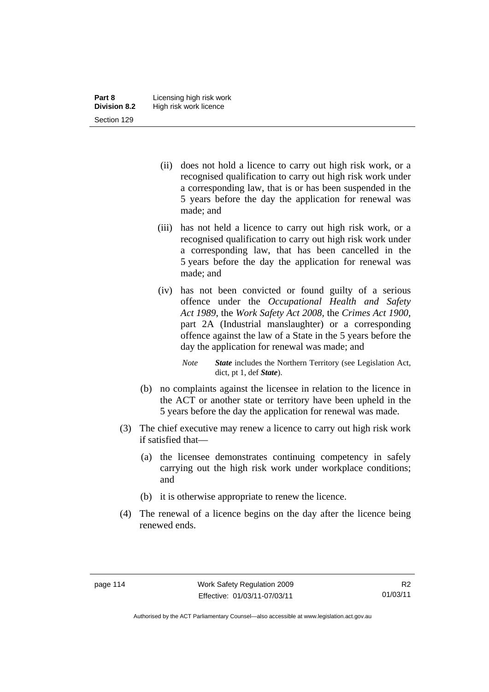- (ii) does not hold a licence to carry out high risk work, or a recognised qualification to carry out high risk work under a corresponding law, that is or has been suspended in the 5 years before the day the application for renewal was made; and
- (iii) has not held a licence to carry out high risk work, or a recognised qualification to carry out high risk work under a corresponding law, that has been cancelled in the 5 years before the day the application for renewal was made; and
- (iv) has not been convicted or found guilty of a serious offence under the *Occupational Health and Safety Act 1989*, the *Work Safety Act 2008*, the *Crimes Act 1900*, part 2A (Industrial manslaughter) or a corresponding offence against the law of a State in the 5 years before the day the application for renewal was made; and
	- *Note State* includes the Northern Territory (see Legislation Act, dict, pt 1, def *State*).
- (b) no complaints against the licensee in relation to the licence in the ACT or another state or territory have been upheld in the 5 years before the day the application for renewal was made.
- (3) The chief executive may renew a licence to carry out high risk work if satisfied that—
	- (a) the licensee demonstrates continuing competency in safely carrying out the high risk work under workplace conditions; and
	- (b) it is otherwise appropriate to renew the licence.
- (4) The renewal of a licence begins on the day after the licence being renewed ends.

Authorised by the ACT Parliamentary Counsel—also accessible at www.legislation.act.gov.au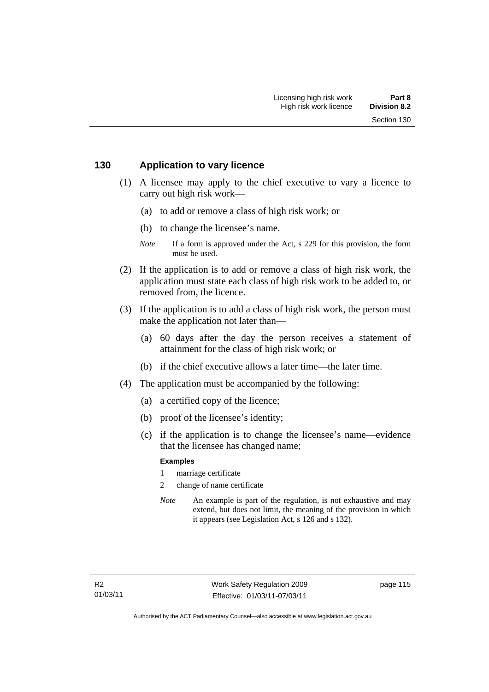#### **130 Application to vary licence**

- (1) A licensee may apply to the chief executive to vary a licence to carry out high risk work—
	- (a) to add or remove a class of high risk work; or
	- (b) to change the licensee's name.
	- *Note* If a form is approved under the Act, s 229 for this provision, the form must be used.
- (2) If the application is to add or remove a class of high risk work, the application must state each class of high risk work to be added to, or removed from, the licence.
- (3) If the application is to add a class of high risk work, the person must make the application not later than—
	- (a) 60 days after the day the person receives a statement of attainment for the class of high risk work; or
	- (b) if the chief executive allows a later time—the later time.
- (4) The application must be accompanied by the following:
	- (a) a certified copy of the licence;
	- (b) proof of the licensee's identity;
	- (c) if the application is to change the licensee's name—evidence that the licensee has changed name;

#### **Examples**

- 1 marriage certificate
- 2 change of name certificate
- *Note* An example is part of the regulation, is not exhaustive and may extend, but does not limit, the meaning of the provision in which it appears (see Legislation Act, s 126 and s 132).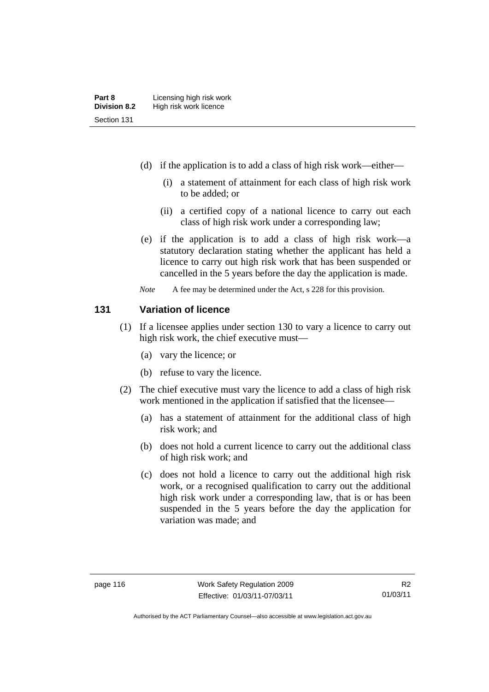- (d) if the application is to add a class of high risk work—either—
	- (i) a statement of attainment for each class of high risk work to be added; or
	- (ii) a certified copy of a national licence to carry out each class of high risk work under a corresponding law;
- (e) if the application is to add a class of high risk work—a statutory declaration stating whether the applicant has held a licence to carry out high risk work that has been suspended or cancelled in the 5 years before the day the application is made.
- *Note* A fee may be determined under the Act, s 228 for this provision.

#### **131 Variation of licence**

- (1) If a licensee applies under section 130 to vary a licence to carry out high risk work, the chief executive must—
	- (a) vary the licence; or
	- (b) refuse to vary the licence.
- (2) The chief executive must vary the licence to add a class of high risk work mentioned in the application if satisfied that the licensee—
	- (a) has a statement of attainment for the additional class of high risk work; and
	- (b) does not hold a current licence to carry out the additional class of high risk work; and
	- (c) does not hold a licence to carry out the additional high risk work, or a recognised qualification to carry out the additional high risk work under a corresponding law, that is or has been suspended in the 5 years before the day the application for variation was made; and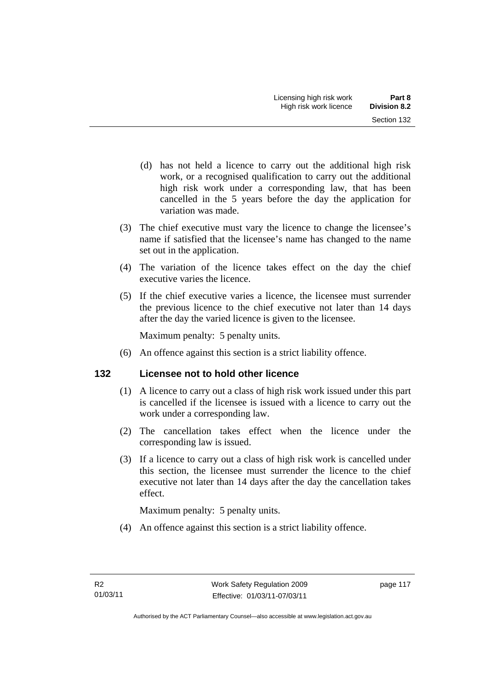- (d) has not held a licence to carry out the additional high risk work, or a recognised qualification to carry out the additional high risk work under a corresponding law, that has been cancelled in the 5 years before the day the application for variation was made.
- (3) The chief executive must vary the licence to change the licensee's name if satisfied that the licensee's name has changed to the name set out in the application.
- (4) The variation of the licence takes effect on the day the chief executive varies the licence.
- (5) If the chief executive varies a licence, the licensee must surrender the previous licence to the chief executive not later than 14 days after the day the varied licence is given to the licensee.

Maximum penalty: 5 penalty units.

(6) An offence against this section is a strict liability offence.

## **132 Licensee not to hold other licence**

- (1) A licence to carry out a class of high risk work issued under this part is cancelled if the licensee is issued with a licence to carry out the work under a corresponding law.
- (2) The cancellation takes effect when the licence under the corresponding law is issued.
- (3) If a licence to carry out a class of high risk work is cancelled under this section, the licensee must surrender the licence to the chief executive not later than 14 days after the day the cancellation takes effect.

Maximum penalty: 5 penalty units.

(4) An offence against this section is a strict liability offence.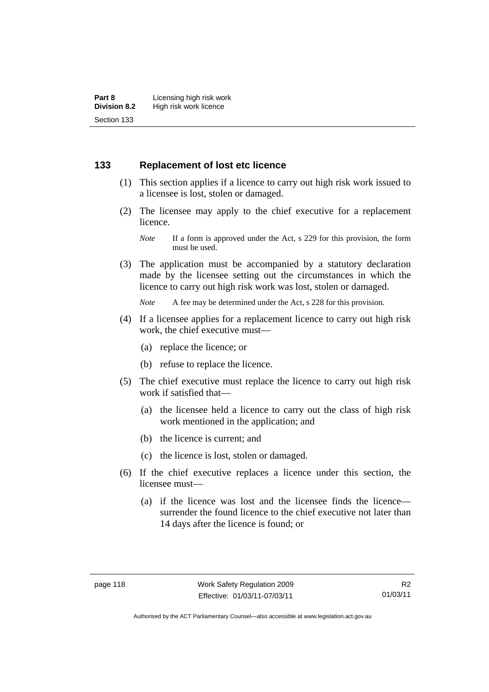## **133 Replacement of lost etc licence**

- (1) This section applies if a licence to carry out high risk work issued to a licensee is lost, stolen or damaged.
- (2) The licensee may apply to the chief executive for a replacement licence.

 (3) The application must be accompanied by a statutory declaration made by the licensee setting out the circumstances in which the licence to carry out high risk work was lost, stolen or damaged.

*Note* A fee may be determined under the Act, s 228 for this provision.

- (4) If a licensee applies for a replacement licence to carry out high risk work, the chief executive must—
	- (a) replace the licence; or
	- (b) refuse to replace the licence.
- (5) The chief executive must replace the licence to carry out high risk work if satisfied that—
	- (a) the licensee held a licence to carry out the class of high risk work mentioned in the application; and
	- (b) the licence is current; and
	- (c) the licence is lost, stolen or damaged.
- (6) If the chief executive replaces a licence under this section, the licensee must—
	- (a) if the licence was lost and the licensee finds the licence surrender the found licence to the chief executive not later than 14 days after the licence is found; or

*Note* If a form is approved under the Act, s 229 for this provision, the form must be used.

R2 01/03/11

Authorised by the ACT Parliamentary Counsel—also accessible at www.legislation.act.gov.au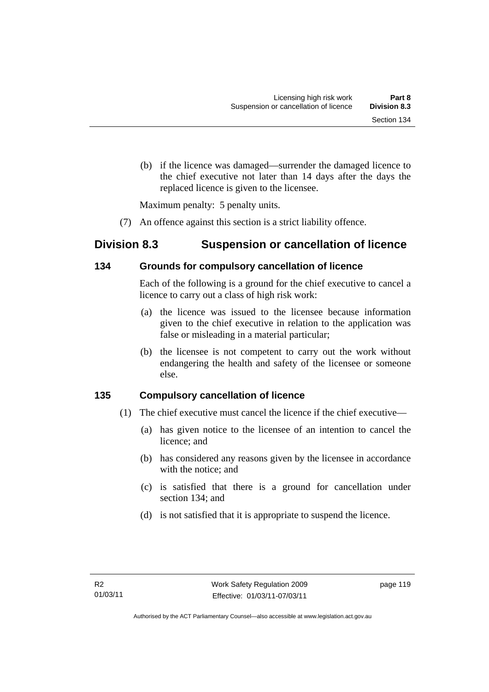(b) if the licence was damaged—surrender the damaged licence to the chief executive not later than 14 days after the days the replaced licence is given to the licensee.

Maximum penalty: 5 penalty units.

(7) An offence against this section is a strict liability offence.

# **Division 8.3 Suspension or cancellation of licence**

## **134 Grounds for compulsory cancellation of licence**

Each of the following is a ground for the chief executive to cancel a licence to carry out a class of high risk work:

- (a) the licence was issued to the licensee because information given to the chief executive in relation to the application was false or misleading in a material particular;
- (b) the licensee is not competent to carry out the work without endangering the health and safety of the licensee or someone else.

# **135 Compulsory cancellation of licence**

- (1) The chief executive must cancel the licence if the chief executive—
	- (a) has given notice to the licensee of an intention to cancel the licence; and
	- (b) has considered any reasons given by the licensee in accordance with the notice; and
	- (c) is satisfied that there is a ground for cancellation under section 134; and
	- (d) is not satisfied that it is appropriate to suspend the licence.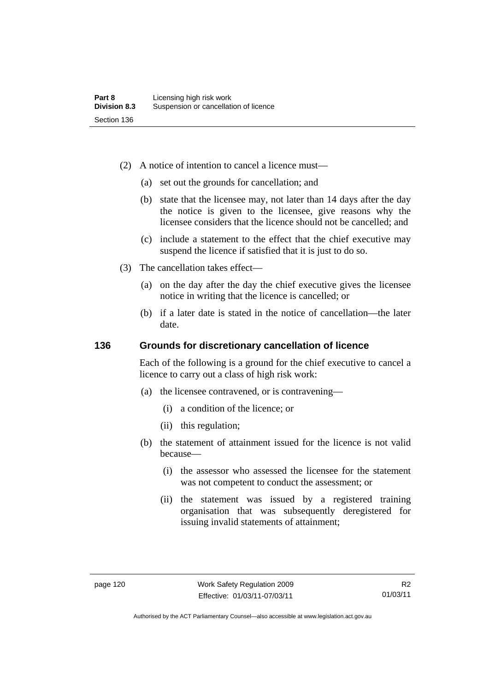- (2) A notice of intention to cancel a licence must—
	- (a) set out the grounds for cancellation; and
	- (b) state that the licensee may, not later than 14 days after the day the notice is given to the licensee, give reasons why the licensee considers that the licence should not be cancelled; and
	- (c) include a statement to the effect that the chief executive may suspend the licence if satisfied that it is just to do so.
- (3) The cancellation takes effect—
	- (a) on the day after the day the chief executive gives the licensee notice in writing that the licence is cancelled; or
	- (b) if a later date is stated in the notice of cancellation—the later date.

#### **136 Grounds for discretionary cancellation of licence**

Each of the following is a ground for the chief executive to cancel a licence to carry out a class of high risk work:

- (a) the licensee contravened, or is contravening—
	- (i) a condition of the licence; or
	- (ii) this regulation;
- (b) the statement of attainment issued for the licence is not valid because—
	- (i) the assessor who assessed the licensee for the statement was not competent to conduct the assessment; or
	- (ii) the statement was issued by a registered training organisation that was subsequently deregistered for issuing invalid statements of attainment;

Authorised by the ACT Parliamentary Counsel—also accessible at www.legislation.act.gov.au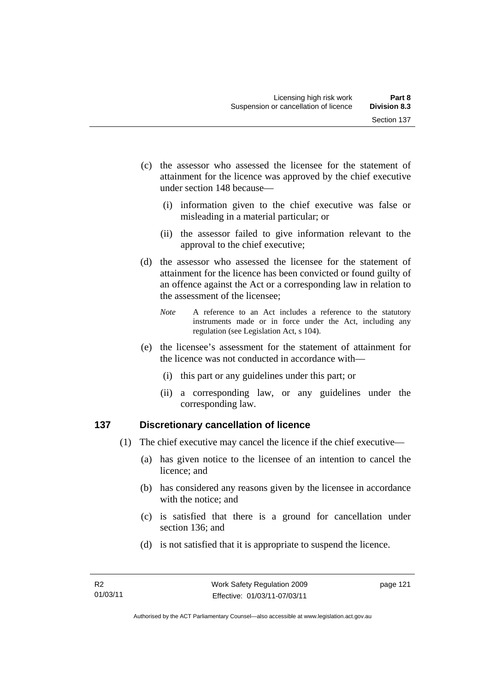- (c) the assessor who assessed the licensee for the statement of attainment for the licence was approved by the chief executive under section 148 because—
	- (i) information given to the chief executive was false or misleading in a material particular; or
	- (ii) the assessor failed to give information relevant to the approval to the chief executive;
- (d) the assessor who assessed the licensee for the statement of attainment for the licence has been convicted or found guilty of an offence against the Act or a corresponding law in relation to the assessment of the licensee;
	- *Note* A reference to an Act includes a reference to the statutory instruments made or in force under the Act, including any regulation (see Legislation Act, s 104).
- (e) the licensee's assessment for the statement of attainment for the licence was not conducted in accordance with—
	- (i) this part or any guidelines under this part; or
	- (ii) a corresponding law, or any guidelines under the corresponding law.

## **137 Discretionary cancellation of licence**

- (1) The chief executive may cancel the licence if the chief executive—
	- (a) has given notice to the licensee of an intention to cancel the licence; and
	- (b) has considered any reasons given by the licensee in accordance with the notice; and
	- (c) is satisfied that there is a ground for cancellation under section 136; and
	- (d) is not satisfied that it is appropriate to suspend the licence.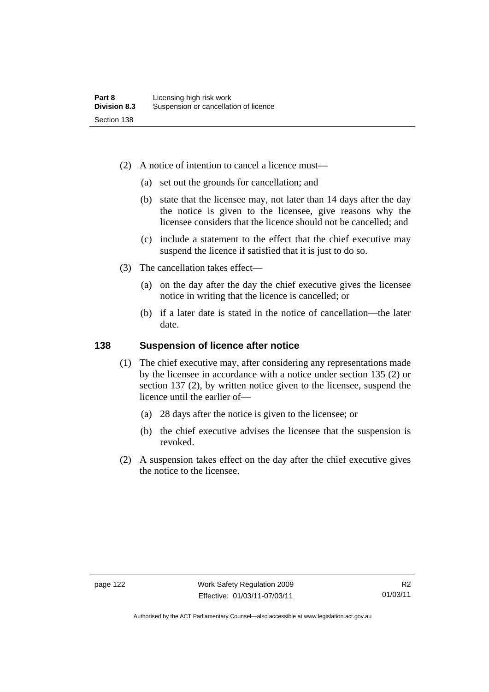- (2) A notice of intention to cancel a licence must—
	- (a) set out the grounds for cancellation; and
	- (b) state that the licensee may, not later than 14 days after the day the notice is given to the licensee, give reasons why the licensee considers that the licence should not be cancelled; and
	- (c) include a statement to the effect that the chief executive may suspend the licence if satisfied that it is just to do so.
- (3) The cancellation takes effect—
	- (a) on the day after the day the chief executive gives the licensee notice in writing that the licence is cancelled; or
	- (b) if a later date is stated in the notice of cancellation—the later date.

#### **138 Suspension of licence after notice**

- (1) The chief executive may, after considering any representations made by the licensee in accordance with a notice under section 135 (2) or section 137 (2), by written notice given to the licensee, suspend the licence until the earlier of—
	- (a) 28 days after the notice is given to the licensee; or
	- (b) the chief executive advises the licensee that the suspension is revoked.
- (2) A suspension takes effect on the day after the chief executive gives the notice to the licensee.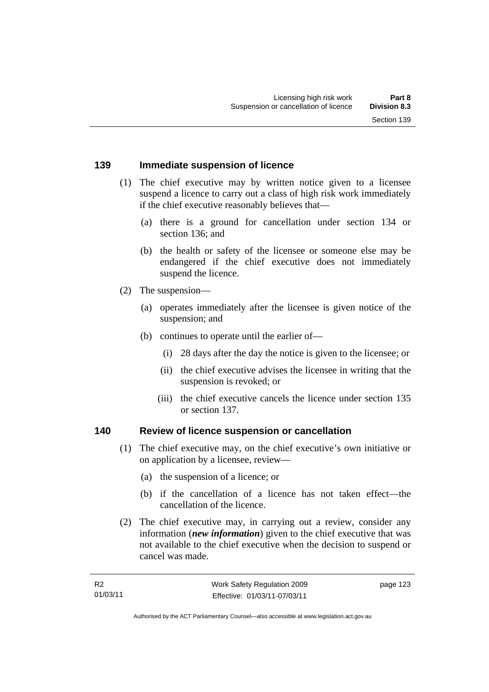#### **139 Immediate suspension of licence**

- (1) The chief executive may by written notice given to a licensee suspend a licence to carry out a class of high risk work immediately if the chief executive reasonably believes that—
	- (a) there is a ground for cancellation under section 134 or section 136; and
	- (b) the health or safety of the licensee or someone else may be endangered if the chief executive does not immediately suspend the licence.
- (2) The suspension—
	- (a) operates immediately after the licensee is given notice of the suspension; and
	- (b) continues to operate until the earlier of—
		- (i) 28 days after the day the notice is given to the licensee; or
		- (ii) the chief executive advises the licensee in writing that the suspension is revoked; or
		- (iii) the chief executive cancels the licence under section 135 or section 137.

#### **140 Review of licence suspension or cancellation**

- (1) The chief executive may, on the chief executive's own initiative or on application by a licensee, review—
	- (a) the suspension of a licence; or
	- (b) if the cancellation of a licence has not taken effect—the cancellation of the licence.
- (2) The chief executive may, in carrying out a review, consider any information (*new information*) given to the chief executive that was not available to the chief executive when the decision to suspend or cancel was made.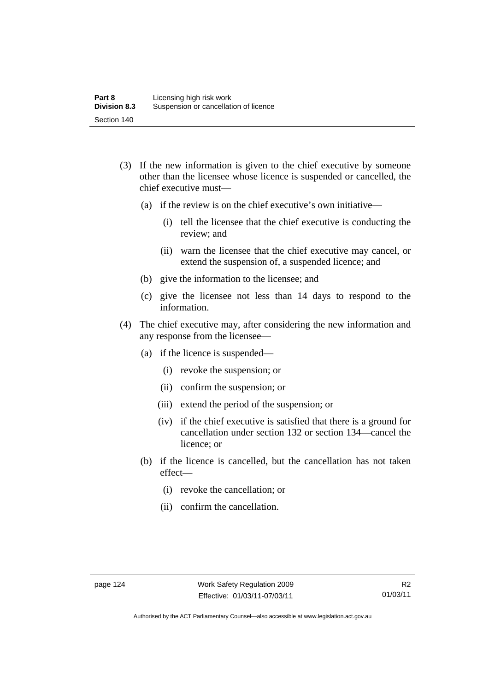- (3) If the new information is given to the chief executive by someone other than the licensee whose licence is suspended or cancelled, the chief executive must—
	- (a) if the review is on the chief executive's own initiative—
		- (i) tell the licensee that the chief executive is conducting the review; and
		- (ii) warn the licensee that the chief executive may cancel, or extend the suspension of, a suspended licence; and
	- (b) give the information to the licensee; and
	- (c) give the licensee not less than 14 days to respond to the information.
- (4) The chief executive may, after considering the new information and any response from the licensee—
	- (a) if the licence is suspended—
		- (i) revoke the suspension; or
		- (ii) confirm the suspension; or
		- (iii) extend the period of the suspension; or
		- (iv) if the chief executive is satisfied that there is a ground for cancellation under section 132 or section 134—cancel the licence; or
	- (b) if the licence is cancelled, but the cancellation has not taken effect—
		- (i) revoke the cancellation; or
		- (ii) confirm the cancellation.

Authorised by the ACT Parliamentary Counsel—also accessible at www.legislation.act.gov.au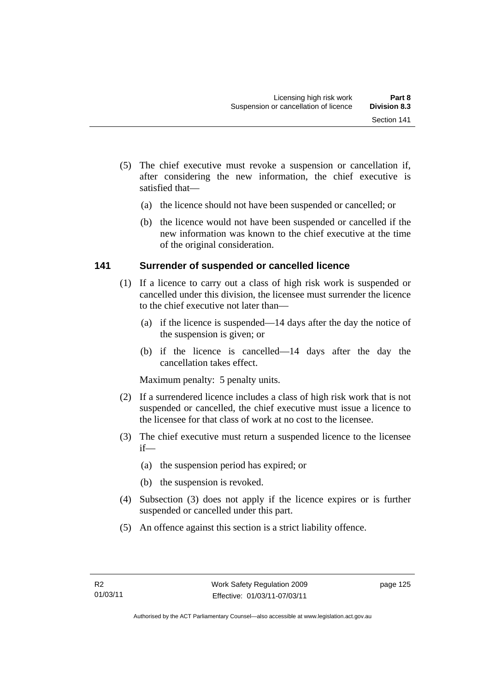- (5) The chief executive must revoke a suspension or cancellation if, after considering the new information, the chief executive is satisfied that—
	- (a) the licence should not have been suspended or cancelled; or
	- (b) the licence would not have been suspended or cancelled if the new information was known to the chief executive at the time of the original consideration.

## **141 Surrender of suspended or cancelled licence**

- (1) If a licence to carry out a class of high risk work is suspended or cancelled under this division, the licensee must surrender the licence to the chief executive not later than—
	- (a) if the licence is suspended—14 days after the day the notice of the suspension is given; or
	- (b) if the licence is cancelled—14 days after the day the cancellation takes effect.

Maximum penalty: 5 penalty units.

- (2) If a surrendered licence includes a class of high risk work that is not suspended or cancelled, the chief executive must issue a licence to the licensee for that class of work at no cost to the licensee.
- (3) The chief executive must return a suspended licence to the licensee if—
	- (a) the suspension period has expired; or
	- (b) the suspension is revoked.
- (4) Subsection (3) does not apply if the licence expires or is further suspended or cancelled under this part.
- (5) An offence against this section is a strict liability offence.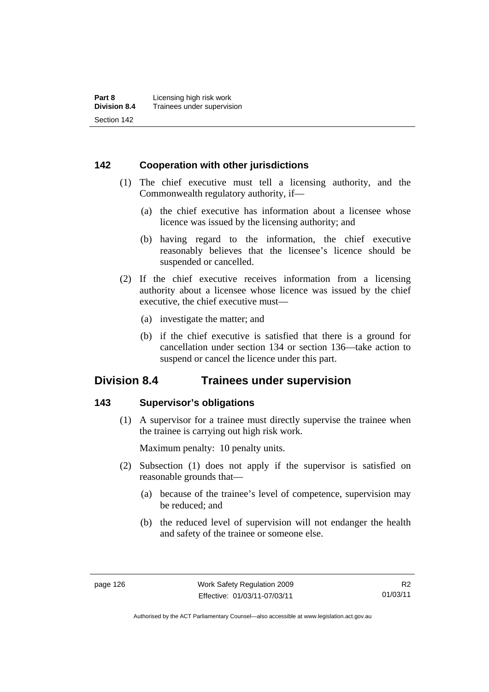## **142 Cooperation with other jurisdictions**

- (1) The chief executive must tell a licensing authority, and the Commonwealth regulatory authority, if—
	- (a) the chief executive has information about a licensee whose licence was issued by the licensing authority; and
	- (b) having regard to the information, the chief executive reasonably believes that the licensee's licence should be suspended or cancelled.
- (2) If the chief executive receives information from a licensing authority about a licensee whose licence was issued by the chief executive, the chief executive must—
	- (a) investigate the matter; and
	- (b) if the chief executive is satisfied that there is a ground for cancellation under section 134 or section 136—take action to suspend or cancel the licence under this part.

# **Division 8.4 Trainees under supervision**

#### **143 Supervisor's obligations**

 (1) A supervisor for a trainee must directly supervise the trainee when the trainee is carrying out high risk work.

Maximum penalty: 10 penalty units.

- (2) Subsection (1) does not apply if the supervisor is satisfied on reasonable grounds that—
	- (a) because of the trainee's level of competence, supervision may be reduced; and
	- (b) the reduced level of supervision will not endanger the health and safety of the trainee or someone else.

Authorised by the ACT Parliamentary Counsel—also accessible at www.legislation.act.gov.au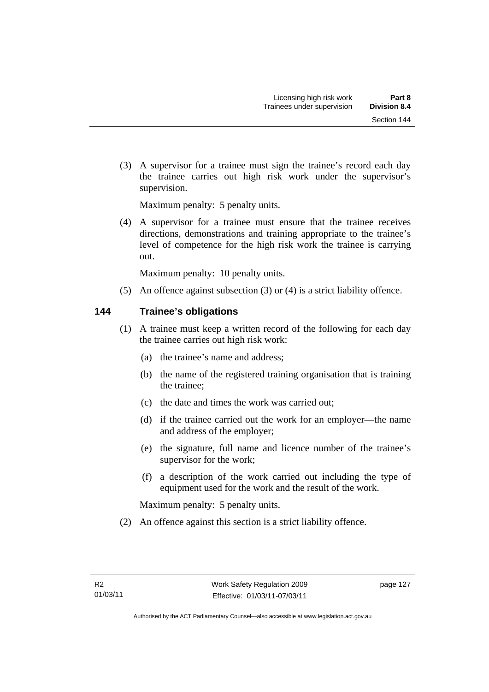(3) A supervisor for a trainee must sign the trainee's record each day the trainee carries out high risk work under the supervisor's supervision.

Maximum penalty: 5 penalty units.

 (4) A supervisor for a trainee must ensure that the trainee receives directions, demonstrations and training appropriate to the trainee's level of competence for the high risk work the trainee is carrying out.

Maximum penalty: 10 penalty units.

(5) An offence against subsection (3) or (4) is a strict liability offence.

## **144 Trainee's obligations**

- (1) A trainee must keep a written record of the following for each day the trainee carries out high risk work:
	- (a) the trainee's name and address;
	- (b) the name of the registered training organisation that is training the trainee;
	- (c) the date and times the work was carried out;
	- (d) if the trainee carried out the work for an employer—the name and address of the employer;
	- (e) the signature, full name and licence number of the trainee's supervisor for the work;
	- (f) a description of the work carried out including the type of equipment used for the work and the result of the work.

Maximum penalty: 5 penalty units.

(2) An offence against this section is a strict liability offence.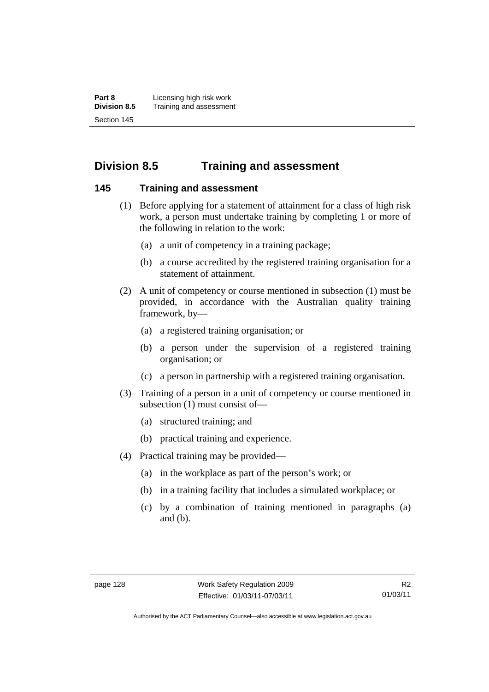**Part 8 Licensing high risk work**<br>**Division 8.5** Training and assessmen **Division 8.5** Training and assessment Section 145

# **Division 8.5 Training and assessment**

#### **145 Training and assessment**

- (1) Before applying for a statement of attainment for a class of high risk work, a person must undertake training by completing 1 or more of the following in relation to the work:
	- (a) a unit of competency in a training package;
	- (b) a course accredited by the registered training organisation for a statement of attainment.
- (2) A unit of competency or course mentioned in subsection (1) must be provided, in accordance with the Australian quality training framework, by—
	- (a) a registered training organisation; or
	- (b) a person under the supervision of a registered training organisation; or
	- (c) a person in partnership with a registered training organisation.
- (3) Training of a person in a unit of competency or course mentioned in subsection (1) must consist of—
	- (a) structured training; and
	- (b) practical training and experience.
- (4) Practical training may be provided—
	- (a) in the workplace as part of the person's work; or
	- (b) in a training facility that includes a simulated workplace; or
	- (c) by a combination of training mentioned in paragraphs (a) and (b).

Authorised by the ACT Parliamentary Counsel—also accessible at www.legislation.act.gov.au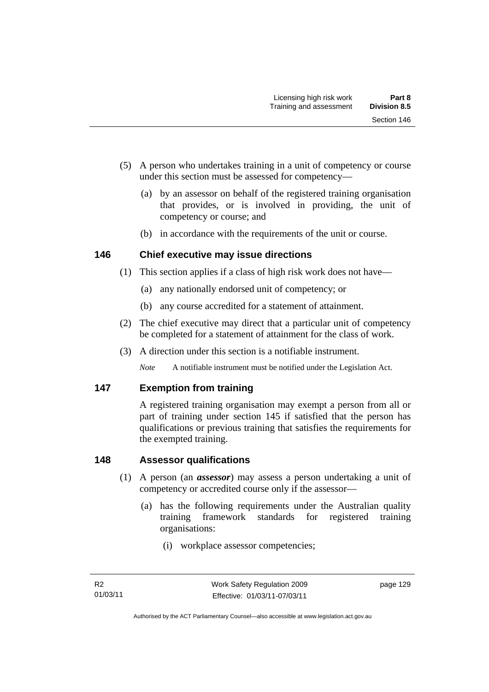- (5) A person who undertakes training in a unit of competency or course under this section must be assessed for competency—
	- (a) by an assessor on behalf of the registered training organisation that provides, or is involved in providing, the unit of competency or course; and
	- (b) in accordance with the requirements of the unit or course.

## **146 Chief executive may issue directions**

- (1) This section applies if a class of high risk work does not have—
	- (a) any nationally endorsed unit of competency; or
	- (b) any course accredited for a statement of attainment.
- (2) The chief executive may direct that a particular unit of competency be completed for a statement of attainment for the class of work.
- (3) A direction under this section is a notifiable instrument.

*Note* A notifiable instrument must be notified under the Legislation Act.

## **147 Exemption from training**

A registered training organisation may exempt a person from all or part of training under section 145 if satisfied that the person has qualifications or previous training that satisfies the requirements for the exempted training.

## **148 Assessor qualifications**

- (1) A person (an *assessor*) may assess a person undertaking a unit of competency or accredited course only if the assessor—
	- (a) has the following requirements under the Australian quality training framework standards for registered training organisations:
		- (i) workplace assessor competencies;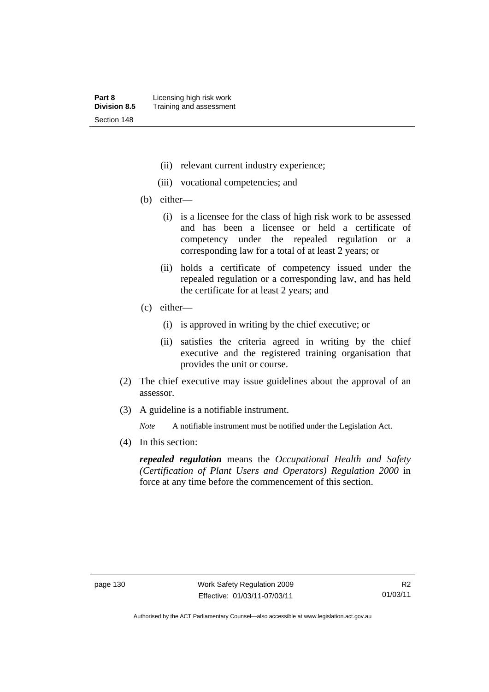- (ii) relevant current industry experience;
- (iii) vocational competencies; and
- (b) either—
	- (i) is a licensee for the class of high risk work to be assessed and has been a licensee or held a certificate of competency under the repealed regulation or a corresponding law for a total of at least 2 years; or
	- (ii) holds a certificate of competency issued under the repealed regulation or a corresponding law, and has held the certificate for at least 2 years; and
- (c) either—
	- (i) is approved in writing by the chief executive; or
	- (ii) satisfies the criteria agreed in writing by the chief executive and the registered training organisation that provides the unit or course.
- (2) The chief executive may issue guidelines about the approval of an assessor.
- (3) A guideline is a notifiable instrument.

*Note* A notifiable instrument must be notified under the Legislation Act.

(4) In this section:

*repealed regulation* means the *Occupational Health and Safety (Certification of Plant Users and Operators) Regulation 2000* in force at any time before the commencement of this section.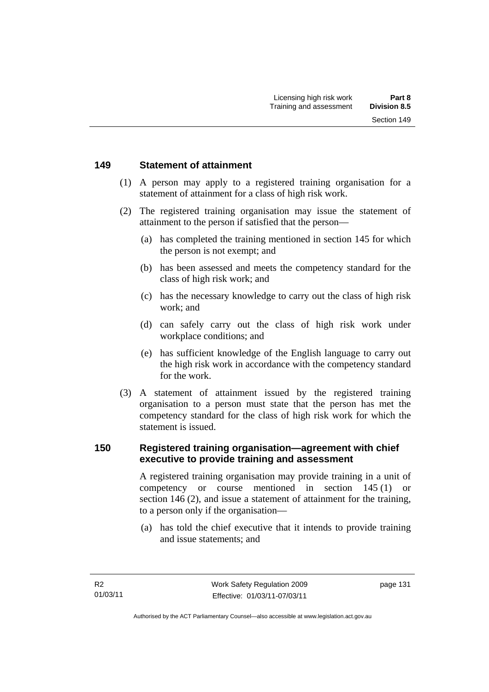### **149 Statement of attainment**

- (1) A person may apply to a registered training organisation for a statement of attainment for a class of high risk work.
- (2) The registered training organisation may issue the statement of attainment to the person if satisfied that the person—
	- (a) has completed the training mentioned in section 145 for which the person is not exempt; and
	- (b) has been assessed and meets the competency standard for the class of high risk work; and
	- (c) has the necessary knowledge to carry out the class of high risk work; and
	- (d) can safely carry out the class of high risk work under workplace conditions; and
	- (e) has sufficient knowledge of the English language to carry out the high risk work in accordance with the competency standard for the work.
- (3) A statement of attainment issued by the registered training organisation to a person must state that the person has met the competency standard for the class of high risk work for which the statement is issued.

# **150 Registered training organisation—agreement with chief executive to provide training and assessment**

A registered training organisation may provide training in a unit of competency or course mentioned in section 145 (1) or section 146 (2), and issue a statement of attainment for the training, to a person only if the organisation—

 (a) has told the chief executive that it intends to provide training and issue statements; and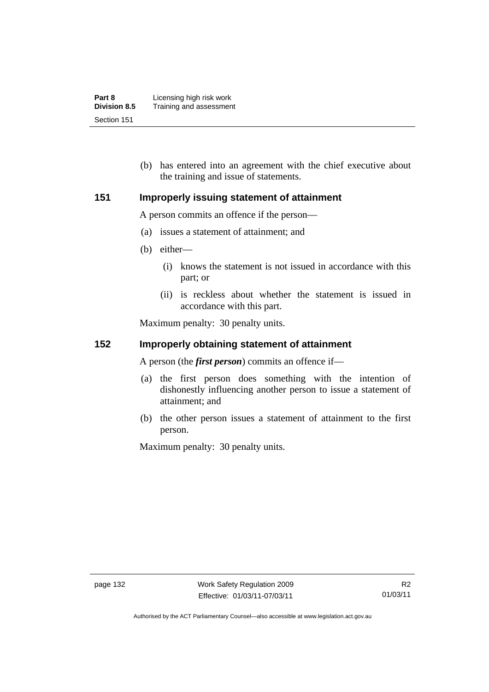| Part 8              | Licensing high risk work |
|---------------------|--------------------------|
| <b>Division 8.5</b> | Training and assessment  |
| Section 151         |                          |

 (b) has entered into an agreement with the chief executive about the training and issue of statements.

### **151 Improperly issuing statement of attainment**

A person commits an offence if the person—

- (a) issues a statement of attainment; and
- (b) either—
	- (i) knows the statement is not issued in accordance with this part; or
	- (ii) is reckless about whether the statement is issued in accordance with this part.

Maximum penalty: 30 penalty units.

### **152 Improperly obtaining statement of attainment**

A person (the *first person*) commits an offence if—

- (a) the first person does something with the intention of dishonestly influencing another person to issue a statement of attainment; and
- (b) the other person issues a statement of attainment to the first person.

Maximum penalty: 30 penalty units.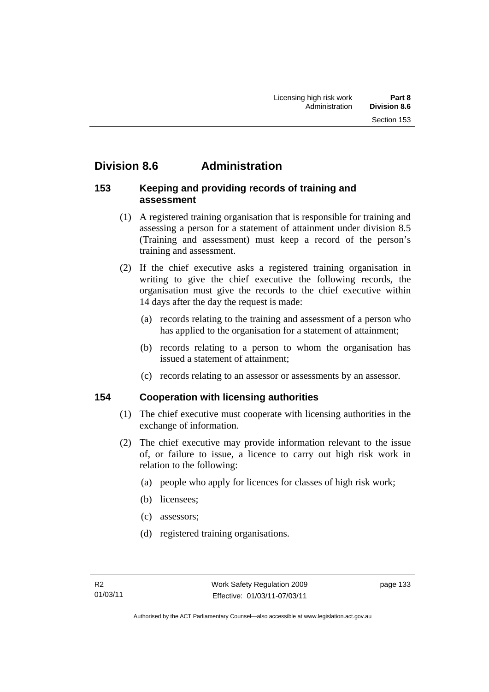# **Division 8.6 Administration**

## **153 Keeping and providing records of training and assessment**

- (1) A registered training organisation that is responsible for training and assessing a person for a statement of attainment under division 8.5 (Training and assessment) must keep a record of the person's training and assessment.
- (2) If the chief executive asks a registered training organisation in writing to give the chief executive the following records, the organisation must give the records to the chief executive within 14 days after the day the request is made:
	- (a) records relating to the training and assessment of a person who has applied to the organisation for a statement of attainment:
	- (b) records relating to a person to whom the organisation has issued a statement of attainment;
	- (c) records relating to an assessor or assessments by an assessor.

# **154 Cooperation with licensing authorities**

- (1) The chief executive must cooperate with licensing authorities in the exchange of information.
- (2) The chief executive may provide information relevant to the issue of, or failure to issue, a licence to carry out high risk work in relation to the following:
	- (a) people who apply for licences for classes of high risk work;
	- (b) licensees;
	- (c) assessors;
	- (d) registered training organisations.

page 133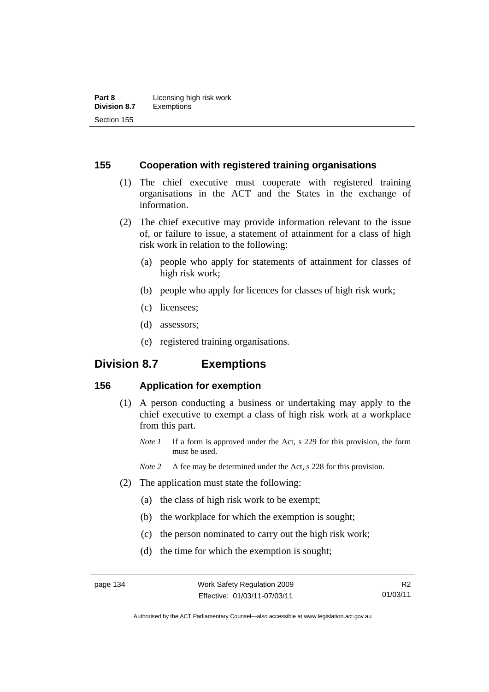### **155 Cooperation with registered training organisations**

- (1) The chief executive must cooperate with registered training organisations in the ACT and the States in the exchange of information.
- (2) The chief executive may provide information relevant to the issue of, or failure to issue, a statement of attainment for a class of high risk work in relation to the following:
	- (a) people who apply for statements of attainment for classes of high risk work;
	- (b) people who apply for licences for classes of high risk work;
	- (c) licensees;
	- (d) assessors;
	- (e) registered training organisations.

# **Division 8.7 Exemptions**

### **156 Application for exemption**

- (1) A person conducting a business or undertaking may apply to the chief executive to exempt a class of high risk work at a workplace from this part.
	- *Note 1* If a form is approved under the Act, s 229 for this provision, the form must be used.
	- *Note 2* A fee may be determined under the Act, s 228 for this provision.
- (2) The application must state the following:
	- (a) the class of high risk work to be exempt;
	- (b) the workplace for which the exemption is sought;
	- (c) the person nominated to carry out the high risk work;
	- (d) the time for which the exemption is sought;

Authorised by the ACT Parliamentary Counsel—also accessible at www.legislation.act.gov.au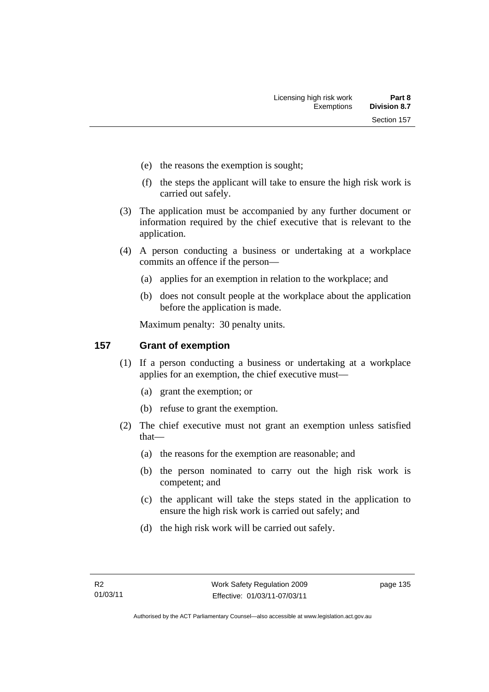- (e) the reasons the exemption is sought;
- (f) the steps the applicant will take to ensure the high risk work is carried out safely.
- (3) The application must be accompanied by any further document or information required by the chief executive that is relevant to the application.
- (4) A person conducting a business or undertaking at a workplace commits an offence if the person—
	- (a) applies for an exemption in relation to the workplace; and
	- (b) does not consult people at the workplace about the application before the application is made.

Maximum penalty: 30 penalty units.

# **157 Grant of exemption**

- (1) If a person conducting a business or undertaking at a workplace applies for an exemption, the chief executive must—
	- (a) grant the exemption; or
	- (b) refuse to grant the exemption.
- (2) The chief executive must not grant an exemption unless satisfied that—
	- (a) the reasons for the exemption are reasonable; and
	- (b) the person nominated to carry out the high risk work is competent; and
	- (c) the applicant will take the steps stated in the application to ensure the high risk work is carried out safely; and
	- (d) the high risk work will be carried out safely.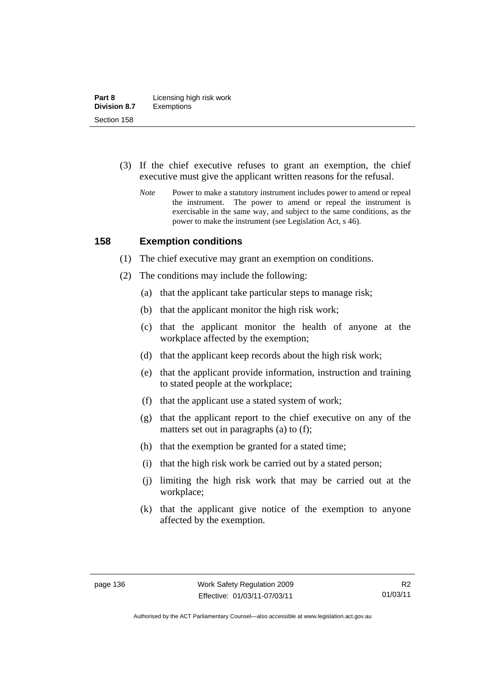- (3) If the chief executive refuses to grant an exemption, the chief executive must give the applicant written reasons for the refusal.
	- *Note* Power to make a statutory instrument includes power to amend or repeal the instrument. The power to amend or repeal the instrument is exercisable in the same way, and subject to the same conditions, as the power to make the instrument (see Legislation Act, s 46).

#### **158 Exemption conditions**

- (1) The chief executive may grant an exemption on conditions.
- (2) The conditions may include the following:
	- (a) that the applicant take particular steps to manage risk;
	- (b) that the applicant monitor the high risk work;
	- (c) that the applicant monitor the health of anyone at the workplace affected by the exemption;
	- (d) that the applicant keep records about the high risk work;
	- (e) that the applicant provide information, instruction and training to stated people at the workplace;
	- (f) that the applicant use a stated system of work;
	- (g) that the applicant report to the chief executive on any of the matters set out in paragraphs (a) to (f);
	- (h) that the exemption be granted for a stated time;
	- (i) that the high risk work be carried out by a stated person;
	- (j) limiting the high risk work that may be carried out at the workplace;
	- (k) that the applicant give notice of the exemption to anyone affected by the exemption.

Authorised by the ACT Parliamentary Counsel—also accessible at www.legislation.act.gov.au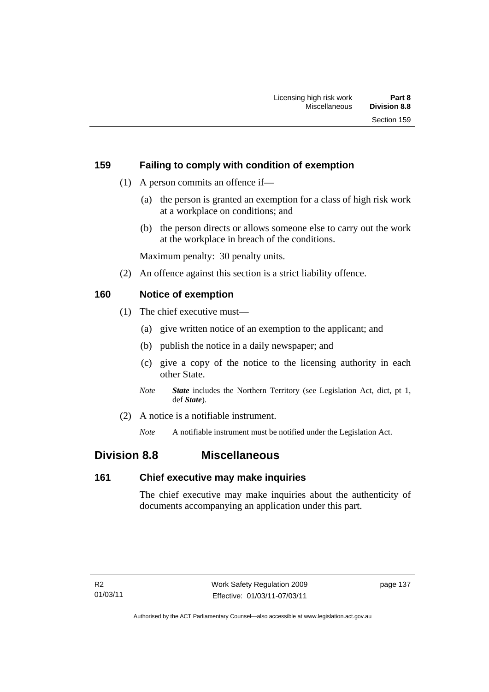# **159 Failing to comply with condition of exemption**

- (1) A person commits an offence if—
	- (a) the person is granted an exemption for a class of high risk work at a workplace on conditions; and
	- (b) the person directs or allows someone else to carry out the work at the workplace in breach of the conditions.

Maximum penalty: 30 penalty units.

(2) An offence against this section is a strict liability offence.

# **160 Notice of exemption**

- (1) The chief executive must—
	- (a) give written notice of an exemption to the applicant; and
	- (b) publish the notice in a daily newspaper; and
	- (c) give a copy of the notice to the licensing authority in each other State.
	- *Note State* includes the Northern Territory (see Legislation Act, dict, pt 1, def *State*).
- (2) A notice is a notifiable instrument.

*Note* A notifiable instrument must be notified under the Legislation Act.

# **Division 8.8 Miscellaneous**

### **161 Chief executive may make inquiries**

The chief executive may make inquiries about the authenticity of documents accompanying an application under this part.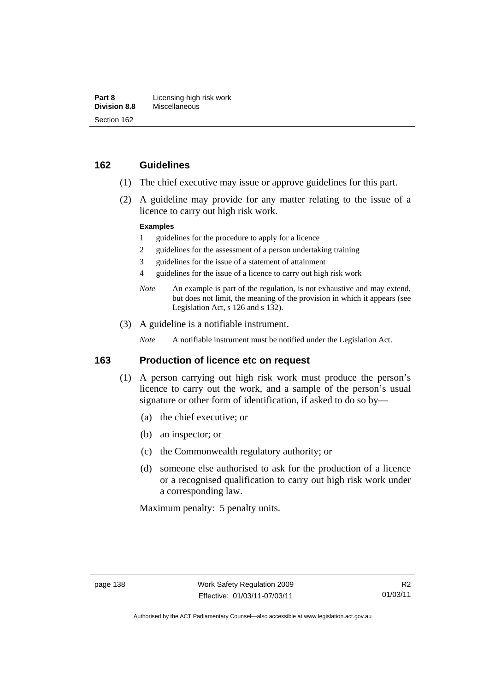### **162 Guidelines**

- (1) The chief executive may issue or approve guidelines for this part.
- (2) A guideline may provide for any matter relating to the issue of a licence to carry out high risk work.

#### **Examples**

- 1 guidelines for the procedure to apply for a licence
- 2 guidelines for the assessment of a person undertaking training
- 3 guidelines for the issue of a statement of attainment
- 4 guidelines for the issue of a licence to carry out high risk work
- *Note* An example is part of the regulation, is not exhaustive and may extend, but does not limit, the meaning of the provision in which it appears (see Legislation Act, s 126 and s 132).
- (3) A guideline is a notifiable instrument.

*Note* A notifiable instrument must be notified under the Legislation Act.

### **163 Production of licence etc on request**

- (1) A person carrying out high risk work must produce the person's licence to carry out the work, and a sample of the person's usual signature or other form of identification, if asked to do so by—
	- (a) the chief executive; or
	- (b) an inspector; or
	- (c) the Commonwealth regulatory authority; or
	- (d) someone else authorised to ask for the production of a licence or a recognised qualification to carry out high risk work under a corresponding law.

Maximum penalty: 5 penalty units.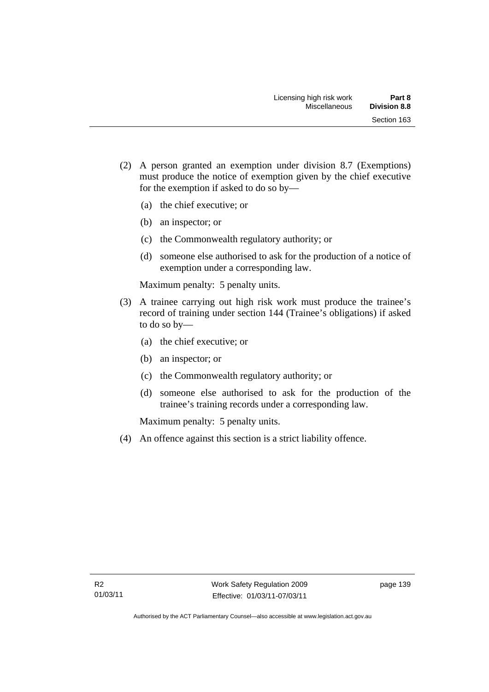- (2) A person granted an exemption under division 8.7 (Exemptions) must produce the notice of exemption given by the chief executive for the exemption if asked to do so by—
	- (a) the chief executive; or
	- (b) an inspector; or
	- (c) the Commonwealth regulatory authority; or
	- (d) someone else authorised to ask for the production of a notice of exemption under a corresponding law.

Maximum penalty: 5 penalty units.

- (3) A trainee carrying out high risk work must produce the trainee's record of training under section 144 (Trainee's obligations) if asked to do so by—
	- (a) the chief executive; or
	- (b) an inspector; or
	- (c) the Commonwealth regulatory authority; or
	- (d) someone else authorised to ask for the production of the trainee's training records under a corresponding law.

Maximum penalty: 5 penalty units.

(4) An offence against this section is a strict liability offence.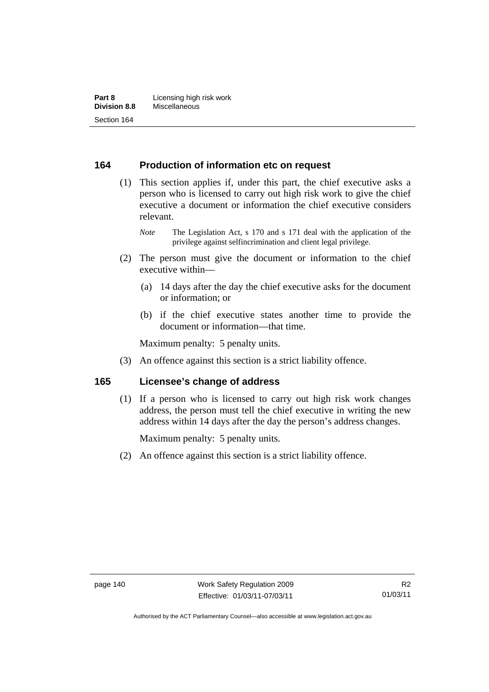### **164 Production of information etc on request**

 (1) This section applies if, under this part, the chief executive asks a person who is licensed to carry out high risk work to give the chief executive a document or information the chief executive considers relevant.

*Note* The Legislation Act, s 170 and s 171 deal with the application of the privilege against selfincrimination and client legal privilege.

- (2) The person must give the document or information to the chief executive within—
	- (a) 14 days after the day the chief executive asks for the document or information; or
	- (b) if the chief executive states another time to provide the document or information—that time.

Maximum penalty: 5 penalty units.

(3) An offence against this section is a strict liability offence.

### **165 Licensee's change of address**

 (1) If a person who is licensed to carry out high risk work changes address, the person must tell the chief executive in writing the new address within 14 days after the day the person's address changes.

Maximum penalty: 5 penalty units.

(2) An offence against this section is a strict liability offence.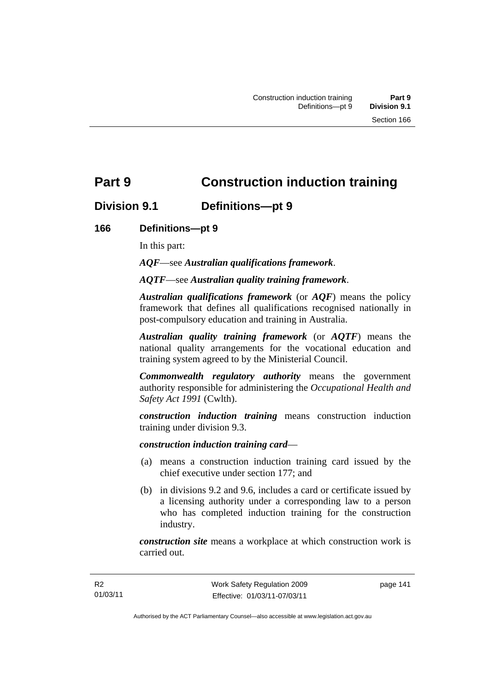# **Part 9 Construction induction training**

# **Division 9.1 Definitions—pt 9**

# **166 Definitions—pt 9**

In this part:

*AQF*—see *Australian qualifications framework*.

*AQTF*—see *Australian quality training framework*.

*Australian qualifications framework* (or *AQF*) means the policy framework that defines all qualifications recognised nationally in post-compulsory education and training in Australia.

*Australian quality training framework* (or *AQTF*) means the national quality arrangements for the vocational education and training system agreed to by the Ministerial Council.

*Commonwealth regulatory authority* means the government authority responsible for administering the *Occupational Health and Safety Act 1991* (Cwlth).

*construction induction training* means construction induction training under division 9.3.

*construction induction training card*—

- (a) means a construction induction training card issued by the chief executive under section 177; and
- (b) in divisions 9.2 and 9.6, includes a card or certificate issued by a licensing authority under a corresponding law to a person who has completed induction training for the construction industry.

*construction site* means a workplace at which construction work is carried out.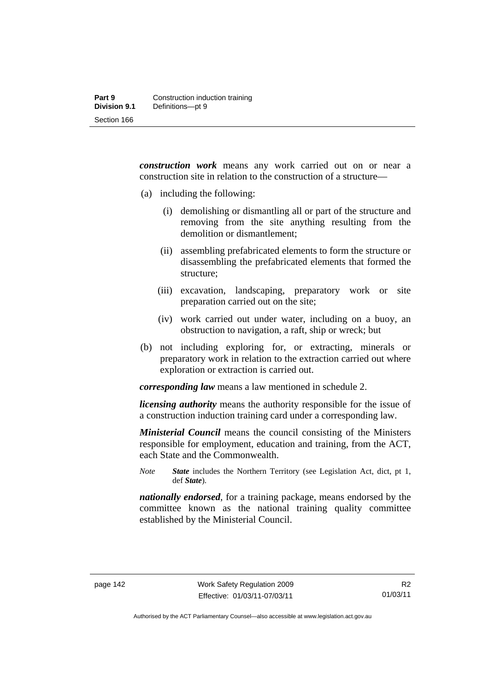*construction work* means any work carried out on or near a construction site in relation to the construction of a structure—

- (a) including the following:
	- (i) demolishing or dismantling all or part of the structure and removing from the site anything resulting from the demolition or dismantlement;
	- (ii) assembling prefabricated elements to form the structure or disassembling the prefabricated elements that formed the structure;
	- (iii) excavation, landscaping, preparatory work or site preparation carried out on the site;
	- (iv) work carried out under water, including on a buoy, an obstruction to navigation, a raft, ship or wreck; but
- (b) not including exploring for, or extracting, minerals or preparatory work in relation to the extraction carried out where exploration or extraction is carried out.

*corresponding law* means a law mentioned in schedule 2.

*licensing authority* means the authority responsible for the issue of a construction induction training card under a corresponding law.

*Ministerial Council* means the council consisting of the Ministers responsible for employment, education and training, from the ACT, each State and the Commonwealth.

*Note State* includes the Northern Territory (see Legislation Act, dict, pt 1, def *State*).

*nationally endorsed*, for a training package, means endorsed by the committee known as the national training quality committee established by the Ministerial Council.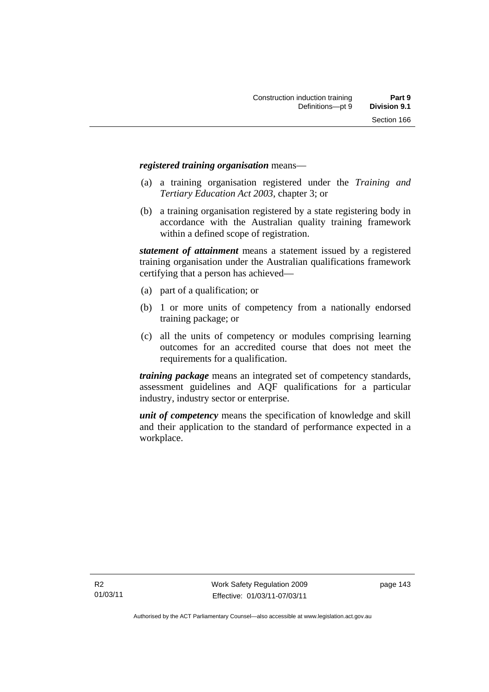#### *registered training organisation* means—

- (a) a training organisation registered under the *Training and Tertiary Education Act 2003*, chapter 3; or
- (b) a training organisation registered by a state registering body in accordance with the Australian quality training framework within a defined scope of registration.

*statement of attainment* means a statement issued by a registered training organisation under the Australian qualifications framework certifying that a person has achieved—

- (a) part of a qualification; or
- (b) 1 or more units of competency from a nationally endorsed training package; or
- (c) all the units of competency or modules comprising learning outcomes for an accredited course that does not meet the requirements for a qualification.

*training package* means an integrated set of competency standards, assessment guidelines and AQF qualifications for a particular industry, industry sector or enterprise.

*unit of competency* means the specification of knowledge and skill and their application to the standard of performance expected in a workplace.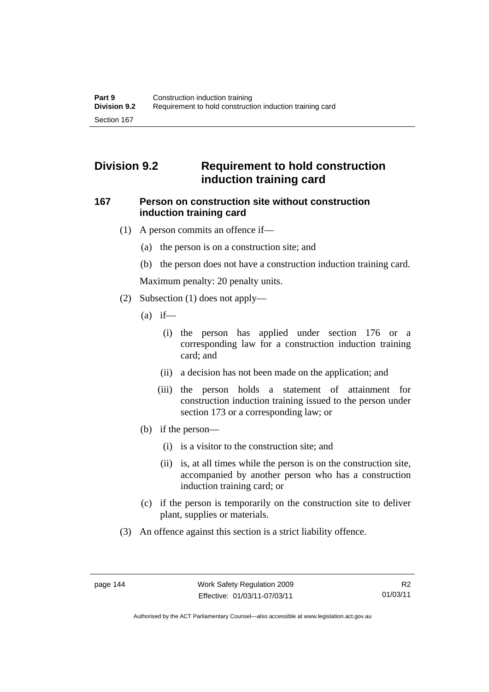# **Division 9.2 Requirement to hold construction induction training card**

### **167 Person on construction site without construction induction training card**

- (1) A person commits an offence if—
	- (a) the person is on a construction site; and
	- (b) the person does not have a construction induction training card.

Maximum penalty: 20 penalty units.

- (2) Subsection (1) does not apply—
	- $(a)$  if—
		- (i) the person has applied under section 176 or a corresponding law for a construction induction training card; and
		- (ii) a decision has not been made on the application; and
		- (iii) the person holds a statement of attainment for construction induction training issued to the person under section 173 or a corresponding law; or
	- (b) if the person—
		- (i) is a visitor to the construction site; and
		- (ii) is, at all times while the person is on the construction site, accompanied by another person who has a construction induction training card; or
	- (c) if the person is temporarily on the construction site to deliver plant, supplies or materials.
- (3) An offence against this section is a strict liability offence.

Authorised by the ACT Parliamentary Counsel—also accessible at www.legislation.act.gov.au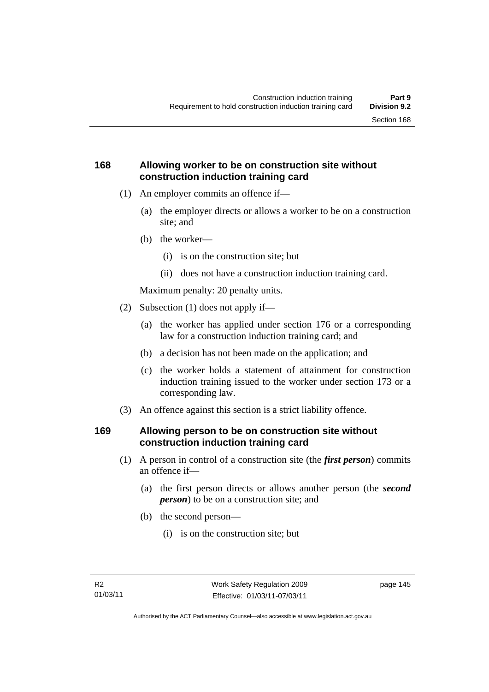# **168 Allowing worker to be on construction site without construction induction training card**

- (1) An employer commits an offence if—
	- (a) the employer directs or allows a worker to be on a construction site; and
	- (b) the worker—
		- (i) is on the construction site; but
		- (ii) does not have a construction induction training card.

Maximum penalty: 20 penalty units.

- (2) Subsection (1) does not apply if—
	- (a) the worker has applied under section 176 or a corresponding law for a construction induction training card; and
	- (b) a decision has not been made on the application; and
	- (c) the worker holds a statement of attainment for construction induction training issued to the worker under section 173 or a corresponding law.
- (3) An offence against this section is a strict liability offence.

# **169 Allowing person to be on construction site without construction induction training card**

- (1) A person in control of a construction site (the *first person*) commits an offence if—
	- (a) the first person directs or allows another person (the *second person*) to be on a construction site; and
	- (b) the second person—
		- (i) is on the construction site; but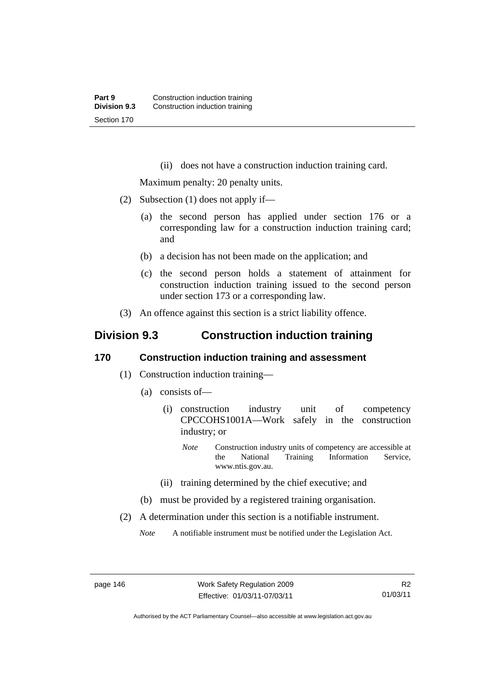(ii) does not have a construction induction training card.

Maximum penalty: 20 penalty units.

- (2) Subsection (1) does not apply if—
	- (a) the second person has applied under section 176 or a corresponding law for a construction induction training card; and
	- (b) a decision has not been made on the application; and
	- (c) the second person holds a statement of attainment for construction induction training issued to the second person under section 173 or a corresponding law.
- (3) An offence against this section is a strict liability offence.

# **Division 9.3 Construction induction training**

### **170 Construction induction training and assessment**

- (1) Construction induction training—
	- (a) consists of—
		- (i) construction industry unit of competency CPCCOHS1001A—Work safely in the construction industry; or
			- *Note* Construction industry units of competency are accessible at the National Training Information Service, www.ntis.gov.au.
		- (ii) training determined by the chief executive; and
	- (b) must be provided by a registered training organisation.
- (2) A determination under this section is a notifiable instrument.

*Note* A notifiable instrument must be notified under the Legislation Act.

page 146 Work Safety Regulation 2009 Effective: 01/03/11-07/03/11

Authorised by the ACT Parliamentary Counsel—also accessible at www.legislation.act.gov.au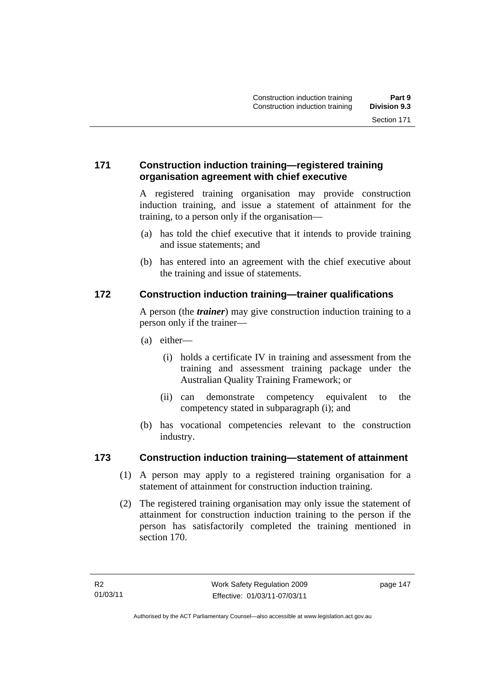# **171 Construction induction training—registered training organisation agreement with chief executive**

A registered training organisation may provide construction induction training, and issue a statement of attainment for the training, to a person only if the organisation—

- (a) has told the chief executive that it intends to provide training and issue statements; and
- (b) has entered into an agreement with the chief executive about the training and issue of statements.

# **172 Construction induction training—trainer qualifications**

A person (the *trainer*) may give construction induction training to a person only if the trainer—

- (a) either—
	- (i) holds a certificate IV in training and assessment from the training and assessment training package under the Australian Quality Training Framework; or
	- (ii) can demonstrate competency equivalent to the competency stated in subparagraph (i); and
- (b) has vocational competencies relevant to the construction industry.

### **173 Construction induction training—statement of attainment**

- (1) A person may apply to a registered training organisation for a statement of attainment for construction induction training.
- (2) The registered training organisation may only issue the statement of attainment for construction induction training to the person if the person has satisfactorily completed the training mentioned in section 170.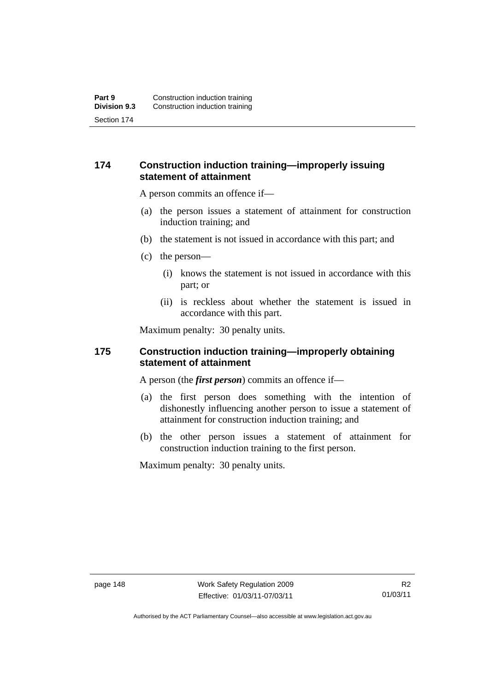## **174 Construction induction training—improperly issuing statement of attainment**

A person commits an offence if—

- (a) the person issues a statement of attainment for construction induction training; and
- (b) the statement is not issued in accordance with this part; and
- (c) the person—
	- (i) knows the statement is not issued in accordance with this part; or
	- (ii) is reckless about whether the statement is issued in accordance with this part.

Maximum penalty: 30 penalty units.

### **175 Construction induction training—improperly obtaining statement of attainment**

A person (the *first person*) commits an offence if—

- (a) the first person does something with the intention of dishonestly influencing another person to issue a statement of attainment for construction induction training; and
- (b) the other person issues a statement of attainment for construction induction training to the first person.

Maximum penalty: 30 penalty units.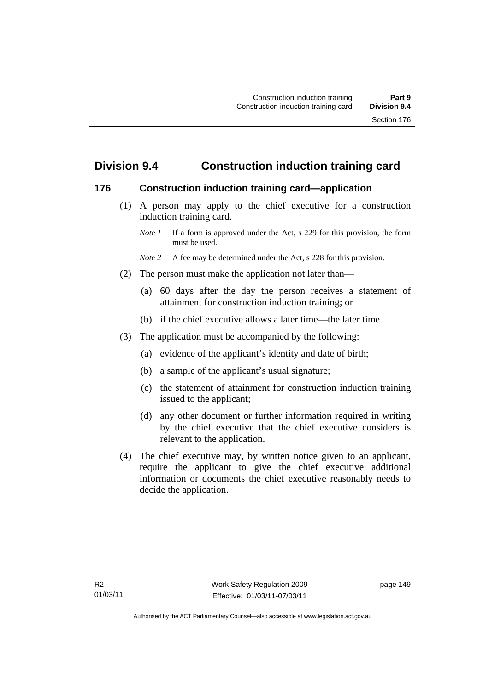# **Division 9.4 Construction induction training card**

### **176 Construction induction training card—application**

 (1) A person may apply to the chief executive for a construction induction training card.

- *Note* 2 A fee may be determined under the Act, s 228 for this provision.
- (2) The person must make the application not later than—
	- (a) 60 days after the day the person receives a statement of attainment for construction induction training; or
	- (b) if the chief executive allows a later time—the later time.
- (3) The application must be accompanied by the following:
	- (a) evidence of the applicant's identity and date of birth;
	- (b) a sample of the applicant's usual signature;
	- (c) the statement of attainment for construction induction training issued to the applicant;
	- (d) any other document or further information required in writing by the chief executive that the chief executive considers is relevant to the application.
- (4) The chief executive may, by written notice given to an applicant, require the applicant to give the chief executive additional information or documents the chief executive reasonably needs to decide the application.

*Note 1* If a form is approved under the Act, s 229 for this provision, the form must be used.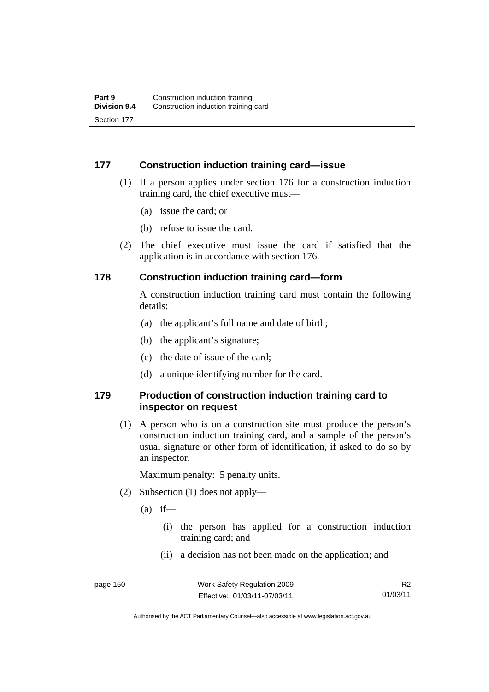### **177 Construction induction training card—issue**

- (1) If a person applies under section 176 for a construction induction training card, the chief executive must—
	- (a) issue the card; or
	- (b) refuse to issue the card.
- (2) The chief executive must issue the card if satisfied that the application is in accordance with section 176.

### **178 Construction induction training card—form**

A construction induction training card must contain the following details:

- (a) the applicant's full name and date of birth;
- (b) the applicant's signature;
- (c) the date of issue of the card;
- (d) a unique identifying number for the card.

### **179 Production of construction induction training card to inspector on request**

 (1) A person who is on a construction site must produce the person's construction induction training card, and a sample of the person's usual signature or other form of identification, if asked to do so by an inspector.

Maximum penalty: 5 penalty units.

- (2) Subsection (1) does not apply—
	- $(a)$  if—
		- (i) the person has applied for a construction induction training card; and
		- (ii) a decision has not been made on the application; and

Authorised by the ACT Parliamentary Counsel—also accessible at www.legislation.act.gov.au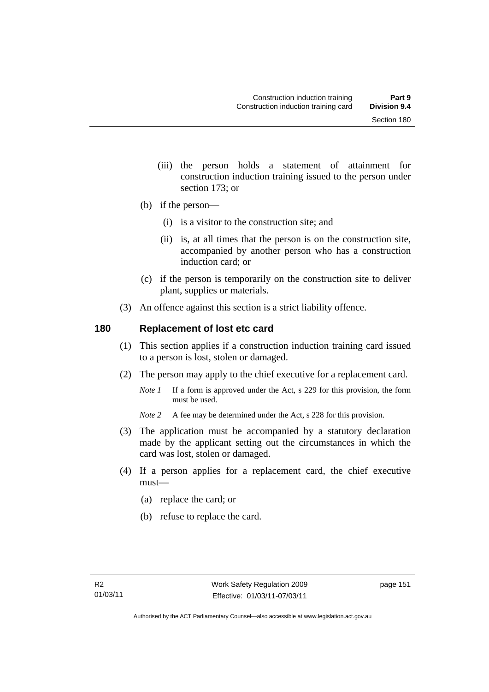- (iii) the person holds a statement of attainment for construction induction training issued to the person under section 173; or
- (b) if the person—
	- (i) is a visitor to the construction site; and
	- (ii) is, at all times that the person is on the construction site, accompanied by another person who has a construction induction card; or
- (c) if the person is temporarily on the construction site to deliver plant, supplies or materials.
- (3) An offence against this section is a strict liability offence.

### **180 Replacement of lost etc card**

- (1) This section applies if a construction induction training card issued to a person is lost, stolen or damaged.
- (2) The person may apply to the chief executive for a replacement card.
	- *Note 1* If a form is approved under the Act, s 229 for this provision, the form must be used.
	- *Note 2* A fee may be determined under the Act, s 228 for this provision.
- (3) The application must be accompanied by a statutory declaration made by the applicant setting out the circumstances in which the card was lost, stolen or damaged.
- (4) If a person applies for a replacement card, the chief executive must—
	- (a) replace the card; or
	- (b) refuse to replace the card.

page 151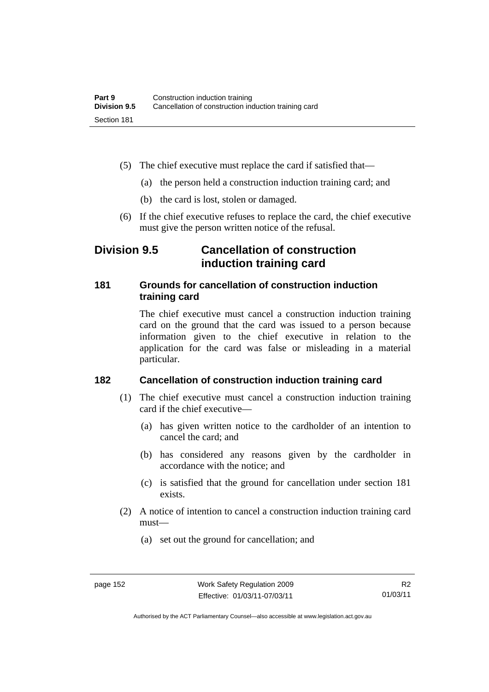- (5) The chief executive must replace the card if satisfied that—
	- (a) the person held a construction induction training card; and
	- (b) the card is lost, stolen or damaged.
- (6) If the chief executive refuses to replace the card, the chief executive must give the person written notice of the refusal.

# **Division 9.5 Cancellation of construction induction training card**

## **181 Grounds for cancellation of construction induction training card**

The chief executive must cancel a construction induction training card on the ground that the card was issued to a person because information given to the chief executive in relation to the application for the card was false or misleading in a material particular.

# **182 Cancellation of construction induction training card**

- (1) The chief executive must cancel a construction induction training card if the chief executive—
	- (a) has given written notice to the cardholder of an intention to cancel the card; and
	- (b) has considered any reasons given by the cardholder in accordance with the notice; and
	- (c) is satisfied that the ground for cancellation under section 181 exists.
- (2) A notice of intention to cancel a construction induction training card must—
	- (a) set out the ground for cancellation; and

Authorised by the ACT Parliamentary Counsel—also accessible at www.legislation.act.gov.au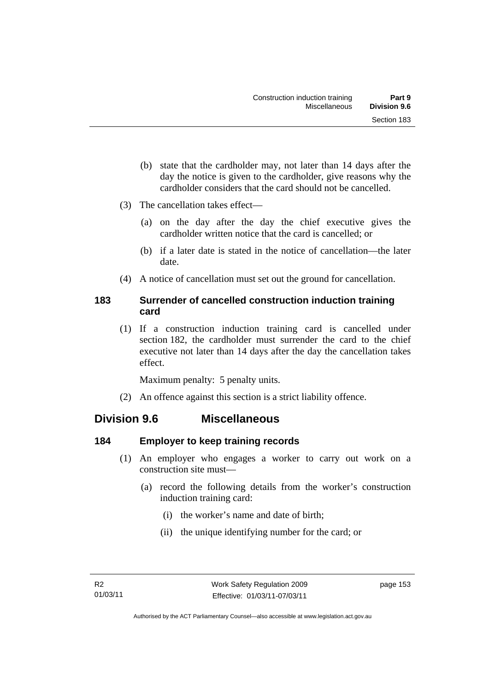- (b) state that the cardholder may, not later than 14 days after the day the notice is given to the cardholder, give reasons why the cardholder considers that the card should not be cancelled.
- (3) The cancellation takes effect—
	- (a) on the day after the day the chief executive gives the cardholder written notice that the card is cancelled; or
	- (b) if a later date is stated in the notice of cancellation—the later date.
- (4) A notice of cancellation must set out the ground for cancellation.

## **183 Surrender of cancelled construction induction training card**

 (1) If a construction induction training card is cancelled under section 182, the cardholder must surrender the card to the chief executive not later than 14 days after the day the cancellation takes effect.

Maximum penalty: 5 penalty units.

(2) An offence against this section is a strict liability offence.

# **Division 9.6 Miscellaneous**

### **184 Employer to keep training records**

- (1) An employer who engages a worker to carry out work on a construction site must—
	- (a) record the following details from the worker's construction induction training card:
		- (i) the worker's name and date of birth;
		- (ii) the unique identifying number for the card; or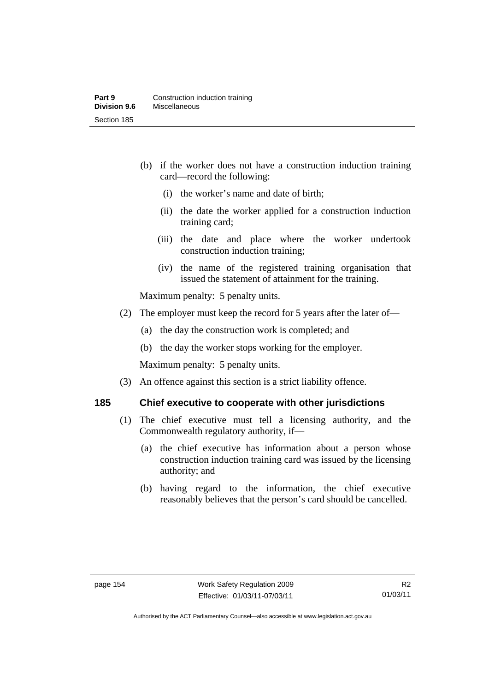- (b) if the worker does not have a construction induction training card—record the following:
	- (i) the worker's name and date of birth;
	- (ii) the date the worker applied for a construction induction training card;
	- (iii) the date and place where the worker undertook construction induction training;
	- (iv) the name of the registered training organisation that issued the statement of attainment for the training.

Maximum penalty: 5 penalty units.

- (2) The employer must keep the record for 5 years after the later of—
	- (a) the day the construction work is completed; and
	- (b) the day the worker stops working for the employer.

Maximum penalty: 5 penalty units.

(3) An offence against this section is a strict liability offence.

# **185 Chief executive to cooperate with other jurisdictions**

- (1) The chief executive must tell a licensing authority, and the Commonwealth regulatory authority, if—
	- (a) the chief executive has information about a person whose construction induction training card was issued by the licensing authority; and
	- (b) having regard to the information, the chief executive reasonably believes that the person's card should be cancelled.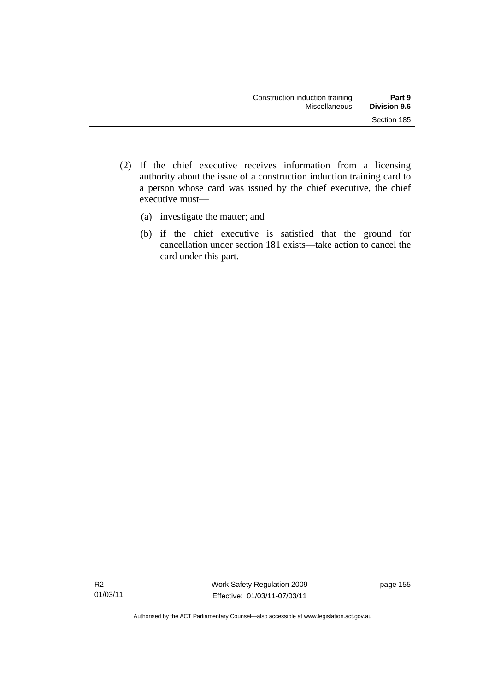- (2) If the chief executive receives information from a licensing authority about the issue of a construction induction training card to a person whose card was issued by the chief executive, the chief executive must—
	- (a) investigate the matter; and
	- (b) if the chief executive is satisfied that the ground for cancellation under section 181 exists—take action to cancel the card under this part.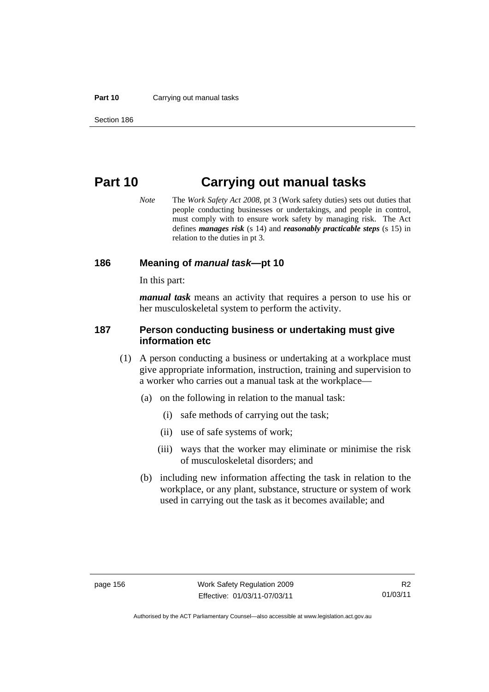#### **Part 10** Carrying out manual tasks

# **Part 10 Carrying out manual tasks**

*Note* The *Work Safety Act 2008*, pt 3 (Work safety duties) sets out duties that people conducting businesses or undertakings, and people in control, must comply with to ensure work safety by managing risk. The Act defines *manages risk* (s 14) and *reasonably practicable steps* (s 15) in relation to the duties in pt 3.

#### **186 Meaning of** *manual task***—pt 10**

In this part:

*manual task* means an activity that requires a person to use his or her musculoskeletal system to perform the activity.

#### **187 Person conducting business or undertaking must give information etc**

- (1) A person conducting a business or undertaking at a workplace must give appropriate information, instruction, training and supervision to a worker who carries out a manual task at the workplace—
	- (a) on the following in relation to the manual task:
		- (i) safe methods of carrying out the task;
		- (ii) use of safe systems of work;
		- (iii) ways that the worker may eliminate or minimise the risk of musculoskeletal disorders; and
	- (b) including new information affecting the task in relation to the workplace, or any plant, substance, structure or system of work used in carrying out the task as it becomes available; and

Authorised by the ACT Parliamentary Counsel—also accessible at www.legislation.act.gov.au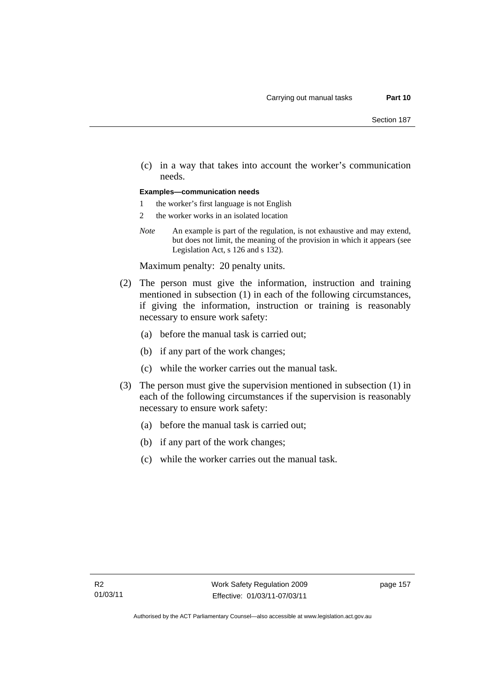(c) in a way that takes into account the worker's communication needs.

#### **Examples—communication needs**

- 1 the worker's first language is not English
- 2 the worker works in an isolated location
- *Note* An example is part of the regulation, is not exhaustive and may extend, but does not limit, the meaning of the provision in which it appears (see Legislation Act, s 126 and s 132).

Maximum penalty: 20 penalty units.

- (2) The person must give the information, instruction and training mentioned in subsection (1) in each of the following circumstances, if giving the information, instruction or training is reasonably necessary to ensure work safety:
	- (a) before the manual task is carried out;
	- (b) if any part of the work changes;
	- (c) while the worker carries out the manual task.
- (3) The person must give the supervision mentioned in subsection (1) in each of the following circumstances if the supervision is reasonably necessary to ensure work safety:
	- (a) before the manual task is carried out;
	- (b) if any part of the work changes;
	- (c) while the worker carries out the manual task.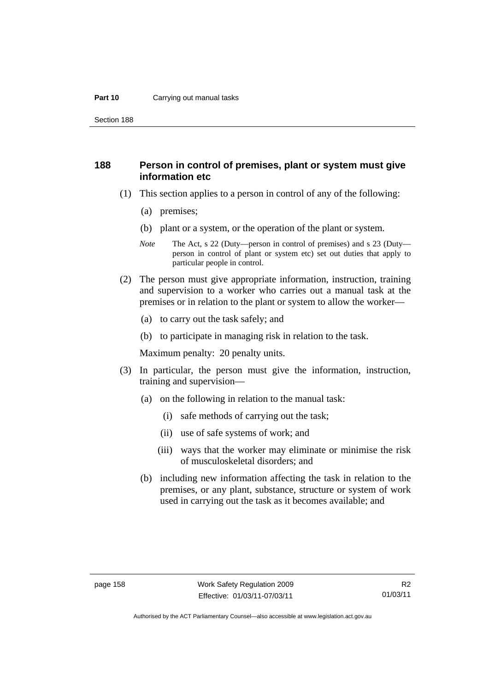#### **Part 10** Carrying out manual tasks

Section 188

### **188 Person in control of premises, plant or system must give information etc**

- (1) This section applies to a person in control of any of the following:
	- (a) premises;
	- (b) plant or a system, or the operation of the plant or system.
	- *Note* The Act, s 22 (Duty—person in control of premises) and s 23 (Duty person in control of plant or system etc) set out duties that apply to particular people in control.
- (2) The person must give appropriate information, instruction, training and supervision to a worker who carries out a manual task at the premises or in relation to the plant or system to allow the worker—
	- (a) to carry out the task safely; and
	- (b) to participate in managing risk in relation to the task.

Maximum penalty: 20 penalty units.

- (3) In particular, the person must give the information, instruction, training and supervision—
	- (a) on the following in relation to the manual task:
		- (i) safe methods of carrying out the task;
		- (ii) use of safe systems of work; and
		- (iii) ways that the worker may eliminate or minimise the risk of musculoskeletal disorders; and
	- (b) including new information affecting the task in relation to the premises, or any plant, substance, structure or system of work used in carrying out the task as it becomes available; and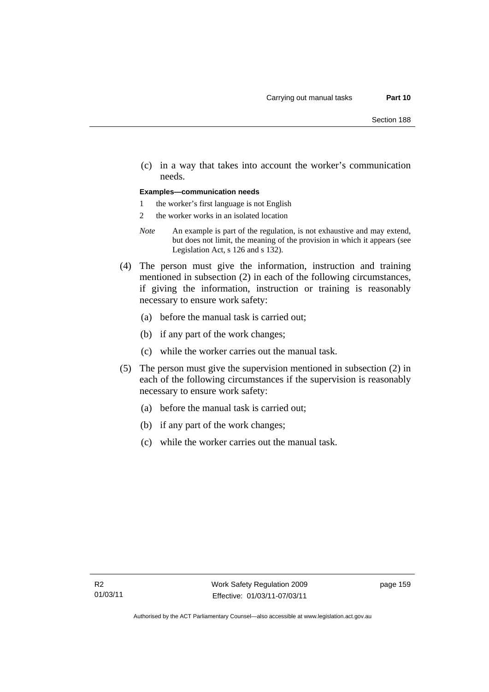(c) in a way that takes into account the worker's communication needs.

#### **Examples—communication needs**

- 1 the worker's first language is not English
- 2 the worker works in an isolated location
- *Note* An example is part of the regulation, is not exhaustive and may extend, but does not limit, the meaning of the provision in which it appears (see Legislation Act, s 126 and s 132).
- (4) The person must give the information, instruction and training mentioned in subsection (2) in each of the following circumstances, if giving the information, instruction or training is reasonably necessary to ensure work safety:
	- (a) before the manual task is carried out;
	- (b) if any part of the work changes;
	- (c) while the worker carries out the manual task.
- (5) The person must give the supervision mentioned in subsection (2) in each of the following circumstances if the supervision is reasonably necessary to ensure work safety:
	- (a) before the manual task is carried out;
	- (b) if any part of the work changes;
	- (c) while the worker carries out the manual task.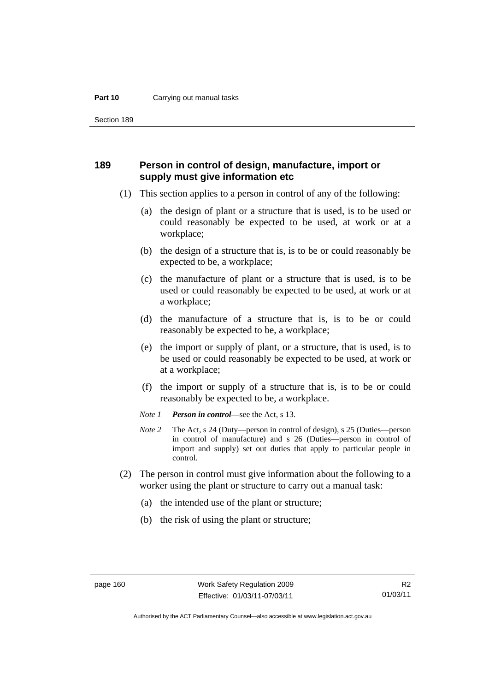#### **Part 10** Carrying out manual tasks

Section 189

### **189 Person in control of design, manufacture, import or supply must give information etc**

- (1) This section applies to a person in control of any of the following:
	- (a) the design of plant or a structure that is used, is to be used or could reasonably be expected to be used, at work or at a workplace;
	- (b) the design of a structure that is, is to be or could reasonably be expected to be, a workplace;
	- (c) the manufacture of plant or a structure that is used, is to be used or could reasonably be expected to be used, at work or at a workplace;
	- (d) the manufacture of a structure that is, is to be or could reasonably be expected to be, a workplace;
	- (e) the import or supply of plant, or a structure, that is used, is to be used or could reasonably be expected to be used, at work or at a workplace;
	- (f) the import or supply of a structure that is, is to be or could reasonably be expected to be, a workplace.
	- *Note 1 Person in control*—see the Act, s 13.
	- *Note 2* The Act, s 24 (Duty—person in control of design), s 25 (Duties—person in control of manufacture) and s 26 (Duties—person in control of import and supply) set out duties that apply to particular people in control.
- (2) The person in control must give information about the following to a worker using the plant or structure to carry out a manual task:
	- (a) the intended use of the plant or structure;
	- (b) the risk of using the plant or structure;

Authorised by the ACT Parliamentary Counsel—also accessible at www.legislation.act.gov.au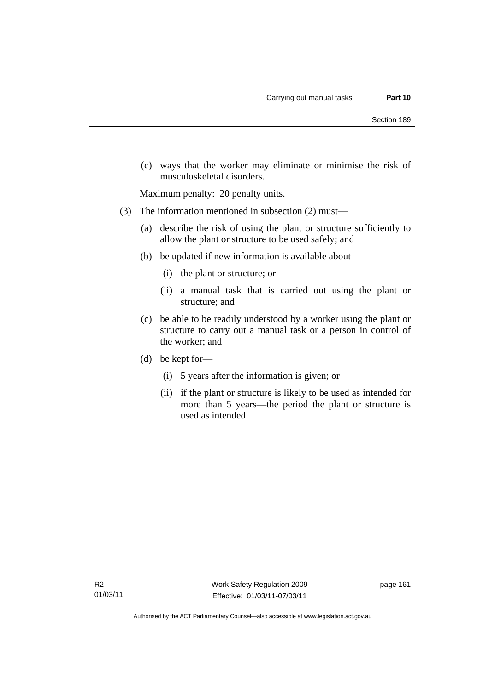(c) ways that the worker may eliminate or minimise the risk of musculoskeletal disorders.

Maximum penalty: 20 penalty units.

- (3) The information mentioned in subsection (2) must—
	- (a) describe the risk of using the plant or structure sufficiently to allow the plant or structure to be used safely; and
	- (b) be updated if new information is available about—
		- (i) the plant or structure; or
		- (ii) a manual task that is carried out using the plant or structure; and
	- (c) be able to be readily understood by a worker using the plant or structure to carry out a manual task or a person in control of the worker; and
	- (d) be kept for—
		- (i) 5 years after the information is given; or
		- (ii) if the plant or structure is likely to be used as intended for more than 5 years—the period the plant or structure is used as intended.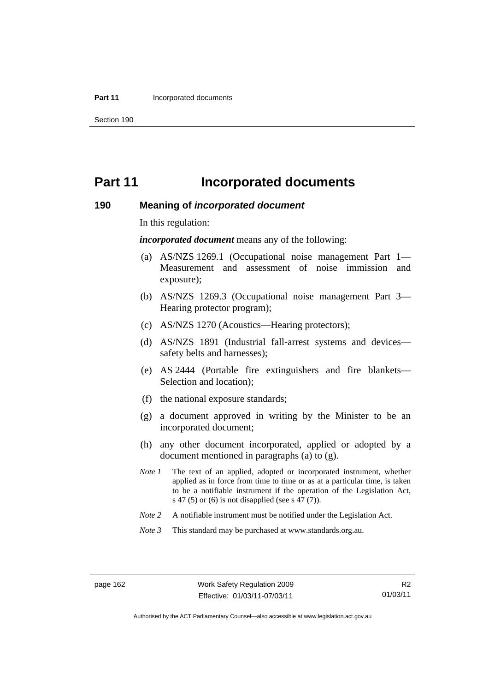#### **Part 11 Incorporated documents**

Section 190

# **Part 11** Incorporated documents

#### **190 Meaning of** *incorporated document*

In this regulation:

*incorporated document* means any of the following:

- (a) AS/NZS 1269.1 (Occupational noise management Part 1— Measurement and assessment of noise immission and exposure);
- (b) AS/NZS 1269.3 (Occupational noise management Part 3— Hearing protector program);
- (c) AS/NZS 1270 (Acoustics—Hearing protectors);
- (d) AS/NZS 1891 (Industrial fall-arrest systems and devices safety belts and harnesses);
- (e) AS 2444 (Portable fire extinguishers and fire blankets— Selection and location);
- (f) the national exposure standards;
- (g) a document approved in writing by the Minister to be an incorporated document;
- (h) any other document incorporated, applied or adopted by a document mentioned in paragraphs (a) to (g).
- *Note 1* The text of an applied, adopted or incorporated instrument, whether applied as in force from time to time or as at a particular time, is taken to be a notifiable instrument if the operation of the Legislation Act, s 47 (5) or (6) is not disapplied (see s 47 (7)).
- *Note 2* A notifiable instrument must be notified under the Legislation Act.
- *Note 3* This standard may be purchased at www.standards.org.au.

Authorised by the ACT Parliamentary Counsel—also accessible at www.legislation.act.gov.au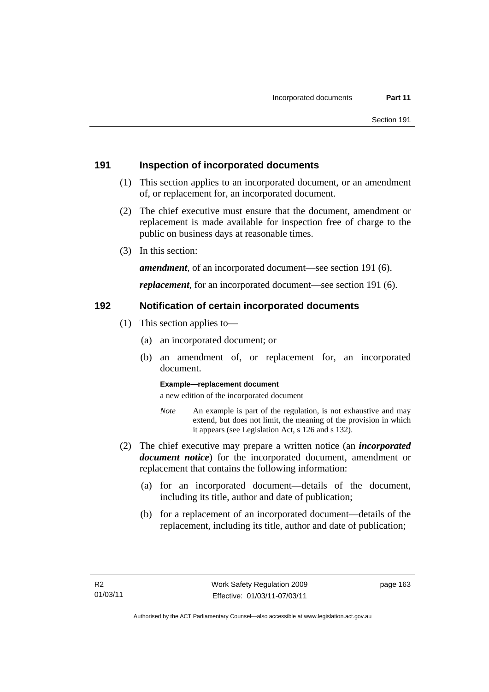### **191 Inspection of incorporated documents**

- (1) This section applies to an incorporated document, or an amendment of, or replacement for, an incorporated document.
- (2) The chief executive must ensure that the document, amendment or replacement is made available for inspection free of charge to the public on business days at reasonable times.
- (3) In this section:

*amendment*, of an incorporated document—see section 191 (6).

*replacement*, for an incorporated document—see section 191 (6).

### **192 Notification of certain incorporated documents**

- (1) This section applies to—
	- (a) an incorporated document; or
	- (b) an amendment of, or replacement for, an incorporated document.

#### **Example—replacement document**

a new edition of the incorporated document

- *Note* An example is part of the regulation, is not exhaustive and may extend, but does not limit, the meaning of the provision in which it appears (see Legislation Act, s 126 and s 132).
- (2) The chief executive may prepare a written notice (an *incorporated document notice*) for the incorporated document, amendment or replacement that contains the following information:
	- (a) for an incorporated document—details of the document, including its title, author and date of publication;
	- (b) for a replacement of an incorporated document—details of the replacement, including its title, author and date of publication;

page 163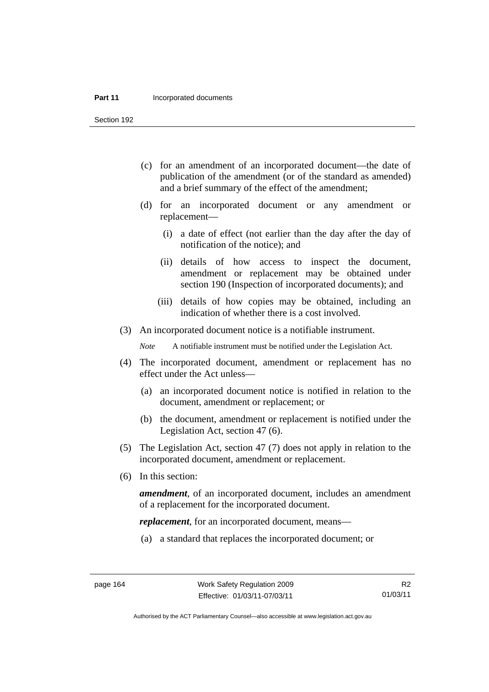#### **Part 11 Incorporated documents**

Section 192

- (c) for an amendment of an incorporated document—the date of publication of the amendment (or of the standard as amended) and a brief summary of the effect of the amendment;
- (d) for an incorporated document or any amendment or replacement—
	- (i) a date of effect (not earlier than the day after the day of notification of the notice); and
	- (ii) details of how access to inspect the document, amendment or replacement may be obtained under section 190 (Inspection of incorporated documents); and
	- (iii) details of how copies may be obtained, including an indication of whether there is a cost involved.
- (3) An incorporated document notice is a notifiable instrument.

*Note* A notifiable instrument must be notified under the Legislation Act.

- (4) The incorporated document, amendment or replacement has no effect under the Act unless—
	- (a) an incorporated document notice is notified in relation to the document, amendment or replacement; or
	- (b) the document, amendment or replacement is notified under the Legislation Act, section 47 (6).
- (5) The Legislation Act, section 47 (7) does not apply in relation to the incorporated document, amendment or replacement.
- (6) In this section:

*amendment*, of an incorporated document, includes an amendment of a replacement for the incorporated document.

*replacement*, for an incorporated document, means—

(a) a standard that replaces the incorporated document; or

Authorised by the ACT Parliamentary Counsel—also accessible at www.legislation.act.gov.au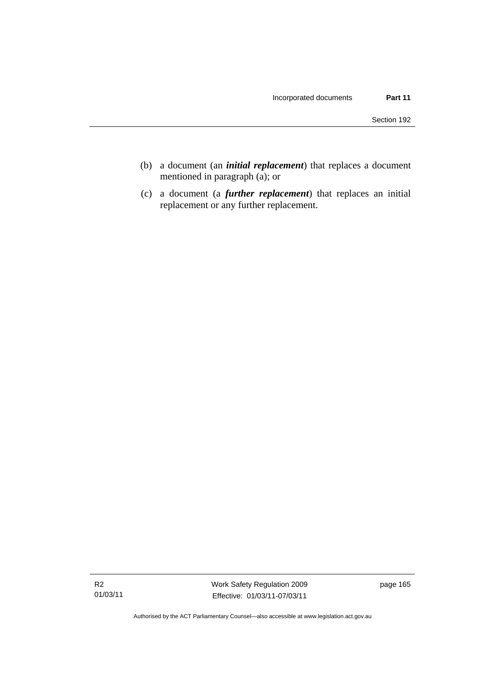- (b) a document (an *initial replacement*) that replaces a document mentioned in paragraph (a); or
- (c) a document (a *further replacement*) that replaces an initial replacement or any further replacement.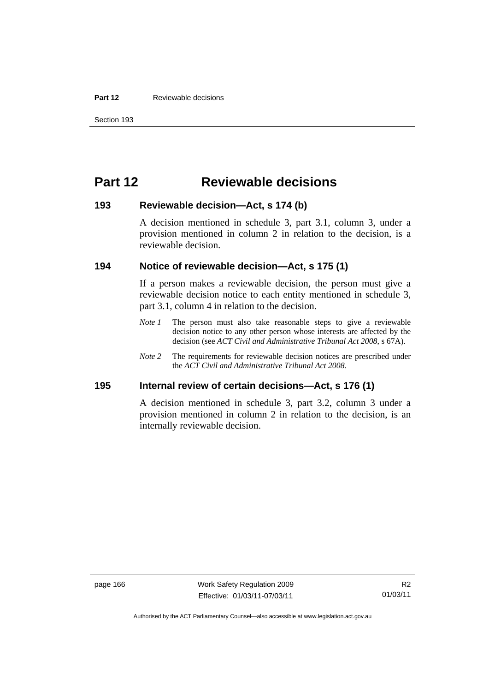#### **Part 12 Reviewable decisions**

Section 193

# **Part 12 Reviewable decisions**

### **193 Reviewable decision—Act, s 174 (b)**

A decision mentioned in schedule 3, part 3.1, column 3, under a provision mentioned in column 2 in relation to the decision, is a reviewable decision.

#### **194 Notice of reviewable decision—Act, s 175 (1)**

If a person makes a reviewable decision, the person must give a reviewable decision notice to each entity mentioned in schedule 3, part 3.1, column 4 in relation to the decision.

- *Note 1* The person must also take reasonable steps to give a reviewable decision notice to any other person whose interests are affected by the decision (see *ACT Civil and Administrative Tribunal Act 2008*, s 67A).
- *Note* 2 The requirements for reviewable decision notices are prescribed under the *ACT Civil and Administrative Tribunal Act 2008*.

### **195 Internal review of certain decisions—Act, s 176 (1)**

A decision mentioned in schedule 3, part 3.2, column 3 under a provision mentioned in column 2 in relation to the decision, is an internally reviewable decision.

page 166 Work Safety Regulation 2009 Effective: 01/03/11-07/03/11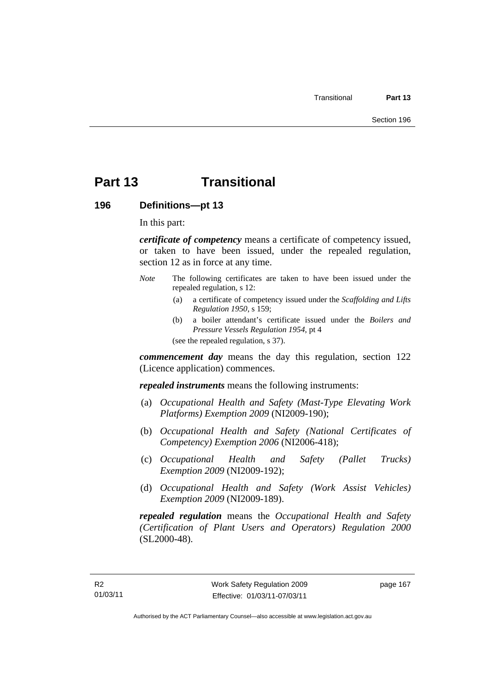### **Part 13 Transitional**

#### **196 Definitions—pt 13**

In this part:

*certificate of competency* means a certificate of competency issued, or taken to have been issued, under the repealed regulation, section 12 as in force at any time.

- *Note* The following certificates are taken to have been issued under the repealed regulation, s 12:
	- (a) a certificate of competency issued under the *Scaffolding and Lifts Regulation 1950*, s 159;
	- (b) a boiler attendant's certificate issued under the *Boilers and Pressure Vessels Regulation 1954*, pt 4

(see the repealed regulation, s 37).

*commencement day* means the day this regulation, section 122 (Licence application) commences.

*repealed instruments* means the following instruments:

- (a) *Occupational Health and Safety (Mast-Type Elevating Work Platforms) Exemption 2009* (NI2009-190);
- (b) *Occupational Health and Safety (National Certificates of Competency) Exemption 2006* (NI2006-418);
- (c) *Occupational Health and Safety (Pallet Trucks) Exemption 2009* (NI2009-192);
- (d) *Occupational Health and Safety (Work Assist Vehicles) Exemption 2009* (NI2009-189).

*repealed regulation* means the *Occupational Health and Safety (Certification of Plant Users and Operators) Regulation 2000* (SL2000-48).

page 167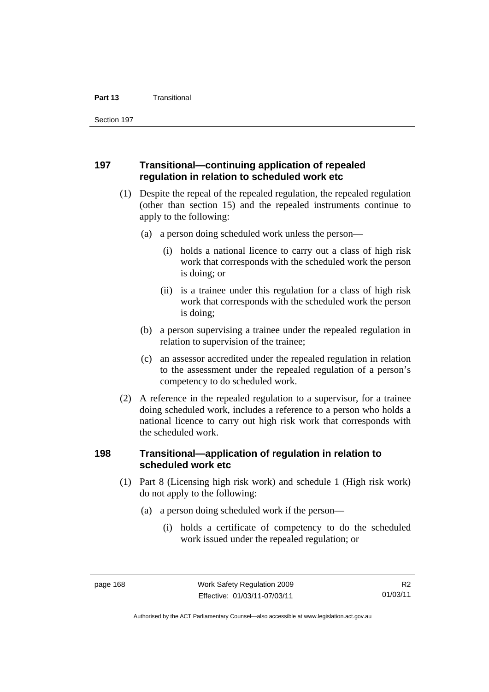Section 197

#### **197 Transitional—continuing application of repealed regulation in relation to scheduled work etc**

- (1) Despite the repeal of the repealed regulation, the repealed regulation (other than section 15) and the repealed instruments continue to apply to the following:
	- (a) a person doing scheduled work unless the person—
		- (i) holds a national licence to carry out a class of high risk work that corresponds with the scheduled work the person is doing; or
		- (ii) is a trainee under this regulation for a class of high risk work that corresponds with the scheduled work the person is doing;
	- (b) a person supervising a trainee under the repealed regulation in relation to supervision of the trainee;
	- (c) an assessor accredited under the repealed regulation in relation to the assessment under the repealed regulation of a person's competency to do scheduled work.
- (2) A reference in the repealed regulation to a supervisor, for a trainee doing scheduled work, includes a reference to a person who holds a national licence to carry out high risk work that corresponds with the scheduled work.

#### **198 Transitional—application of regulation in relation to scheduled work etc**

- (1) Part 8 (Licensing high risk work) and schedule 1 (High risk work) do not apply to the following:
	- (a) a person doing scheduled work if the person—
		- (i) holds a certificate of competency to do the scheduled work issued under the repealed regulation; or

Authorised by the ACT Parliamentary Counsel—also accessible at www.legislation.act.gov.au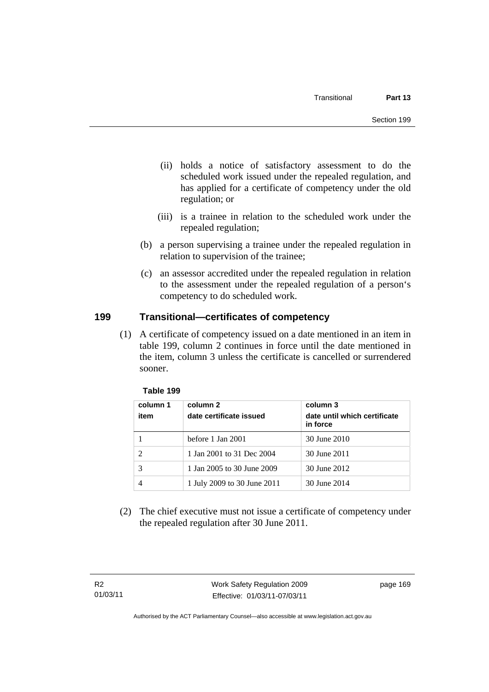- (ii) holds a notice of satisfactory assessment to do the scheduled work issued under the repealed regulation, and has applied for a certificate of competency under the old regulation; or
- (iii) is a trainee in relation to the scheduled work under the repealed regulation;
- (b) a person supervising a trainee under the repealed regulation in relation to supervision of the trainee;
- (c) an assessor accredited under the repealed regulation in relation to the assessment under the repealed regulation of a person's competency to do scheduled work.

### **199 Transitional—certificates of competency**

 (1) A certificate of competency issued on a date mentioned in an item in table 199, column 2 continues in force until the date mentioned in the item, column 3 unless the certificate is cancelled or surrendered sooner.

| column 1<br>item | column 2<br>date certificate issued | column 3<br>date until which certificate<br>in force |
|------------------|-------------------------------------|------------------------------------------------------|
|                  | before 1 Jan 2001                   | 30 June 2010                                         |
|                  | 1 Jan 2001 to 31 Dec 2004           | 30 June 2011                                         |
|                  | 1 Jan 2005 to 30 June 2009          | 30 June 2012                                         |
|                  | 1 July 2009 to 30 June 2011         | 30 June 2014                                         |

#### **Table 199**

 (2) The chief executive must not issue a certificate of competency under the repealed regulation after 30 June 2011.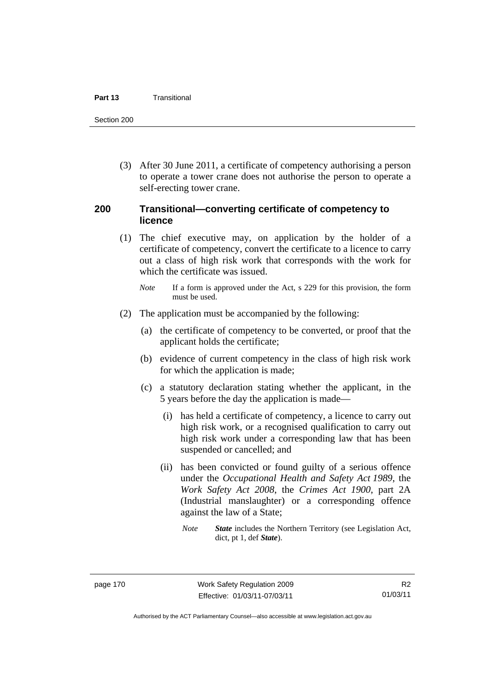#### **Part 13** Transitional

Section 200

 (3) After 30 June 2011, a certificate of competency authorising a person to operate a tower crane does not authorise the person to operate a self-erecting tower crane.

#### **200 Transitional—converting certificate of competency to licence**

- (1) The chief executive may, on application by the holder of a certificate of competency, convert the certificate to a licence to carry out a class of high risk work that corresponds with the work for which the certificate was issued.
	- *Note* If a form is approved under the Act, s 229 for this provision, the form must be used.
- (2) The application must be accompanied by the following:
	- (a) the certificate of competency to be converted, or proof that the applicant holds the certificate;
	- (b) evidence of current competency in the class of high risk work for which the application is made;
	- (c) a statutory declaration stating whether the applicant, in the 5 years before the day the application is made—
		- (i) has held a certificate of competency, a licence to carry out high risk work, or a recognised qualification to carry out high risk work under a corresponding law that has been suspended or cancelled; and
		- (ii) has been convicted or found guilty of a serious offence under the *Occupational Health and Safety Act 1989*, the *Work Safety Act 2008*, the *Crimes Act 1900*, part 2A (Industrial manslaughter) or a corresponding offence against the law of a State;
			- *Note State* includes the Northern Territory (see Legislation Act, dict, pt 1, def *State*).

R2 01/03/11

Authorised by the ACT Parliamentary Counsel—also accessible at www.legislation.act.gov.au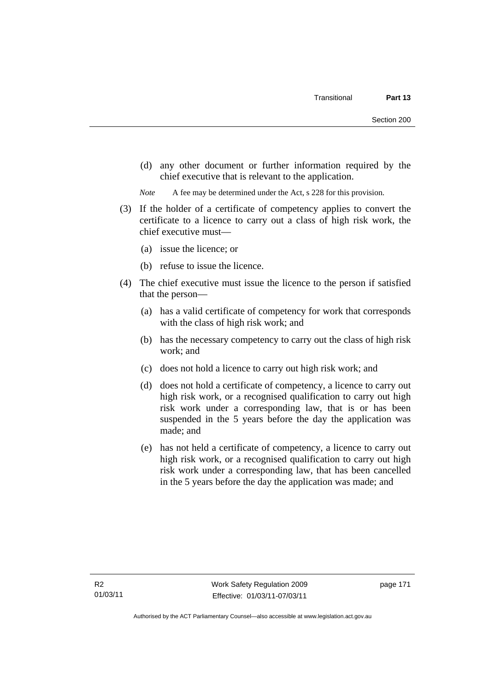(d) any other document or further information required by the chief executive that is relevant to the application.

*Note* A fee may be determined under the Act, s 228 for this provision.

- (3) If the holder of a certificate of competency applies to convert the certificate to a licence to carry out a class of high risk work, the chief executive must—
	- (a) issue the licence; or
	- (b) refuse to issue the licence.
- (4) The chief executive must issue the licence to the person if satisfied that the person—
	- (a) has a valid certificate of competency for work that corresponds with the class of high risk work; and
	- (b) has the necessary competency to carry out the class of high risk work; and
	- (c) does not hold a licence to carry out high risk work; and
	- (d) does not hold a certificate of competency, a licence to carry out high risk work, or a recognised qualification to carry out high risk work under a corresponding law, that is or has been suspended in the 5 years before the day the application was made; and
	- (e) has not held a certificate of competency, a licence to carry out high risk work, or a recognised qualification to carry out high risk work under a corresponding law, that has been cancelled in the 5 years before the day the application was made; and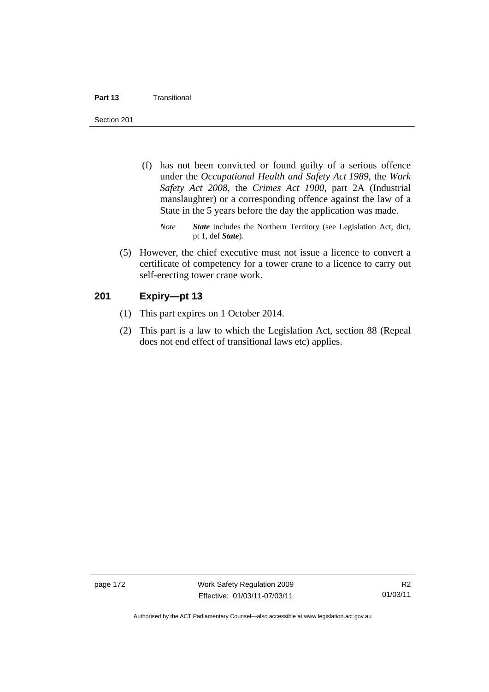#### **Part 13** Transitional

Section 201

- (f) has not been convicted or found guilty of a serious offence under the *Occupational Health and Safety Act 1989*, the *Work Safety Act 2008*, the *Crimes Act 1900*, part 2A (Industrial manslaughter) or a corresponding offence against the law of a State in the 5 years before the day the application was made.
	- *Note State* includes the Northern Territory (see Legislation Act, dict, pt 1, def *State*).
- (5) However, the chief executive must not issue a licence to convert a certificate of competency for a tower crane to a licence to carry out self-erecting tower crane work.

#### **201 Expiry—pt 13**

- (1) This part expires on 1 October 2014.
- (2) This part is a law to which the Legislation Act, section 88 (Repeal does not end effect of transitional laws etc) applies.

page 172 Work Safety Regulation 2009 Effective: 01/03/11-07/03/11

Authorised by the ACT Parliamentary Counsel—also accessible at www.legislation.act.gov.au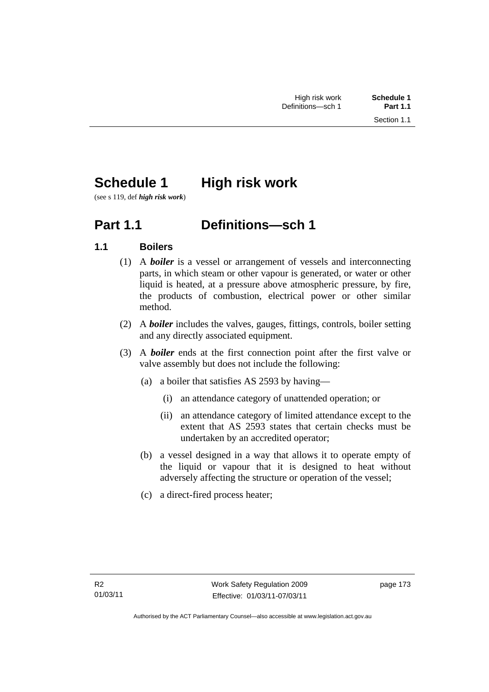# **Schedule 1 High risk work**

(see s 119, def *high risk work*)

## **Part 1.1 Definitions—sch 1**

### **1.1 Boilers**

- (1) A *boiler* is a vessel or arrangement of vessels and interconnecting parts, in which steam or other vapour is generated, or water or other liquid is heated, at a pressure above atmospheric pressure, by fire, the products of combustion, electrical power or other similar method.
- (2) A *boiler* includes the valves, gauges, fittings, controls, boiler setting and any directly associated equipment.
- (3) A *boiler* ends at the first connection point after the first valve or valve assembly but does not include the following:
	- (a) a boiler that satisfies AS 2593 by having—
		- (i) an attendance category of unattended operation; or
		- (ii) an attendance category of limited attendance except to the extent that AS 2593 states that certain checks must be undertaken by an accredited operator;
	- (b) a vessel designed in a way that allows it to operate empty of the liquid or vapour that it is designed to heat without adversely affecting the structure or operation of the vessel;
	- (c) a direct-fired process heater;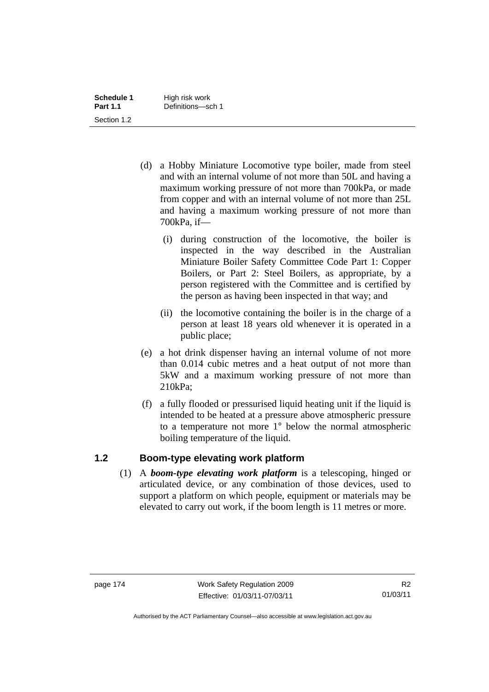| Schedule 1      | High risk work    |
|-----------------|-------------------|
| <b>Part 1.1</b> | Definitions-sch 1 |
| Section 1.2     |                   |

- (d) a Hobby Miniature Locomotive type boiler, made from steel and with an internal volume of not more than 50L and having a maximum working pressure of not more than 700kPa, or made from copper and with an internal volume of not more than 25L and having a maximum working pressure of not more than 700kPa, if—
	- (i) during construction of the locomotive, the boiler is inspected in the way described in the Australian Miniature Boiler Safety Committee Code Part 1: Copper Boilers, or Part 2: Steel Boilers, as appropriate, by a person registered with the Committee and is certified by the person as having been inspected in that way; and
	- (ii) the locomotive containing the boiler is in the charge of a person at least 18 years old whenever it is operated in a public place;
- (e) a hot drink dispenser having an internal volume of not more than 0.014 cubic metres and a heat output of not more than 5kW and a maximum working pressure of not more than 210kPa;
- (f) a fully flooded or pressurised liquid heating unit if the liquid is intended to be heated at a pressure above atmospheric pressure to a temperature not more 1° below the normal atmospheric boiling temperature of the liquid.

#### **1.2 Boom-type elevating work platform**

 (1) A *boom-type elevating work platform* is a telescoping, hinged or articulated device, or any combination of those devices, used to support a platform on which people, equipment or materials may be elevated to carry out work, if the boom length is 11 metres or more.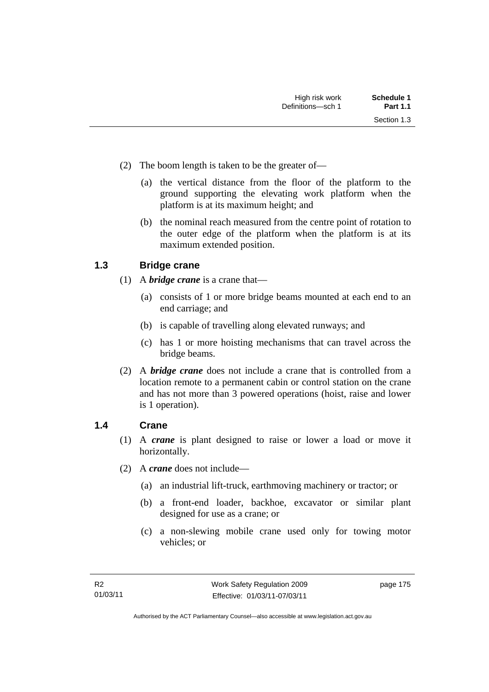- (2) The boom length is taken to be the greater of—
	- (a) the vertical distance from the floor of the platform to the ground supporting the elevating work platform when the platform is at its maximum height; and
	- (b) the nominal reach measured from the centre point of rotation to the outer edge of the platform when the platform is at its maximum extended position.

#### **1.3 Bridge crane**

- (1) A *bridge crane* is a crane that—
	- (a) consists of 1 or more bridge beams mounted at each end to an end carriage; and
	- (b) is capable of travelling along elevated runways; and
	- (c) has 1 or more hoisting mechanisms that can travel across the bridge beams.
- (2) A *bridge crane* does not include a crane that is controlled from a location remote to a permanent cabin or control station on the crane and has not more than 3 powered operations (hoist, raise and lower is 1 operation).

#### **1.4 Crane**

- (1) A *crane* is plant designed to raise or lower a load or move it horizontally.
- (2) A *crane* does not include—
	- (a) an industrial lift-truck, earthmoving machinery or tractor; or
	- (b) a front-end loader, backhoe, excavator or similar plant designed for use as a crane; or
	- (c) a non-slewing mobile crane used only for towing motor vehicles; or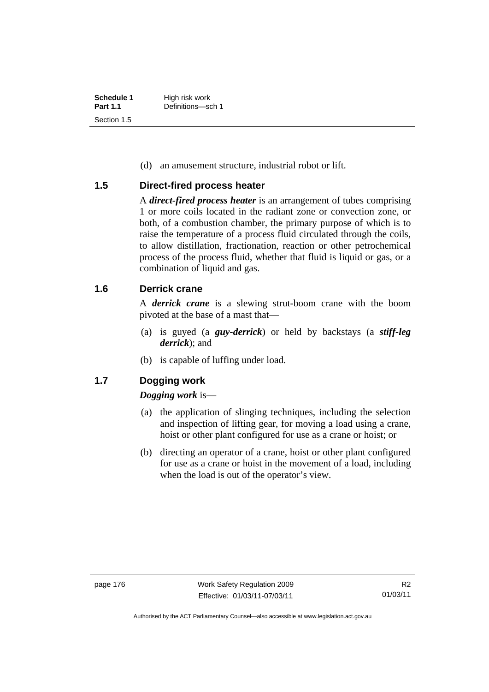| Schedule 1      | High risk work    |
|-----------------|-------------------|
| <b>Part 1.1</b> | Definitions-sch 1 |
| Section 1.5     |                   |

(d) an amusement structure, industrial robot or lift.

#### **1.5 Direct-fired process heater**

A *direct-fired process heater* is an arrangement of tubes comprising 1 or more coils located in the radiant zone or convection zone, or both, of a combustion chamber, the primary purpose of which is to raise the temperature of a process fluid circulated through the coils, to allow distillation, fractionation, reaction or other petrochemical process of the process fluid, whether that fluid is liquid or gas, or a combination of liquid and gas.

#### **1.6 Derrick crane**

A *derrick crane* is a slewing strut-boom crane with the boom pivoted at the base of a mast that—

- (a) is guyed (a *guy-derrick*) or held by backstays (a *stiff-leg derrick*); and
- (b) is capable of luffing under load.

#### **1.7 Dogging work**

#### *Dogging work* is—

- (a) the application of slinging techniques, including the selection and inspection of lifting gear, for moving a load using a crane, hoist or other plant configured for use as a crane or hoist; or
- (b) directing an operator of a crane, hoist or other plant configured for use as a crane or hoist in the movement of a load, including when the load is out of the operator's view.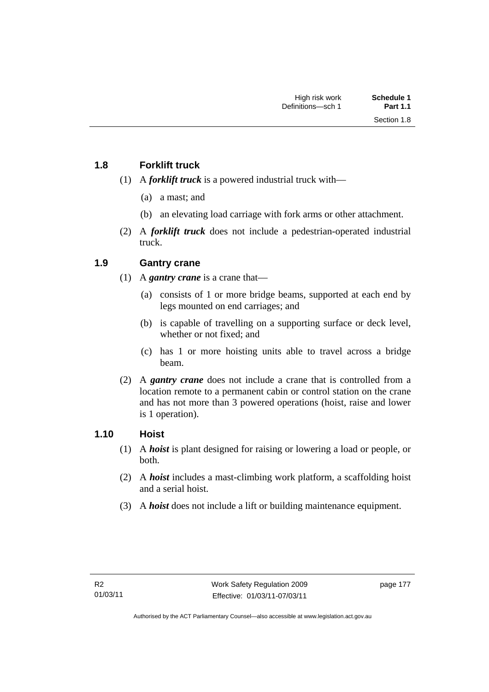#### **1.8 Forklift truck**

- (1) A *forklift truck* is a powered industrial truck with—
	- (a) a mast; and
	- (b) an elevating load carriage with fork arms or other attachment.
- (2) A *forklift truck* does not include a pedestrian-operated industrial truck.

#### **1.9 Gantry crane**

- (1) A *gantry crane* is a crane that—
	- (a) consists of 1 or more bridge beams, supported at each end by legs mounted on end carriages; and
	- (b) is capable of travelling on a supporting surface or deck level, whether or not fixed; and
	- (c) has 1 or more hoisting units able to travel across a bridge beam.
- (2) A *gantry crane* does not include a crane that is controlled from a location remote to a permanent cabin or control station on the crane and has not more than 3 powered operations (hoist, raise and lower is 1 operation).

#### **1.10 Hoist**

- (1) A *hoist* is plant designed for raising or lowering a load or people, or both.
- (2) A *hoist* includes a mast-climbing work platform, a scaffolding hoist and a serial hoist.
- (3) A *hoist* does not include a lift or building maintenance equipment.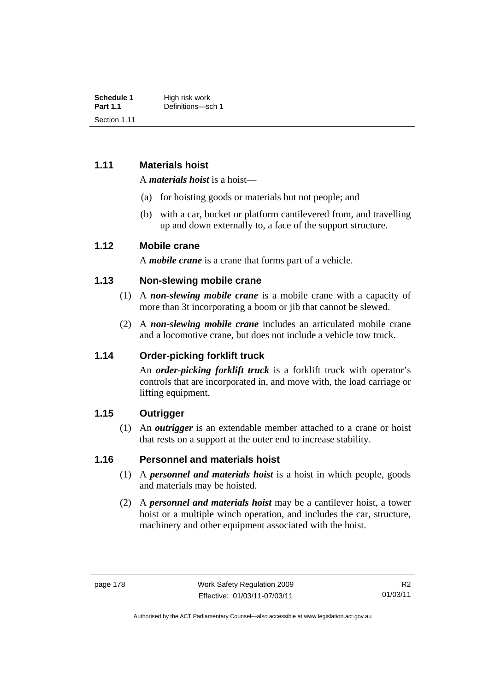| Schedule 1      | High risk work    |
|-----------------|-------------------|
| <b>Part 1.1</b> | Definitions-sch 1 |
| Section 1.11    |                   |

#### **1.11 Materials hoist**

A *materials hoist* is a hoist—

- (a) for hoisting goods or materials but not people; and
- (b) with a car, bucket or platform cantilevered from, and travelling up and down externally to, a face of the support structure.

#### **1.12 Mobile crane**

A *mobile crane* is a crane that forms part of a vehicle.

#### **1.13 Non-slewing mobile crane**

- (1) A *non-slewing mobile crane* is a mobile crane with a capacity of more than 3t incorporating a boom or jib that cannot be slewed.
- (2) A *non-slewing mobile crane* includes an articulated mobile crane and a locomotive crane, but does not include a vehicle tow truck.

#### **1.14 Order-picking forklift truck**

An *order-picking forklift truck* is a forklift truck with operator's controls that are incorporated in, and move with, the load carriage or lifting equipment.

#### **1.15 Outrigger**

 (1) An *outrigger* is an extendable member attached to a crane or hoist that rests on a support at the outer end to increase stability.

#### **1.16 Personnel and materials hoist**

- (1) A *personnel and materials hoist* is a hoist in which people, goods and materials may be hoisted.
- (2) A *personnel and materials hoist* may be a cantilever hoist, a tower hoist or a multiple winch operation, and includes the car, structure, machinery and other equipment associated with the hoist.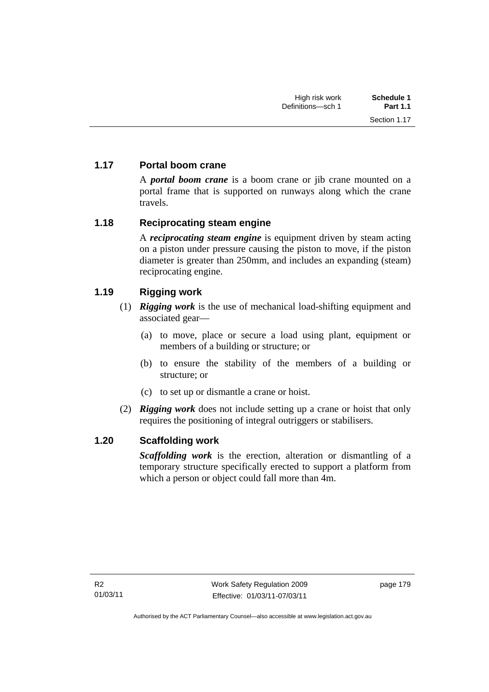### **1.17 Portal boom crane**

A *portal boom crane* is a boom crane or jib crane mounted on a portal frame that is supported on runways along which the crane travels.

#### **1.18 Reciprocating steam engine**

A *reciprocating steam engine* is equipment driven by steam acting on a piston under pressure causing the piston to move, if the piston diameter is greater than 250mm, and includes an expanding (steam) reciprocating engine.

### **1.19 Rigging work**

- (1) *Rigging work* is the use of mechanical load-shifting equipment and associated gear—
	- (a) to move, place or secure a load using plant, equipment or members of a building or structure; or
	- (b) to ensure the stability of the members of a building or structure; or
	- (c) to set up or dismantle a crane or hoist.
- (2) *Rigging work* does not include setting up a crane or hoist that only requires the positioning of integral outriggers or stabilisers.

#### **1.20 Scaffolding work**

*Scaffolding work* is the erection, alteration or dismantling of a temporary structure specifically erected to support a platform from which a person or object could fall more than 4m.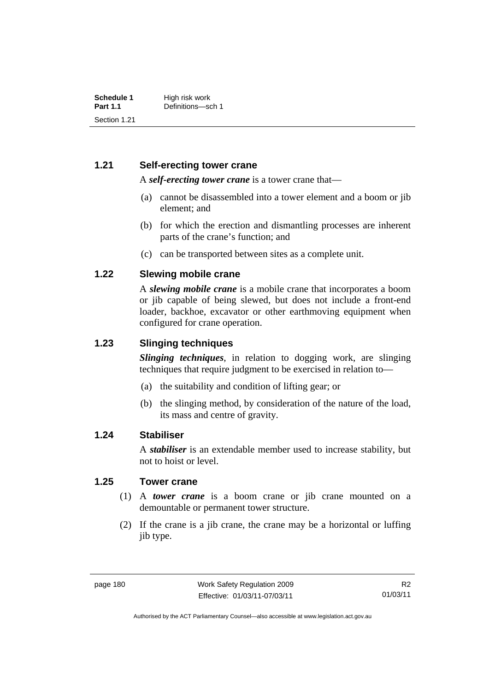#### **1.21 Self-erecting tower crane**

A *self-erecting tower crane* is a tower crane that—

- (a) cannot be disassembled into a tower element and a boom or jib element; and
- (b) for which the erection and dismantling processes are inherent parts of the crane's function; and
- (c) can be transported between sites as a complete unit.

#### **1.22 Slewing mobile crane**

A *slewing mobile crane* is a mobile crane that incorporates a boom or jib capable of being slewed, but does not include a front-end loader, backhoe, excavator or other earthmoving equipment when configured for crane operation.

#### **1.23 Slinging techniques**

*Slinging techniques*, in relation to dogging work, are slinging techniques that require judgment to be exercised in relation to—

- (a) the suitability and condition of lifting gear; or
- (b) the slinging method, by consideration of the nature of the load, its mass and centre of gravity.

#### **1.24 Stabiliser**

A *stabiliser* is an extendable member used to increase stability, but not to hoist or level.

#### **1.25 Tower crane**

- (1) A *tower crane* is a boom crane or jib crane mounted on a demountable or permanent tower structure.
- (2) If the crane is a jib crane, the crane may be a horizontal or luffing jib type.

Authorised by the ACT Parliamentary Counsel—also accessible at www.legislation.act.gov.au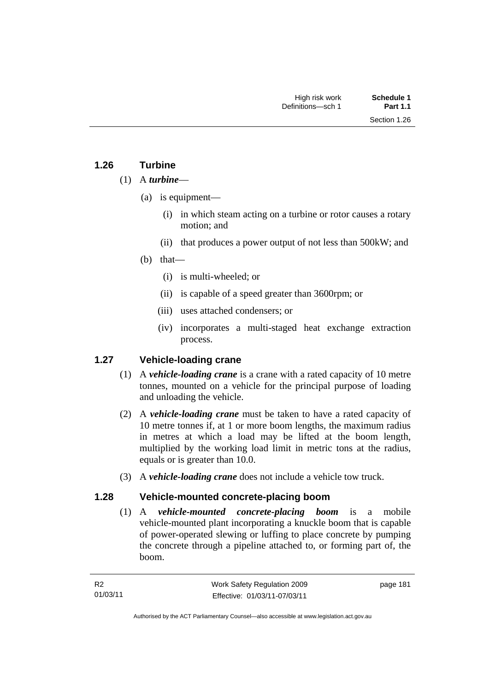#### **1.26 Turbine**

#### (1) A *turbine*—

- (a) is equipment—
	- (i) in which steam acting on a turbine or rotor causes a rotary motion; and
	- (ii) that produces a power output of not less than 500kW; and
- (b) that—
	- (i) is multi-wheeled; or
	- (ii) is capable of a speed greater than 3600rpm; or
	- (iii) uses attached condensers; or
	- (iv) incorporates a multi-staged heat exchange extraction process.

#### **1.27 Vehicle-loading crane**

- (1) A *vehicle-loading crane* is a crane with a rated capacity of 10 metre tonnes, mounted on a vehicle for the principal purpose of loading and unloading the vehicle.
- (2) A *vehicle-loading crane* must be taken to have a rated capacity of 10 metre tonnes if, at 1 or more boom lengths, the maximum radius in metres at which a load may be lifted at the boom length, multiplied by the working load limit in metric tons at the radius, equals or is greater than 10.0.
- (3) A *vehicle-loading crane* does not include a vehicle tow truck.

#### **1.28 Vehicle-mounted concrete-placing boom**

 (1) A *vehicle-mounted concrete-placing boom* is a mobile vehicle-mounted plant incorporating a knuckle boom that is capable of power-operated slewing or luffing to place concrete by pumping the concrete through a pipeline attached to, or forming part of, the boom.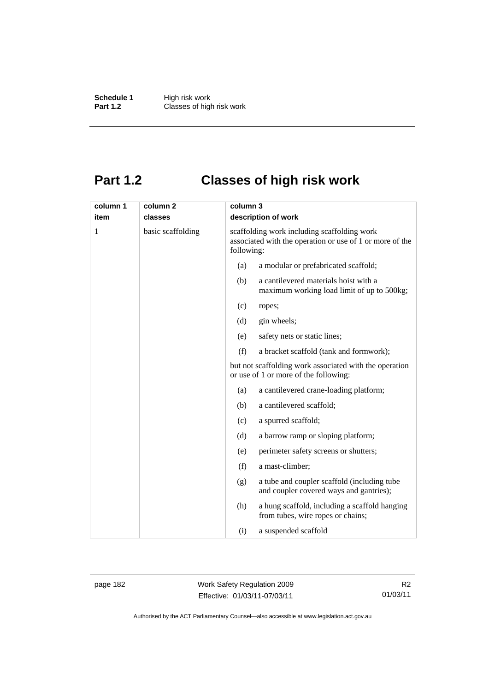**Schedule 1** High risk work<br> **Part 1.2** Classes of high **Classes of high risk work** 

# **Part 1.2 Classes of high risk work**

| column 1 | column <sub>2</sub> |     | column 3                                                                                                              |  |
|----------|---------------------|-----|-----------------------------------------------------------------------------------------------------------------------|--|
| item     | classes             |     | description of work                                                                                                   |  |
| 1        | basic scaffolding   |     | scaffolding work including scaffolding work<br>associated with the operation or use of 1 or more of the<br>following: |  |
|          |                     | (a) | a modular or prefabricated scaffold;                                                                                  |  |
|          |                     | (b) | a cantilevered materials hoist with a<br>maximum working load limit of up to 500kg;                                   |  |
|          |                     | (c) | ropes;                                                                                                                |  |
|          |                     | (d) | gin wheels;                                                                                                           |  |
|          |                     | (e) | safety nets or static lines;                                                                                          |  |
|          |                     | (f) | a bracket scaffold (tank and formwork);                                                                               |  |
|          |                     |     | but not scaffolding work associated with the operation<br>or use of 1 or more of the following:                       |  |
|          |                     | (a) | a cantilevered crane-loading platform;                                                                                |  |
|          |                     | (b) | a cantilevered scaffold;                                                                                              |  |
|          |                     | (c) | a spurred scaffold;                                                                                                   |  |
|          |                     | (d) | a barrow ramp or sloping platform;                                                                                    |  |
|          |                     | (e) | perimeter safety screens or shutters;                                                                                 |  |
|          |                     | (f) | a mast-climber;                                                                                                       |  |
|          |                     | (g) | a tube and coupler scaffold (including tube<br>and coupler covered ways and gantries);                                |  |
|          |                     | (h) | a hung scaffold, including a scaffold hanging<br>from tubes, wire ropes or chains;                                    |  |
|          |                     | (i) | a suspended scaffold                                                                                                  |  |

page 182 Work Safety Regulation 2009 Effective: 01/03/11-07/03/11

R2 01/03/11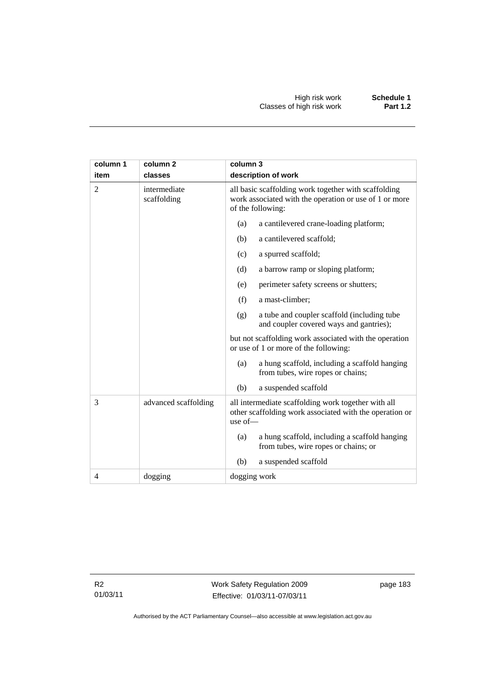| column 1       | column <sub>2</sub>         | column 3                                                                                                                            |  |  |
|----------------|-----------------------------|-------------------------------------------------------------------------------------------------------------------------------------|--|--|
| item           | classes                     | description of work                                                                                                                 |  |  |
| 2              | intermediate<br>scaffolding | all basic scaffolding work together with scaffolding<br>work associated with the operation or use of 1 or more<br>of the following: |  |  |
|                |                             | a cantilevered crane-loading platform;<br>(a)                                                                                       |  |  |
|                |                             | a cantilevered scaffold;<br>(b)                                                                                                     |  |  |
|                |                             | a spurred scaffold;<br>(c)                                                                                                          |  |  |
|                |                             | (d)<br>a barrow ramp or sloping platform;                                                                                           |  |  |
|                |                             | (e)<br>perimeter safety screens or shutters;                                                                                        |  |  |
|                |                             | (f)<br>a mast-climber;                                                                                                              |  |  |
|                |                             | a tube and coupler scaffold (including tube<br>(g)<br>and coupler covered ways and gantries);                                       |  |  |
|                |                             | but not scaffolding work associated with the operation<br>or use of 1 or more of the following:                                     |  |  |
|                |                             | a hung scaffold, including a scaffold hanging<br>(a)<br>from tubes, wire ropes or chains;                                           |  |  |
|                |                             | (b)<br>a suspended scaffold                                                                                                         |  |  |
| 3              | advanced scaffolding        | all intermediate scaffolding work together with all<br>other scaffolding work associated with the operation or<br>use of $-$        |  |  |
|                |                             | a hung scaffold, including a scaffold hanging<br>(a)<br>from tubes, wire ropes or chains; or                                        |  |  |
|                |                             | (b)<br>a suspended scaffold                                                                                                         |  |  |
| $\overline{4}$ | dogging                     | dogging work                                                                                                                        |  |  |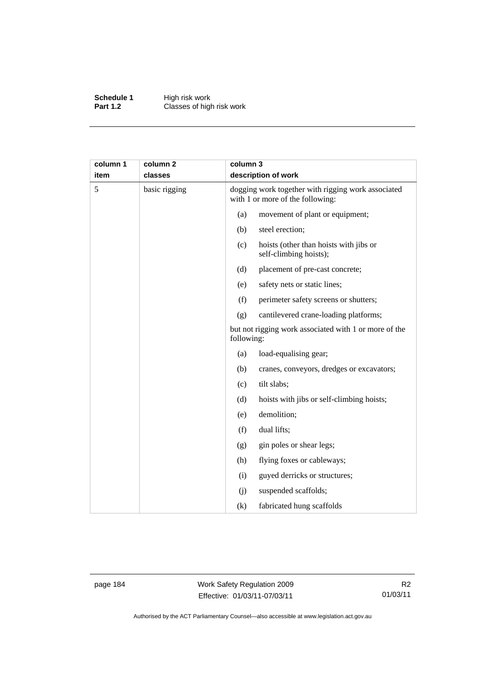**Schedule 1** High risk work **Part 1.2 Classes of high risk work** 

| column 1<br>item | column <sub>2</sub><br>classes |            | column 3<br>description of work                                                        |  |  |
|------------------|--------------------------------|------------|----------------------------------------------------------------------------------------|--|--|
| 5                | basic rigging                  |            | dogging work together with rigging work associated<br>with 1 or more of the following: |  |  |
|                  |                                | (a)        | movement of plant or equipment;                                                        |  |  |
|                  |                                | (b)        | steel erection;                                                                        |  |  |
|                  |                                | (c)        | hoists (other than hoists with jibs or<br>self-climbing hoists);                       |  |  |
|                  |                                | (d)        | placement of pre-cast concrete;                                                        |  |  |
|                  |                                | (e)        | safety nets or static lines;                                                           |  |  |
|                  |                                | (f)        | perimeter safety screens or shutters;                                                  |  |  |
|                  |                                | (g)        | cantilevered crane-loading platforms;                                                  |  |  |
|                  |                                | following: | but not rigging work associated with 1 or more of the                                  |  |  |
|                  |                                | (a)        | load-equalising gear;                                                                  |  |  |
|                  |                                | (b)        | cranes, conveyors, dredges or excavators;                                              |  |  |
|                  |                                | (c)        | tilt slabs;                                                                            |  |  |
|                  |                                | (d)        | hoists with jibs or self-climbing hoists;                                              |  |  |
|                  |                                | (e)        | demolition;                                                                            |  |  |
|                  |                                | (f)        | dual lifts;                                                                            |  |  |
|                  |                                | (g)        | gin poles or shear legs;                                                               |  |  |
|                  |                                | (h)        | flying foxes or cableways;                                                             |  |  |
|                  |                                | (i)        | guyed derricks or structures;                                                          |  |  |
|                  |                                | (j)        | suspended scaffolds;                                                                   |  |  |
|                  |                                | (k)        | fabricated hung scaffolds                                                              |  |  |

page 184 Work Safety Regulation 2009 Effective: 01/03/11-07/03/11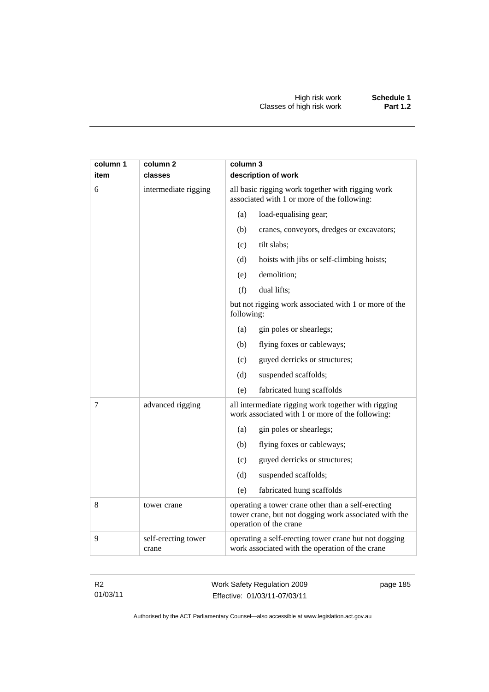| column 1<br>item | column 2<br>classes          | column 3<br>description of work                                                                                                       |
|------------------|------------------------------|---------------------------------------------------------------------------------------------------------------------------------------|
| 6                | intermediate rigging         | all basic rigging work together with rigging work<br>associated with 1 or more of the following:                                      |
|                  |                              | (a)<br>load-equalising gear;                                                                                                          |
|                  |                              | (b)<br>cranes, conveyors, dredges or excavators;                                                                                      |
|                  |                              | tilt slabs;<br>(c)                                                                                                                    |
|                  |                              | (d)<br>hoists with jibs or self-climbing hoists;                                                                                      |
|                  |                              | (e)<br>demolition;                                                                                                                    |
|                  |                              | (f)<br>dual lifts;                                                                                                                    |
|                  |                              | but not rigging work associated with 1 or more of the<br>following:                                                                   |
|                  |                              | gin poles or shearlegs;<br>(a)                                                                                                        |
|                  |                              | (b)<br>flying foxes or cableways;                                                                                                     |
|                  |                              | guyed derricks or structures;<br>(c)                                                                                                  |
|                  |                              | suspended scaffolds;<br>(d)                                                                                                           |
|                  |                              | (e)<br>fabricated hung scaffolds                                                                                                      |
| 7                | advanced rigging             | all intermediate rigging work together with rigging<br>work associated with 1 or more of the following:                               |
|                  |                              | gin poles or shearlegs;<br>(a)                                                                                                        |
|                  |                              | flying foxes or cableways;<br>(b)                                                                                                     |
|                  |                              | (c)<br>guyed derricks or structures;                                                                                                  |
|                  |                              | (d)<br>suspended scaffolds;                                                                                                           |
|                  |                              | (e)<br>fabricated hung scaffolds                                                                                                      |
| 8                | tower crane                  | operating a tower crane other than a self-erecting<br>tower crane, but not dogging work associated with the<br>operation of the crane |
| 9                | self-erecting tower<br>crane | operating a self-erecting tower crane but not dogging<br>work associated with the operation of the crane                              |

R2 01/03/11 Work Safety Regulation 2009 Effective: 01/03/11-07/03/11

page 185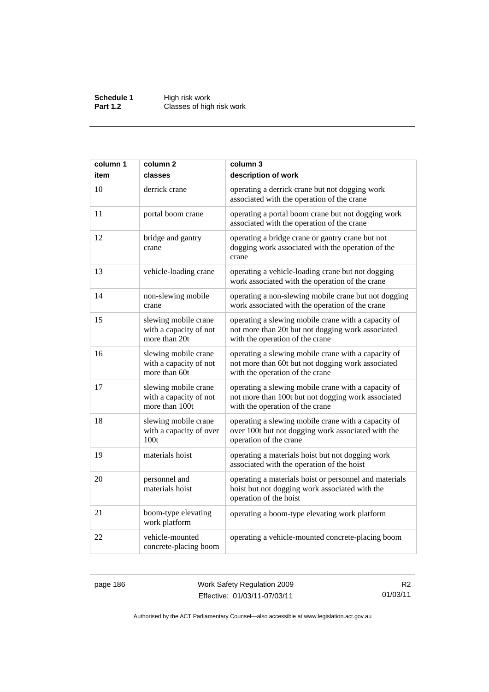**Schedule 1** High risk work **Part 1.2 Classes of high risk work** 

| column 1 | column <sub>2</sub>                                              | column 3                                                                                                                                     |
|----------|------------------------------------------------------------------|----------------------------------------------------------------------------------------------------------------------------------------------|
| item     | classes                                                          | description of work                                                                                                                          |
| 10       | derrick crane                                                    | operating a derrick crane but not dogging work<br>associated with the operation of the crane                                                 |
| 11       | portal boom crane                                                | operating a portal boom crane but not dogging work<br>associated with the operation of the crane                                             |
| 12       | bridge and gantry<br>crane                                       | operating a bridge crane or gantry crane but not<br>dogging work associated with the operation of the<br>crane                               |
| 13       | vehicle-loading crane                                            | operating a vehicle-loading crane but not dogging<br>work associated with the operation of the crane                                         |
| 14       | non-slewing mobile<br>crane                                      | operating a non-slewing mobile crane but not dogging<br>work associated with the operation of the crane                                      |
| 15       | slewing mobile crane<br>with a capacity of not<br>more than 20t  | operating a slewing mobile crane with a capacity of<br>not more than 20t but not dogging work associated<br>with the operation of the crane  |
| 16       | slewing mobile crane<br>with a capacity of not<br>more than 60t  | operating a slewing mobile crane with a capacity of<br>not more than 60t but not dogging work associated<br>with the operation of the crane  |
| 17       | slewing mobile crane<br>with a capacity of not<br>more than 100t | operating a slewing mobile crane with a capacity of<br>not more than 100t but not dogging work associated<br>with the operation of the crane |
| 18       | slewing mobile crane<br>with a capacity of over<br>100t          | operating a slewing mobile crane with a capacity of<br>over 100t but not dogging work associated with the<br>operation of the crane          |
| 19       | materials hoist                                                  | operating a materials hoist but not dogging work<br>associated with the operation of the hoist                                               |
| 20       | personnel and<br>materials hoist                                 | operating a materials hoist or personnel and materials<br>hoist but not dogging work associated with the<br>operation of the hoist           |
| 21       | boom-type elevating<br>work platform                             | operating a boom-type elevating work platform                                                                                                |
| 22       | vehicle-mounted<br>concrete-placing boom                         | operating a vehicle-mounted concrete-placing boom                                                                                            |

page 186 Work Safety Regulation 2009 Effective: 01/03/11-07/03/11

R2 01/03/11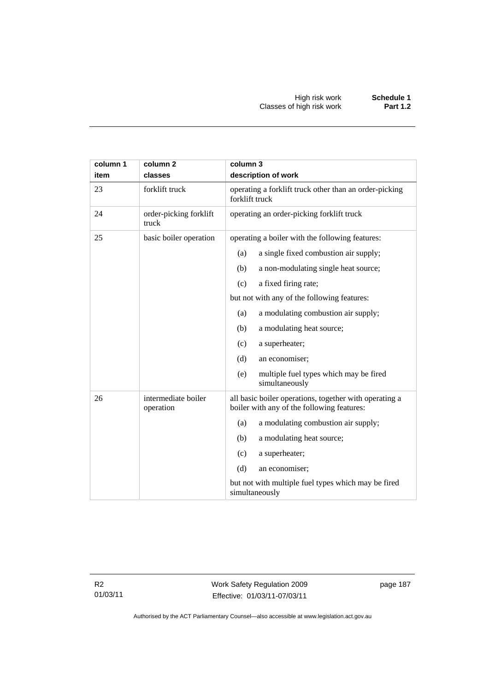| column 1<br>item | column <sub>2</sub><br>classes   | column 3<br>description of work                                                                      |  |
|------------------|----------------------------------|------------------------------------------------------------------------------------------------------|--|
| 23               | forklift truck                   | operating a forklift truck other than an order-picking<br>forklift truck                             |  |
| 24               | order-picking forklift<br>truck  | operating an order-picking forklift truck                                                            |  |
| 25               | basic boiler operation           | operating a boiler with the following features:                                                      |  |
|                  |                                  | a single fixed combustion air supply;<br>(a)                                                         |  |
|                  |                                  | (b)<br>a non-modulating single heat source;                                                          |  |
|                  |                                  | a fixed firing rate;<br>(c)                                                                          |  |
|                  |                                  | but not with any of the following features:                                                          |  |
|                  |                                  | a modulating combustion air supply;<br>(a)                                                           |  |
|                  |                                  | a modulating heat source;<br>(b)                                                                     |  |
|                  |                                  | a superheater;<br>(c)                                                                                |  |
|                  |                                  | (d)<br>an economiser;                                                                                |  |
|                  |                                  | multiple fuel types which may be fired<br>(e)<br>simultaneously                                      |  |
| 26               | intermediate boiler<br>operation | all basic boiler operations, together with operating a<br>boiler with any of the following features: |  |
|                  |                                  | a modulating combustion air supply;<br>(a)                                                           |  |
|                  |                                  | (b)<br>a modulating heat source;                                                                     |  |
|                  |                                  | (c)<br>a superheater;                                                                                |  |
|                  |                                  | (d)<br>an economiser;                                                                                |  |
|                  |                                  | but not with multiple fuel types which may be fired<br>simultaneously                                |  |

R2 01/03/11 Work Safety Regulation 2009 Effective: 01/03/11-07/03/11

page 187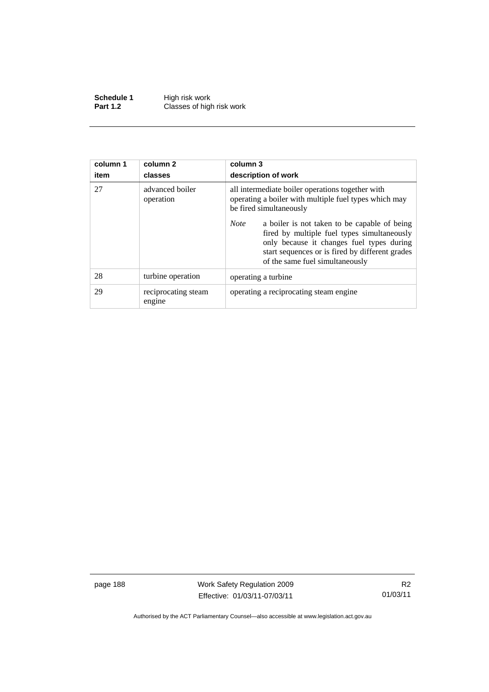**Schedule 1** High risk work **Part 1.2 Classes of high risk work** 

| column 1<br>item | column 2<br>classes           | column 3<br>description of work                                                                                                                                                                                                               |  |
|------------------|-------------------------------|-----------------------------------------------------------------------------------------------------------------------------------------------------------------------------------------------------------------------------------------------|--|
| 27               | advanced boiler<br>operation  | all intermediate boiler operations together with<br>operating a boiler with multiple fuel types which may<br>be fired simultaneously                                                                                                          |  |
|                  |                               | <b>Note</b><br>a boiler is not taken to be capable of being<br>fired by multiple fuel types simultaneously<br>only because it changes fuel types during<br>start sequences or is fired by different grades<br>of the same fuel simultaneously |  |
| 28               | turbine operation             | operating a turbine.                                                                                                                                                                                                                          |  |
| 29               | reciprocating steam<br>engine | operating a reciprocating steam engine.                                                                                                                                                                                                       |  |

page 188 Work Safety Regulation 2009 Effective: 01/03/11-07/03/11

R2 01/03/11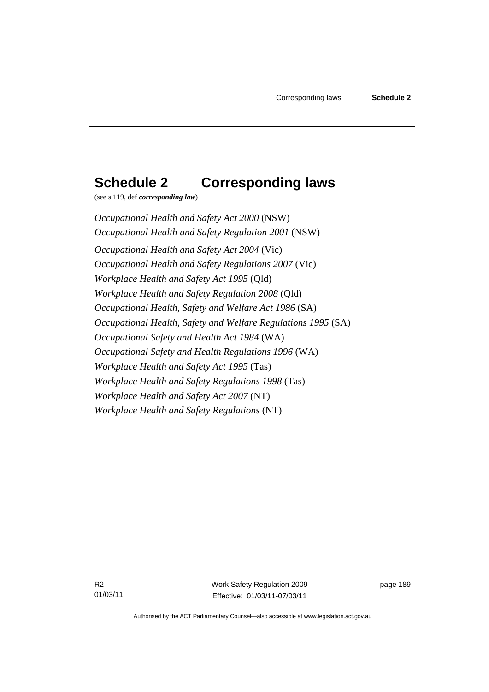## **Schedule 2 Corresponding laws**

(see s 119, def *corresponding law*)

*Occupational Health and Safety Act 2000* (NSW) *Occupational Health and Safety Regulation 2001* (NSW) *Occupational Health and Safety Act 2004* (Vic) *Occupational Health and Safety Regulations 2007* (Vic) *Workplace Health and Safety Act 1995* (Qld) *Workplace Health and Safety Regulation 2008* (Qld) *Occupational Health, Safety and Welfare Act 1986* (SA) *Occupational Health, Safety and Welfare Regulations 1995* (SA) *Occupational Safety and Health Act 1984* (WA) *Occupational Safety and Health Regulations 1996* (WA) *Workplace Health and Safety Act 1995* (Tas) *Workplace Health and Safety Regulations 1998* (Tas) *Workplace Health and Safety Act 2007* (NT) *Workplace Health and Safety Regulations* (NT)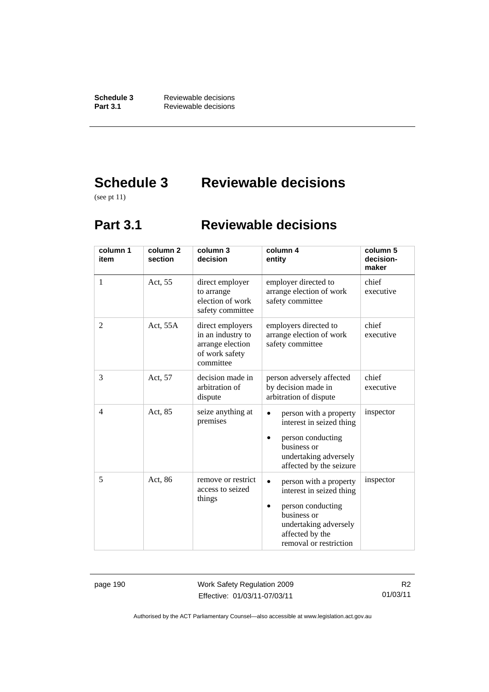**Schedule 3** Reviewable decisions<br>**Part 3.1** Reviewable decisions **Part 3.1** Reviewable decisions

# **Schedule 3 Reviewable decisions**

(see pt 11)

## **Part 3.1 Reviewable decisions**

| column 1<br>item | column <sub>2</sub><br>section | column 3<br>decision                                                                     | column 4<br>entity                                                                                                                                           | column 5<br>decision-<br>maker |
|------------------|--------------------------------|------------------------------------------------------------------------------------------|--------------------------------------------------------------------------------------------------------------------------------------------------------------|--------------------------------|
| 1                | Act, 55                        | direct employer<br>to arrange<br>election of work<br>safety committee                    | employer directed to<br>arrange election of work<br>safety committee                                                                                         | chief<br>executive             |
| $\overline{2}$   | Act, 55A                       | direct employers<br>in an industry to<br>arrange election<br>of work safety<br>committee | employers directed to<br>arrange election of work<br>safety committee                                                                                        | chief<br>executive             |
| 3                | Act, 57                        | decision made in<br>arbitration of<br>dispute                                            | person adversely affected<br>by decision made in<br>arbitration of dispute                                                                                   | chief<br>executive             |
| $\overline{4}$   | Act, 85                        | seize anything at<br>premises                                                            | person with a property<br>interest in seized thing<br>person conducting<br>business or<br>undertaking adversely<br>affected by the seizure                   | inspector                      |
| 5                | Act, 86                        | remove or restrict<br>access to seized<br>things                                         | person with a property<br>interest in seized thing<br>person conducting<br>business or<br>undertaking adversely<br>affected by the<br>removal or restriction | inspector                      |

page 190 Work Safety Regulation 2009 Effective: 01/03/11-07/03/11

R2 01/03/11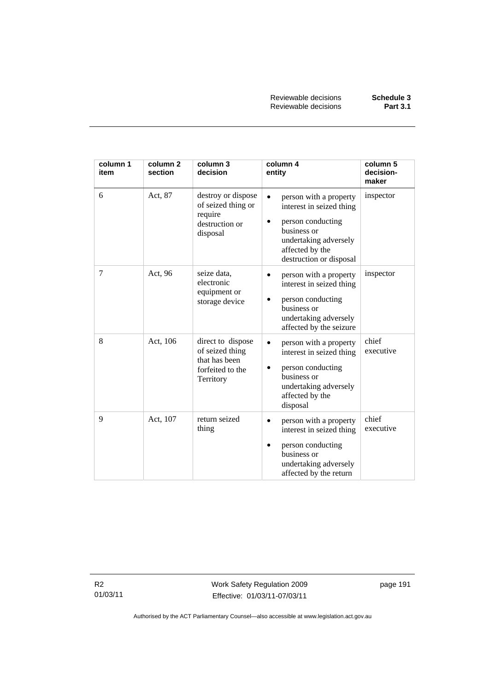Reviewable decisions **Schedule 3 Reviewable decisions** 

| column 1<br>item | column <sub>2</sub><br>section | column 3<br>decision                                                                   | column 4<br>entity                                                                                                                                            | column 5<br>decision-<br>maker |
|------------------|--------------------------------|----------------------------------------------------------------------------------------|---------------------------------------------------------------------------------------------------------------------------------------------------------------|--------------------------------|
| 6                | Act, 87                        | destroy or dispose<br>of seized thing or<br>require<br>destruction or<br>disposal      | person with a property<br>interest in seized thing<br>person conducting<br>business or<br>undertaking adversely<br>affected by the<br>destruction or disposal | inspector                      |
| 7                | Act, 96                        | seize data,<br>electronic<br>equipment or<br>storage device                            | person with a property<br>interest in seized thing<br>person conducting<br>business or<br>undertaking adversely<br>affected by the seizure                    | inspector                      |
| 8                | Act, 106                       | direct to dispose<br>of seized thing<br>that has been<br>forfeited to the<br>Territory | person with a property<br>interest in seized thing<br>person conducting<br>business or<br>undertaking adversely<br>affected by the<br>disposal                | chief<br>executive             |
| 9                | Act, 107                       | return seized<br>thing                                                                 | person with a property<br>interest in seized thing<br>person conducting<br>business or<br>undertaking adversely<br>affected by the return                     | chief<br>executive             |

R2 01/03/11 Work Safety Regulation 2009 Effective: 01/03/11-07/03/11

page 191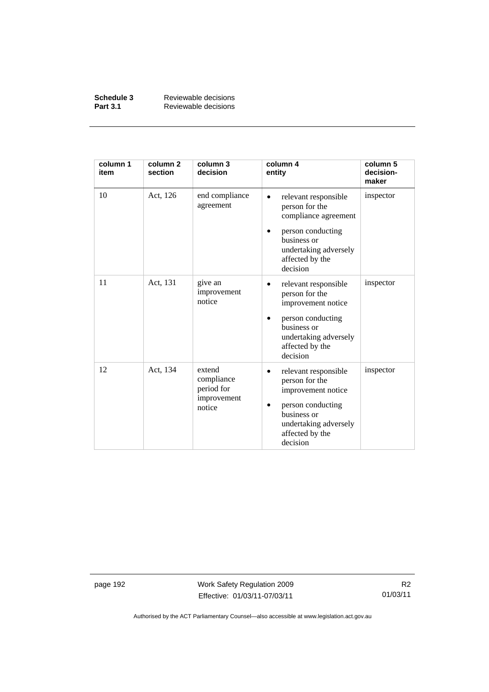| Schedule 3      | Reviewable decisions |
|-----------------|----------------------|
| <b>Part 3.1</b> | Reviewable decisions |

| column 1<br>item | column <sub>2</sub><br>section | column 3<br>decision                                        | column 4<br>entity                                                                                                                                         | column 5<br>decision-<br>maker |
|------------------|--------------------------------|-------------------------------------------------------------|------------------------------------------------------------------------------------------------------------------------------------------------------------|--------------------------------|
| 10               | Act, 126                       | end compliance<br>agreement                                 | relevant responsible<br>person for the<br>compliance agreement<br>person conducting<br>business or<br>undertaking adversely<br>affected by the<br>decision | inspector                      |
| 11               | Act, 131                       | give an<br>improvement<br>notice                            | relevant responsible<br>person for the<br>improvement notice<br>person conducting<br>business or<br>undertaking adversely<br>affected by the<br>decision   | inspector                      |
| 12               | Act, 134                       | extend<br>compliance<br>period for<br>improvement<br>notice | relevant responsible<br>person for the<br>improvement notice<br>person conducting<br>business or<br>undertaking adversely<br>affected by the<br>decision   | inspector                      |

page 192 Work Safety Regulation 2009 Effective: 01/03/11-07/03/11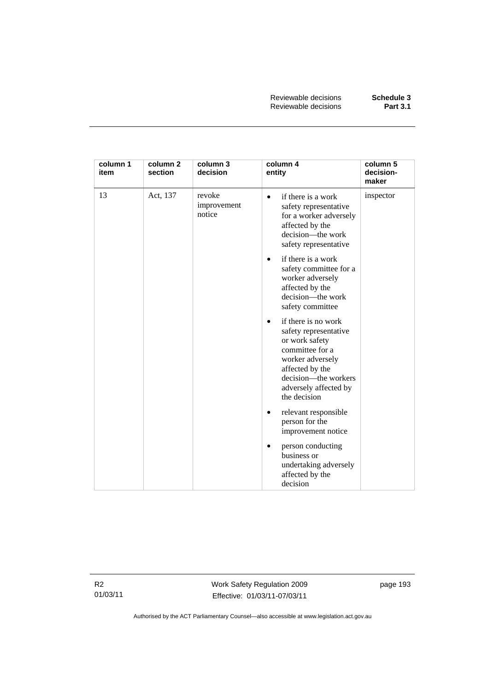| column 1<br>item | column <sub>2</sub><br>section | column 3<br>decision            | column 4<br>entity                                                                                                                                                                                     | column 5<br>decision-<br>maker |
|------------------|--------------------------------|---------------------------------|--------------------------------------------------------------------------------------------------------------------------------------------------------------------------------------------------------|--------------------------------|
| 13               | Act, 137                       | revoke<br>improvement<br>notice | if there is a work<br>$\bullet$<br>safety representative<br>for a worker adversely<br>affected by the<br>decision-the work<br>safety representative                                                    | inspector                      |
|                  |                                |                                 | if there is a work<br>$\bullet$<br>safety committee for a<br>worker adversely<br>affected by the<br>decision-the work<br>safety committee                                                              |                                |
|                  |                                |                                 | if there is no work<br>$\bullet$<br>safety representative<br>or work safety<br>committee for a<br>worker adversely<br>affected by the<br>decision-the workers<br>adversely affected by<br>the decision |                                |
|                  |                                |                                 | relevant responsible<br>٠<br>person for the<br>improvement notice                                                                                                                                      |                                |
|                  |                                |                                 | person conducting<br>$\bullet$<br>business or<br>undertaking adversely<br>affected by the<br>decision                                                                                                  |                                |

R2 01/03/11 Work Safety Regulation 2009 Effective: 01/03/11-07/03/11

page 193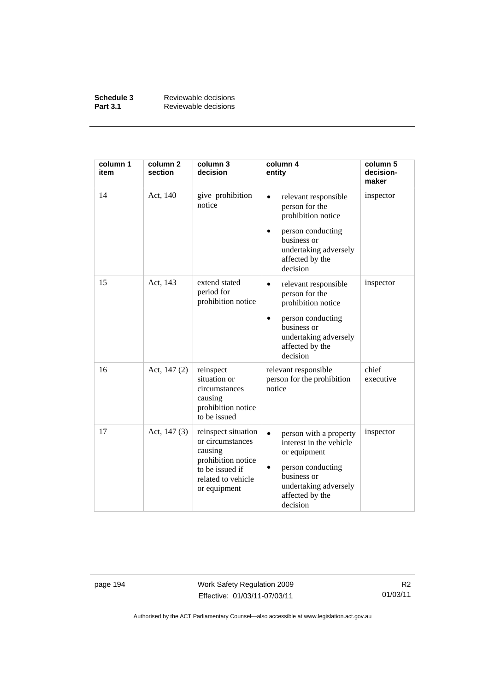| Schedule 3      | Reviewable decisions |
|-----------------|----------------------|
| <b>Part 3.1</b> | Reviewable decisions |

| column 1<br>item | column <sub>2</sub><br>section | column 3<br>decision                                                                                                              | column 4<br>entity                                                                                                                                                         | column 5<br>decision-<br>maker |
|------------------|--------------------------------|-----------------------------------------------------------------------------------------------------------------------------------|----------------------------------------------------------------------------------------------------------------------------------------------------------------------------|--------------------------------|
| 14               | Act, 140                       | give prohibition<br>notice                                                                                                        | relevant responsible<br>person for the<br>prohibition notice<br>person conducting<br>business or<br>undertaking adversely<br>affected by the<br>decision                   | inspector                      |
| 15               | Act, 143                       | extend stated<br>period for<br>prohibition notice                                                                                 | relevant responsible<br>٠<br>person for the<br>prohibition notice<br>person conducting<br>business or<br>undertaking adversely<br>affected by the<br>decision              | inspector                      |
| 16               | Act, 147 (2)                   | reinspect<br>situation or<br>circumstances<br>causing<br>prohibition notice<br>to be issued                                       | relevant responsible<br>person for the prohibition<br>notice                                                                                                               | chief<br>executive             |
| 17               | Act, $147(3)$                  | reinspect situation<br>or circumstances<br>causing<br>prohibition notice<br>to be issued if<br>related to vehicle<br>or equipment | person with a property<br>$\bullet$<br>interest in the vehicle<br>or equipment<br>person conducting<br>business or<br>undertaking adversely<br>affected by the<br>decision | inspector                      |

page 194 Work Safety Regulation 2009 Effective: 01/03/11-07/03/11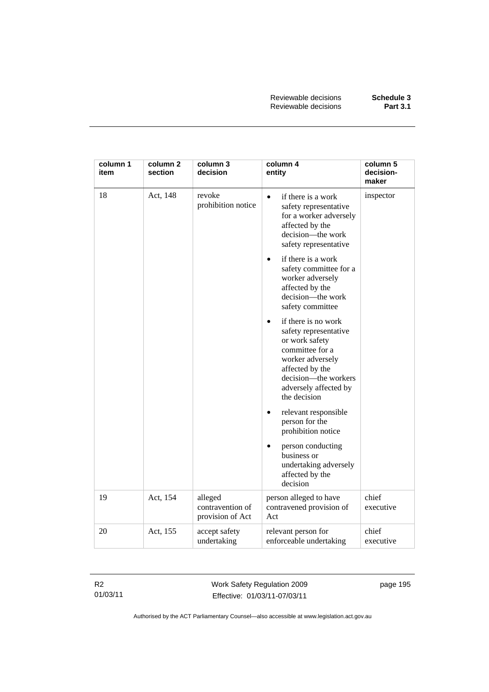| column 1<br>item | column 2<br>section | column 3<br>decision                            | column 4<br>entity                                                                                                                                                                        | column 5<br>decision-<br>maker |
|------------------|---------------------|-------------------------------------------------|-------------------------------------------------------------------------------------------------------------------------------------------------------------------------------------------|--------------------------------|
| 18               | Act, 148            | revoke<br>prohibition notice                    | if there is a work<br>$\bullet$<br>safety representative<br>for a worker adversely<br>affected by the<br>decision-the work<br>safety representative                                       | inspector                      |
|                  |                     |                                                 | if there is a work<br>safety committee for a<br>worker adversely<br>affected by the<br>decision-the work<br>safety committee                                                              |                                |
|                  |                     |                                                 | if there is no work<br>safety representative<br>or work safety<br>committee for a<br>worker adversely<br>affected by the<br>decision-the workers<br>adversely affected by<br>the decision |                                |
|                  |                     |                                                 | relevant responsible<br>$\bullet$<br>person for the<br>prohibition notice                                                                                                                 |                                |
|                  |                     |                                                 | person conducting<br>business or<br>undertaking adversely<br>affected by the<br>decision                                                                                                  |                                |
| 19               | Act, 154            | alleged<br>contravention of<br>provision of Act | person alleged to have<br>contravened provision of<br>Act                                                                                                                                 | chief<br>executive             |
| 20               | Act, 155            | accept safety<br>undertaking                    | relevant person for<br>enforceable undertaking                                                                                                                                            | chief<br>executive             |

R2 01/03/11 Work Safety Regulation 2009 Effective: 01/03/11-07/03/11

page 195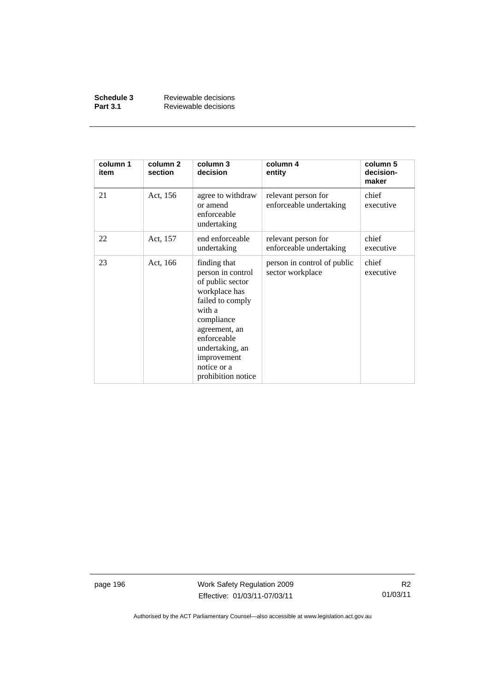| Schedule 3      | Reviewable decisions |
|-----------------|----------------------|
| <b>Part 3.1</b> | Reviewable decisions |

| column 1<br>item | column 2<br>section | column 3<br>decision                                                                                                                                                                                                      | column 4<br>entity                              | column 5<br>decision-<br>maker |
|------------------|---------------------|---------------------------------------------------------------------------------------------------------------------------------------------------------------------------------------------------------------------------|-------------------------------------------------|--------------------------------|
| 21               | Act, 156            | agree to withdraw<br>or amend<br>enforceable<br>undertaking                                                                                                                                                               | relevant person for<br>enforceable undertaking  | chief<br>executive             |
| 22               | Act, 157            | end enforceable<br>undertaking                                                                                                                                                                                            | relevant person for<br>enforceable undertaking  | chief<br>executive             |
| 23               | Act, 166            | finding that<br>person in control<br>of public sector<br>workplace has<br>failed to comply<br>with a<br>compliance<br>agreement, an<br>enforceable<br>undertaking, an<br>improvement<br>notice or a<br>prohibition notice | person in control of public<br>sector workplace | chief<br>executive             |

page 196 Work Safety Regulation 2009 Effective: 01/03/11-07/03/11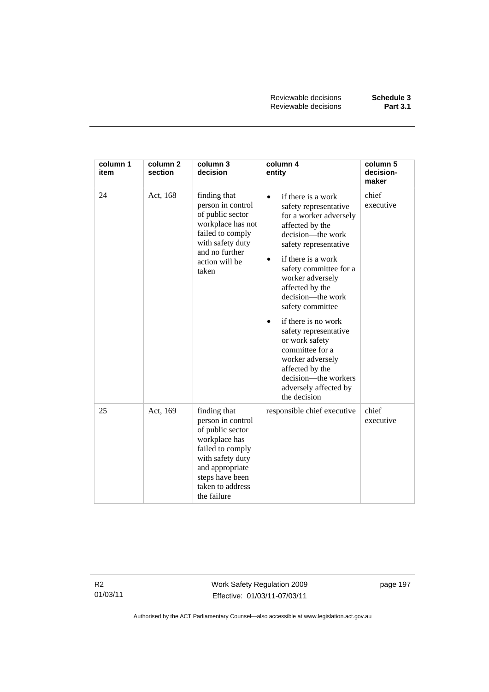Reviewable decisions **Schedule 3 Reviewable decisions** 

| column 1<br>item | column <sub>2</sub><br>section | column 3<br>decision                                                                                                                                                                    | column 4<br>entity                                                                                                                                                                                                                                                                                                                                                                                                                                                  | column 5<br>decision-<br>maker |
|------------------|--------------------------------|-----------------------------------------------------------------------------------------------------------------------------------------------------------------------------------------|---------------------------------------------------------------------------------------------------------------------------------------------------------------------------------------------------------------------------------------------------------------------------------------------------------------------------------------------------------------------------------------------------------------------------------------------------------------------|--------------------------------|
| 24               | Act, 168                       | finding that<br>person in control<br>of public sector<br>workplace has not<br>failed to comply<br>with safety duty<br>and no further<br>action will be<br>taken                         | if there is a work<br>safety representative<br>for a worker adversely<br>affected by the<br>decision—the work<br>safety representative<br>if there is a work<br>safety committee for a<br>worker adversely<br>affected by the<br>decision—the work<br>safety committee<br>if there is no work<br>safety representative<br>or work safety<br>committee for a<br>worker adversely<br>affected by the<br>decision—the workers<br>adversely affected by<br>the decision | chief<br>executive             |
| 25               | Act, 169                       | finding that<br>person in control<br>of public sector<br>workplace has<br>failed to comply<br>with safety duty<br>and appropriate<br>steps have been<br>taken to address<br>the failure | responsible chief executive                                                                                                                                                                                                                                                                                                                                                                                                                                         | chief<br>executive             |

R2 01/03/11 Work Safety Regulation 2009 Effective: 01/03/11-07/03/11

page 197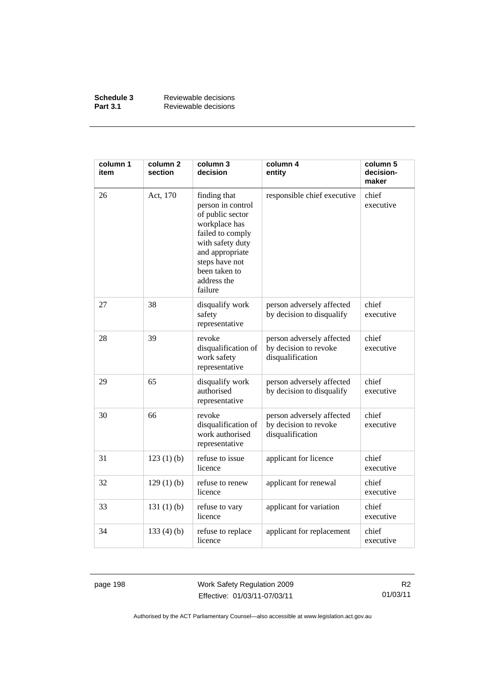| Schedule 3      | Reviewable decisions |
|-----------------|----------------------|
| <b>Part 3.1</b> | Reviewable decisions |

| column 1<br>item | column <sub>2</sub><br>section | column 3<br>decision                                                                                                                                                                           | column 4<br>entity                                                     | column 5<br>decision-<br>maker |
|------------------|--------------------------------|------------------------------------------------------------------------------------------------------------------------------------------------------------------------------------------------|------------------------------------------------------------------------|--------------------------------|
| 26               | Act, 170                       | finding that<br>person in control<br>of public sector<br>workplace has<br>failed to comply<br>with safety duty<br>and appropriate<br>steps have not<br>been taken to<br>address the<br>failure | responsible chief executive                                            | chief<br>executive             |
| 27               | 38                             | disqualify work<br>safety<br>representative                                                                                                                                                    | person adversely affected<br>by decision to disqualify                 | chief<br>executive             |
| 28               | 39                             | revoke<br>disqualification of<br>work safety<br>representative                                                                                                                                 | person adversely affected<br>by decision to revoke<br>disqualification | chief<br>executive             |
| 29               | 65                             | disqualify work<br>authorised<br>representative                                                                                                                                                | person adversely affected<br>by decision to disqualify                 | chief<br>executive             |
| 30               | 66                             | revoke<br>disqualification of<br>work authorised<br>representative                                                                                                                             | person adversely affected<br>by decision to revoke<br>disqualification | chief<br>executive             |
| 31               | 123(1)(b)                      | refuse to issue<br>licence                                                                                                                                                                     | applicant for licence                                                  | chief<br>executive             |
| 32               | $129(1)$ (b)                   | refuse to renew<br>licence                                                                                                                                                                     | applicant for renewal                                                  | chief<br>executive             |
| 33               | 131(1)(b)                      | refuse to vary<br>licence                                                                                                                                                                      | applicant for variation                                                | chief<br>executive             |
| 34               | 133(4)(b)                      | refuse to replace<br>licence                                                                                                                                                                   | applicant for replacement                                              | chief<br>executive             |

page 198 Work Safety Regulation 2009 Effective: 01/03/11-07/03/11

R2 01/03/11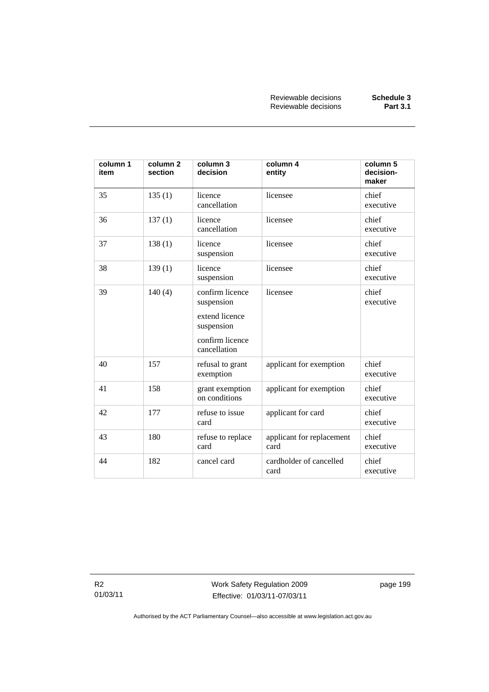| column 1<br>item | column <sub>2</sub><br>section | column 3<br>decision                                                                             | column 4<br>entity                | column 5<br>decision-<br>maker |
|------------------|--------------------------------|--------------------------------------------------------------------------------------------------|-----------------------------------|--------------------------------|
| 35               | 135(1)                         | licence<br>cancellation                                                                          | licensee                          | chief<br>executive             |
| 36               | 137(1)                         | licence<br>cancellation                                                                          | licensee                          | chief<br>executive             |
| 37               | 138(1)                         | licence<br>suspension                                                                            | licensee                          | chief<br>executive             |
| 38               | 139(1)                         | licence<br>suspension                                                                            | licensee                          | chief<br>executive             |
| 39               | 140(4)                         | confirm licence<br>suspension<br>extend licence<br>suspension<br>confirm licence<br>cancellation | licensee                          | chief<br>executive             |
| 40               | 157                            | refusal to grant<br>exemption                                                                    | applicant for exemption           | chief<br>executive             |
| 41               | 158                            | grant exemption<br>on conditions                                                                 | applicant for exemption           | chief<br>executive             |
| 42               | 177                            | refuse to issue<br>card                                                                          | applicant for card                | chief<br>executive             |
| 43               | 180                            | refuse to replace<br>card                                                                        | applicant for replacement<br>card | chief<br>executive             |
| 44               | 182                            | cancel card                                                                                      | cardholder of cancelled<br>card   | chief<br>executive             |

R2 01/03/11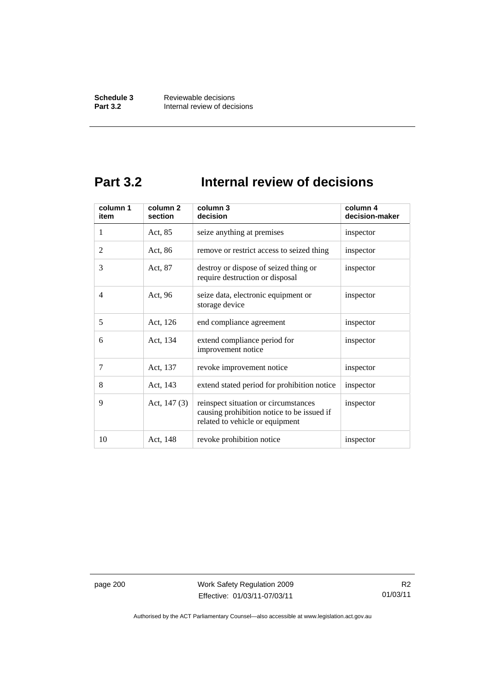## **Part 3.2 Internal review of decisions**

| column 1<br>item | column <sub>2</sub><br>section | column 3<br>decision                                                                                                  | column 4<br>decision-maker |
|------------------|--------------------------------|-----------------------------------------------------------------------------------------------------------------------|----------------------------|
| 1                | Act, 85                        | seize anything at premises                                                                                            | inspector                  |
| $\overline{2}$   | Act, 86                        | remove or restrict access to seized thing                                                                             | inspector                  |
| 3                | Act, 87                        | destroy or dispose of seized thing or<br>require destruction or disposal                                              | inspector                  |
| 4                | Act, 96                        | seize data, electronic equipment or<br>storage device                                                                 | inspector                  |
| 5                | Act, 126                       | end compliance agreement                                                                                              | inspector                  |
| 6                | Act, 134                       | extend compliance period for<br>improvement notice                                                                    | inspector                  |
| 7                | Act, 137                       | revoke improvement notice                                                                                             | inspector                  |
| 8                | Act, 143                       | extend stated period for prohibition notice                                                                           | inspector                  |
| 9                | Act, $147(3)$                  | reinspect situation or circumstances<br>causing prohibition notice to be issued if<br>related to vehicle or equipment | inspector                  |
| 10               | Act, 148                       | revoke prohibition notice                                                                                             | inspector                  |

page 200 Work Safety Regulation 2009 Effective: 01/03/11-07/03/11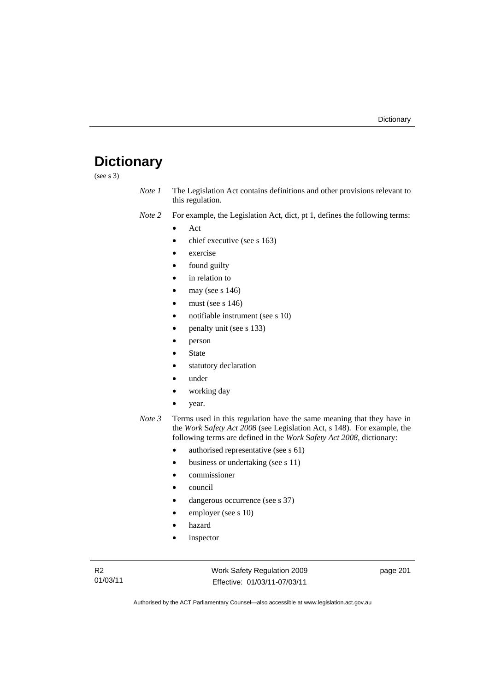# **Dictionary**

(see s 3)

| Note 1 | The Legislation Act contains definitions and other provisions relevant to |
|--------|---------------------------------------------------------------------------|
|        | this regulation.                                                          |

*Note 2* For example, the Legislation Act, dict, pt 1, defines the following terms:

• Act

- chief executive (see s 163)
- exercise
- found guilty
- in relation to
- may (see  $s$  146)
- must (see s  $146$ )
- notifiable instrument (see s 10)
- penalty unit (see s 133)
- person
- **State**
- statutory declaration
- under
- working day
- year.
- *Note 3* Terms used in this regulation have the same meaning that they have in the *Work* S*afety Act 2008* (see Legislation Act, s 148). For example, the following terms are defined in the *Work* S*afety Act 2008*, dictionary:
	- authorised representative (see s 61)
	- business or undertaking (see s 11)
	- commissioner
	- council
	- dangerous occurrence (see s 37)
	- employer (see s 10)
	- hazard
	- inspector

Work Safety Regulation 2009 Effective: 01/03/11-07/03/11

page 201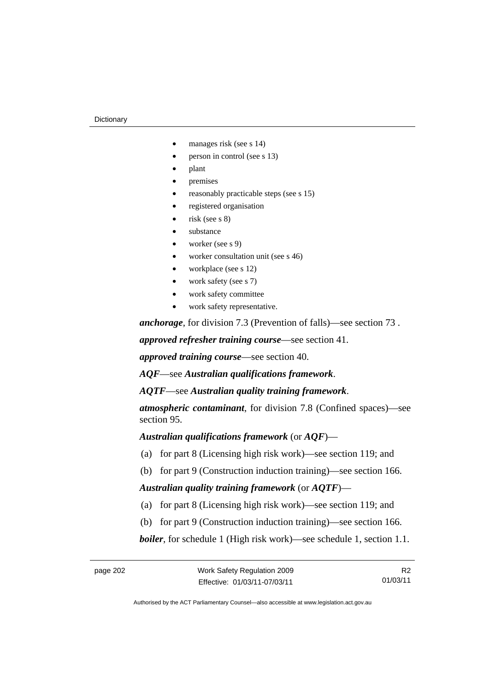#### **Dictionary**

- manages risk (see s 14)
- person in control (see s 13)
- plant
- premises
- reasonably practicable steps (see s 15)
- registered organisation
- $risk$  (see s  $8)$
- substance
- worker (see s 9)
- worker consultation unit (see s 46)
- workplace (see s 12)
- work safety (see s 7)
- work safety committee
- work safety representative.

*anchorage*, for division 7.3 (Prevention of falls)—see section 73 .

*approved refresher training course*—see section 41.

*approved training course*—see section 40.

*AQF*—see *Australian qualifications framework*.

*AQTF*—see *Australian quality training framework*.

*atmospheric contaminant*, for division 7.8 (Confined spaces)—see section 95.

*Australian qualifications framework* (or *AQF*)—

- (a) for part 8 (Licensing high risk work)—see section 119; and
- (b) for part 9 (Construction induction training)—see section 166.

*Australian quality training framework* (or *AQTF*)—

- (a) for part 8 (Licensing high risk work)—see section 119; and
- (b) for part 9 (Construction induction training)—see section 166.

*boiler*, for schedule 1 (High risk work)—see schedule 1, section 1.1.

R2 01/03/11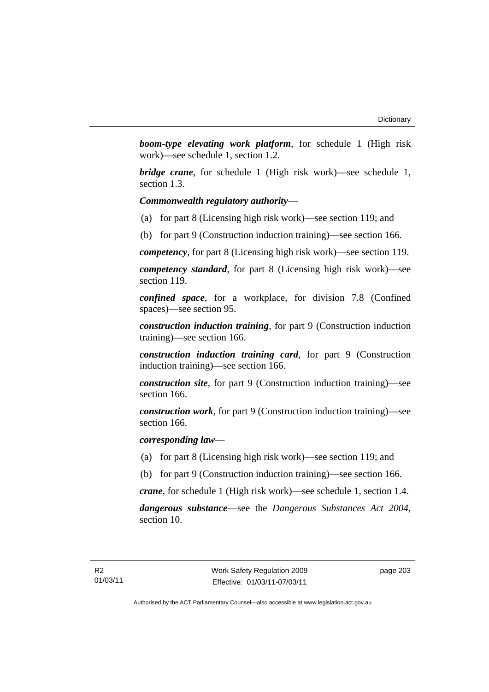*boom-type elevating work platform*, for schedule 1 (High risk work)—see schedule 1, section 1.2.

*bridge crane*, for schedule 1 (High risk work)—see schedule 1, section 1.3.

### *Commonwealth regulatory authority*—

- (a) for part 8 (Licensing high risk work)—see section 119; and
- (b) for part 9 (Construction induction training)—see section 166.

*competency*, for part 8 (Licensing high risk work)—see section 119.

*competency standard*, for part 8 (Licensing high risk work)—see section 119.

*confined space*, for a workplace, for division 7.8 (Confined spaces)—see section 95.

*construction induction training*, for part 9 (Construction induction training)—see section 166.

*construction induction training card*, for part 9 (Construction induction training)—see section 166.

*construction site*, for part 9 (Construction induction training)—see section 166.

*construction work*, for part 9 (Construction induction training)—see section 166.

*corresponding law*—

- (a) for part 8 (Licensing high risk work)—see section 119; and
- (b) for part 9 (Construction induction training)—see section 166.

*crane*, for schedule 1 (High risk work)—see schedule 1, section 1.4.

*dangerous substance*—see the *Dangerous Substances Act 2004*, section 10.

page 203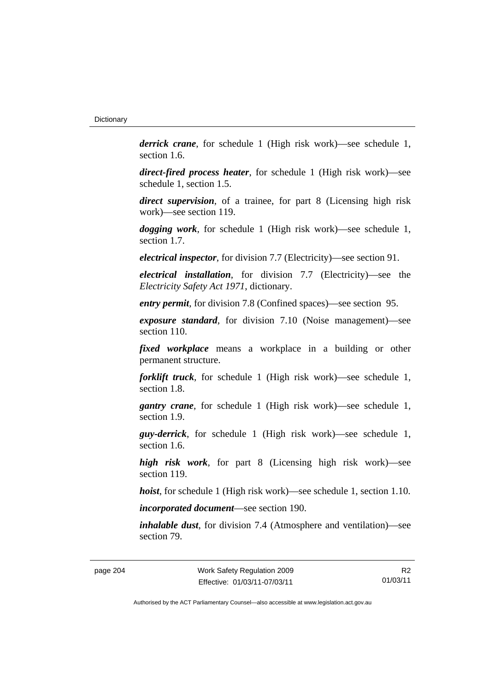*derrick crane*, for schedule 1 (High risk work)—see schedule 1, section 1.6.

*direct-fired process heater*, for schedule 1 (High risk work)—see schedule 1, section 1.5.

*direct supervision*, of a trainee, for part 8 (Licensing high risk work)—see section 119.

*dogging work*, for schedule 1 (High risk work)—see schedule 1, section 1.7.

*electrical inspector*, for division 7.7 (Electricity)—see section 91.

*electrical installation*, for division 7.7 (Electricity)—see the *Electricity Safety Act 1971*, dictionary.

*entry permit*, for division 7.8 (Confined spaces)—see section 95.

*exposure standard*, for division 7.10 (Noise management)—see section 110.

*fixed workplace* means a workplace in a building or other permanent structure.

*forklift truck*, for schedule 1 (High risk work)—see schedule 1, section 1.8.

*gantry crane*, for schedule 1 (High risk work)—see schedule 1, section 1.9.

*guy-derrick*, for schedule 1 (High risk work)—see schedule 1, section 1.6.

*high risk work*, for part 8 (Licensing high risk work)—see section 119.

*hoist*, for schedule 1 (High risk work)—see schedule 1, section 1.10.

*incorporated document*—see section 190.

*inhalable dust*, for division 7.4 (Atmosphere and ventilation)—see section 79.

page 204 Work Safety Regulation 2009 Effective: 01/03/11-07/03/11

R2 01/03/11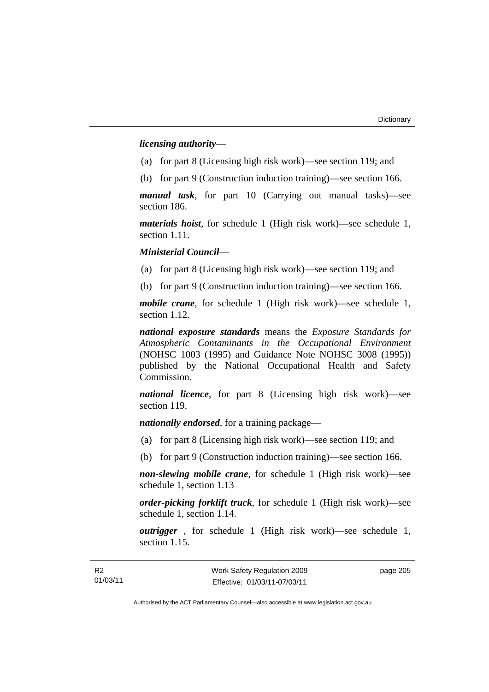### *licensing authority*—

- (a) for part 8 (Licensing high risk work)—see section 119; and
- (b) for part 9 (Construction induction training)—see section 166.

*manual task*, for part 10 (Carrying out manual tasks)—see section 186.

*materials hoist*, for schedule 1 (High risk work)—see schedule 1, section 1.11.

### *Ministerial Council*—

(a) for part 8 (Licensing high risk work)—see section 119; and

(b) for part 9 (Construction induction training)—see section 166.

*mobile crane*, for schedule 1 (High risk work)—see schedule 1, section 1.12.

*national exposure standards* means the *Exposure Standards for Atmospheric Contaminants in the Occupational Environment* (NOHSC 1003 (1995) and Guidance Note NOHSC 3008 (1995)) published by the National Occupational Health and Safety Commission.

*national licence*, for part 8 (Licensing high risk work)—see section 119.

*nationally endorsed*, for a training package—

- (a) for part 8 (Licensing high risk work)—see section 119; and
- (b) for part 9 (Construction induction training)—see section 166.

*non-slewing mobile crane*, for schedule 1 (High risk work)—see schedule 1, section 1.13

*order-picking forklift truck*, for schedule 1 (High risk work)—see schedule 1, section 1.14.

*outrigger* , for schedule 1 (High risk work)—see schedule 1, section 1.15.

page 205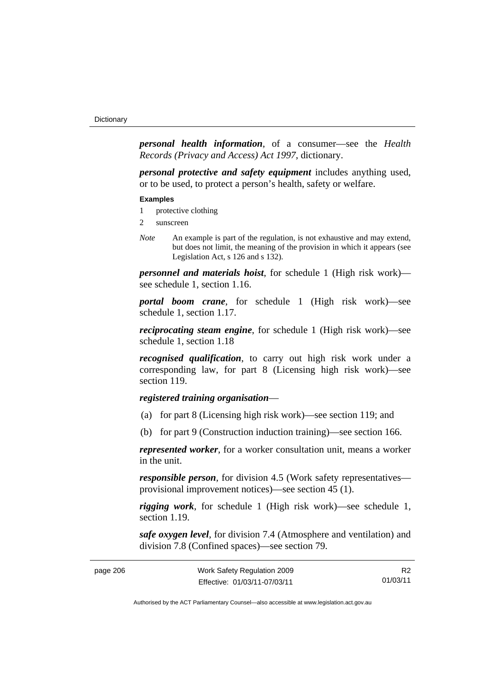*personal health information*, of a consumer—see the *Health Records (Privacy and Access) Act 1997*, dictionary.

*personal protective and safety equipment* includes anything used, or to be used, to protect a person's health, safety or welfare.

#### **Examples**

- 1 protective clothing
- 2 sunscreen
- *Note* An example is part of the regulation, is not exhaustive and may extend, but does not limit, the meaning of the provision in which it appears (see Legislation Act, s 126 and s 132).

*personnel and materials hoist*, for schedule 1 (High risk work) see schedule 1, section 1.16.

*portal boom crane*, for schedule 1 (High risk work)—see schedule 1, section 1.17.

*reciprocating steam engine*, for schedule 1 (High risk work)—see schedule 1, section 1.18

*recognised qualification*, to carry out high risk work under a corresponding law, for part 8 (Licensing high risk work)—see section 119.

## *registered training organisation*—

- (a) for part 8 (Licensing high risk work)—see section 119; and
- (b) for part 9 (Construction induction training)—see section 166.

*represented worker*, for a worker consultation unit, means a worker in the unit.

*responsible person*, for division 4.5 (Work safety representatives provisional improvement notices)—see section 45 (1).

*rigging work*, for schedule 1 (High risk work)—see schedule 1, section 1.19.

*safe oxygen level*, for division 7.4 (Atmosphere and ventilation) and division 7.8 (Confined spaces)—see section 79.

| page 206 | Work Safety Regulation 2009  |          |
|----------|------------------------------|----------|
|          | Effective: 01/03/11-07/03/11 | 01/03/11 |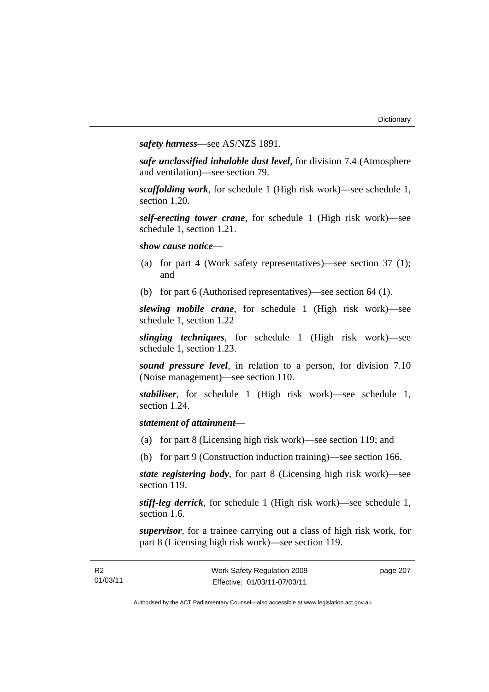*safety harness*—see AS/NZS 1891.

*safe unclassified inhalable dust level*, for division 7.4 (Atmosphere and ventilation)—see section 79.

*scaffolding work*, for schedule 1 (High risk work)—see schedule 1, section 1.20.

*self-erecting tower crane*, for schedule 1 (High risk work)—see schedule 1, section 1.21.

*show cause notice*—

- (a) for part 4 (Work safety representatives)—see section 37 (1); and
- (b) for part 6 (Authorised representatives)—see section 64 (1).

*slewing mobile crane*, for schedule 1 (High risk work)—see schedule 1, section 1.22

*slinging techniques*, for schedule 1 (High risk work)—see schedule 1, section 1.23.

*sound pressure level*, in relation to a person, for division 7.10 (Noise management)—see section 110.

*stabiliser*, for schedule 1 (High risk work)—see schedule 1, section 1.24.

## *statement of attainment*—

R2

- (a) for part 8 (Licensing high risk work)—see section 119; and
- (b) for part 9 (Construction induction training)—see section 166.

*state registering body*, for part 8 (Licensing high risk work)—see section 119.

*stiff-leg derrick*, for schedule 1 (High risk work)—see schedule 1, section 1.6.

*supervisor*, for a trainee carrying out a class of high risk work, for part 8 (Licensing high risk work)—see section 119.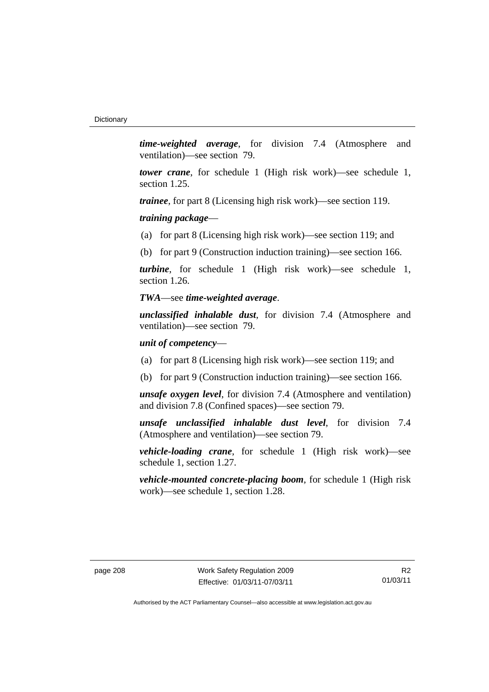*time-weighted average*, for division 7.4 (Atmosphere and ventilation)—see section 79.

*tower crane*, for schedule 1 (High risk work)—see schedule 1, section 1.25.

*trainee*, for part 8 (Licensing high risk work)—see section 119.

*training package*—

(a) for part 8 (Licensing high risk work)—see section 119; and

(b) for part 9 (Construction induction training)—see section 166.

*turbine*, for schedule 1 (High risk work)—see schedule 1, section 1.26.

### *TWA*—see *time-weighted average*.

*unclassified inhalable dust*, for division 7.4 (Atmosphere and ventilation)—see section 79.

### *unit of competency*—

- (a) for part 8 (Licensing high risk work)—see section 119; and
- (b) for part 9 (Construction induction training)—see section 166.

*unsafe oxygen level*, for division 7.4 (Atmosphere and ventilation) and division 7.8 (Confined spaces)—see section 79.

*unsafe unclassified inhalable dust level*, for division 7.4 (Atmosphere and ventilation)—see section 79.

*vehicle-loading crane*, for schedule 1 (High risk work)—see schedule 1, section 1.27.

*vehicle-mounted concrete-placing boom*, for schedule 1 (High risk work)—see schedule 1, section 1.28.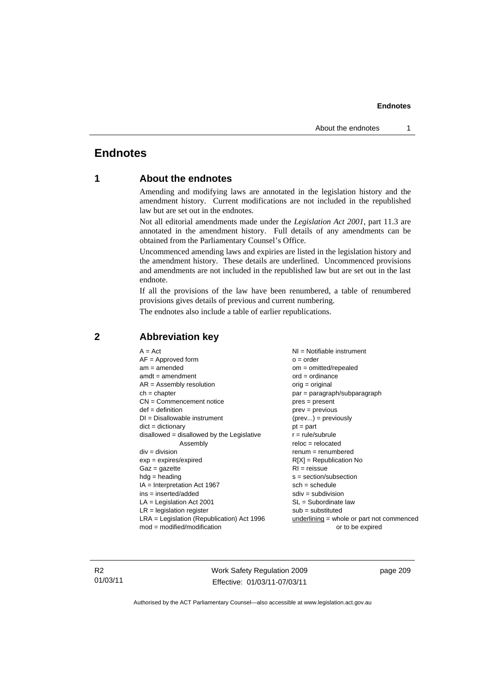#### **Endnotes**

# **Endnotes**

## **1 About the endnotes**

Amending and modifying laws are annotated in the legislation history and the amendment history. Current modifications are not included in the republished law but are set out in the endnotes.

Not all editorial amendments made under the *Legislation Act 2001*, part 11.3 are annotated in the amendment history. Full details of any amendments can be obtained from the Parliamentary Counsel's Office.

Uncommenced amending laws and expiries are listed in the legislation history and the amendment history. These details are underlined. Uncommenced provisions and amendments are not included in the republished law but are set out in the last endnote.

If all the provisions of the law have been renumbered, a table of renumbered provisions gives details of previous and current numbering.

The endnotes also include a table of earlier republications.

| $A = Act$                                    | NI = Notifiable instrument                |
|----------------------------------------------|-------------------------------------------|
| $AF =$ Approved form                         | $o = order$                               |
| $am = amended$                               | $om = omitted/report)$                    |
| $amdt = amendment$                           | $ord = ordinance$                         |
| $AR = Assembly resolution$                   | $orig = original$                         |
| $ch = chapter$                               | par = paragraph/subparagraph              |
| $CN =$ Commencement notice                   | $pres = present$                          |
| $def = definition$                           | $prev = previous$                         |
| $DI = Disallowable instrument$               | $(\text{prev}) = \text{previously}$       |
| $dict = dictionary$                          | $pt = part$                               |
| $disallowed = disallowed by the Legislative$ | $r = rule/subrule$                        |
| Assembly                                     | $reloc = relocated$                       |
| $div =$ division                             | $remum = renumbered$                      |
| $exp = expires/expired$                      | $R[X]$ = Republication No                 |
| $Gaz = gazette$                              | $RI = reissue$                            |
| $hdg =$ heading                              | $s = section/subsection$                  |
| $IA = Interpretation Act 1967$               | $sch = schedule$                          |
| $ins = inserted/added$                       | $sdiv = subdivision$                      |
| $LA =$ Legislation Act 2001                  | $SL = Subordinate$ law                    |
| $LR =$ legislation register                  | $sub =$ substituted                       |
| $LRA =$ Legislation (Republication) Act 1996 | underlining = whole or part not commenced |
| $mod = modified/modification$                | or to be expired                          |
|                                              |                                           |

## **2 Abbreviation key**

R2 01/03/11 Work Safety Regulation 2009 Effective: 01/03/11-07/03/11

page 209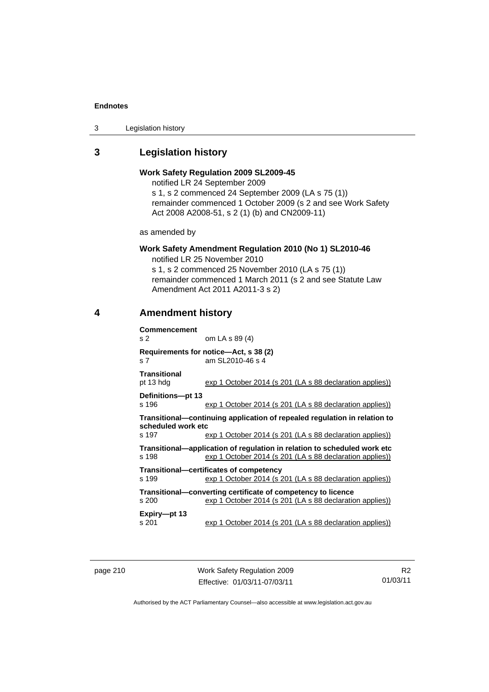#### **Endnotes**

3 Legislation history

# **3 Legislation history**

## **Work Safety Regulation 2009 SL2009-45**

notified LR 24 September 2009

s 1, s 2 commenced 24 September 2009 (LA s 75 (1)) remainder commenced 1 October 2009 (s 2 and see Work Safety Act 2008 A2008-51, s 2 (1) (b) and CN2009-11)

as amended by

# **Work Safety Amendment Regulation 2010 (No 1) SL2010-46**

notified LR 25 November 2010

s 1, s 2 commenced 25 November 2010 (LA s 75 (1)) remainder commenced 1 March 2011 (s 2 and see Statute Law Amendment Act 2011 A2011-3 s 2)

## **4 Amendment history**

| <b>Commencement</b><br>S <sub>2</sub>                                                                                                        | om LA s 89 (4)                                                                                                                       |  |  |  |
|----------------------------------------------------------------------------------------------------------------------------------------------|--------------------------------------------------------------------------------------------------------------------------------------|--|--|--|
| s <sub>7</sub>                                                                                                                               | Requirements for notice—Act, s 38 (2)<br>am SL2010-46 s 4                                                                            |  |  |  |
| <b>Transitional</b><br>pt 13 hdg                                                                                                             | exp 1 October 2014 (s 201 (LA s 88 declaration applies))                                                                             |  |  |  |
| Definitions-pt 13<br>s 196                                                                                                                   | exp 1 October 2014 (s 201 (LA s 88 declaration applies))                                                                             |  |  |  |
| Transitional—continuing application of repealed regulation in relation to<br>scheduled work etc.                                             |                                                                                                                                      |  |  |  |
| s 197                                                                                                                                        | exp 1 October 2014 (s 201 (LA s 88 declaration applies))                                                                             |  |  |  |
| s 198                                                                                                                                        | Transitional—application of requlation in relation to scheduled work etc<br>exp 1 October 2014 (s 201 (LA s 88 declaration applies)) |  |  |  |
| Transitional—certificates of competency                                                                                                      |                                                                                                                                      |  |  |  |
| s 199                                                                                                                                        | exp 1 October 2014 (s 201 (LA s 88 declaration applies))                                                                             |  |  |  |
| Transitional—converting certificate of competency to licence<br>exp 1 October 2014 (s 201 (LA s 88 declaration applies))<br>s <sub>200</sub> |                                                                                                                                      |  |  |  |
| Expiry-pt 13<br>s 201                                                                                                                        | exp 1 October 2014 (s 201 (LA s 88 declaration applies))                                                                             |  |  |  |

page 210 Work Safety Regulation 2009 Effective: 01/03/11-07/03/11

R2 01/03/11